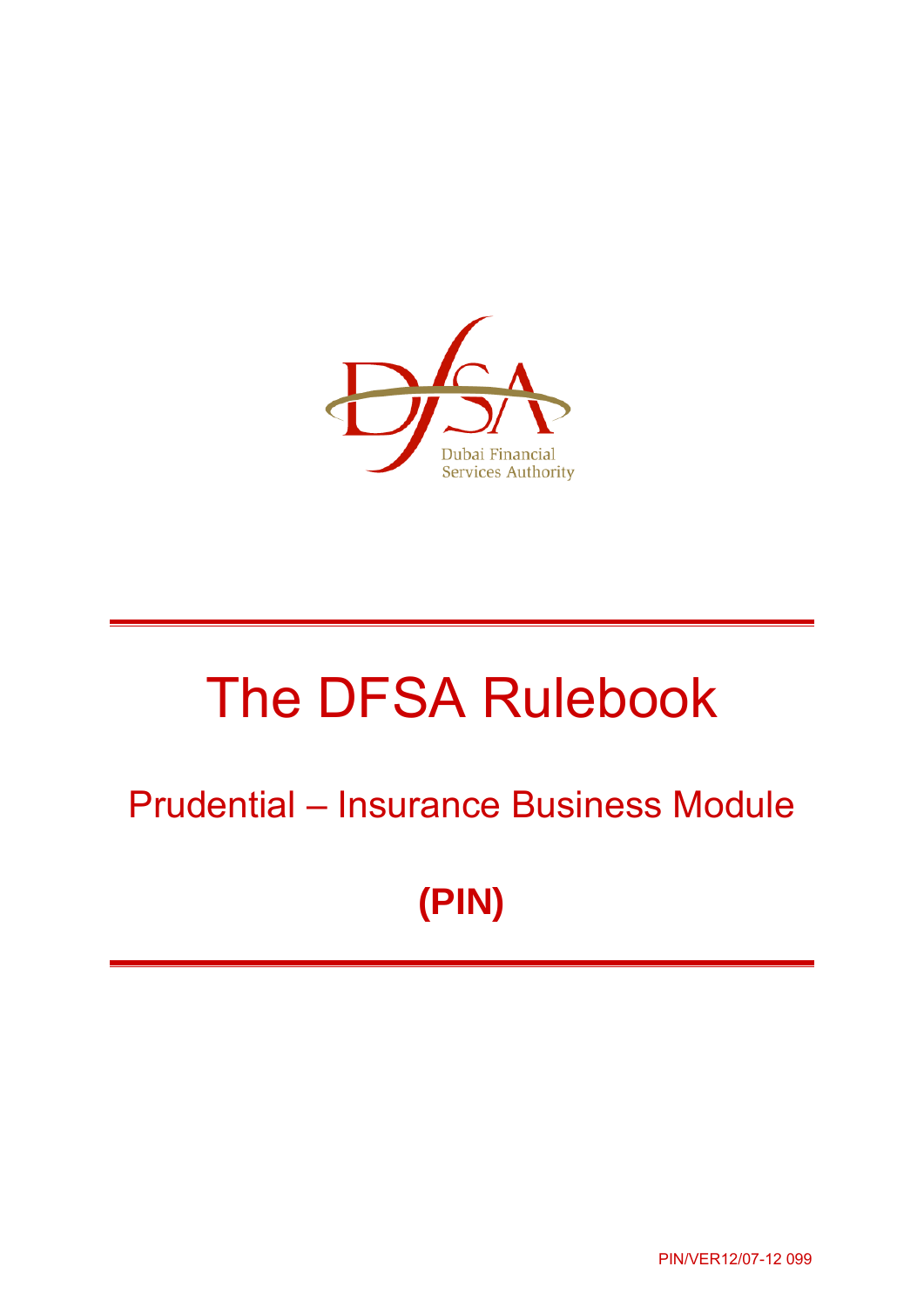

# The DFSA Rulebook

# Prudential – Insurance Business Module

**(PIN)** 

PIN/VER12/07-12 099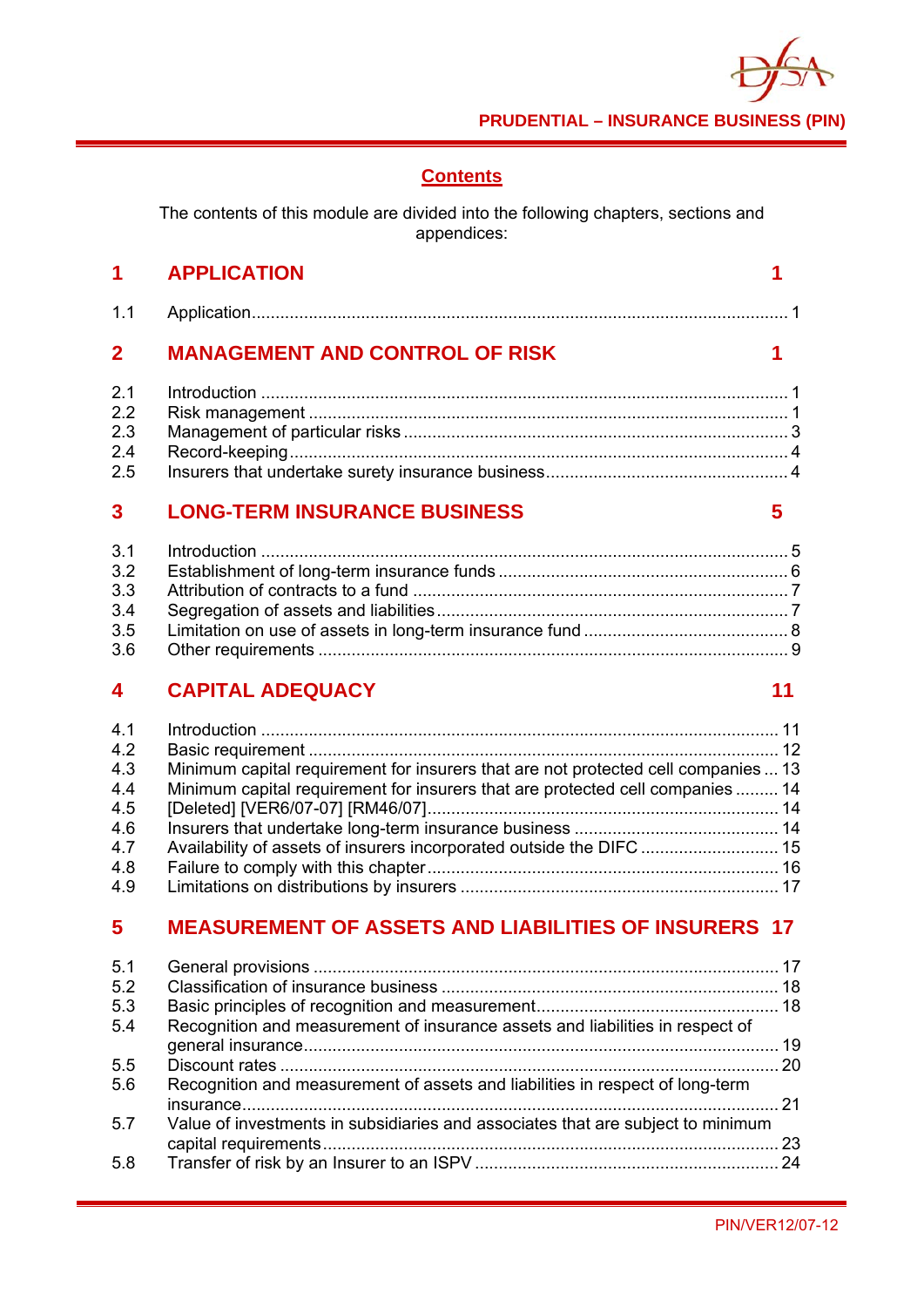

# **Contents**

The contents of this module are divided into the following chapters, sections and appendices:

|                         | 1 APPLICATION                         |   |
|-------------------------|---------------------------------------|---|
| 1.1                     |                                       |   |
| $\overline{2}$          | <b>MANAGEMENT AND CONTROL OF RISK</b> |   |
| 2.1                     |                                       |   |
| 2.2                     |                                       |   |
| 2.3                     |                                       |   |
| 2.4                     |                                       |   |
| 2.5                     |                                       |   |
| $\overline{\mathbf{3}}$ | <b>LONG-TERM INSURANCE BUSINESS</b>   | 5 |
| 3.1                     |                                       |   |
| 3.2                     |                                       |   |
| מ מ                     | Attribution of contracts to a fund    |   |

# **4 CAPITAL ADEQUACY 11**

| 4.1 |                                                                                    |  |
|-----|------------------------------------------------------------------------------------|--|
| 4.2 |                                                                                    |  |
| 4.3 | Minimum capital requirement for insurers that are not protected cell companies  13 |  |
| 4.4 | Minimum capital requirement for insurers that are protected cell companies  14     |  |
| 4.5 |                                                                                    |  |
| 4.6 |                                                                                    |  |
| 4.7 | Availability of assets of insurers incorporated outside the DIFC  15               |  |
| 4.8 |                                                                                    |  |
| 4.9 |                                                                                    |  |

# **5 MEASUREMENT OF ASSETS AND LIABILITIES OF INSURERS 17**

| 5.1 |                                                                                 |      |
|-----|---------------------------------------------------------------------------------|------|
| 5.2 |                                                                                 |      |
| 5.3 |                                                                                 |      |
| 5.4 | Recognition and measurement of insurance assets and liabilities in respect of   |      |
|     |                                                                                 |      |
| 5.5 |                                                                                 |      |
| 5.6 | Recognition and measurement of assets and liabilities in respect of long-term   |      |
| 5.7 | Value of investments in subsidiaries and associates that are subject to minimum | . 23 |
| 5.8 |                                                                                 |      |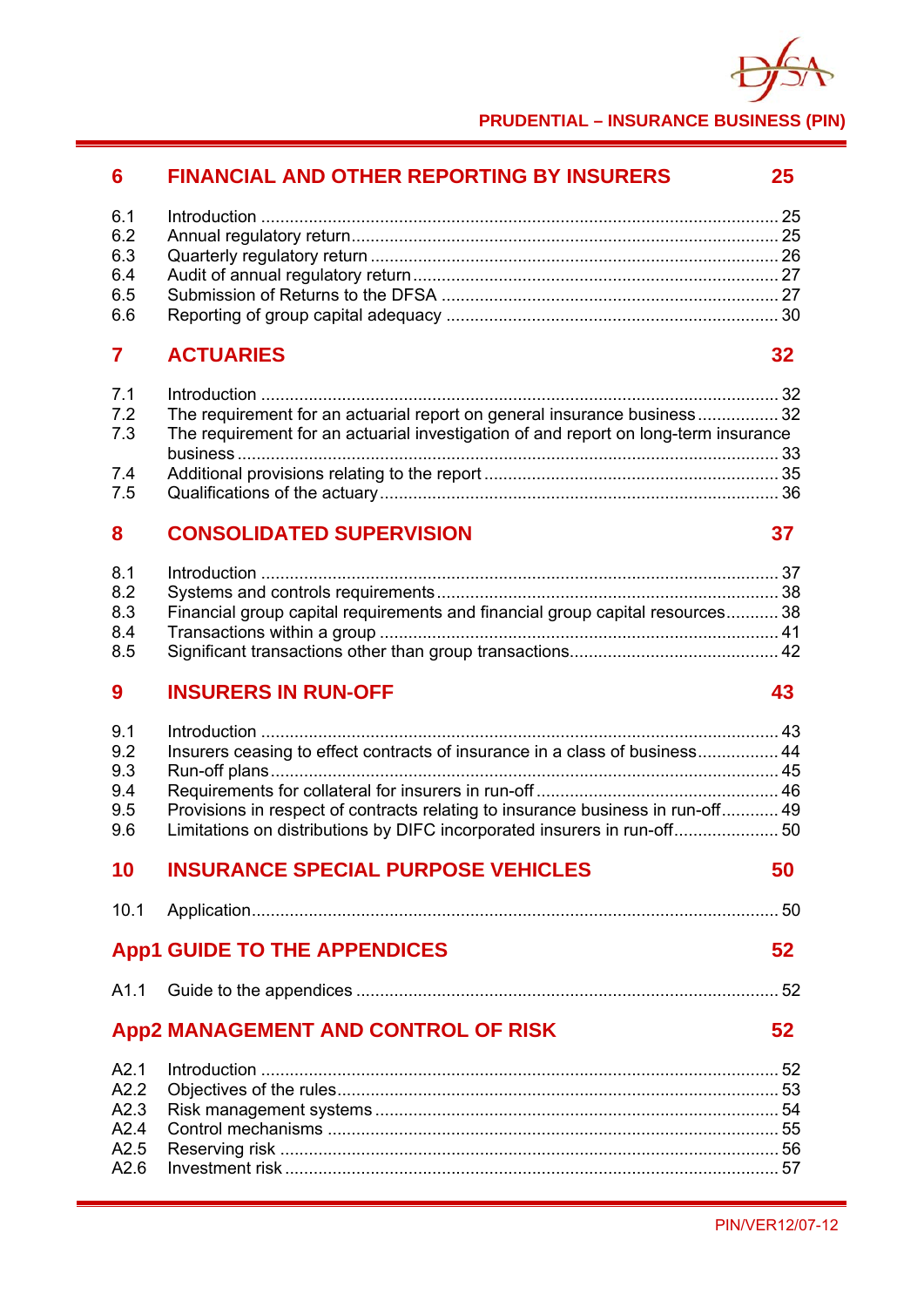

**PRUDENTIAL – INSURANCE BUSINESS (PIN)**

# **6 FINANCIAL AND OTHER REPORTING BY INSURERS 25**

| 6.5 |  |
|-----|--|
| 6.6 |  |

# **7 ACTUARIES 32**

| 7.2 | The requirement for an actuarial report on general insurance business32             |  |
|-----|-------------------------------------------------------------------------------------|--|
| 7.3 | The requirement for an actuarial investigation of and report on long-term insurance |  |
|     |                                                                                     |  |
| 7.4 |                                                                                     |  |
| 7.5 |                                                                                     |  |

# **8 CONSOLIDATED SUPERVISION 37**

| 8.2 |                                                                               |  |
|-----|-------------------------------------------------------------------------------|--|
| 8.3 | Financial group capital requirements and financial group capital resources 38 |  |
| 8.4 |                                                                               |  |
|     |                                                                               |  |

# **9 INSURERS IN RUN-OFF 43**

| Insurers ceasing to effect contracts of insurance in a class of business 44     |                 |
|---------------------------------------------------------------------------------|-----------------|
|                                                                                 |                 |
|                                                                                 |                 |
| Provisions in respect of contracts relating to insurance business in run-off 49 |                 |
| Limitations on distributions by DIFC incorporated insurers in run-off 50        |                 |
| <b>INSURANCE SPECIAL PURPOSE VEHICLES</b>                                       | 50              |
|                                                                                 |                 |
| <b>App1 GUIDE TO THE APPENDICES</b>                                             | 52              |
|                                                                                 |                 |
| <b>App2 MANAGEMENT AND CONTROL OF RISK</b>                                      | 52 <sub>2</sub> |
|                                                                                 |                 |
|                                                                                 |                 |
|                                                                                 |                 |
|                                                                                 |                 |
|                                                                                 |                 |
|                                                                                 |                 |
|                                                                                 |                 |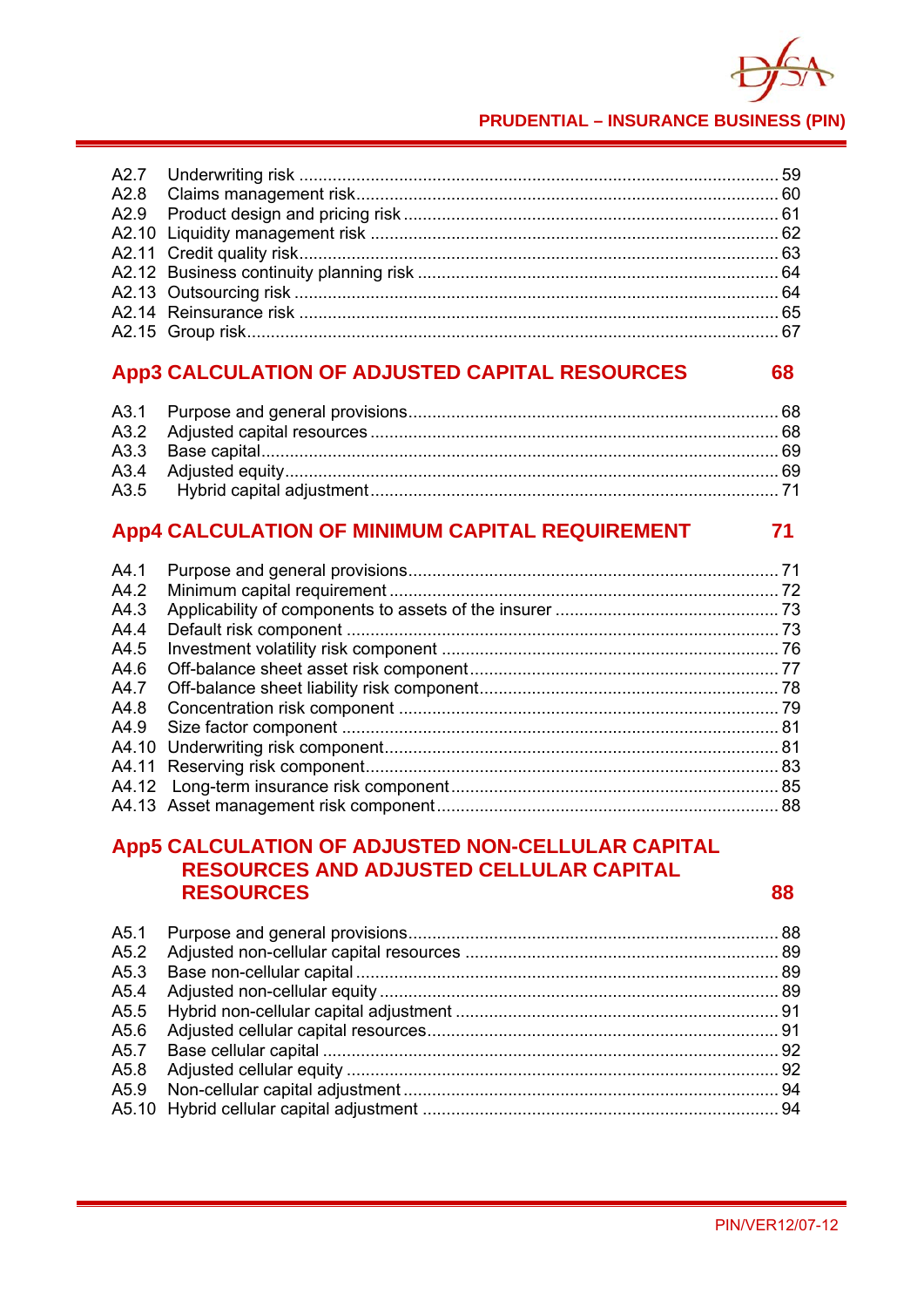

#### **PRUDENTIAL - INSURANCE BUSINESS (PIN)**

#### App3 CALCULATION OF ADJUSTED CAPITAL RESOURCES 68

#### App4 CALCULATION OF MINIMUM CAPITAL REQUIREMENT  $71$

| A4.2 |  |
|------|--|
| A4.3 |  |
| A4.4 |  |
| A4.5 |  |
| A4.6 |  |
|      |  |
|      |  |
|      |  |
|      |  |
|      |  |
|      |  |
|      |  |
|      |  |

# App5 CALCULATION OF ADJUSTED NON-CELLULAR CAPITAL **RESOURCES AND ADJUSTED CELLULAR CAPITAL RESOURCES**

88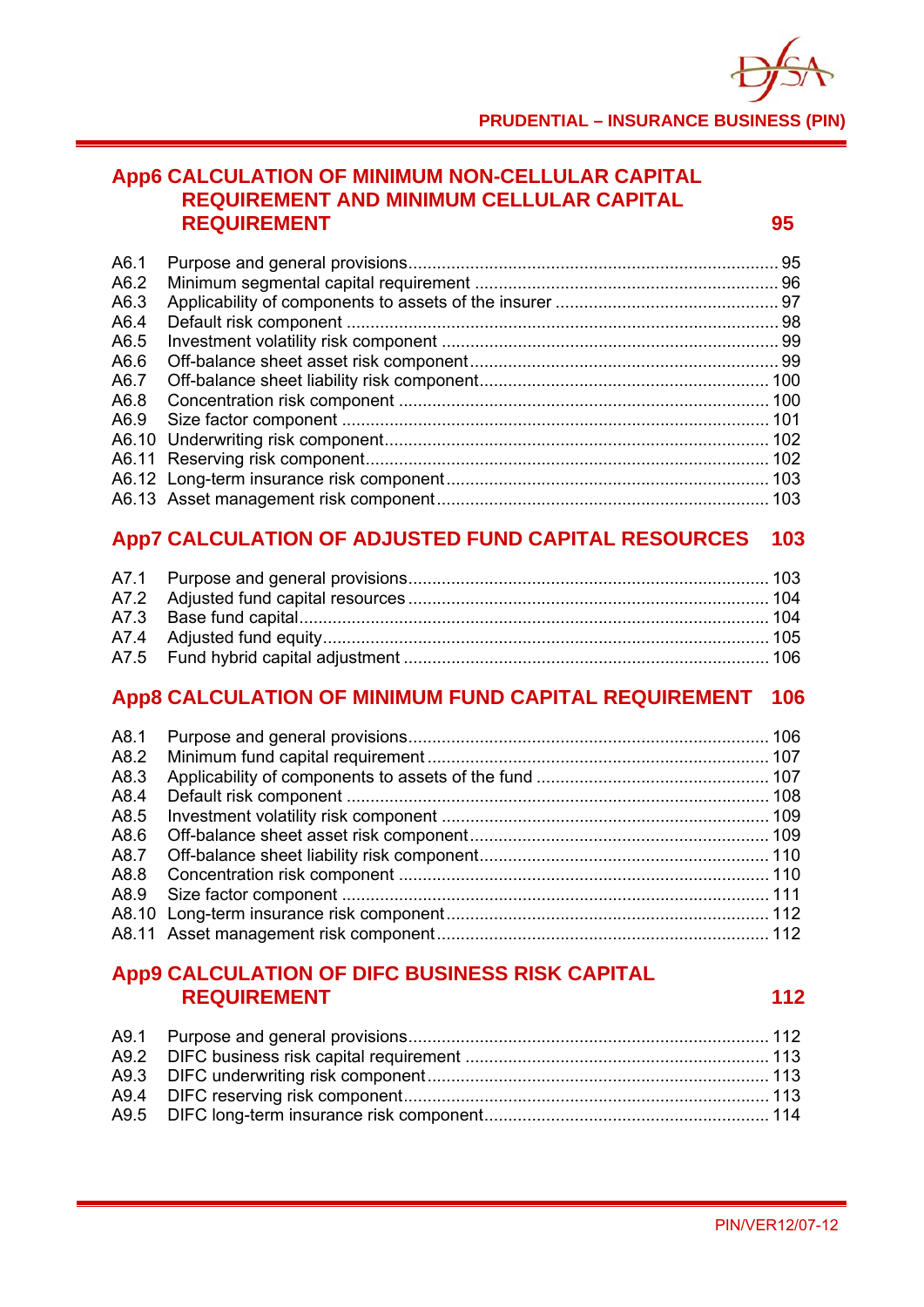

# **App6 CALCULATION OF MINIMUM NON-CELLULAR CAPITAL REQUIREMENT AND MINIMUM CELLULAR CAPITAL REQUIREMENT 95**

| A6.1 |  |
|------|--|
| A6.2 |  |
| A6.3 |  |
| A6.4 |  |
| A6.5 |  |
| A6.6 |  |
| A6.7 |  |
| A6.8 |  |
|      |  |
|      |  |
|      |  |
|      |  |
|      |  |

# **App7 CALCULATION OF ADJUSTED FUND CAPITAL RESOURCES 103**

# **App8 CALCULATION OF MINIMUM FUND CAPITAL REQUIREMENT 106**

| A8.3 |  |
|------|--|
| A8.4 |  |
| A8.5 |  |
| A8.6 |  |
|      |  |
|      |  |
|      |  |
|      |  |
|      |  |

# **App9 CALCULATION OF DIFC BUSINESS RISK CAPITAL REQUIREMENT** 112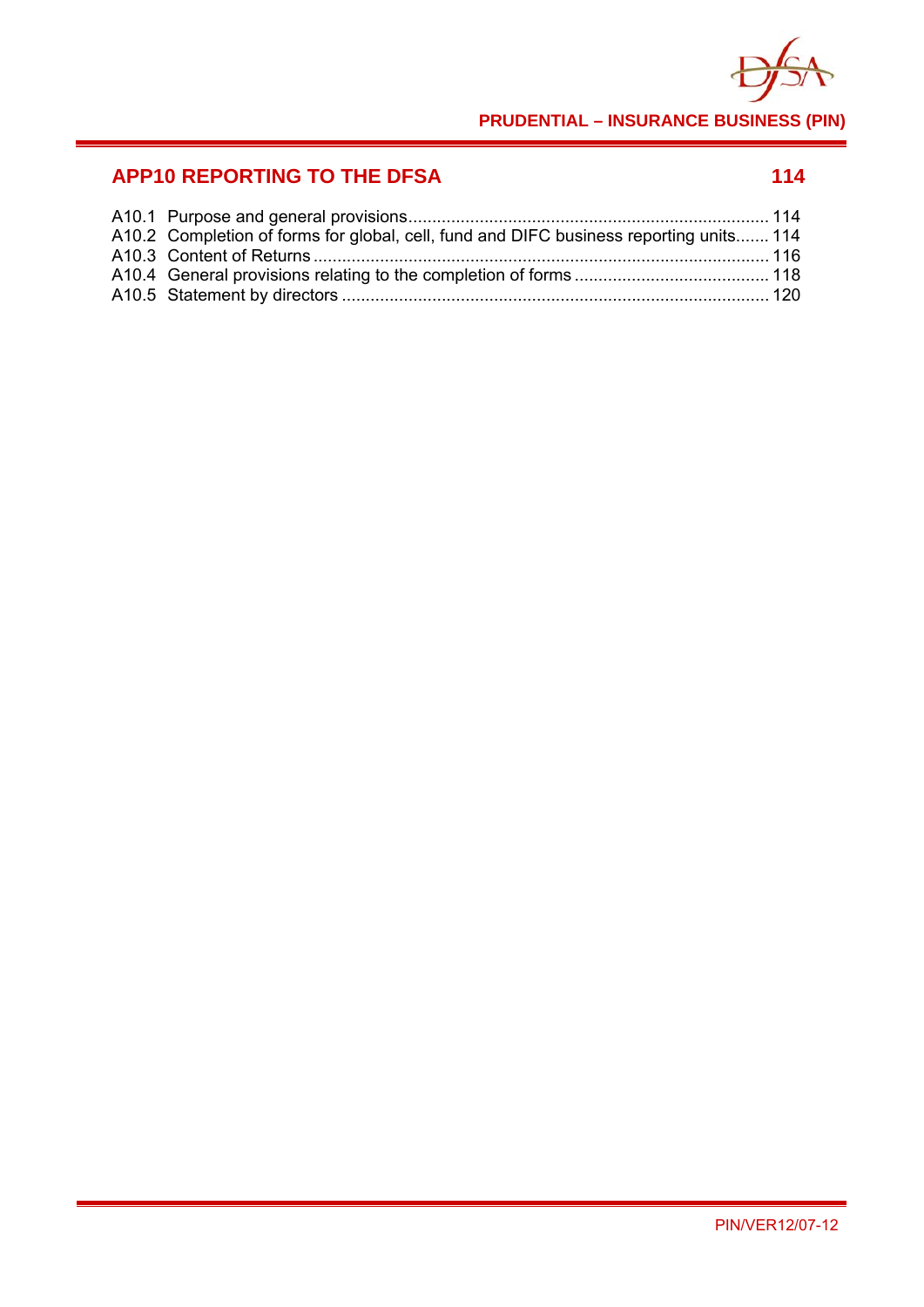

**PRUDENTIAL – INSURANCE BUSINESS (PIN)**

# **APP10 REPORTING TO THE DFSA 114 114**

| A10.2 Completion of forms for global, cell, fund and DIFC business reporting units 114 |  |
|----------------------------------------------------------------------------------------|--|
|                                                                                        |  |
|                                                                                        |  |
|                                                                                        |  |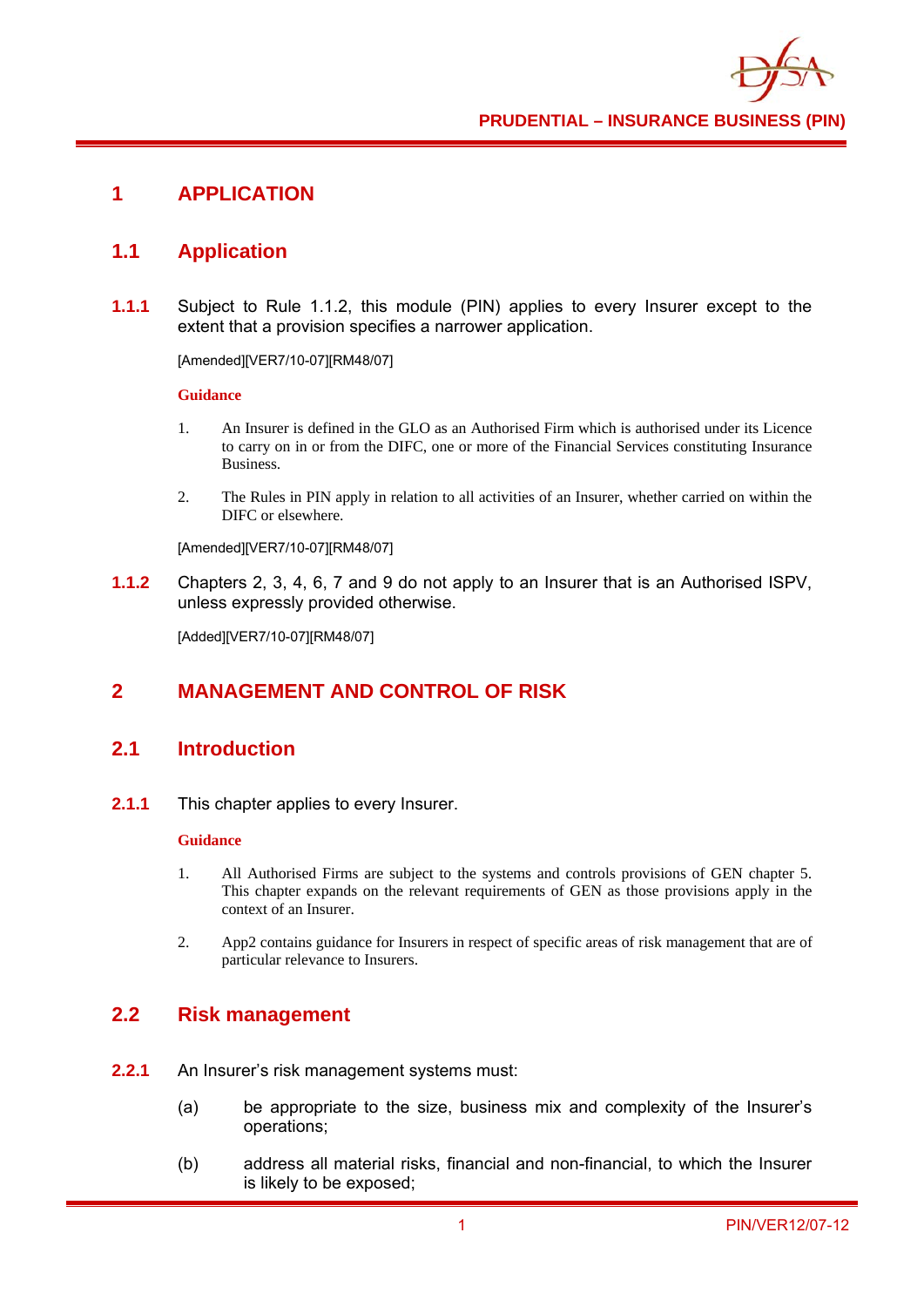

# **1 APPLICATION**

# **1.1 Application**

**1.1.1** Subject to Rule 1.1.2, this module (PIN) applies to every Insurer except to the extent that a provision specifies a narrower application.

[Amended][VER7/10-07][RM48/07]

#### **Guidance**

- 1. An Insurer is defined in the GLO as an Authorised Firm which is authorised under its Licence to carry on in or from the DIFC, one or more of the Financial Services constituting Insurance Business.
- 2. The Rules in PIN apply in relation to all activities of an Insurer, whether carried on within the DIFC or elsewhere.

[Amended][VER7/10-07][RM48/07]

**1.1.2** Chapters 2, 3, 4, 6, 7 and 9 do not apply to an Insurer that is an Authorised ISPV, unless expressly provided otherwise.

[Added][VER7/10-07][RM48/07]

# **2 MANAGEMENT AND CONTROL OF RISK**

# **2.1 Introduction**

**2.1.1** This chapter applies to every Insurer.

#### **Guidance**

- 1. All Authorised Firms are subject to the systems and controls provisions of GEN chapter 5. This chapter expands on the relevant requirements of GEN as those provisions apply in the context of an Insurer.
- 2. App2 contains guidance for Insurers in respect of specific areas of risk management that are of particular relevance to Insurers.

#### **2.2 Risk management**

- **2.2.1** An Insurer's risk management systems must:
	- (a) be appropriate to the size, business mix and complexity of the Insurer's operations;
	- (b) address all material risks, financial and non-financial, to which the Insurer is likely to be exposed;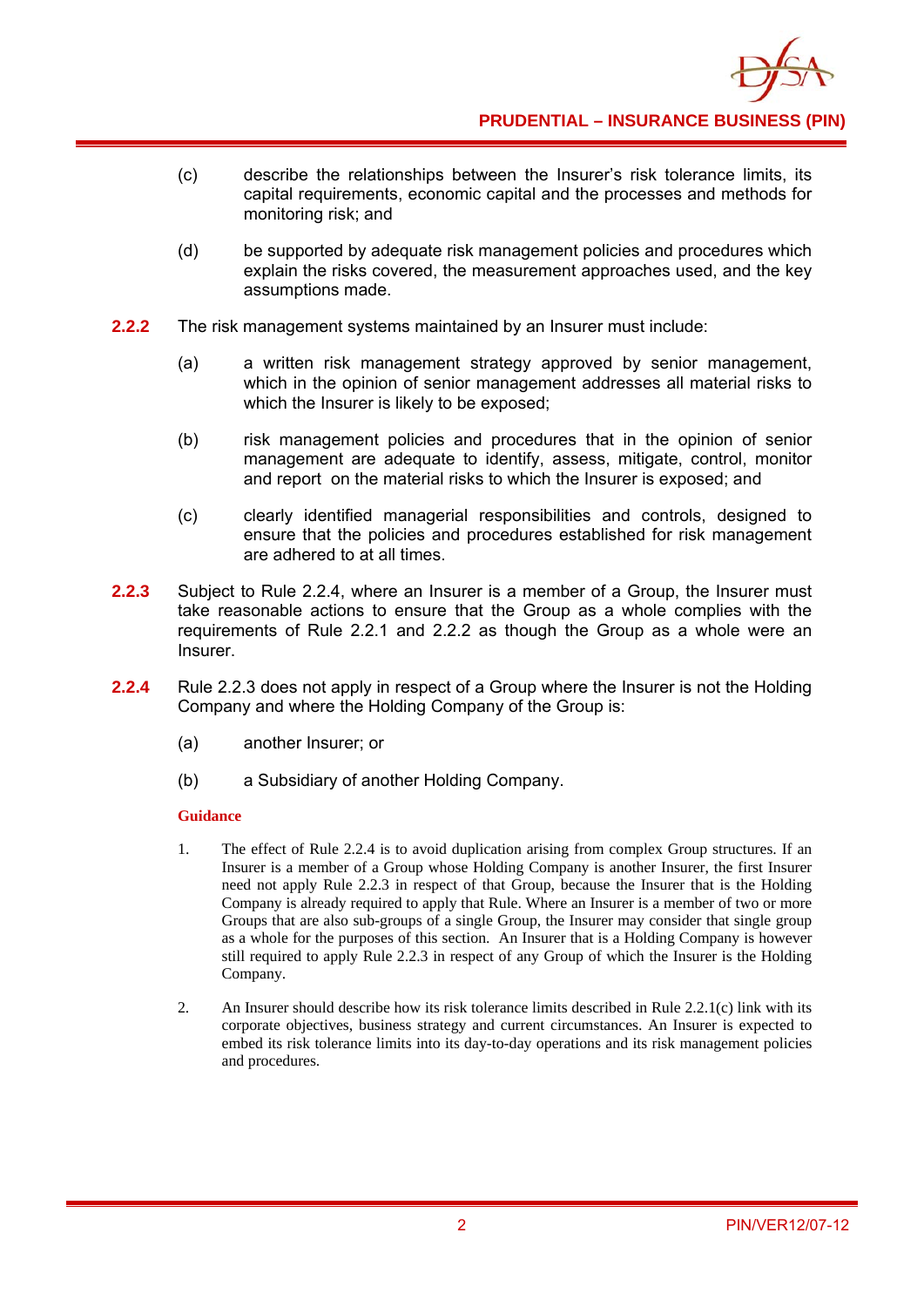

- (c) describe the relationships between the Insurer's risk tolerance limits, its capital requirements, economic capital and the processes and methods for monitoring risk; and
- (d) be supported by adequate risk management policies and procedures which explain the risks covered, the measurement approaches used, and the key assumptions made.
- **2.2.2** The risk management systems maintained by an Insurer must include:
	- (a) a written risk management strategy approved by senior management, which in the opinion of senior management addresses all material risks to which the Insurer is likely to be exposed;
	- (b) risk management policies and procedures that in the opinion of senior management are adequate to identify, assess, mitigate, control, monitor and report on the material risks to which the Insurer is exposed; and
	- (c) clearly identified managerial responsibilities and controls, designed to ensure that the policies and procedures established for risk management are adhered to at all times.
- **2.2.3** Subject to Rule 2.2.4, where an Insurer is a member of a Group, the Insurer must take reasonable actions to ensure that the Group as a whole complies with the requirements of Rule 2.2.1 and 2.2.2 as though the Group as a whole were an Insurer.
- **2.2.4** Rule 2.2.3 does not apply in respect of a Group where the Insurer is not the Holding Company and where the Holding Company of the Group is:
	- (a) another Insurer; or
	- (b) a Subsidiary of another Holding Company.

- 1. The effect of Rule 2.2.4 is to avoid duplication arising from complex Group structures. If an Insurer is a member of a Group whose Holding Company is another Insurer, the first Insurer need not apply Rule 2.2.3 in respect of that Group, because the Insurer that is the Holding Company is already required to apply that Rule. Where an Insurer is a member of two or more Groups that are also sub-groups of a single Group, the Insurer may consider that single group as a whole for the purposes of this section. An Insurer that is a Holding Company is however still required to apply Rule 2.2.3 in respect of any Group of which the Insurer is the Holding Company.
- 2. An Insurer should describe how its risk tolerance limits described in Rule 2.2.1(c) link with its corporate objectives, business strategy and current circumstances. An Insurer is expected to embed its risk tolerance limits into its day-to-day operations and its risk management policies and procedures.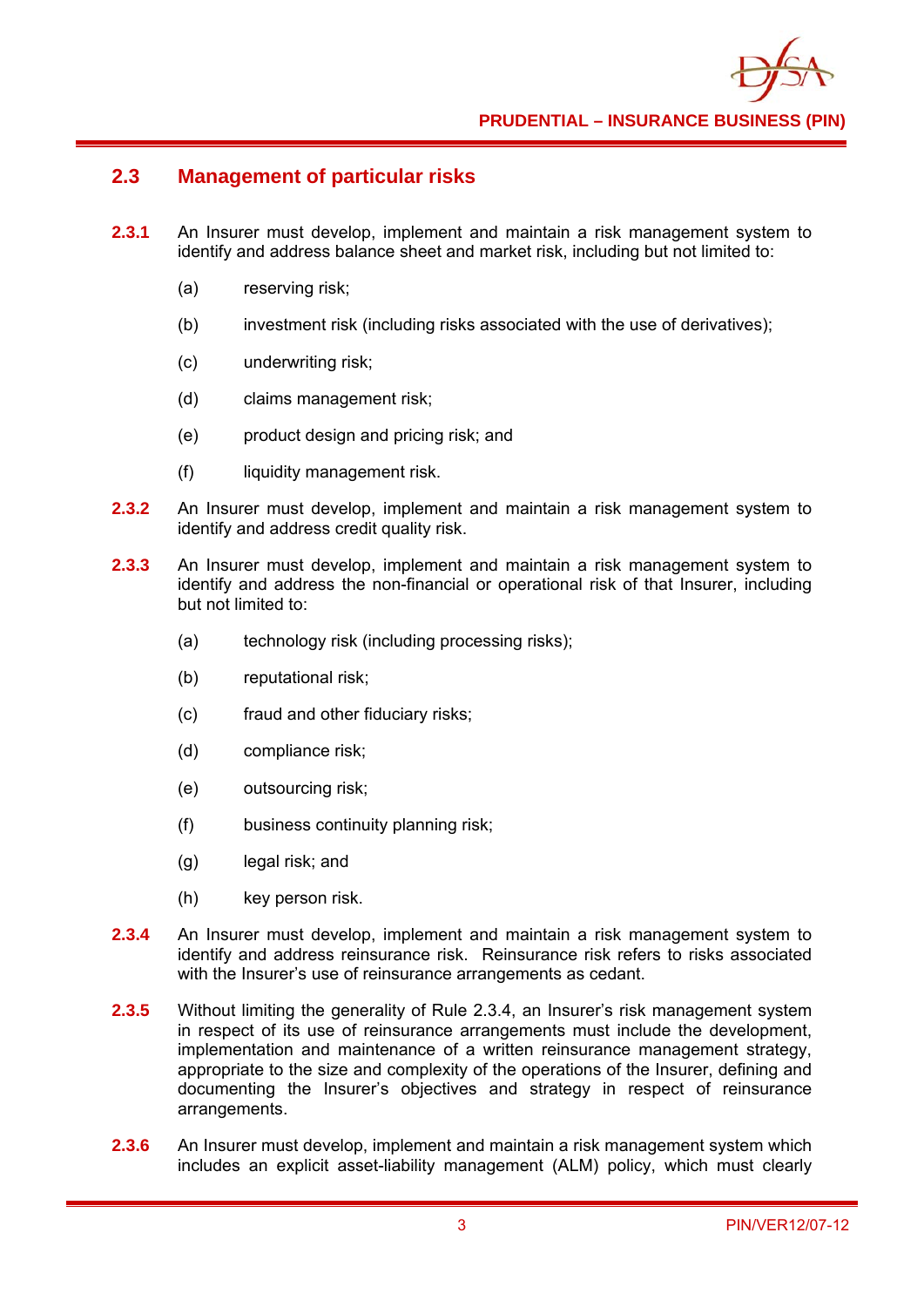

#### **2.3 Management of particular risks**

- **2.3.1** An Insurer must develop, implement and maintain a risk management system to identify and address balance sheet and market risk, including but not limited to:
	- (a) reserving risk;
	- (b) investment risk (including risks associated with the use of derivatives);
	- (c) underwriting risk;
	- (d) claims management risk;
	- (e) product design and pricing risk; and
	- (f) liquidity management risk.
- **2.3.2** An Insurer must develop, implement and maintain a risk management system to identify and address credit quality risk.
- **2.3.3** An Insurer must develop, implement and maintain a risk management system to identify and address the non-financial or operational risk of that Insurer, including but not limited to:
	- (a) technology risk (including processing risks);
	- (b) reputational risk;
	- (c) fraud and other fiduciary risks;
	- (d) compliance risk;
	- (e) outsourcing risk;
	- (f) business continuity planning risk;
	- (g) legal risk; and
	- (h) key person risk.
- **2.3.4** An Insurer must develop, implement and maintain a risk management system to identify and address reinsurance risk. Reinsurance risk refers to risks associated with the Insurer's use of reinsurance arrangements as cedant.
- **2.3.5** Without limiting the generality of Rule 2.3.4, an Insurer's risk management system in respect of its use of reinsurance arrangements must include the development, implementation and maintenance of a written reinsurance management strategy, appropriate to the size and complexity of the operations of the Insurer, defining and documenting the Insurer's objectives and strategy in respect of reinsurance arrangements.
- **2.3.6** An Insurer must develop, implement and maintain a risk management system which includes an explicit asset-liability management (ALM) policy, which must clearly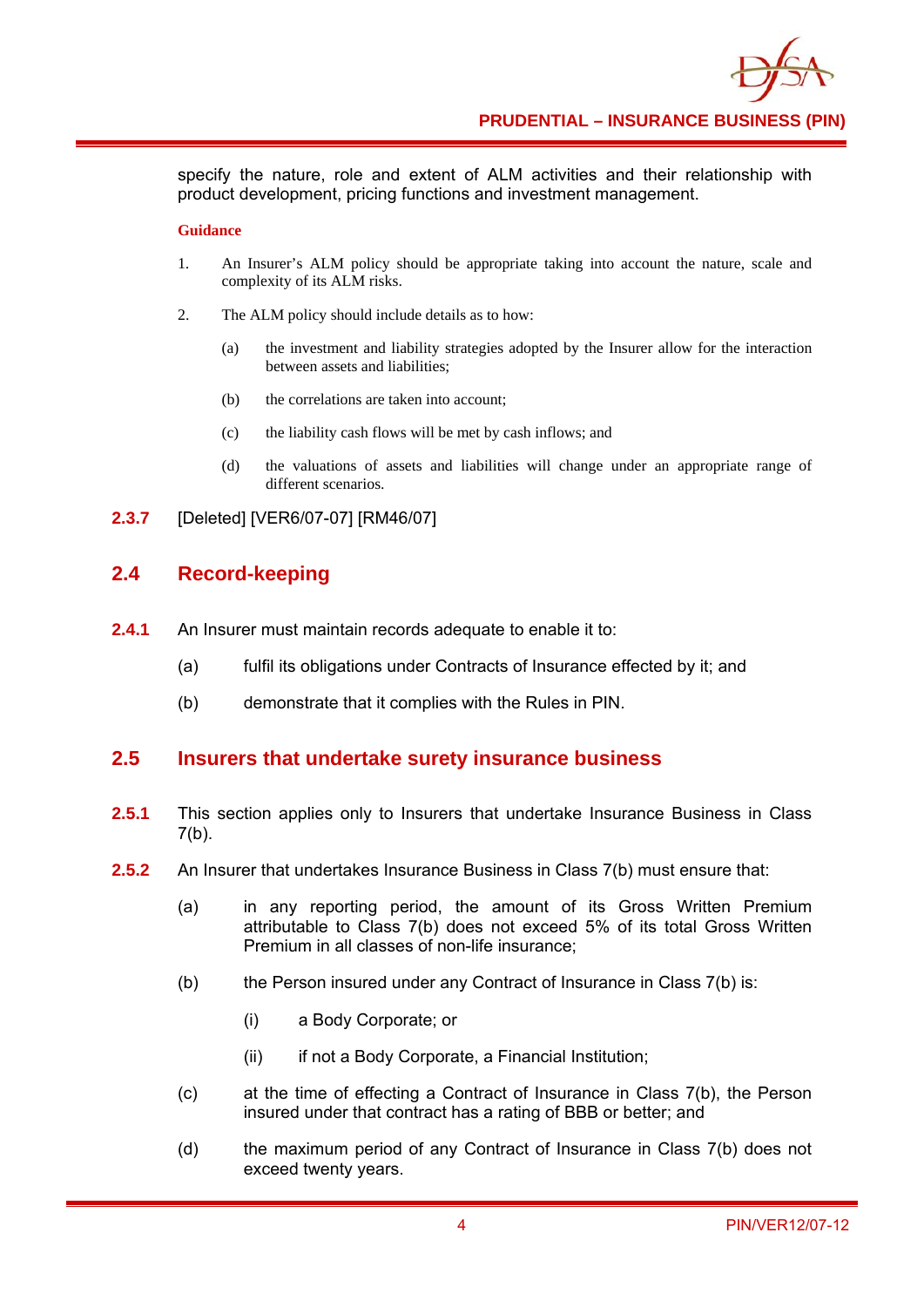specify the nature, role and extent of ALM activities and their relationship with product development, pricing functions and investment management.

#### **Guidance**

- 1. An Insurer's ALM policy should be appropriate taking into account the nature, scale and complexity of its ALM risks.
- 2. The ALM policy should include details as to how:
	- (a) the investment and liability strategies adopted by the Insurer allow for the interaction between assets and liabilities;
	- (b) the correlations are taken into account;
	- (c) the liability cash flows will be met by cash inflows; and
	- (d) the valuations of assets and liabilities will change under an appropriate range of different scenarios.
- **2.3.7** [Deleted] [VER6/07-07] [RM46/07]

## **2.4 Record-keeping**

- **2.4.1** An Insurer must maintain records adequate to enable it to:
	- (a) fulfil its obligations under Contracts of Insurance effected by it; and
	- (b) demonstrate that it complies with the Rules in PIN.

#### **2.5 Insurers that undertake surety insurance business**

- **2.5.1** This section applies only to Insurers that undertake Insurance Business in Class  $7(b)$ .
- **2.5.2** An Insurer that undertakes Insurance Business in Class 7(b) must ensure that:
	- (a) in any reporting period, the amount of its Gross Written Premium attributable to Class 7(b) does not exceed 5% of its total Gross Written Premium in all classes of non-life insurance;
	- (b) the Person insured under any Contract of Insurance in Class 7(b) is:
		- (i) a Body Corporate; or
		- (ii) if not a Body Corporate, a Financial Institution;
	- (c) at the time of effecting a Contract of Insurance in Class 7(b), the Person insured under that contract has a rating of BBB or better; and
	- (d) the maximum period of any Contract of Insurance in Class 7(b) does not exceed twenty years.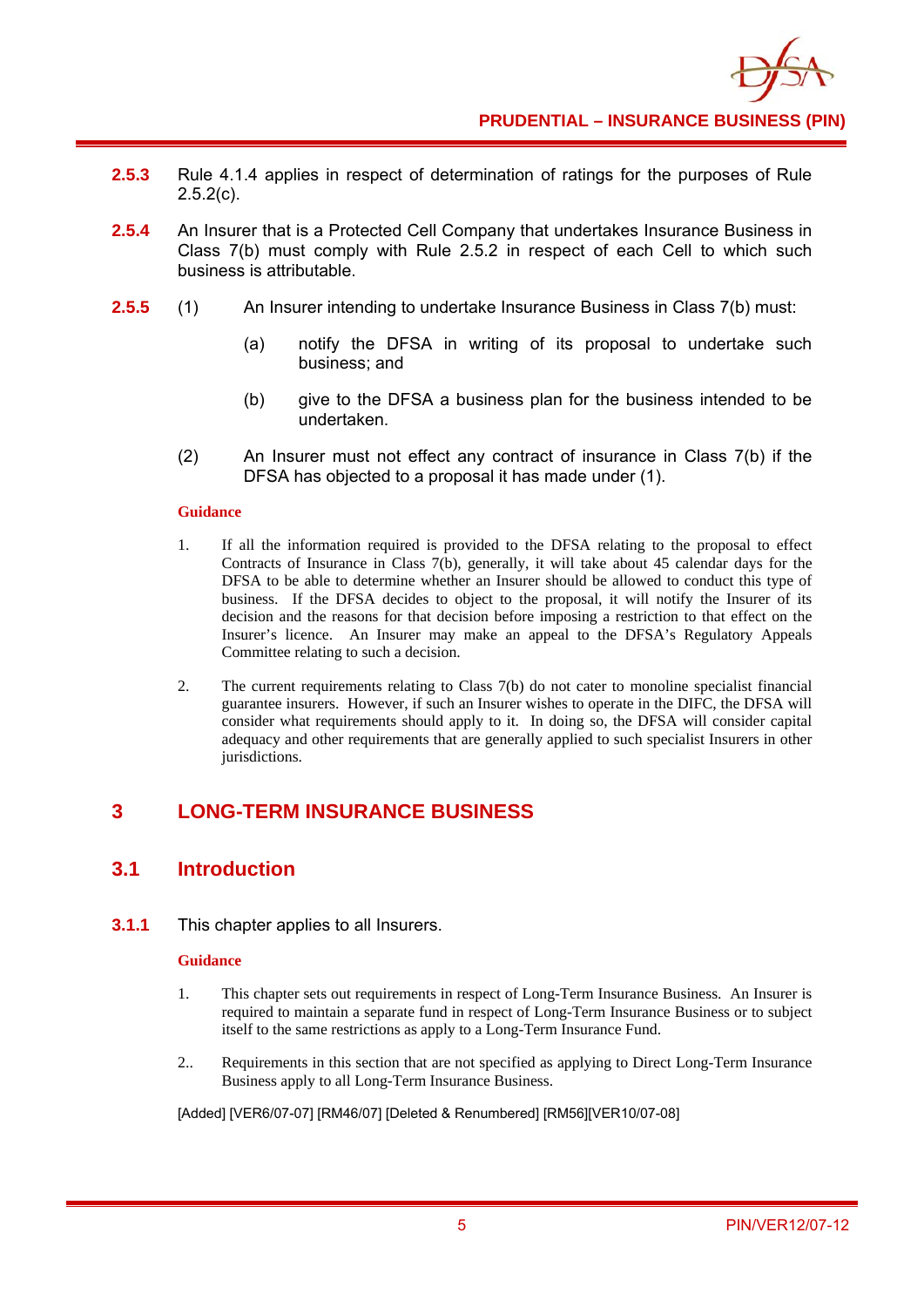

- **2.5.3** Rule 4.1.4 applies in respect of determination of ratings for the purposes of Rule  $2.5.2(c)$ .
- **2.5.4** An Insurer that is a Protected Cell Company that undertakes Insurance Business in Class 7(b) must comply with Rule 2.5.2 in respect of each Cell to which such business is attributable.
- **2.5.5** (1) An Insurer intending to undertake Insurance Business in Class 7(b) must:
	- (a) notify the DFSA in writing of its proposal to undertake such business; and
	- (b) give to the DFSA a business plan for the business intended to be undertaken.
	- (2) An Insurer must not effect any contract of insurance in Class 7(b) if the DFSA has objected to a proposal it has made under (1).

- 1. If all the information required is provided to the DFSA relating to the proposal to effect Contracts of Insurance in Class 7(b), generally, it will take about 45 calendar days for the DFSA to be able to determine whether an Insurer should be allowed to conduct this type of business. If the DFSA decides to object to the proposal, it will notify the Insurer of its decision and the reasons for that decision before imposing a restriction to that effect on the Insurer's licence. An Insurer may make an appeal to the DFSA's Regulatory Appeals Committee relating to such a decision.
- 2. The current requirements relating to Class 7(b) do not cater to monoline specialist financial guarantee insurers. However, if such an Insurer wishes to operate in the DIFC, the DFSA will consider what requirements should apply to it. In doing so, the DFSA will consider capital adequacy and other requirements that are generally applied to such specialist Insurers in other jurisdictions.

# **3 LONG-TERM INSURANCE BUSINESS**

# **3.1 Introduction**

**3.1.1** This chapter applies to all Insurers.

#### **Guidance**

- 1. This chapter sets out requirements in respect of Long-Term Insurance Business. An Insurer is required to maintain a separate fund in respect of Long-Term Insurance Business or to subject itself to the same restrictions as apply to a Long-Term Insurance Fund.
- 2.. Requirements in this section that are not specified as applying to Direct Long-Term Insurance Business apply to all Long-Term Insurance Business.

[Added] [VER6/07-07] [RM46/07] [Deleted & Renumbered] [RM56][VER10/07-08]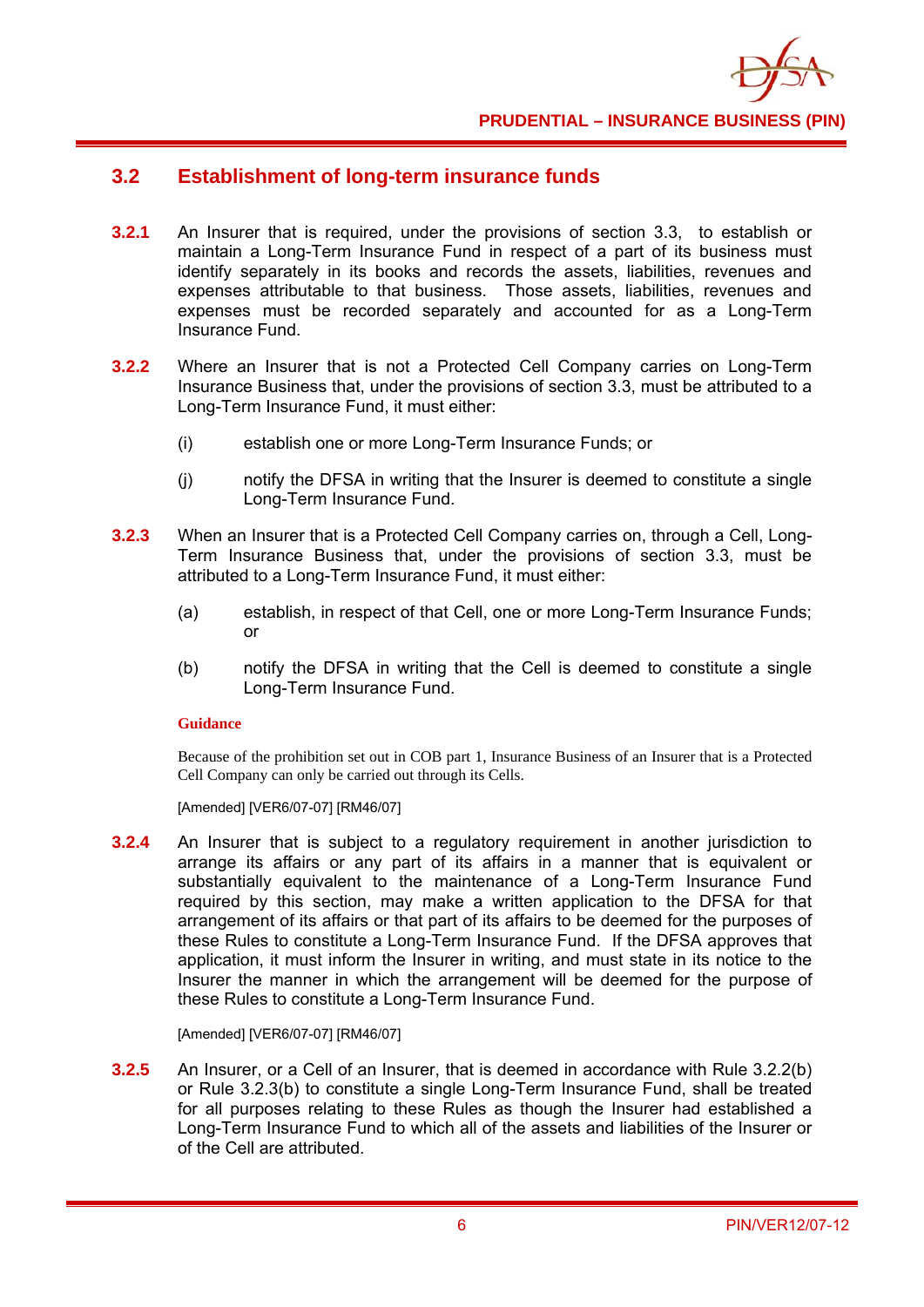

# **3.2 Establishment of long-term insurance funds**

- **3.2.1** An Insurer that is required, under the provisions of section 3.3, to establish or maintain a Long-Term Insurance Fund in respect of a part of its business must identify separately in its books and records the assets, liabilities, revenues and expenses attributable to that business. Those assets, liabilities, revenues and expenses must be recorded separately and accounted for as a Long-Term Insurance Fund.
- **3.2.2** Where an Insurer that is not a Protected Cell Company carries on Long-Term Insurance Business that, under the provisions of section 3.3, must be attributed to a Long-Term Insurance Fund, it must either:
	- (i) establish one or more Long-Term Insurance Funds; or
	- (j) notify the DFSA in writing that the Insurer is deemed to constitute a single Long-Term Insurance Fund.
- **3.2.3** When an Insurer that is a Protected Cell Company carries on, through a Cell, Long-Term Insurance Business that, under the provisions of section 3.3, must be attributed to a Long-Term Insurance Fund, it must either:
	- (a) establish, in respect of that Cell, one or more Long-Term Insurance Funds; or
	- (b) notify the DFSA in writing that the Cell is deemed to constitute a single Long-Term Insurance Fund.

#### **Guidance**

Because of the prohibition set out in COB part 1, Insurance Business of an Insurer that is a Protected Cell Company can only be carried out through its Cells.

[Amended] [VER6/07-07] [RM46/07]

**3.2.4** An Insurer that is subject to a regulatory requirement in another jurisdiction to arrange its affairs or any part of its affairs in a manner that is equivalent or substantially equivalent to the maintenance of a Long-Term Insurance Fund required by this section, may make a written application to the DFSA for that arrangement of its affairs or that part of its affairs to be deemed for the purposes of these Rules to constitute a Long-Term Insurance Fund. If the DFSA approves that application, it must inform the Insurer in writing, and must state in its notice to the Insurer the manner in which the arrangement will be deemed for the purpose of these Rules to constitute a Long-Term Insurance Fund.

[Amended] [VER6/07-07] [RM46/07]

**3.2.5** An Insurer, or a Cell of an Insurer, that is deemed in accordance with Rule 3.2.2(b) or Rule 3.2.3(b) to constitute a single Long-Term Insurance Fund, shall be treated for all purposes relating to these Rules as though the Insurer had established a Long-Term Insurance Fund to which all of the assets and liabilities of the Insurer or of the Cell are attributed.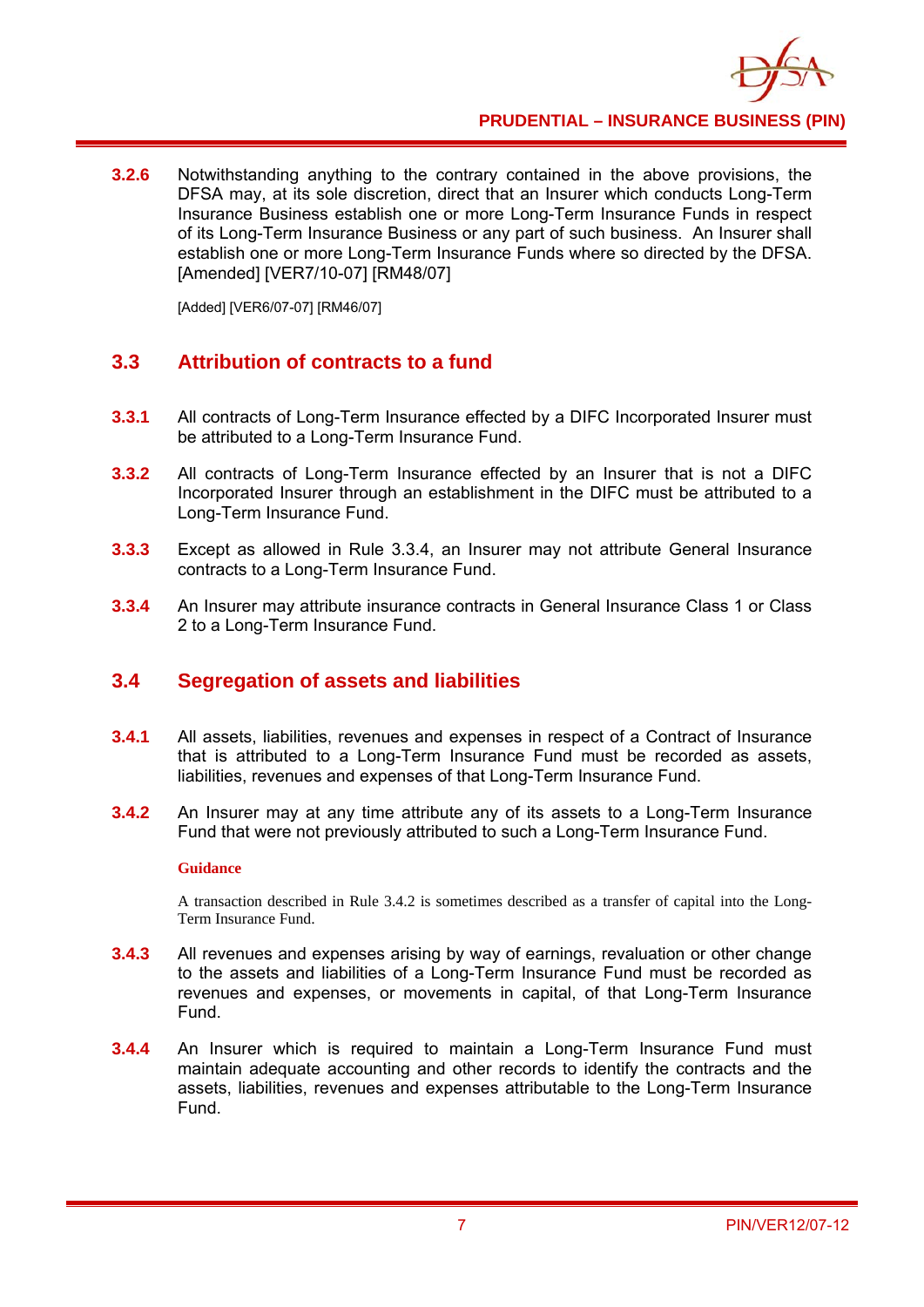

**3.2.6** Notwithstanding anything to the contrary contained in the above provisions, the DFSA may, at its sole discretion, direct that an Insurer which conducts Long-Term Insurance Business establish one or more Long-Term Insurance Funds in respect of its Long-Term Insurance Business or any part of such business. An Insurer shall establish one or more Long-Term Insurance Funds where so directed by the DFSA. [Amended] [VER7/10-07] [RM48/07]

[Added] [VER6/07-07] [RM46/07]

# **3.3 Attribution of contracts to a fund**

- **3.3.1** All contracts of Long-Term Insurance effected by a DIFC Incorporated Insurer must be attributed to a Long-Term Insurance Fund.
- **3.3.2** All contracts of Long-Term Insurance effected by an Insurer that is not a DIFC Incorporated Insurer through an establishment in the DIFC must be attributed to a Long-Term Insurance Fund.
- **3.3.3** Except as allowed in Rule 3.3.4, an Insurer may not attribute General Insurance contracts to a Long-Term Insurance Fund.
- **3.3.4** An Insurer may attribute insurance contracts in General Insurance Class 1 or Class 2 to a Long-Term Insurance Fund.

# **3.4 Segregation of assets and liabilities**

- **3.4.1** All assets, liabilities, revenues and expenses in respect of a Contract of Insurance that is attributed to a Long-Term Insurance Fund must be recorded as assets, liabilities, revenues and expenses of that Long-Term Insurance Fund.
- **3.4.2** An Insurer may at any time attribute any of its assets to a Long-Term Insurance Fund that were not previously attributed to such a Long-Term Insurance Fund.

#### **Guidance**

A transaction described in Rule 3.4.2 is sometimes described as a transfer of capital into the Long-Term Insurance Fund.

- **3.4.3** All revenues and expenses arising by way of earnings, revaluation or other change to the assets and liabilities of a Long-Term Insurance Fund must be recorded as revenues and expenses, or movements in capital, of that Long-Term Insurance Fund.
- **3.4.4** An Insurer which is required to maintain a Long-Term Insurance Fund must maintain adequate accounting and other records to identify the contracts and the assets, liabilities, revenues and expenses attributable to the Long-Term Insurance Fund.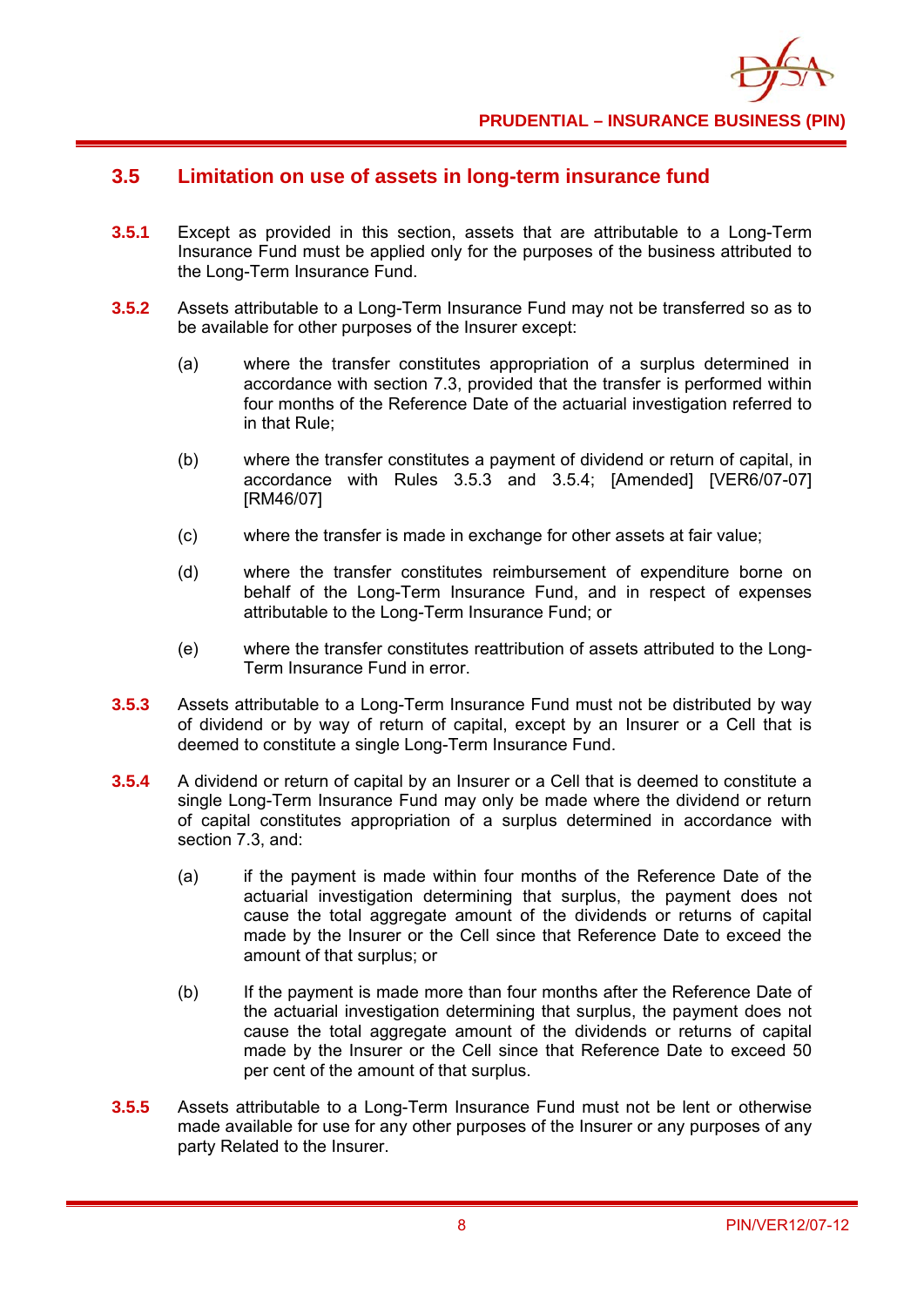

# **3.5 Limitation on use of assets in long-term insurance fund**

- **3.5.1** Except as provided in this section, assets that are attributable to a Long-Term Insurance Fund must be applied only for the purposes of the business attributed to the Long-Term Insurance Fund.
- **3.5.2** Assets attributable to a Long-Term Insurance Fund may not be transferred so as to be available for other purposes of the Insurer except:
	- (a) where the transfer constitutes appropriation of a surplus determined in accordance with section 7.3, provided that the transfer is performed within four months of the Reference Date of the actuarial investigation referred to in that Rule;
	- (b) where the transfer constitutes a payment of dividend or return of capital, in accordance with Rules 3.5.3 and 3.5.4; [Amended] [VER6/07-07] [RM46/07]
	- (c) where the transfer is made in exchange for other assets at fair value;
	- (d) where the transfer constitutes reimbursement of expenditure borne on behalf of the Long-Term Insurance Fund, and in respect of expenses attributable to the Long-Term Insurance Fund; or
	- (e) where the transfer constitutes reattribution of assets attributed to the Long-Term Insurance Fund in error.
- **3.5.3** Assets attributable to a Long-Term Insurance Fund must not be distributed by way of dividend or by way of return of capital, except by an Insurer or a Cell that is deemed to constitute a single Long-Term Insurance Fund.
- **3.5.4** A dividend or return of capital by an Insurer or a Cell that is deemed to constitute a single Long-Term Insurance Fund may only be made where the dividend or return of capital constitutes appropriation of a surplus determined in accordance with section 7.3, and:
	- (a) if the payment is made within four months of the Reference Date of the actuarial investigation determining that surplus, the payment does not cause the total aggregate amount of the dividends or returns of capital made by the Insurer or the Cell since that Reference Date to exceed the amount of that surplus; or
	- (b) If the payment is made more than four months after the Reference Date of the actuarial investigation determining that surplus, the payment does not cause the total aggregate amount of the dividends or returns of capital made by the Insurer or the Cell since that Reference Date to exceed 50 per cent of the amount of that surplus.
- **3.5.5** Assets attributable to a Long-Term Insurance Fund must not be lent or otherwise made available for use for any other purposes of the Insurer or any purposes of any party Related to the Insurer.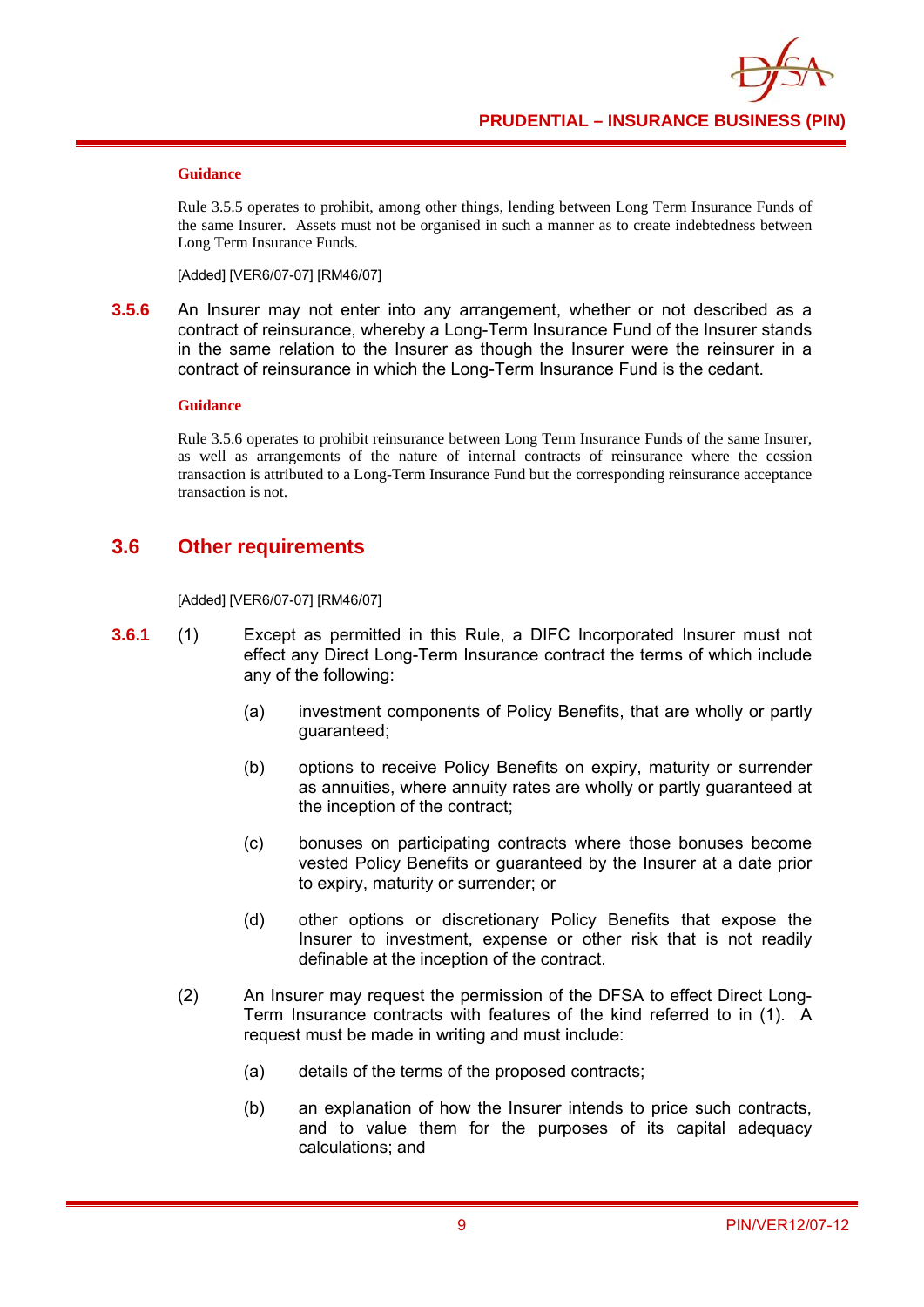Rule 3.5.5 operates to prohibit, among other things, lending between Long Term Insurance Funds of the same Insurer. Assets must not be organised in such a manner as to create indebtedness between Long Term Insurance Funds.

[Added] [VER6/07-07] [RM46/07]

**3.5.6** An Insurer may not enter into any arrangement, whether or not described as a contract of reinsurance, whereby a Long-Term Insurance Fund of the Insurer stands in the same relation to the Insurer as though the Insurer were the reinsurer in a contract of reinsurance in which the Long-Term Insurance Fund is the cedant.

#### **Guidance**

Rule 3.5.6 operates to prohibit reinsurance between Long Term Insurance Funds of the same Insurer, as well as arrangements of the nature of internal contracts of reinsurance where the cession transaction is attributed to a Long-Term Insurance Fund but the corresponding reinsurance acceptance transaction is not.

# **3.6 Other requirements**

[Added] [VER6/07-07] [RM46/07]

- **3.6.1** (1) Except as permitted in this Rule, a DIFC Incorporated Insurer must not effect any Direct Long-Term Insurance contract the terms of which include any of the following:
	- (a) investment components of Policy Benefits, that are wholly or partly guaranteed;
	- (b) options to receive Policy Benefits on expiry, maturity or surrender as annuities, where annuity rates are wholly or partly guaranteed at the inception of the contract;
	- (c) bonuses on participating contracts where those bonuses become vested Policy Benefits or guaranteed by the Insurer at a date prior to expiry, maturity or surrender; or
	- (d) other options or discretionary Policy Benefits that expose the Insurer to investment, expense or other risk that is not readily definable at the inception of the contract.
	- (2) An Insurer may request the permission of the DFSA to effect Direct Long-Term Insurance contracts with features of the kind referred to in (1). A request must be made in writing and must include:
		- (a) details of the terms of the proposed contracts;
		- (b) an explanation of how the Insurer intends to price such contracts, and to value them for the purposes of its capital adequacy calculations; and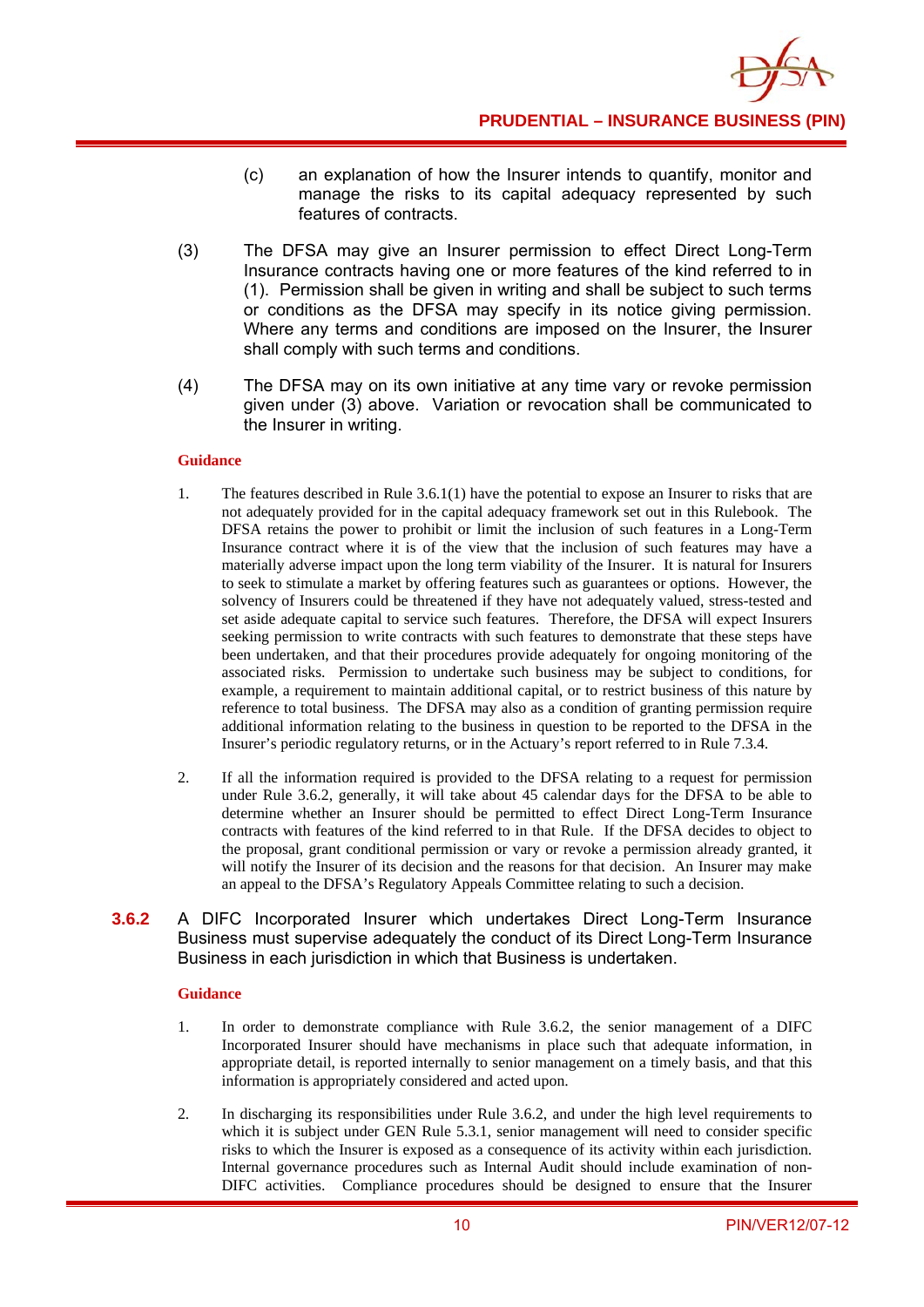

- (c) an explanation of how the Insurer intends to quantify, monitor and manage the risks to its capital adequacy represented by such features of contracts.
- (3) The DFSA may give an Insurer permission to effect Direct Long-Term Insurance contracts having one or more features of the kind referred to in (1). Permission shall be given in writing and shall be subject to such terms or conditions as the DFSA may specify in its notice giving permission. Where any terms and conditions are imposed on the Insurer, the Insurer shall comply with such terms and conditions.
- (4) The DFSA may on its own initiative at any time vary or revoke permission given under (3) above. Variation or revocation shall be communicated to the Insurer in writing.

- 1. The features described in Rule 3.6.1(1) have the potential to expose an Insurer to risks that are not adequately provided for in the capital adequacy framework set out in this Rulebook. The DFSA retains the power to prohibit or limit the inclusion of such features in a Long-Term Insurance contract where it is of the view that the inclusion of such features may have a materially adverse impact upon the long term viability of the Insurer. It is natural for Insurers to seek to stimulate a market by offering features such as guarantees or options. However, the solvency of Insurers could be threatened if they have not adequately valued, stress-tested and set aside adequate capital to service such features. Therefore, the DFSA will expect Insurers seeking permission to write contracts with such features to demonstrate that these steps have been undertaken, and that their procedures provide adequately for ongoing monitoring of the associated risks. Permission to undertake such business may be subject to conditions, for example, a requirement to maintain additional capital, or to restrict business of this nature by reference to total business. The DFSA may also as a condition of granting permission require additional information relating to the business in question to be reported to the DFSA in the Insurer's periodic regulatory returns, or in the Actuary's report referred to in Rule 7.3.4.
- 2. If all the information required is provided to the DFSA relating to a request for permission under Rule 3.6.2, generally, it will take about 45 calendar days for the DFSA to be able to determine whether an Insurer should be permitted to effect Direct Long-Term Insurance contracts with features of the kind referred to in that Rule. If the DFSA decides to object to the proposal, grant conditional permission or vary or revoke a permission already granted, it will notify the Insurer of its decision and the reasons for that decision. An Insurer may make an appeal to the DFSA's Regulatory Appeals Committee relating to such a decision.
- **3.6.2** A DIFC Incorporated Insurer which undertakes Direct Long-Term Insurance Business must supervise adequately the conduct of its Direct Long-Term Insurance Business in each jurisdiction in which that Business is undertaken.

#### **Guidance**

- 1. In order to demonstrate compliance with Rule 3.6.2, the senior management of a DIFC Incorporated Insurer should have mechanisms in place such that adequate information, in appropriate detail, is reported internally to senior management on a timely basis, and that this information is appropriately considered and acted upon.
- 2. In discharging its responsibilities under Rule 3.6.2, and under the high level requirements to which it is subject under GEN Rule 5.3.1, senior management will need to consider specific risks to which the Insurer is exposed as a consequence of its activity within each jurisdiction. Internal governance procedures such as Internal Audit should include examination of non-DIFC activities. Compliance procedures should be designed to ensure that the Insurer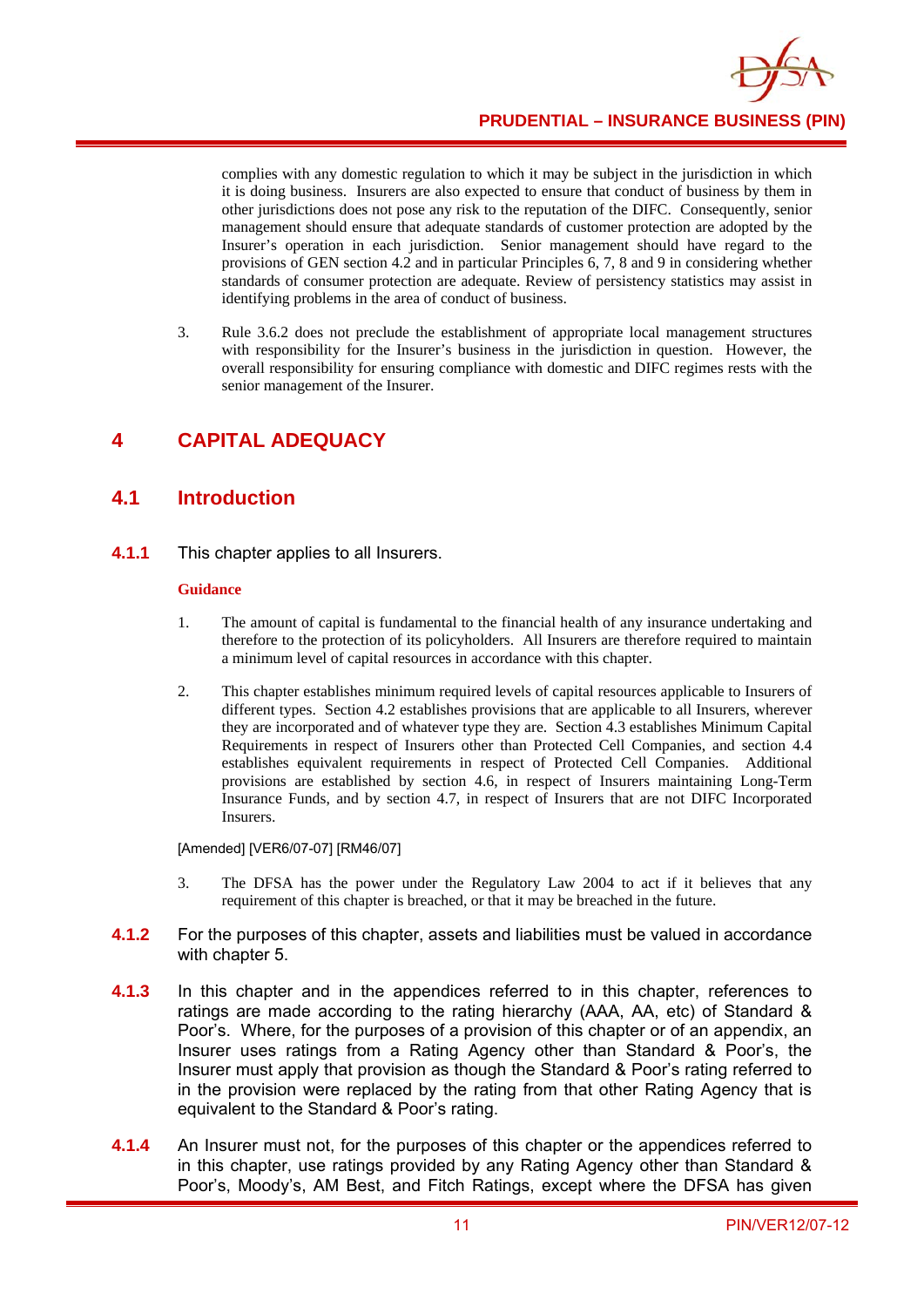

complies with any domestic regulation to which it may be subject in the jurisdiction in which it is doing business. Insurers are also expected to ensure that conduct of business by them in other jurisdictions does not pose any risk to the reputation of the DIFC. Consequently, senior management should ensure that adequate standards of customer protection are adopted by the Insurer's operation in each jurisdiction. Senior management should have regard to the provisions of GEN section 4.2 and in particular Principles 6, 7, 8 and 9 in considering whether standards of consumer protection are adequate. Review of persistency statistics may assist in identifying problems in the area of conduct of business.

3. Rule 3.6.2 does not preclude the establishment of appropriate local management structures with responsibility for the Insurer's business in the jurisdiction in question. However, the overall responsibility for ensuring compliance with domestic and DIFC regimes rests with the senior management of the Insurer.

# **4 CAPITAL ADEQUACY**

## **4.1 Introduction**

**4.1.1** This chapter applies to all Insurers.

#### **Guidance**

- 1. The amount of capital is fundamental to the financial health of any insurance undertaking and therefore to the protection of its policyholders. All Insurers are therefore required to maintain a minimum level of capital resources in accordance with this chapter.
- 2. This chapter establishes minimum required levels of capital resources applicable to Insurers of different types. Section 4.2 establishes provisions that are applicable to all Insurers, wherever they are incorporated and of whatever type they are. Section 4.3 establishes Minimum Capital Requirements in respect of Insurers other than Protected Cell Companies, and section 4.4 establishes equivalent requirements in respect of Protected Cell Companies. Additional provisions are established by section 4.6, in respect of Insurers maintaining Long-Term Insurance Funds, and by section 4.7, in respect of Insurers that are not DIFC Incorporated Insurers.

[Amended] [VER6/07-07] [RM46/07]

- 3. The DFSA has the power under the Regulatory Law 2004 to act if it believes that any requirement of this chapter is breached, or that it may be breached in the future.
- **4.1.2** For the purposes of this chapter, assets and liabilities must be valued in accordance with chapter 5.
- **4.1.3** In this chapter and in the appendices referred to in this chapter, references to ratings are made according to the rating hierarchy (AAA, AA, etc) of Standard & Poor's. Where, for the purposes of a provision of this chapter or of an appendix, an Insurer uses ratings from a Rating Agency other than Standard & Poor's, the Insurer must apply that provision as though the Standard & Poor's rating referred to in the provision were replaced by the rating from that other Rating Agency that is equivalent to the Standard & Poor's rating.
- **4.1.4** An Insurer must not, for the purposes of this chapter or the appendices referred to in this chapter, use ratings provided by any Rating Agency other than Standard & Poor's, Moody's, AM Best, and Fitch Ratings, except where the DFSA has given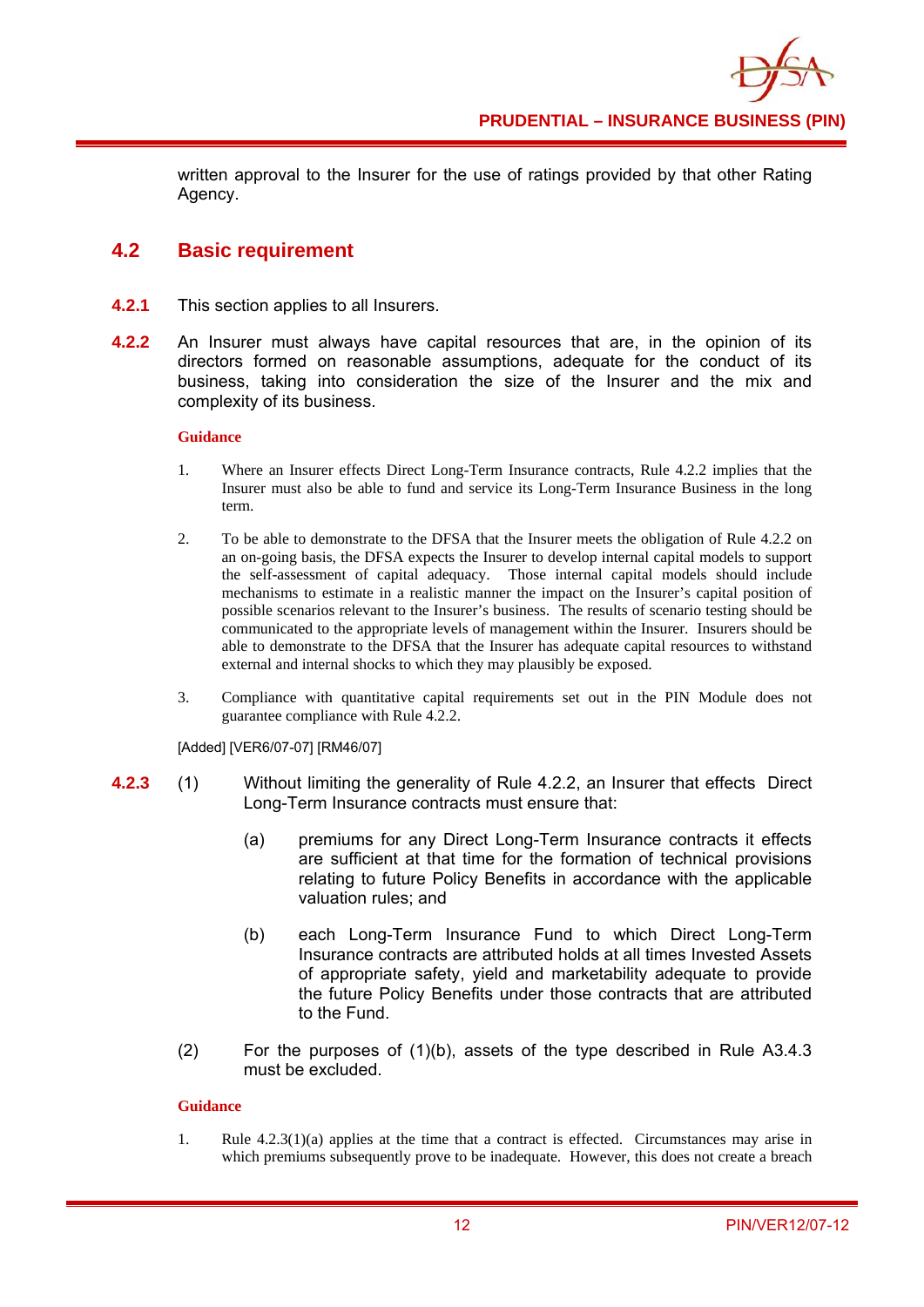written approval to the Insurer for the use of ratings provided by that other Rating Agency.

# **4.2 Basic requirement**

- **4.2.1** This section applies to all Insurers.
- **4.2.2** An Insurer must always have capital resources that are, in the opinion of its directors formed on reasonable assumptions, adequate for the conduct of its business, taking into consideration the size of the Insurer and the mix and complexity of its business.

#### **Guidance**

- 1. Where an Insurer effects Direct Long-Term Insurance contracts, Rule 4.2.2 implies that the Insurer must also be able to fund and service its Long-Term Insurance Business in the long term.
- 2. To be able to demonstrate to the DFSA that the Insurer meets the obligation of Rule 4.2.2 on an on-going basis, the DFSA expects the Insurer to develop internal capital models to support the self-assessment of capital adequacy. Those internal capital models should include mechanisms to estimate in a realistic manner the impact on the Insurer's capital position of possible scenarios relevant to the Insurer's business. The results of scenario testing should be communicated to the appropriate levels of management within the Insurer. Insurers should be able to demonstrate to the DFSA that the Insurer has adequate capital resources to withstand external and internal shocks to which they may plausibly be exposed.
- 3. Compliance with quantitative capital requirements set out in the PIN Module does not guarantee compliance with Rule 4.2.2.

[Added] [VER6/07-07] [RM46/07]

- **4.2.3** (1) Without limiting the generality of Rule 4.2.2, an Insurer that effects Direct Long-Term Insurance contracts must ensure that:
	- (a) premiums for any Direct Long-Term Insurance contracts it effects are sufficient at that time for the formation of technical provisions relating to future Policy Benefits in accordance with the applicable valuation rules; and
	- (b) each Long-Term Insurance Fund to which Direct Long-Term Insurance contracts are attributed holds at all times Invested Assets of appropriate safety, yield and marketability adequate to provide the future Policy Benefits under those contracts that are attributed to the Fund.
	- (2) For the purposes of (1)(b), assets of the type described in Rule A3.4.3 must be excluded.

#### **Guidance**

1. Rule 4.2.3(1)(a) applies at the time that a contract is effected. Circumstances may arise in which premiums subsequently prove to be inadequate. However, this does not create a breach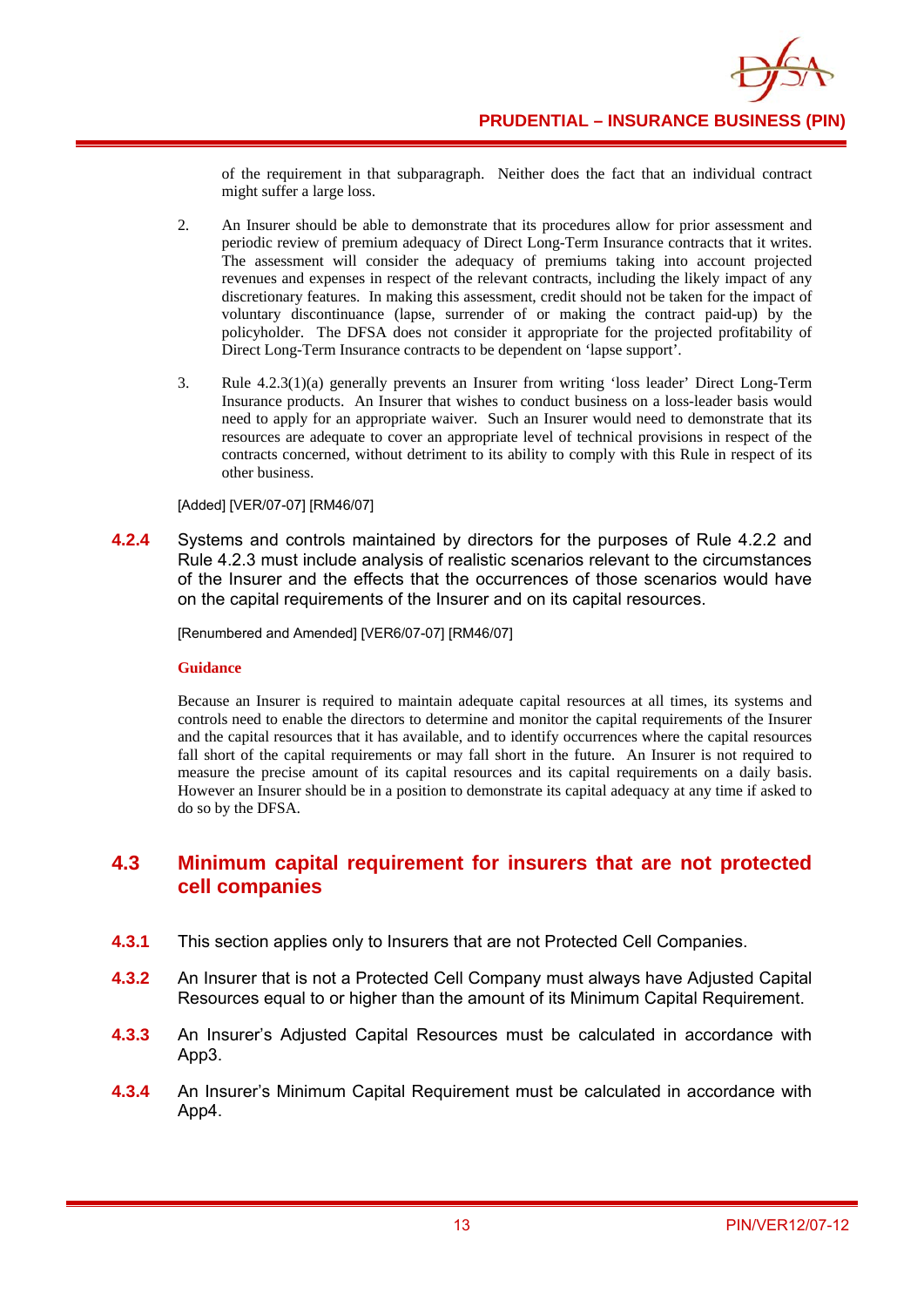of the requirement in that subparagraph. Neither does the fact that an individual contract might suffer a large loss.

- 2. An Insurer should be able to demonstrate that its procedures allow for prior assessment and periodic review of premium adequacy of Direct Long-Term Insurance contracts that it writes. The assessment will consider the adequacy of premiums taking into account projected revenues and expenses in respect of the relevant contracts, including the likely impact of any discretionary features. In making this assessment, credit should not be taken for the impact of voluntary discontinuance (lapse, surrender of or making the contract paid-up) by the policyholder. The DFSA does not consider it appropriate for the projected profitability of Direct Long-Term Insurance contracts to be dependent on 'lapse support'.
- 3. Rule 4.2.3(1)(a) generally prevents an Insurer from writing 'loss leader' Direct Long-Term Insurance products. An Insurer that wishes to conduct business on a loss-leader basis would need to apply for an appropriate waiver. Such an Insurer would need to demonstrate that its resources are adequate to cover an appropriate level of technical provisions in respect of the contracts concerned, without detriment to its ability to comply with this Rule in respect of its other business.

#### [Added] [VER/07-07] [RM46/07]

**4.2.4** Systems and controls maintained by directors for the purposes of Rule 4.2.2 and Rule 4.2.3 must include analysis of realistic scenarios relevant to the circumstances of the Insurer and the effects that the occurrences of those scenarios would have on the capital requirements of the Insurer and on its capital resources.

[Renumbered and Amended] [VER6/07-07] [RM46/07]

#### **Guidance**

Because an Insurer is required to maintain adequate capital resources at all times, its systems and controls need to enable the directors to determine and monitor the capital requirements of the Insurer and the capital resources that it has available, and to identify occurrences where the capital resources fall short of the capital requirements or may fall short in the future. An Insurer is not required to measure the precise amount of its capital resources and its capital requirements on a daily basis. However an Insurer should be in a position to demonstrate its capital adequacy at any time if asked to do so by the DFSA.

## **4.3 Minimum capital requirement for insurers that are not protected cell companies**

- **4.3.1** This section applies only to Insurers that are not Protected Cell Companies.
- **4.3.2** An Insurer that is not a Protected Cell Company must always have Adjusted Capital Resources equal to or higher than the amount of its Minimum Capital Requirement.
- **4.3.3** An Insurer's Adjusted Capital Resources must be calculated in accordance with App3.
- **4.3.4** An Insurer's Minimum Capital Requirement must be calculated in accordance with App4.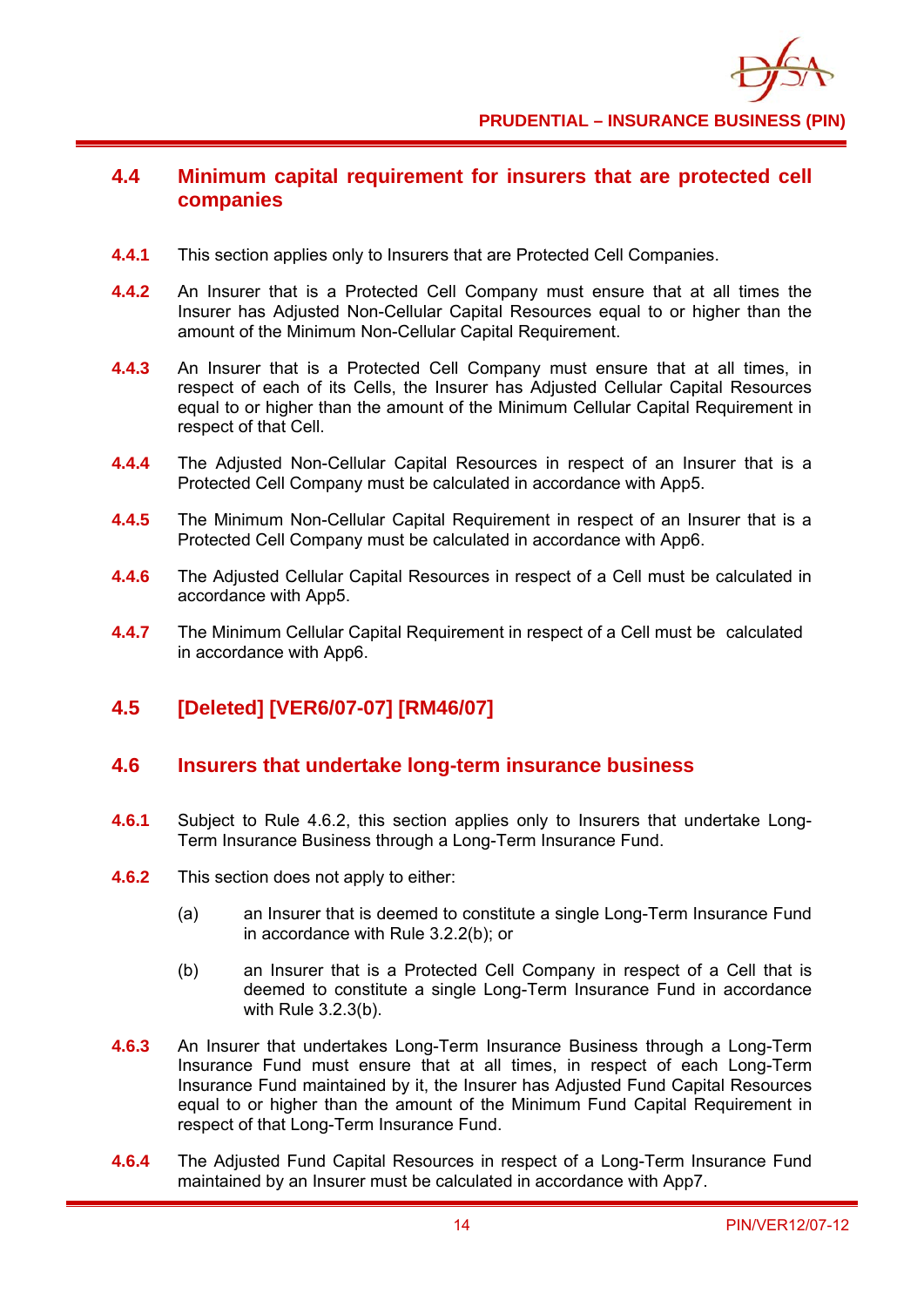

# **4.4 Minimum capital requirement for insurers that are protected cell companies**

- **4.4.1** This section applies only to Insurers that are Protected Cell Companies.
- **4.4.2** An Insurer that is a Protected Cell Company must ensure that at all times the Insurer has Adjusted Non-Cellular Capital Resources equal to or higher than the amount of the Minimum Non-Cellular Capital Requirement.
- **4.4.3** An Insurer that is a Protected Cell Company must ensure that at all times, in respect of each of its Cells, the Insurer has Adjusted Cellular Capital Resources equal to or higher than the amount of the Minimum Cellular Capital Requirement in respect of that Cell.
- **4.4.4** The Adjusted Non-Cellular Capital Resources in respect of an Insurer that is a Protected Cell Company must be calculated in accordance with App5.
- **4.4.5** The Minimum Non-Cellular Capital Requirement in respect of an Insurer that is a Protected Cell Company must be calculated in accordance with App6.
- **4.4.6** The Adjusted Cellular Capital Resources in respect of a Cell must be calculated in accordance with App5.
- **4.4.7** The Minimum Cellular Capital Requirement in respect of a Cell must be calculated in accordance with App6.

# **4.5 [Deleted] [VER6/07-07] [RM46/07]**

#### **4.6 Insurers that undertake long-term insurance business**

- **4.6.1** Subject to Rule 4.6.2, this section applies only to Insurers that undertake Long-Term Insurance Business through a Long-Term Insurance Fund.
- **4.6.2** This section does not apply to either:
	- (a) an Insurer that is deemed to constitute a single Long-Term Insurance Fund in accordance with Rule 3.2.2(b); or
	- (b) an Insurer that is a Protected Cell Company in respect of a Cell that is deemed to constitute a single Long-Term Insurance Fund in accordance with Rule 3.2.3(b).
- **4.6.3** An Insurer that undertakes Long-Term Insurance Business through a Long-Term Insurance Fund must ensure that at all times, in respect of each Long-Term Insurance Fund maintained by it, the Insurer has Adjusted Fund Capital Resources equal to or higher than the amount of the Minimum Fund Capital Requirement in respect of that Long-Term Insurance Fund.
- **4.6.4** The Adjusted Fund Capital Resources in respect of a Long-Term Insurance Fund maintained by an Insurer must be calculated in accordance with App7.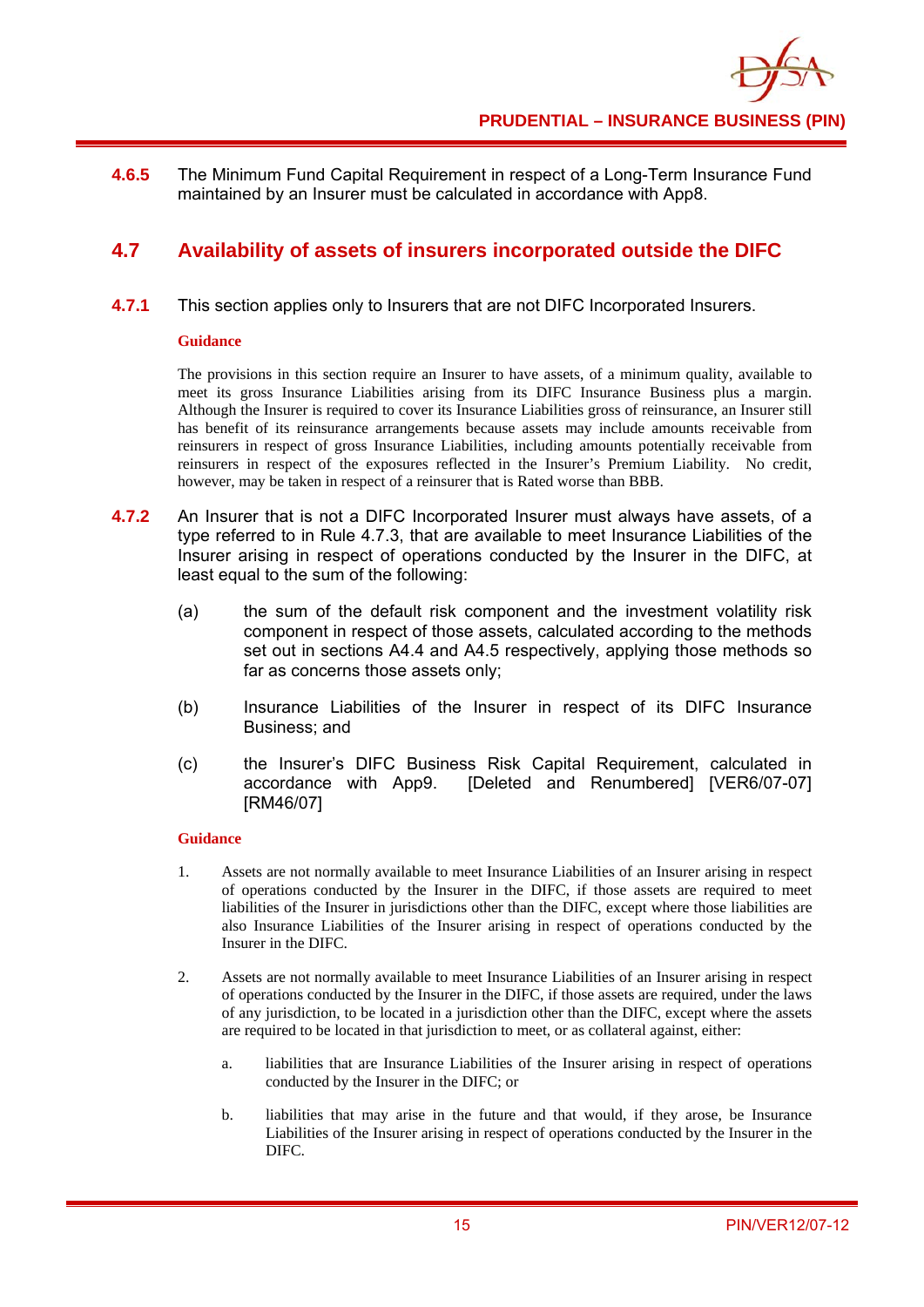**4.6.5** The Minimum Fund Capital Requirement in respect of a Long-Term Insurance Fund maintained by an Insurer must be calculated in accordance with App8.

# **4.7 Availability of assets of insurers incorporated outside the DIFC**

**4.7.1** This section applies only to Insurers that are not DIFC Incorporated Insurers.

#### **Guidance**

The provisions in this section require an Insurer to have assets, of a minimum quality, available to meet its gross Insurance Liabilities arising from its DIFC Insurance Business plus a margin. Although the Insurer is required to cover its Insurance Liabilities gross of reinsurance, an Insurer still has benefit of its reinsurance arrangements because assets may include amounts receivable from reinsurers in respect of gross Insurance Liabilities, including amounts potentially receivable from reinsurers in respect of the exposures reflected in the Insurer's Premium Liability. No credit, however, may be taken in respect of a reinsurer that is Rated worse than BBB.

- **4.7.2** An Insurer that is not a DIFC Incorporated Insurer must always have assets, of a type referred to in Rule 4.7.3, that are available to meet Insurance Liabilities of the Insurer arising in respect of operations conducted by the Insurer in the DIFC, at least equal to the sum of the following:
	- (a) the sum of the default risk component and the investment volatility risk component in respect of those assets, calculated according to the methods set out in sections A4.4 and A4.5 respectively, applying those methods so far as concerns those assets only;
	- (b) Insurance Liabilities of the Insurer in respect of its DIFC Insurance Business; and
	- (c) the Insurer's DIFC Business Risk Capital Requirement, calculated in accordance with App9. [Deleted and Renumbered] [VER6/07-07] [RM46/07]

#### **Guidance**

- 1. Assets are not normally available to meet Insurance Liabilities of an Insurer arising in respect of operations conducted by the Insurer in the DIFC, if those assets are required to meet liabilities of the Insurer in jurisdictions other than the DIFC, except where those liabilities are also Insurance Liabilities of the Insurer arising in respect of operations conducted by the Insurer in the DIFC.
- 2. Assets are not normally available to meet Insurance Liabilities of an Insurer arising in respect of operations conducted by the Insurer in the DIFC, if those assets are required, under the laws of any jurisdiction, to be located in a jurisdiction other than the DIFC, except where the assets are required to be located in that jurisdiction to meet, or as collateral against, either:
	- a. liabilities that are Insurance Liabilities of the Insurer arising in respect of operations conducted by the Insurer in the DIFC; or
	- b. liabilities that may arise in the future and that would, if they arose, be Insurance Liabilities of the Insurer arising in respect of operations conducted by the Insurer in the DIFC.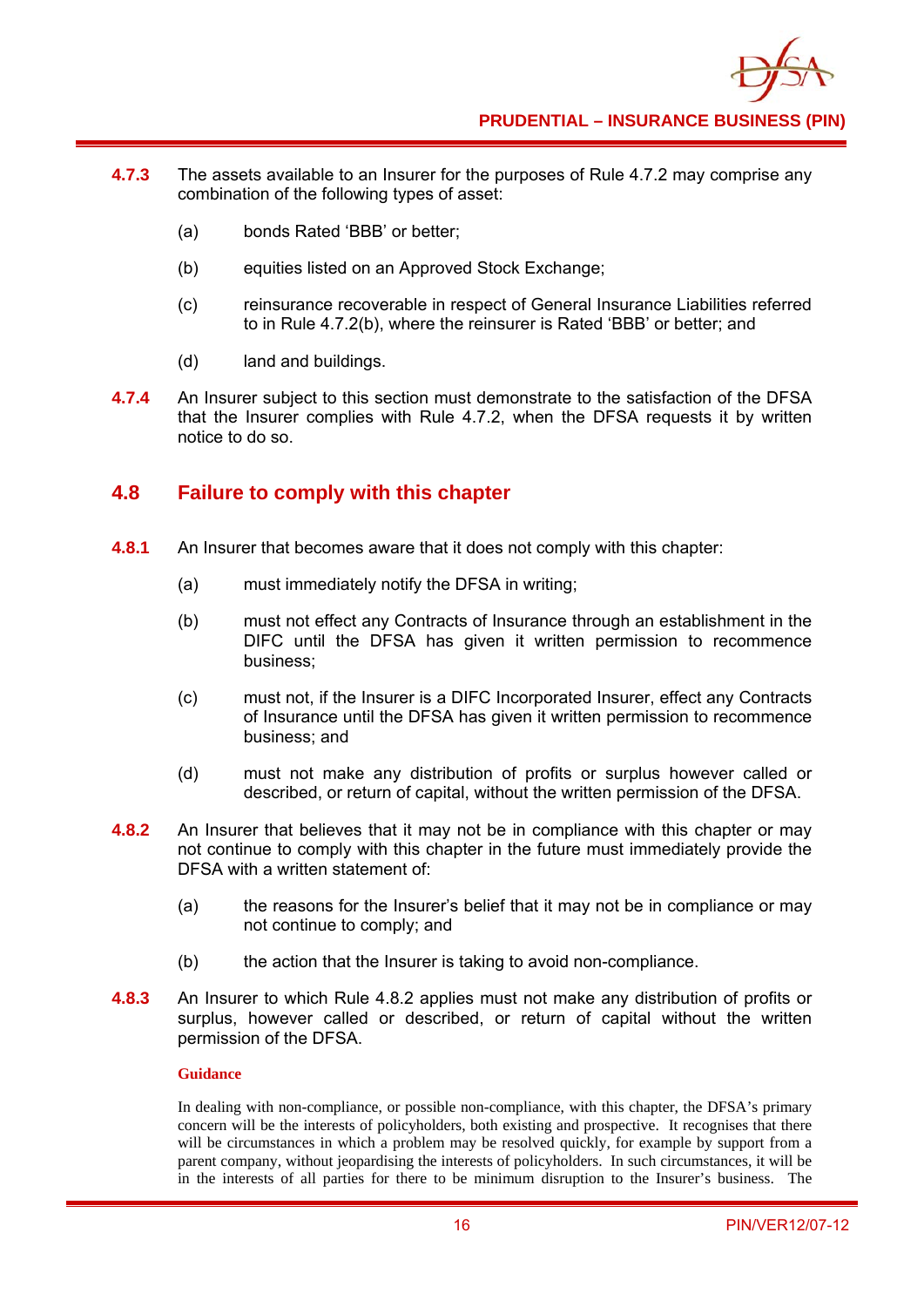

- **4.7.3** The assets available to an Insurer for the purposes of Rule 4.7.2 may comprise any combination of the following types of asset:
	- (a) bonds Rated 'BBB' or better;
	- (b) equities listed on an Approved Stock Exchange;
	- (c) reinsurance recoverable in respect of General Insurance Liabilities referred to in Rule 4.7.2(b), where the reinsurer is Rated 'BBB' or better; and
	- (d) land and buildings.
- **4.7.4** An Insurer subject to this section must demonstrate to the satisfaction of the DFSA that the Insurer complies with Rule 4.7.2, when the DFSA requests it by written notice to do so.

#### **4.8 Failure to comply with this chapter**

- **4.8.1** An Insurer that becomes aware that it does not comply with this chapter:
	- (a) must immediately notify the DFSA in writing;
	- (b) must not effect any Contracts of Insurance through an establishment in the DIFC until the DFSA has given it written permission to recommence business;
	- (c) must not, if the Insurer is a DIFC Incorporated Insurer, effect any Contracts of Insurance until the DFSA has given it written permission to recommence business; and
	- (d) must not make any distribution of profits or surplus however called or described, or return of capital, without the written permission of the DFSA.
- **4.8.2** An Insurer that believes that it may not be in compliance with this chapter or may not continue to comply with this chapter in the future must immediately provide the DFSA with a written statement of:
	- (a) the reasons for the Insurer's belief that it may not be in compliance or may not continue to comply; and
	- (b) the action that the Insurer is taking to avoid non-compliance.
- **4.8.3** An Insurer to which Rule 4.8.2 applies must not make any distribution of profits or surplus, however called or described, or return of capital without the written permission of the DFSA.

#### **Guidance**

In dealing with non-compliance, or possible non-compliance, with this chapter, the DFSA's primary concern will be the interests of policyholders, both existing and prospective. It recognises that there will be circumstances in which a problem may be resolved quickly, for example by support from a parent company, without jeopardising the interests of policyholders. In such circumstances, it will be in the interests of all parties for there to be minimum disruption to the Insurer's business. The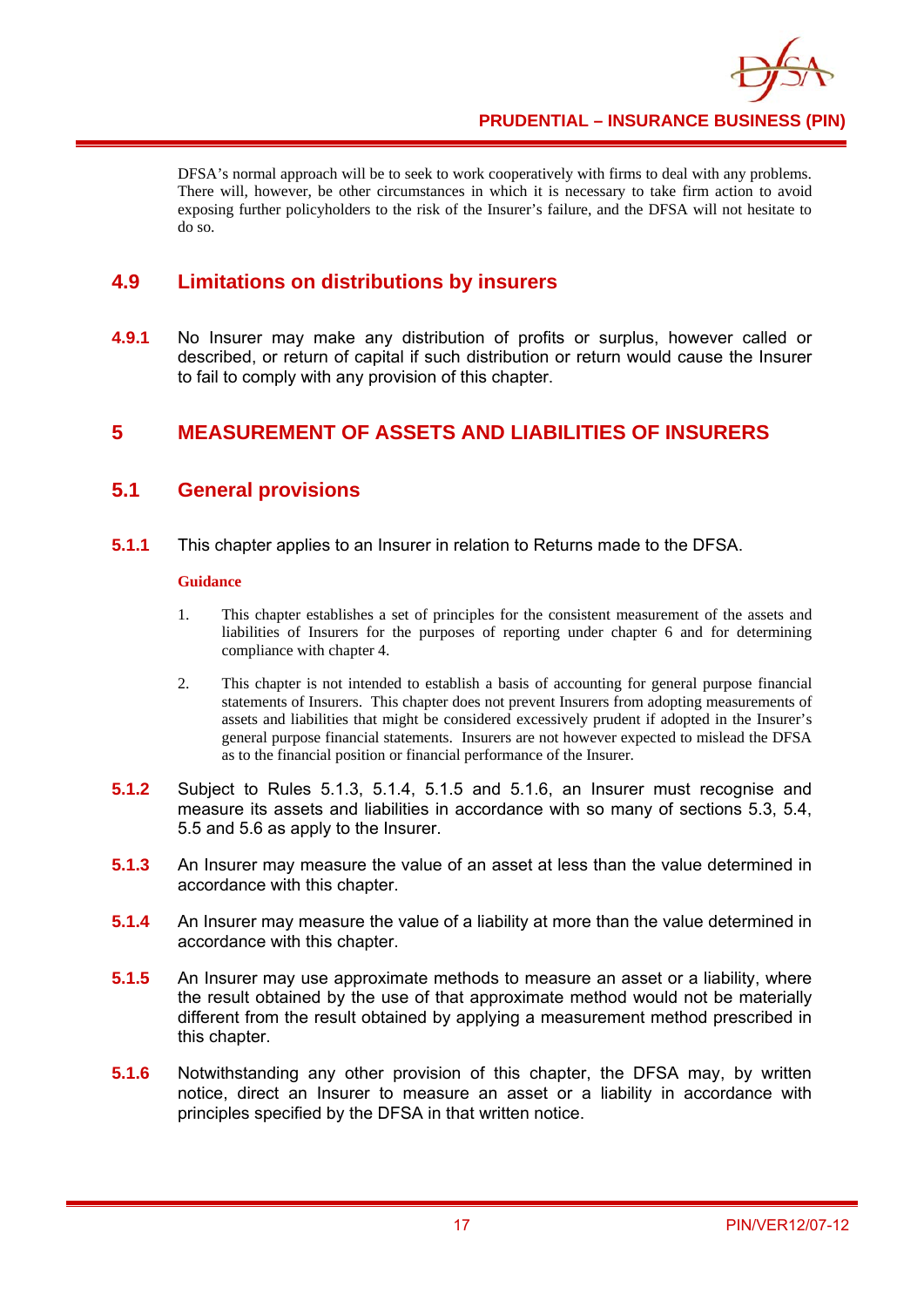DFSA's normal approach will be to seek to work cooperatively with firms to deal with any problems. There will, however, be other circumstances in which it is necessary to take firm action to avoid exposing further policyholders to the risk of the Insurer's failure, and the DFSA will not hesitate to do so.

# **4.9 Limitations on distributions by insurers**

**4.9.1** No Insurer may make any distribution of profits or surplus, however called or described, or return of capital if such distribution or return would cause the Insurer to fail to comply with any provision of this chapter.

# **5 MEASUREMENT OF ASSETS AND LIABILITIES OF INSURERS**

# **5.1 General provisions**

**5.1.1** This chapter applies to an Insurer in relation to Returns made to the DFSA.

#### **Guidance**

- 1. This chapter establishes a set of principles for the consistent measurement of the assets and liabilities of Insurers for the purposes of reporting under chapter 6 and for determining compliance with chapter 4.
- 2. This chapter is not intended to establish a basis of accounting for general purpose financial statements of Insurers. This chapter does not prevent Insurers from adopting measurements of assets and liabilities that might be considered excessively prudent if adopted in the Insurer's general purpose financial statements. Insurers are not however expected to mislead the DFSA as to the financial position or financial performance of the Insurer.
- **5.1.2** Subject to Rules 5.1.3, 5.1.4, 5.1.5 and 5.1.6, an Insurer must recognise and measure its assets and liabilities in accordance with so many of sections 5.3, 5.4, 5.5 and 5.6 as apply to the Insurer.
- **5.1.3** An Insurer may measure the value of an asset at less than the value determined in accordance with this chapter.
- **5.1.4** An Insurer may measure the value of a liability at more than the value determined in accordance with this chapter.
- **5.1.5** An Insurer may use approximate methods to measure an asset or a liability, where the result obtained by the use of that approximate method would not be materially different from the result obtained by applying a measurement method prescribed in this chapter.
- **5.1.6** Notwithstanding any other provision of this chapter, the DFSA may, by written notice, direct an Insurer to measure an asset or a liability in accordance with principles specified by the DFSA in that written notice.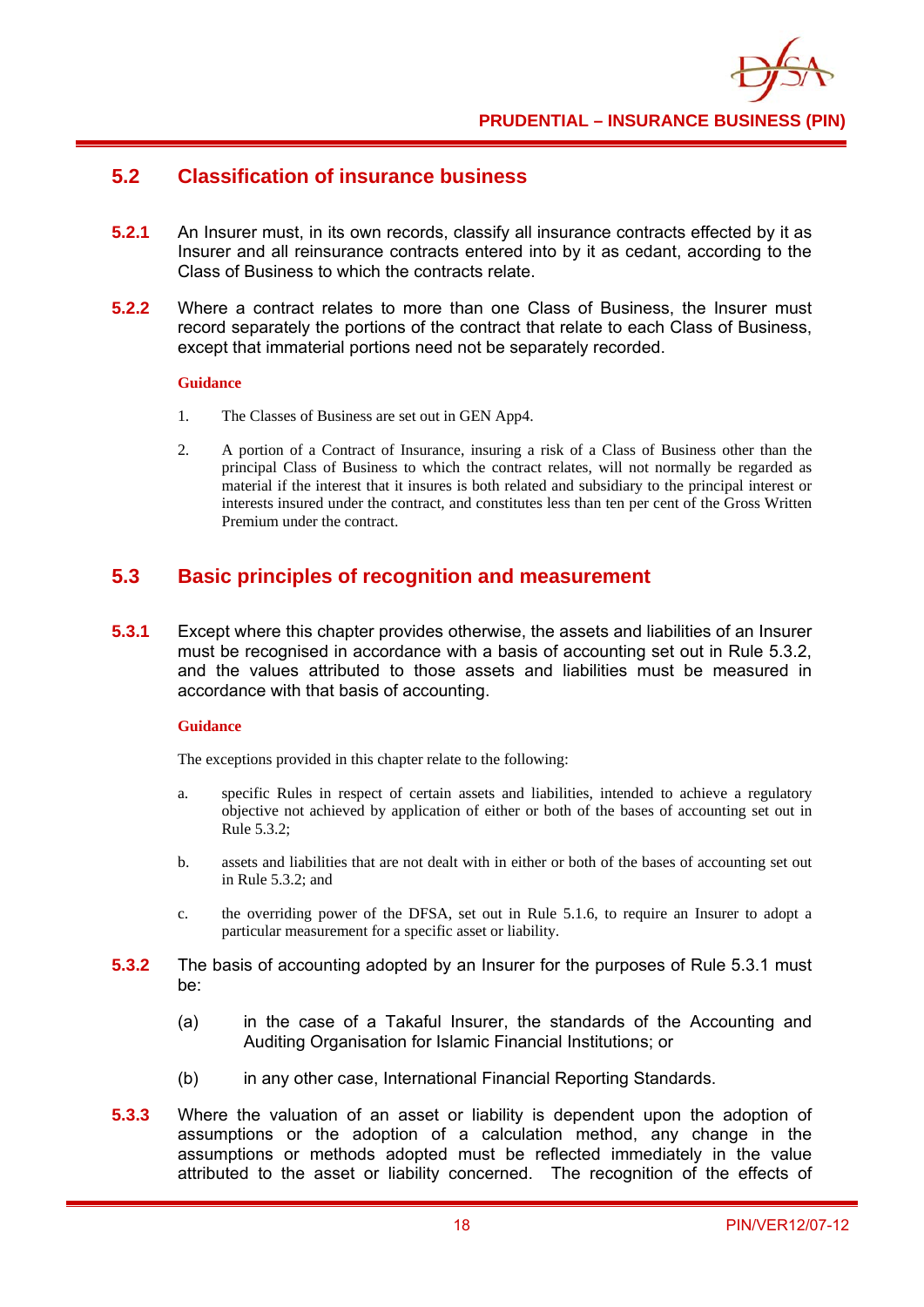

## **5.2 Classification of insurance business**

- **5.2.1** An Insurer must, in its own records, classify all insurance contracts effected by it as Insurer and all reinsurance contracts entered into by it as cedant, according to the Class of Business to which the contracts relate.
- **5.2.2** Where a contract relates to more than one Class of Business, the Insurer must record separately the portions of the contract that relate to each Class of Business, except that immaterial portions need not be separately recorded.

#### **Guidance**

- 1. The Classes of Business are set out in GEN App4.
- 2. A portion of a Contract of Insurance, insuring a risk of a Class of Business other than the principal Class of Business to which the contract relates, will not normally be regarded as material if the interest that it insures is both related and subsidiary to the principal interest or interests insured under the contract, and constitutes less than ten per cent of the Gross Written Premium under the contract.

## **5.3 Basic principles of recognition and measurement**

**5.3.1** Except where this chapter provides otherwise, the assets and liabilities of an Insurer must be recognised in accordance with a basis of accounting set out in Rule 5.3.2, and the values attributed to those assets and liabilities must be measured in accordance with that basis of accounting.

#### **Guidance**

The exceptions provided in this chapter relate to the following:

- a. specific Rules in respect of certain assets and liabilities, intended to achieve a regulatory objective not achieved by application of either or both of the bases of accounting set out in Rule 5.3.2;
- b. assets and liabilities that are not dealt with in either or both of the bases of accounting set out in Rule 5.3.2; and
- c. the overriding power of the DFSA, set out in Rule 5.1.6, to require an Insurer to adopt a particular measurement for a specific asset or liability.
- **5.3.2** The basis of accounting adopted by an Insurer for the purposes of Rule 5.3.1 must be:
	- (a) in the case of a Takaful Insurer, the standards of the Accounting and Auditing Organisation for Islamic Financial Institutions; or
	- (b) in any other case, International Financial Reporting Standards.
- **5.3.3** Where the valuation of an asset or liability is dependent upon the adoption of assumptions or the adoption of a calculation method, any change in the assumptions or methods adopted must be reflected immediately in the value attributed to the asset or liability concerned. The recognition of the effects of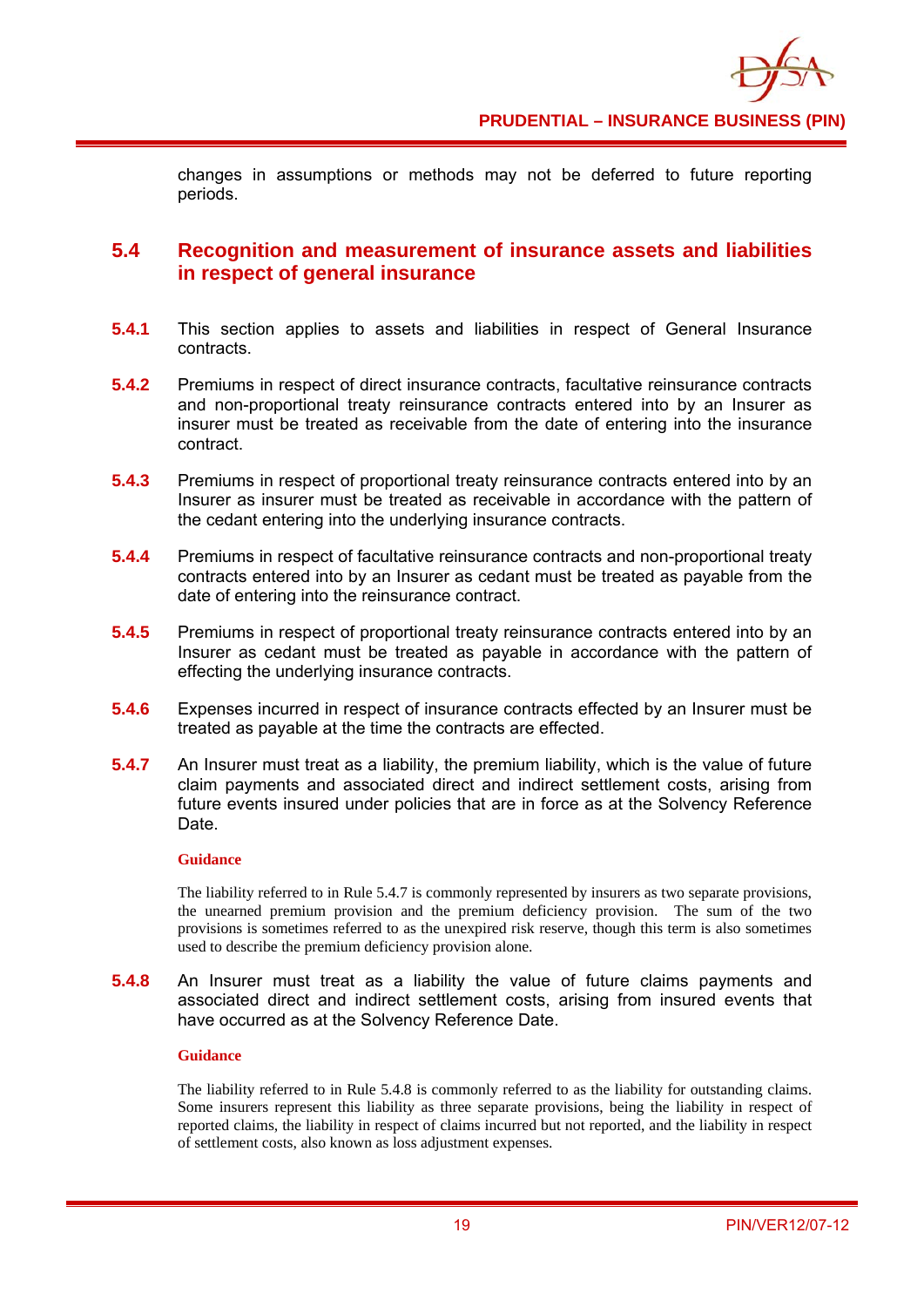

changes in assumptions or methods may not be deferred to future reporting periods.

#### **5.4 Recognition and measurement of insurance assets and liabilities in respect of general insurance**

- **5.4.1** This section applies to assets and liabilities in respect of General Insurance contracts.
- **5.4.2** Premiums in respect of direct insurance contracts, facultative reinsurance contracts and non-proportional treaty reinsurance contracts entered into by an Insurer as insurer must be treated as receivable from the date of entering into the insurance contract.
- **5.4.3** Premiums in respect of proportional treaty reinsurance contracts entered into by an Insurer as insurer must be treated as receivable in accordance with the pattern of the cedant entering into the underlying insurance contracts.
- **5.4.4** Premiums in respect of facultative reinsurance contracts and non-proportional treaty contracts entered into by an Insurer as cedant must be treated as payable from the date of entering into the reinsurance contract.
- **5.4.5** Premiums in respect of proportional treaty reinsurance contracts entered into by an Insurer as cedant must be treated as payable in accordance with the pattern of effecting the underlying insurance contracts.
- **5.4.6** Expenses incurred in respect of insurance contracts effected by an Insurer must be treated as payable at the time the contracts are effected.
- **5.4.7** An Insurer must treat as a liability, the premium liability, which is the value of future claim payments and associated direct and indirect settlement costs, arising from future events insured under policies that are in force as at the Solvency Reference Date.

#### **Guidance**

The liability referred to in Rule 5.4.7 is commonly represented by insurers as two separate provisions, the unearned premium provision and the premium deficiency provision. The sum of the two provisions is sometimes referred to as the unexpired risk reserve, though this term is also sometimes used to describe the premium deficiency provision alone.

**5.4.8** An Insurer must treat as a liability the value of future claims payments and associated direct and indirect settlement costs, arising from insured events that have occurred as at the Solvency Reference Date.

#### **Guidance**

The liability referred to in Rule 5.4.8 is commonly referred to as the liability for outstanding claims. Some insurers represent this liability as three separate provisions, being the liability in respect of reported claims, the liability in respect of claims incurred but not reported, and the liability in respect of settlement costs, also known as loss adjustment expenses.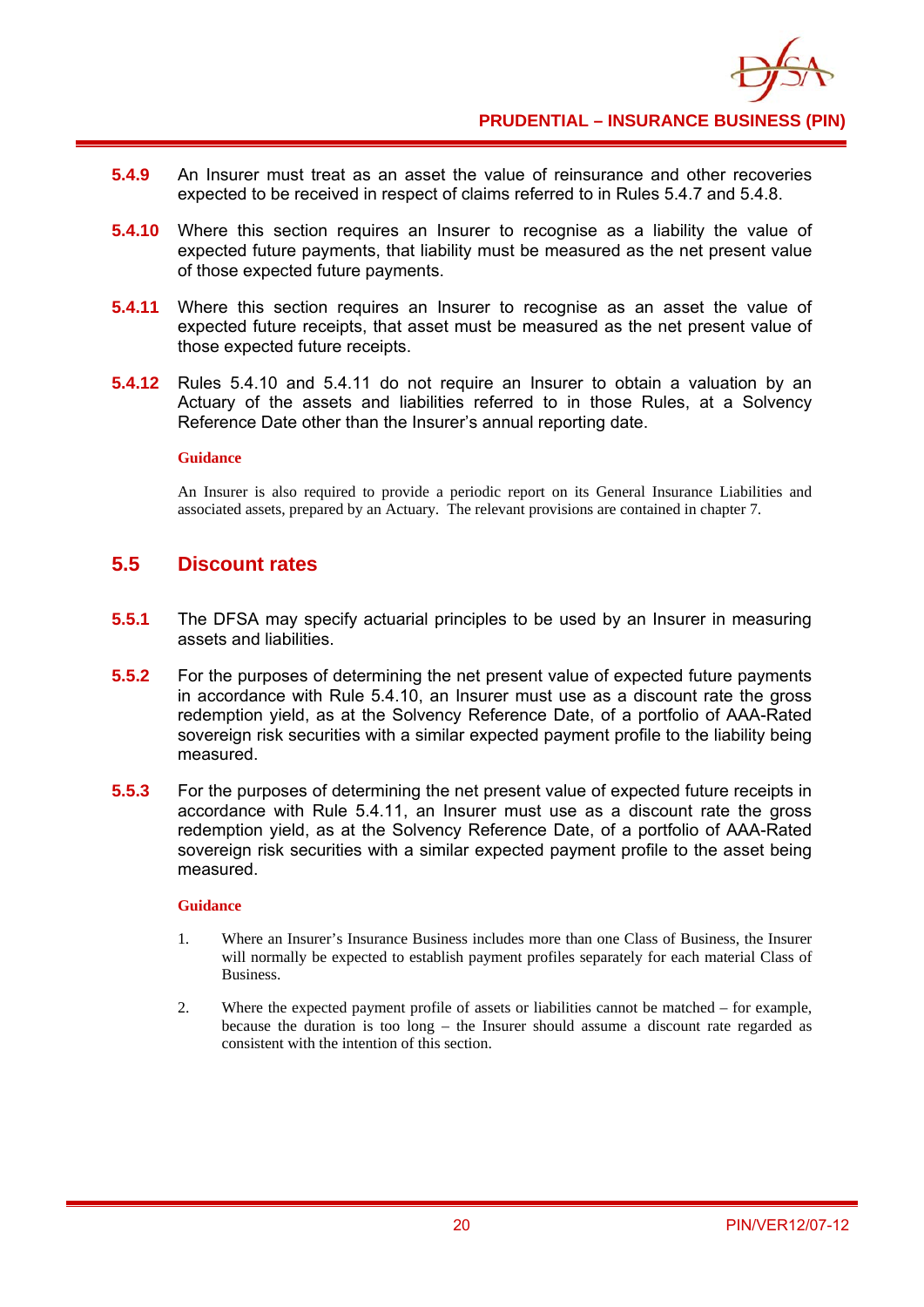

- **5.4.9** An Insurer must treat as an asset the value of reinsurance and other recoveries expected to be received in respect of claims referred to in Rules 5.4.7 and 5.4.8.
- **5.4.10** Where this section requires an Insurer to recognise as a liability the value of expected future payments, that liability must be measured as the net present value of those expected future payments.
- **5.4.11** Where this section requires an Insurer to recognise as an asset the value of expected future receipts, that asset must be measured as the net present value of those expected future receipts.
- **5.4.12** Rules 5.4.10 and 5.4.11 do not require an Insurer to obtain a valuation by an Actuary of the assets and liabilities referred to in those Rules, at a Solvency Reference Date other than the Insurer's annual reporting date.

An Insurer is also required to provide a periodic report on its General Insurance Liabilities and associated assets, prepared by an Actuary. The relevant provisions are contained in chapter 7.

#### **5.5 Discount rates**

- **5.5.1** The DFSA may specify actuarial principles to be used by an Insurer in measuring assets and liabilities.
- **5.5.2** For the purposes of determining the net present value of expected future payments in accordance with Rule 5.4.10, an Insurer must use as a discount rate the gross redemption yield, as at the Solvency Reference Date, of a portfolio of AAA-Rated sovereign risk securities with a similar expected payment profile to the liability being measured.
- **5.5.3** For the purposes of determining the net present value of expected future receipts in accordance with Rule 5.4.11, an Insurer must use as a discount rate the gross redemption yield, as at the Solvency Reference Date, of a portfolio of AAA-Rated sovereign risk securities with a similar expected payment profile to the asset being measured.

#### **Guidance**

- 1. Where an Insurer's Insurance Business includes more than one Class of Business, the Insurer will normally be expected to establish payment profiles separately for each material Class of Business.
- 2. Where the expected payment profile of assets or liabilities cannot be matched for example, because the duration is too long – the Insurer should assume a discount rate regarded as consistent with the intention of this section.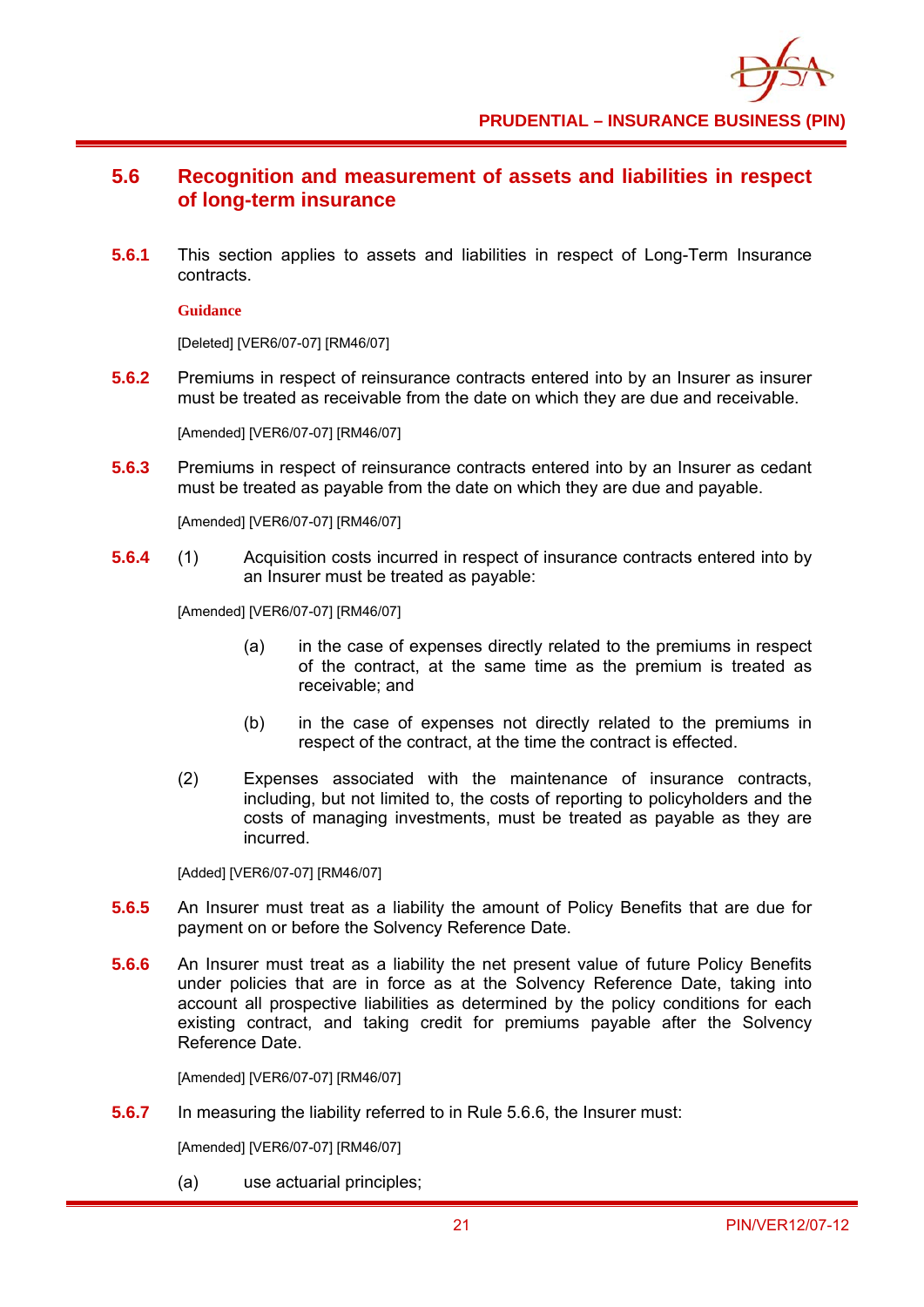

# **5.6 Recognition and measurement of assets and liabilities in respect of long-term insurance**

**5.6.1** This section applies to assets and liabilities in respect of Long-Term Insurance contracts.

#### **Guidance**

[Deleted] [VER6/07-07] [RM46/07]

**5.6.2** Premiums in respect of reinsurance contracts entered into by an Insurer as insurer must be treated as receivable from the date on which they are due and receivable.

[Amended] [VER6/07-07] [RM46/07]

**5.6.3** Premiums in respect of reinsurance contracts entered into by an Insurer as cedant must be treated as payable from the date on which they are due and payable.

[Amended] [VER6/07-07] [RM46/07]

**5.6.4** (1) Acquisition costs incurred in respect of insurance contracts entered into by an Insurer must be treated as payable:

[Amended] [VER6/07-07] [RM46/07]

- (a) in the case of expenses directly related to the premiums in respect of the contract, at the same time as the premium is treated as receivable; and
- (b) in the case of expenses not directly related to the premiums in respect of the contract, at the time the contract is effected.
- (2) Expenses associated with the maintenance of insurance contracts, including, but not limited to, the costs of reporting to policyholders and the costs of managing investments, must be treated as payable as they are incurred.

[Added] [VER6/07-07] [RM46/07]

- **5.6.5** An Insurer must treat as a liability the amount of Policy Benefits that are due for payment on or before the Solvency Reference Date.
- **5.6.6** An Insurer must treat as a liability the net present value of future Policy Benefits under policies that are in force as at the Solvency Reference Date, taking into account all prospective liabilities as determined by the policy conditions for each existing contract, and taking credit for premiums payable after the Solvency Reference Date.

[Amended] [VER6/07-07] [RM46/07]

**5.6.7** In measuring the liability referred to in Rule 5.6.6, the Insurer must:

[Amended] [VER6/07-07] [RM46/07]

(a) use actuarial principles;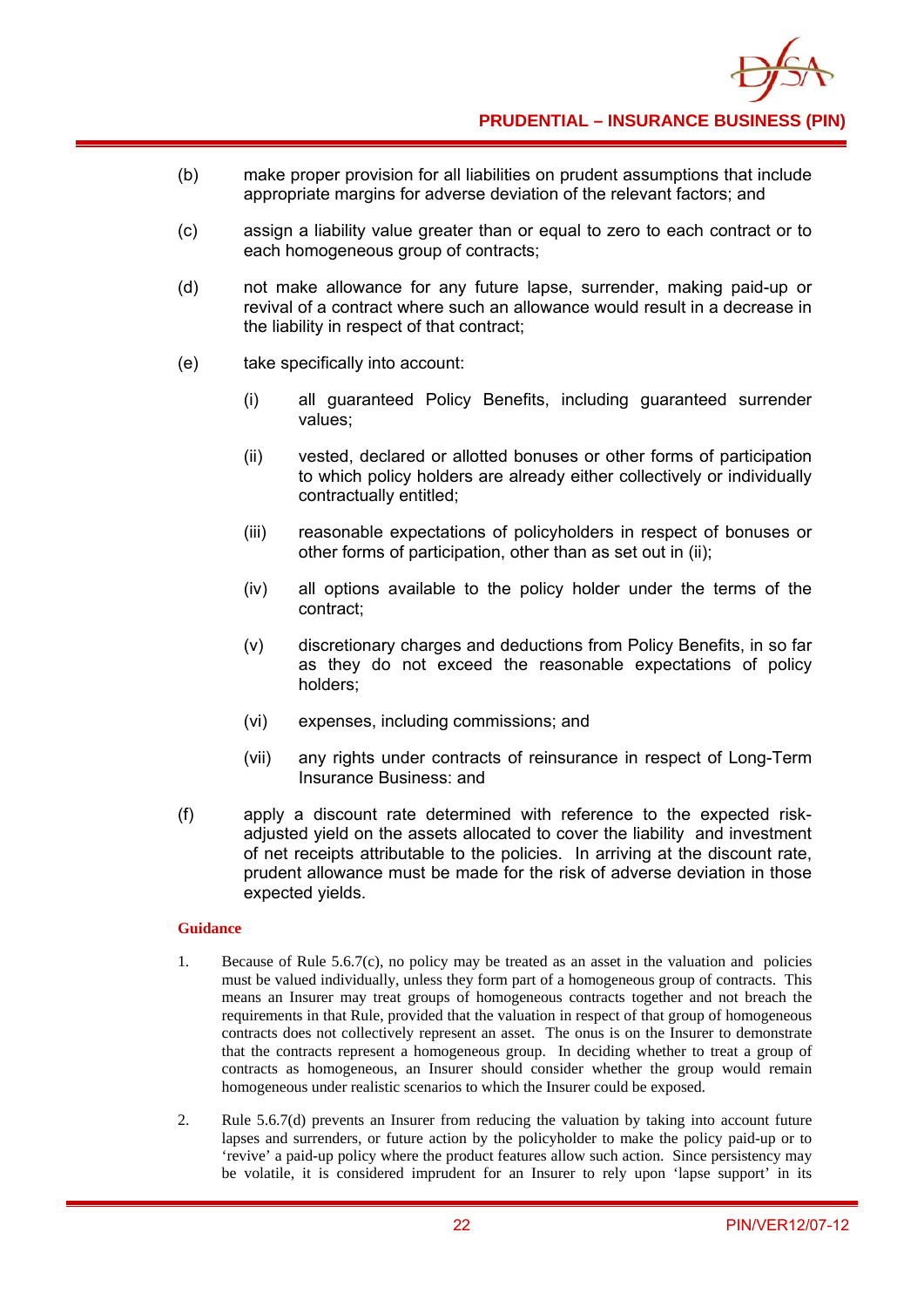

- (b) make proper provision for all liabilities on prudent assumptions that include appropriate margins for adverse deviation of the relevant factors; and
- (c) assign a liability value greater than or equal to zero to each contract or to each homogeneous group of contracts;
- (d) not make allowance for any future lapse, surrender, making paid-up or revival of a contract where such an allowance would result in a decrease in the liability in respect of that contract;
- (e) take specifically into account:
	- (i) all guaranteed Policy Benefits, including guaranteed surrender values;
	- (ii) vested, declared or allotted bonuses or other forms of participation to which policy holders are already either collectively or individually contractually entitled;
	- (iii) reasonable expectations of policyholders in respect of bonuses or other forms of participation, other than as set out in (ii);
	- (iv) all options available to the policy holder under the terms of the contract;
	- (v) discretionary charges and deductions from Policy Benefits, in so far as they do not exceed the reasonable expectations of policy holders;
	- (vi) expenses, including commissions; and
	- (vii) any rights under contracts of reinsurance in respect of Long-Term Insurance Business: and
- (f) apply a discount rate determined with reference to the expected riskadjusted yield on the assets allocated to cover the liability and investment of net receipts attributable to the policies. In arriving at the discount rate, prudent allowance must be made for the risk of adverse deviation in those expected yields.

- 1. Because of Rule 5.6.7(c), no policy may be treated as an asset in the valuation and policies must be valued individually, unless they form part of a homogeneous group of contracts. This means an Insurer may treat groups of homogeneous contracts together and not breach the requirements in that Rule, provided that the valuation in respect of that group of homogeneous contracts does not collectively represent an asset. The onus is on the Insurer to demonstrate that the contracts represent a homogeneous group. In deciding whether to treat a group of contracts as homogeneous, an Insurer should consider whether the group would remain homogeneous under realistic scenarios to which the Insurer could be exposed.
- 2. Rule 5.6.7(d) prevents an Insurer from reducing the valuation by taking into account future lapses and surrenders, or future action by the policyholder to make the policy paid-up or to 'revive' a paid-up policy where the product features allow such action. Since persistency may be volatile, it is considered imprudent for an Insurer to rely upon 'lapse support' in its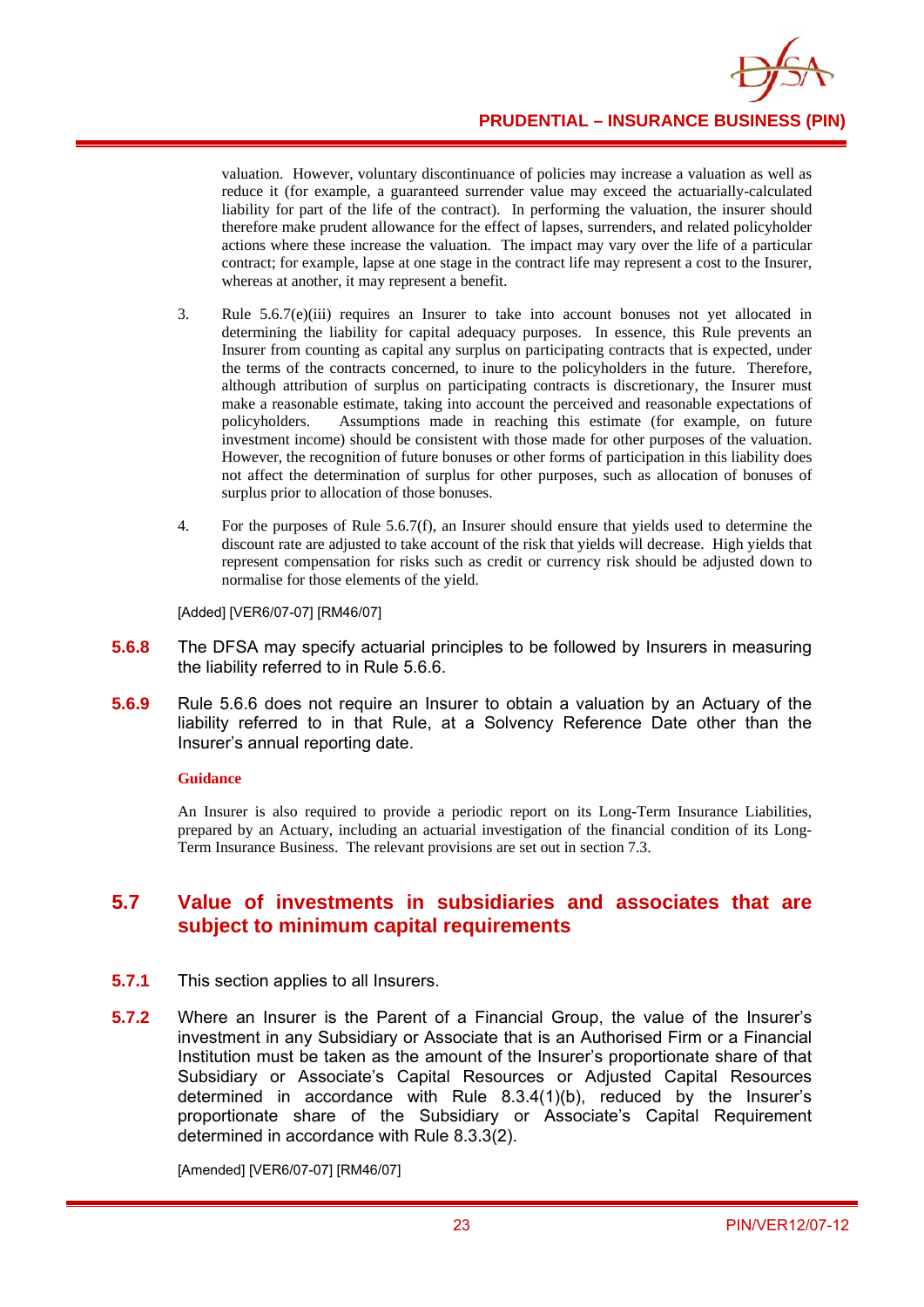

valuation. However, voluntary discontinuance of policies may increase a valuation as well as reduce it (for example, a guaranteed surrender value may exceed the actuarially-calculated liability for part of the life of the contract). In performing the valuation, the insurer should therefore make prudent allowance for the effect of lapses, surrenders, and related policyholder actions where these increase the valuation. The impact may vary over the life of a particular contract; for example, lapse at one stage in the contract life may represent a cost to the Insurer, whereas at another, it may represent a benefit.

- 3. Rule 5.6.7(e)(iii) requires an Insurer to take into account bonuses not yet allocated in determining the liability for capital adequacy purposes. In essence, this Rule prevents an Insurer from counting as capital any surplus on participating contracts that is expected, under the terms of the contracts concerned, to inure to the policyholders in the future. Therefore, although attribution of surplus on participating contracts is discretionary, the Insurer must make a reasonable estimate, taking into account the perceived and reasonable expectations of policyholders. Assumptions made in reaching this estimate (for example, on future investment income) should be consistent with those made for other purposes of the valuation. However, the recognition of future bonuses or other forms of participation in this liability does not affect the determination of surplus for other purposes, such as allocation of bonuses of surplus prior to allocation of those bonuses.
- 4. For the purposes of Rule 5.6.7(f), an Insurer should ensure that yields used to determine the discount rate are adjusted to take account of the risk that yields will decrease. High yields that represent compensation for risks such as credit or currency risk should be adjusted down to normalise for those elements of the yield.

[Added] [VER6/07-07] [RM46/07]

- **5.6.8** The DFSA may specify actuarial principles to be followed by Insurers in measuring the liability referred to in Rule 5.6.6.
- **5.6.9** Rule 5.6.6 does not require an Insurer to obtain a valuation by an Actuary of the liability referred to in that Rule, at a Solvency Reference Date other than the Insurer's annual reporting date.

#### **Guidance**

An Insurer is also required to provide a periodic report on its Long-Term Insurance Liabilities, prepared by an Actuary, including an actuarial investigation of the financial condition of its Long-Term Insurance Business. The relevant provisions are set out in section 7.3.

# **5.7 Value of investments in subsidiaries and associates that are subject to minimum capital requirements**

- **5.7.1** This section applies to all Insurers.
- **5.7.2** Where an Insurer is the Parent of a Financial Group, the value of the Insurer's investment in any Subsidiary or Associate that is an Authorised Firm or a Financial Institution must be taken as the amount of the Insurer's proportionate share of that Subsidiary or Associate's Capital Resources or Adjusted Capital Resources determined in accordance with Rule 8.3.4(1)(b), reduced by the Insurer's proportionate share of the Subsidiary or Associate's Capital Requirement determined in accordance with Rule 8.3.3(2).

[Amended] [VER6/07-07] [RM46/07]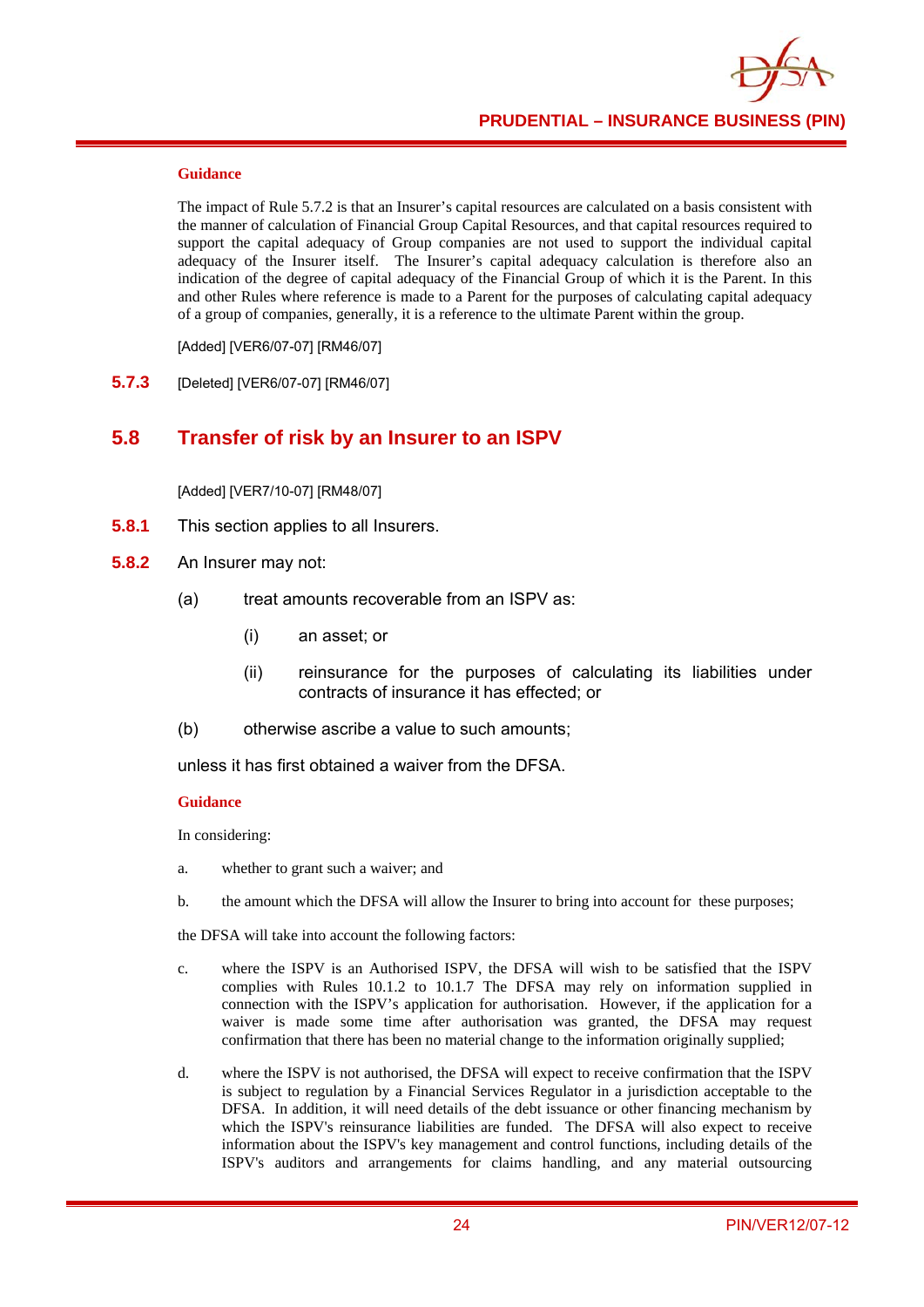

The impact of Rule 5.7.2 is that an Insurer's capital resources are calculated on a basis consistent with the manner of calculation of Financial Group Capital Resources, and that capital resources required to support the capital adequacy of Group companies are not used to support the individual capital adequacy of the Insurer itself. The Insurer's capital adequacy calculation is therefore also an indication of the degree of capital adequacy of the Financial Group of which it is the Parent. In this and other Rules where reference is made to a Parent for the purposes of calculating capital adequacy of a group of companies, generally, it is a reference to the ultimate Parent within the group.

[Added] [VER6/07-07] [RM46/07]

**5.7.3** [Deleted] [VER6/07-07] [RM46/07]

#### **5.8 Transfer of risk by an Insurer to an ISPV**

[Added] [VER7/10-07] [RM48/07]

- **5.8.1** This section applies to all Insurers.
- **5.8.2** An Insurer may not:
	- (a) treat amounts recoverable from an ISPV as:
		- (i) an asset; or
		- (ii) reinsurance for the purposes of calculating its liabilities under contracts of insurance it has effected; or
	- (b) otherwise ascribe a value to such amounts;

unless it has first obtained a waiver from the DFSA.

#### **Guidance**

In considering:

- a. whether to grant such a waiver; and
- b. the amount which the DFSA will allow the Insurer to bring into account for these purposes;

the DFSA will take into account the following factors:

- c. where the ISPV is an Authorised ISPV, the DFSA will wish to be satisfied that the ISPV complies with Rules 10.1.2 to 10.1.7 The DFSA may rely on information supplied in connection with the ISPV's application for authorisation. However, if the application for a waiver is made some time after authorisation was granted, the DFSA may request confirmation that there has been no material change to the information originally supplied;
- d. where the ISPV is not authorised, the DFSA will expect to receive confirmation that the ISPV is subject to regulation by a Financial Services Regulator in a jurisdiction acceptable to the DFSA. In addition, it will need details of the debt issuance or other financing mechanism by which the ISPV's reinsurance liabilities are funded. The DFSA will also expect to receive information about the ISPV's key management and control functions, including details of the ISPV's auditors and arrangements for claims handling, and any material outsourcing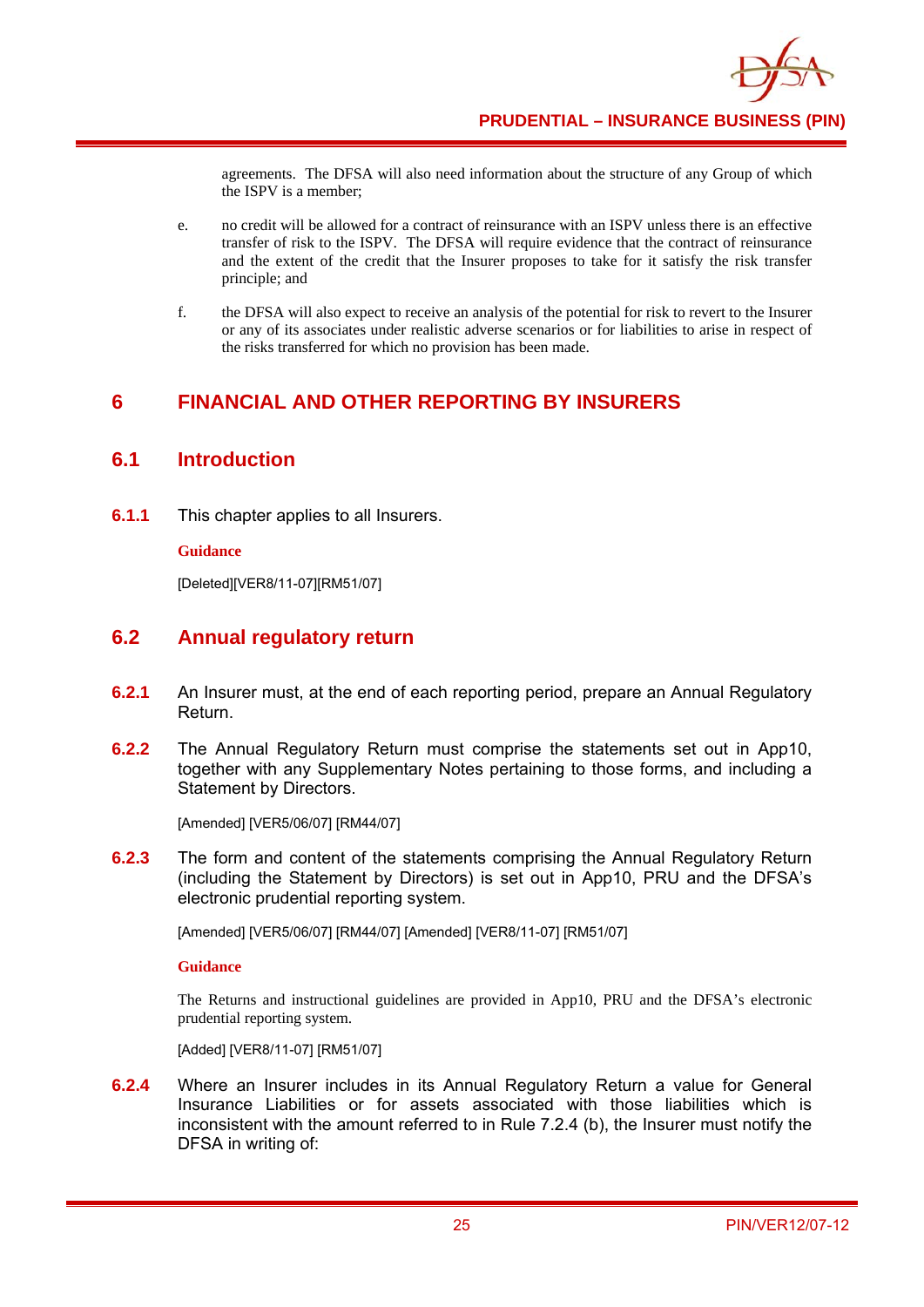agreements. The DFSA will also need information about the structure of any Group of which the ISPV is a member;

- e. no credit will be allowed for a contract of reinsurance with an ISPV unless there is an effective transfer of risk to the ISPV. The DFSA will require evidence that the contract of reinsurance and the extent of the credit that the Insurer proposes to take for it satisfy the risk transfer principle; and
- f. the DFSA will also expect to receive an analysis of the potential for risk to revert to the Insurer or any of its associates under realistic adverse scenarios or for liabilities to arise in respect of the risks transferred for which no provision has been made.

# **6 FINANCIAL AND OTHER REPORTING BY INSURERS**

## **6.1 Introduction**

**6.1.1** This chapter applies to all Insurers.

#### **Guidance**

[Deleted][VER8/11-07][RM51/07]

# **6.2 Annual regulatory return**

- **6.2.1** An Insurer must, at the end of each reporting period, prepare an Annual Regulatory Return.
- **6.2.2** The Annual Regulatory Return must comprise the statements set out in App10, together with any Supplementary Notes pertaining to those forms, and including a Statement by Directors.

[Amended] [VER5/06/07] [RM44/07]

**6.2.3** The form and content of the statements comprising the Annual Regulatory Return (including the Statement by Directors) is set out in App10, PRU and the DFSA's electronic prudential reporting system.

[Amended] [VER5/06/07] [RM44/07] [Amended] [VER8/11-07] [RM51/07]

#### **Guidance**

The Returns and instructional guidelines are provided in App10, PRU and the DFSA's electronic prudential reporting system.

[Added] [VER8/11-07] [RM51/07]

**6.2.4** Where an Insurer includes in its Annual Regulatory Return a value for General Insurance Liabilities or for assets associated with those liabilities which is inconsistent with the amount referred to in Rule 7.2.4 (b), the Insurer must notify the DFSA in writing of: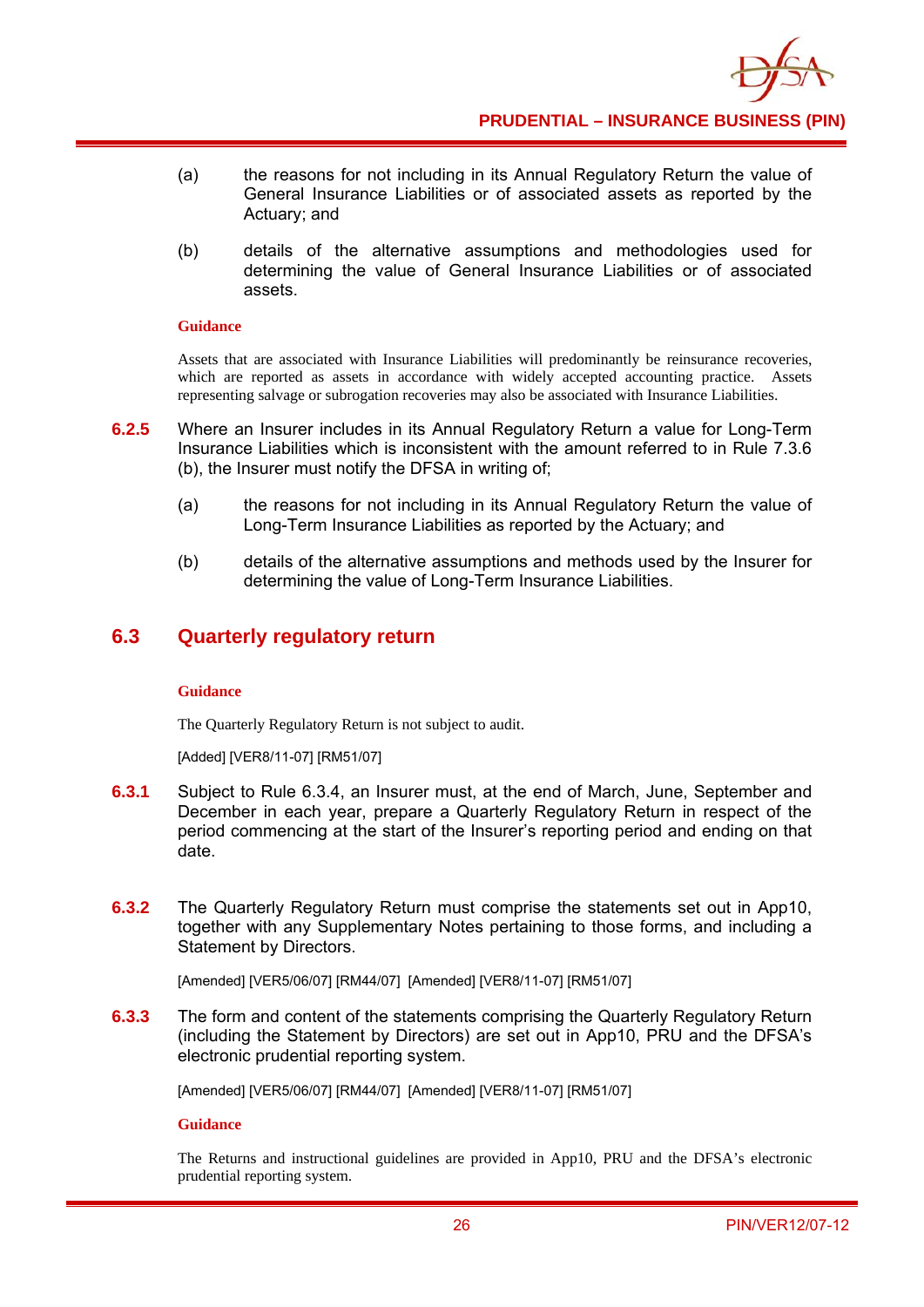

- (a) the reasons for not including in its Annual Regulatory Return the value of General Insurance Liabilities or of associated assets as reported by the Actuary; and
- (b) details of the alternative assumptions and methodologies used for determining the value of General Insurance Liabilities or of associated assets.

Assets that are associated with Insurance Liabilities will predominantly be reinsurance recoveries, which are reported as assets in accordance with widely accepted accounting practice. Assets representing salvage or subrogation recoveries may also be associated with Insurance Liabilities.

- **6.2.5** Where an Insurer includes in its Annual Regulatory Return a value for Long-Term Insurance Liabilities which is inconsistent with the amount referred to in Rule 7.3.6 (b), the Insurer must notify the DFSA in writing of;
	- (a) the reasons for not including in its Annual Regulatory Return the value of Long-Term Insurance Liabilities as reported by the Actuary; and
	- (b) details of the alternative assumptions and methods used by the Insurer for determining the value of Long-Term Insurance Liabilities.

# **6.3 Quarterly regulatory return**

#### **Guidance**

The Quarterly Regulatory Return is not subject to audit.

[Added] [VER8/11-07] [RM51/07]

- **6.3.1** Subject to Rule 6.3.4, an Insurer must, at the end of March, June, September and December in each year, prepare a Quarterly Regulatory Return in respect of the period commencing at the start of the Insurer's reporting period and ending on that date.
- **6.3.2** The Quarterly Regulatory Return must comprise the statements set out in App10, together with any Supplementary Notes pertaining to those forms, and including a Statement by Directors.

[Amended] [VER5/06/07] [RM44/07] [Amended] [VER8/11-07] [RM51/07]

**6.3.3** The form and content of the statements comprising the Quarterly Regulatory Return (including the Statement by Directors) are set out in App10, PRU and the DFSA's electronic prudential reporting system.

[Amended] [VER5/06/07] [RM44/07] [Amended] [VER8/11-07] [RM51/07]

**Guidance** 

The Returns and instructional guidelines are provided in App10, PRU and the DFSA's electronic prudential reporting system.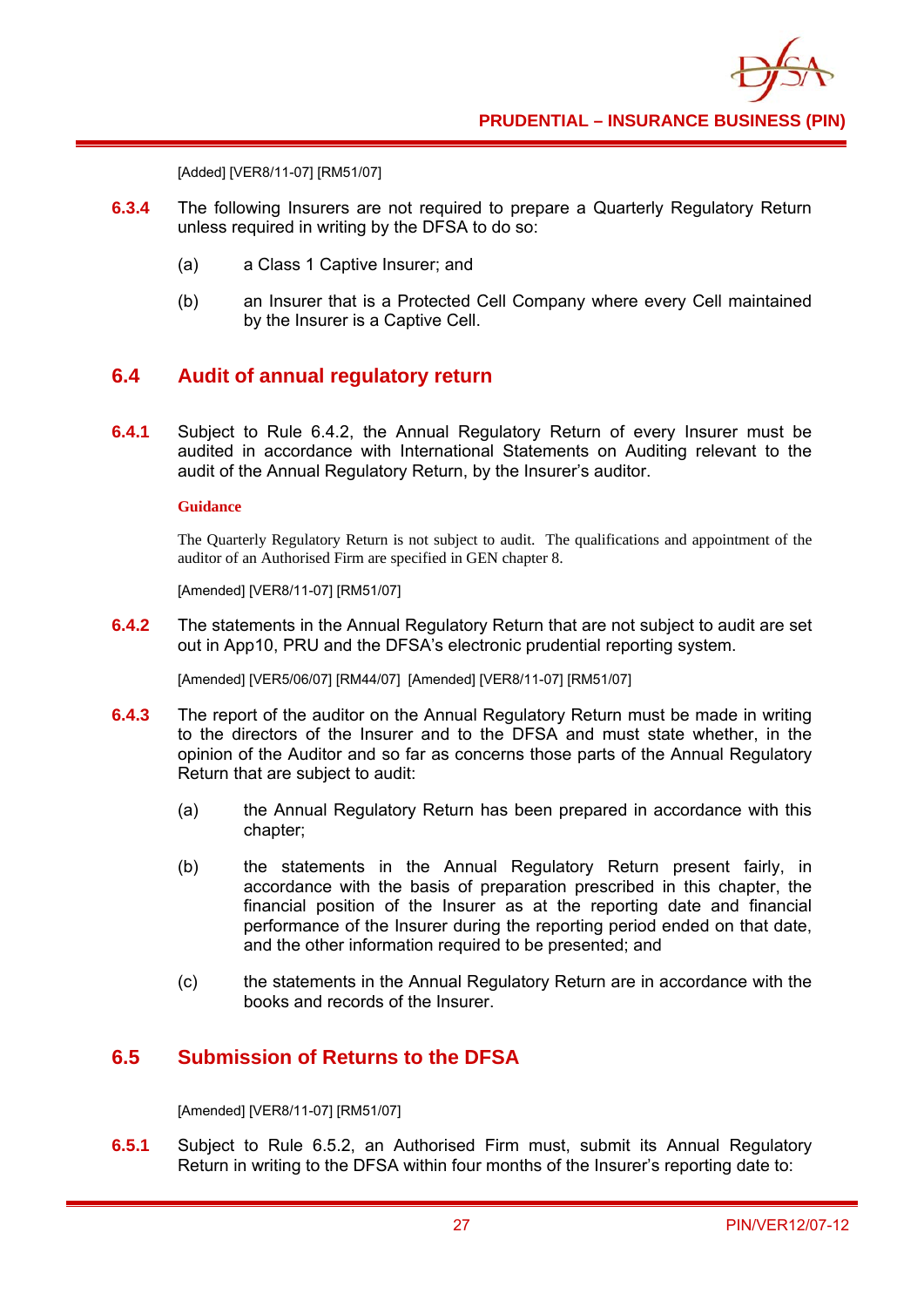[Added] [VER8/11-07] [RM51/07]

- **6.3.4** The following Insurers are not required to prepare a Quarterly Regulatory Return unless required in writing by the DFSA to do so:
	- (a) a Class 1 Captive Insurer; and
	- (b) an Insurer that is a Protected Cell Company where every Cell maintained by the Insurer is a Captive Cell.

# **6.4 Audit of annual regulatory return**

**6.4.1** Subject to Rule 6.4.2, the Annual Regulatory Return of every Insurer must be audited in accordance with International Statements on Auditing relevant to the audit of the Annual Regulatory Return, by the Insurer's auditor.

#### **Guidance**

The Quarterly Regulatory Return is not subject to audit. The qualifications and appointment of the auditor of an Authorised Firm are specified in GEN chapter 8.

[Amended] [VER8/11-07] [RM51/07]

**6.4.2** The statements in the Annual Regulatory Return that are not subject to audit are set out in App10, PRU and the DFSA's electronic prudential reporting system.

[Amended] [VER5/06/07] [RM44/07] [Amended] [VER8/11-07] [RM51/07]

- **6.4.3** The report of the auditor on the Annual Regulatory Return must be made in writing to the directors of the Insurer and to the DFSA and must state whether, in the opinion of the Auditor and so far as concerns those parts of the Annual Regulatory Return that are subject to audit:
	- (a) the Annual Regulatory Return has been prepared in accordance with this chapter;
	- (b) the statements in the Annual Regulatory Return present fairly, in accordance with the basis of preparation prescribed in this chapter, the financial position of the Insurer as at the reporting date and financial performance of the Insurer during the reporting period ended on that date, and the other information required to be presented; and
	- (c) the statements in the Annual Regulatory Return are in accordance with the books and records of the Insurer.

# **6.5 Submission of Returns to the DFSA**

[Amended] [VER8/11-07] [RM51/07]

**6.5.1** Subject to Rule 6.5.2, an Authorised Firm must, submit its Annual Regulatory Return in writing to the DFSA within four months of the Insurer's reporting date to: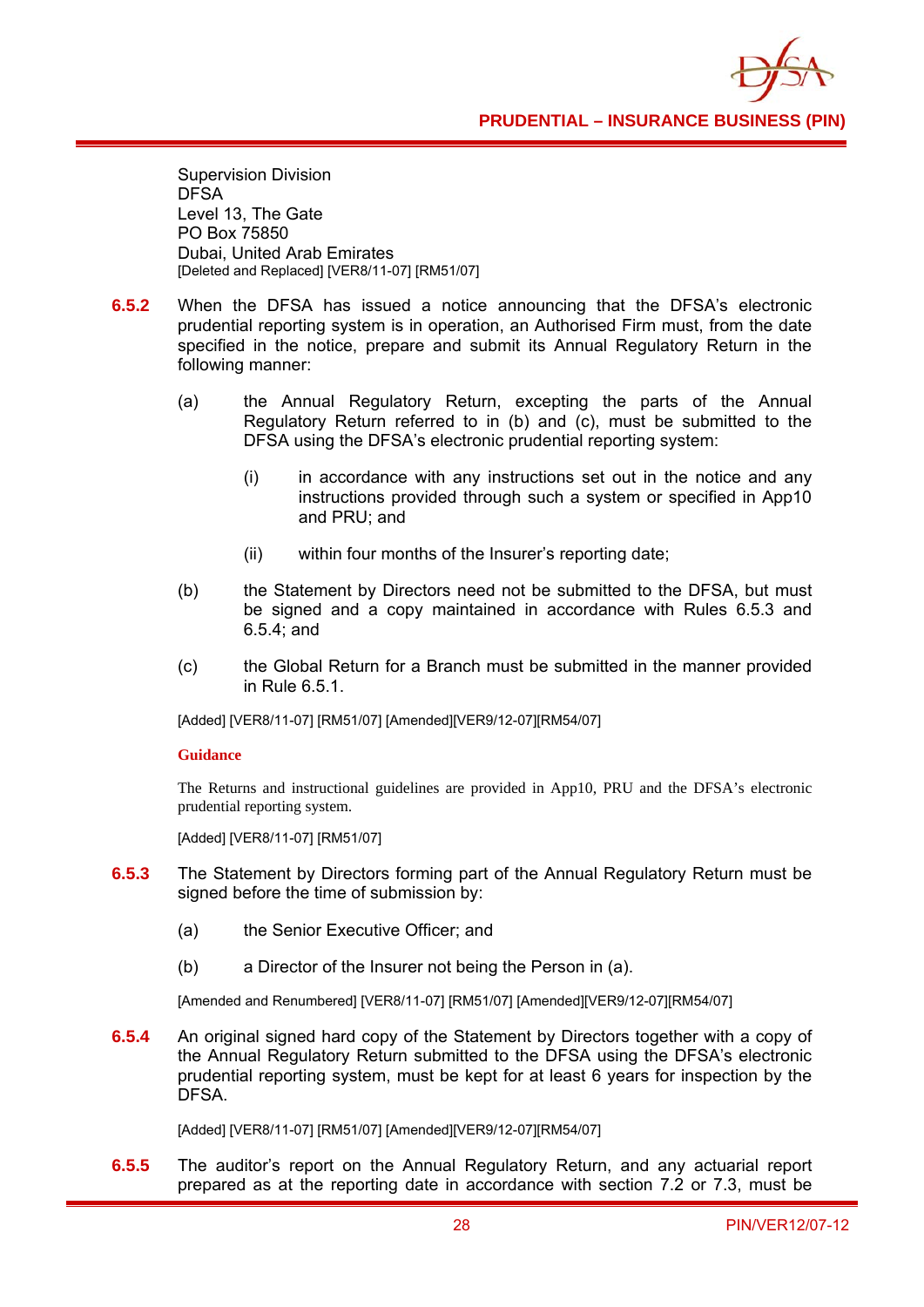

Supervision Division DFSA Level 13, The Gate PO Box 75850 Dubai, United Arab Emirates [Deleted and Replaced] [VER8/11-07] [RM51/07]

- **6.5.2** When the DFSA has issued a notice announcing that the DFSA's electronic prudential reporting system is in operation, an Authorised Firm must, from the date specified in the notice, prepare and submit its Annual Regulatory Return in the following manner:
	- (a) the Annual Regulatory Return, excepting the parts of the Annual Regulatory Return referred to in (b) and (c), must be submitted to the DFSA using the DFSA's electronic prudential reporting system:
		- (i) in accordance with any instructions set out in the notice and any instructions provided through such a system or specified in App10 and PRU; and
		- (ii) within four months of the Insurer's reporting date;
	- (b) the Statement by Directors need not be submitted to the DFSA, but must be signed and a copy maintained in accordance with Rules 6.5.3 and 6.5.4; and
	- (c) the Global Return for a Branch must be submitted in the manner provided in Rule 6.5.1.

[Added] [VER8/11-07] [RM51/07] [Amended][VER9/12-07][RM54/07]

#### **Guidance**

The Returns and instructional guidelines are provided in App10, PRU and the DFSA's electronic prudential reporting system.

[Added] [VER8/11-07] [RM51/07]

- **6.5.3** The Statement by Directors forming part of the Annual Regulatory Return must be signed before the time of submission by:
	- (a) the Senior Executive Officer; and
	- (b) a Director of the Insurer not being the Person in (a).

[Amended and Renumbered] [VER8/11-07] [RM51/07] [Amended][VER9/12-07][RM54/07]

**6.5.4** An original signed hard copy of the Statement by Directors together with a copy of the Annual Regulatory Return submitted to the DFSA using the DFSA's electronic prudential reporting system, must be kept for at least 6 years for inspection by the DFSA.

[Added] [VER8/11-07] [RM51/07] [Amended][VER9/12-07][RM54/07]

**6.5.5** The auditor's report on the Annual Regulatory Return, and any actuarial report prepared as at the reporting date in accordance with section 7.2 or 7.3, must be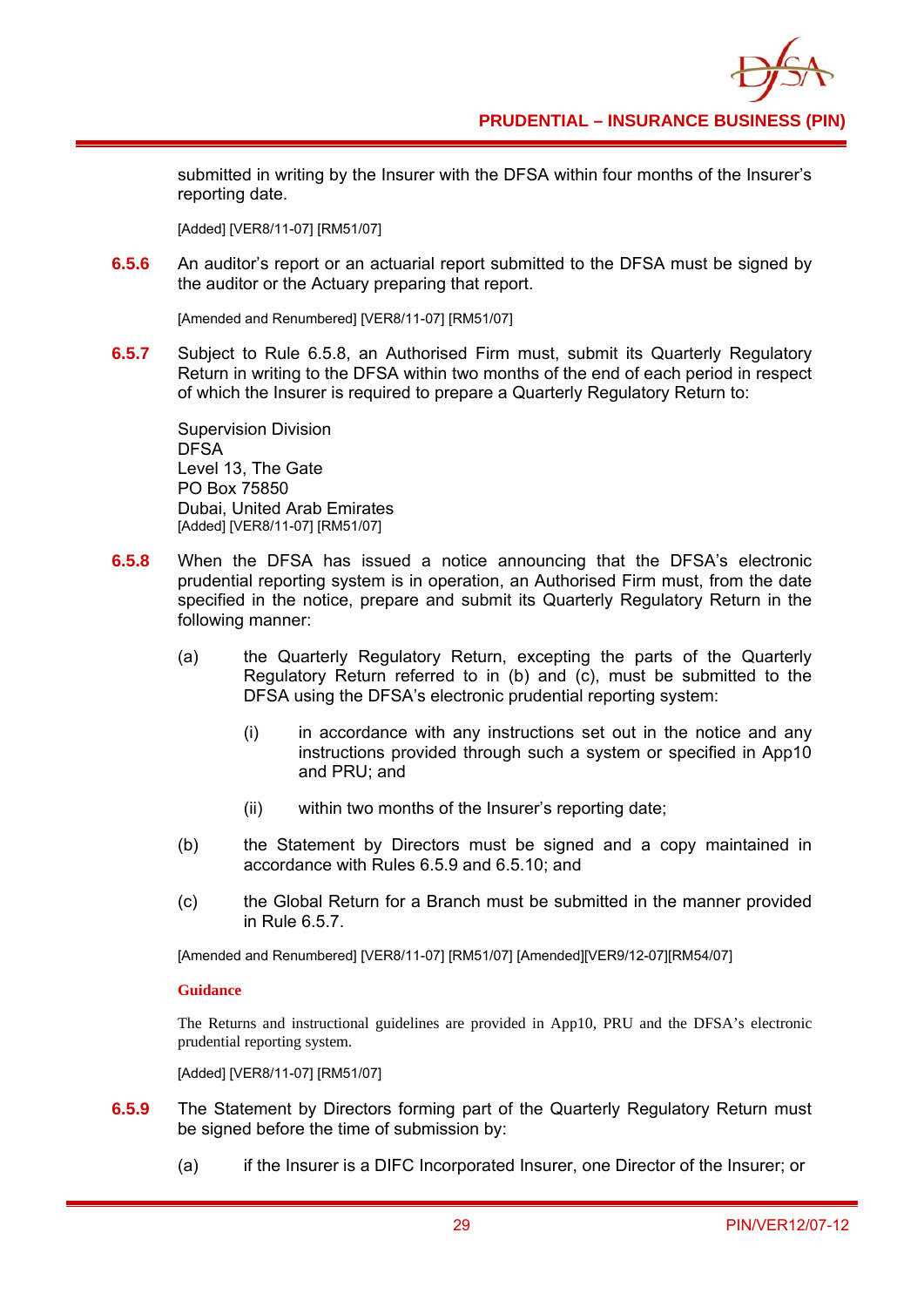submitted in writing by the Insurer with the DFSA within four months of the Insurer's reporting date.

[Added] [VER8/11-07] [RM51/07]

**6.5.6** An auditor's report or an actuarial report submitted to the DFSA must be signed by the auditor or the Actuary preparing that report.

[Amended and Renumbered] [VER8/11-07] [RM51/07]

**6.5.7** Subject to Rule 6.5.8, an Authorised Firm must, submit its Quarterly Regulatory Return in writing to the DFSA within two months of the end of each period in respect of which the Insurer is required to prepare a Quarterly Regulatory Return to:

Supervision Division DFSA Level 13, The Gate PO Box 75850 Dubai, United Arab Emirates [Added] [VER8/11-07] [RM51/07]

- **6.5.8** When the DFSA has issued a notice announcing that the DFSA's electronic prudential reporting system is in operation, an Authorised Firm must, from the date specified in the notice, prepare and submit its Quarterly Regulatory Return in the following manner:
	- (a) the Quarterly Regulatory Return, excepting the parts of the Quarterly Regulatory Return referred to in (b) and (c), must be submitted to the DFSA using the DFSA's electronic prudential reporting system:
		- (i) in accordance with any instructions set out in the notice and any instructions provided through such a system or specified in App10 and PRU; and
		- (ii) within two months of the Insurer's reporting date;
	- (b) the Statement by Directors must be signed and a copy maintained in accordance with Rules 6.5.9 and 6.5.10; and
	- (c) the Global Return for a Branch must be submitted in the manner provided in Rule 6.5.7.

[Amended and Renumbered] [VER8/11-07] [RM51/07] [Amended][VER9/12-07][RM54/07]

#### **Guidance**

The Returns and instructional guidelines are provided in App10, PRU and the DFSA's electronic prudential reporting system.

[Added] [VER8/11-07] [RM51/07]

- **6.5.9** The Statement by Directors forming part of the Quarterly Regulatory Return must be signed before the time of submission by:
	- (a) if the Insurer is a DIFC Incorporated Insurer, one Director of the Insurer; or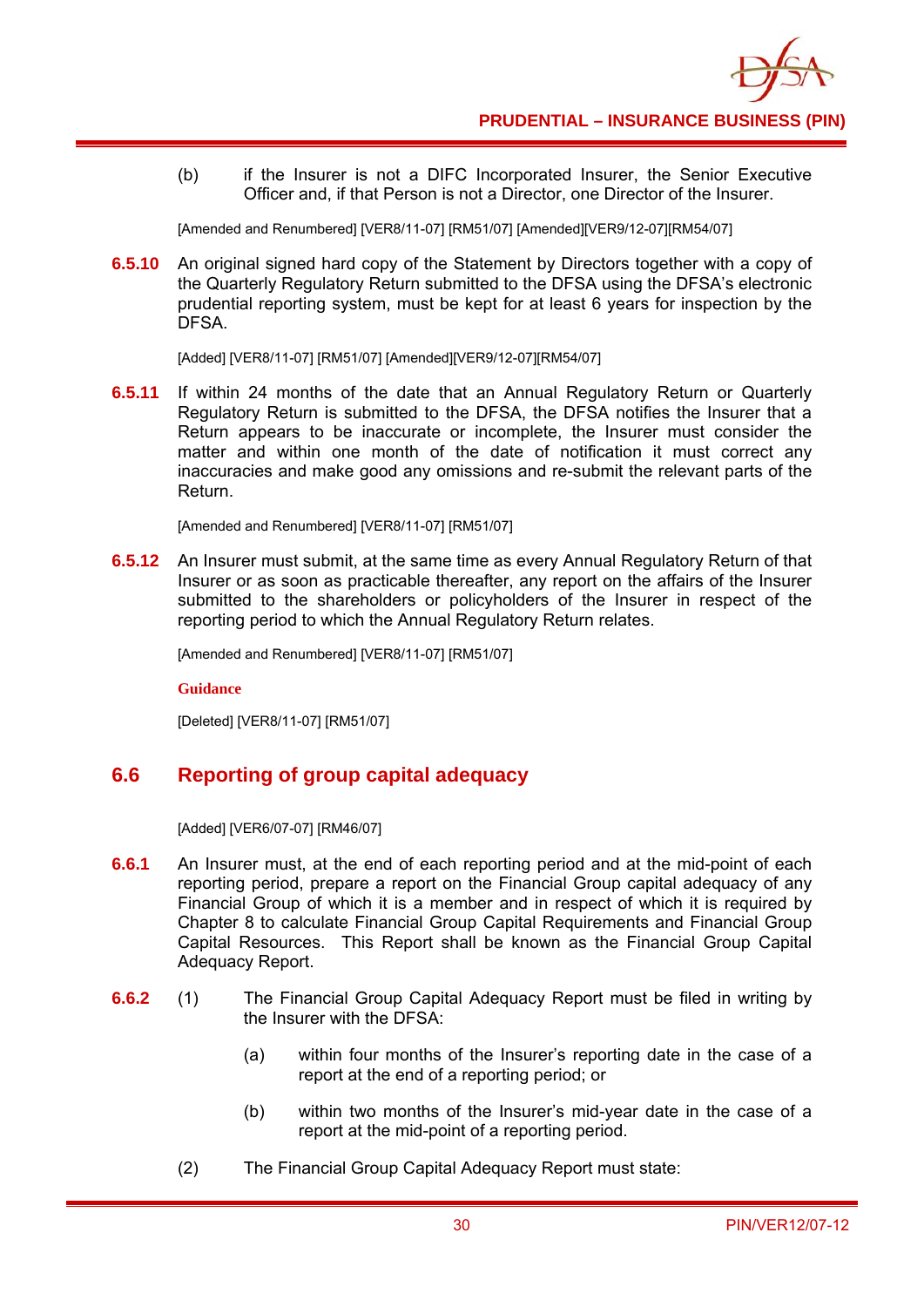(b) if the Insurer is not a DIFC Incorporated Insurer, the Senior Executive Officer and, if that Person is not a Director, one Director of the Insurer.

[Amended and Renumbered] [VER8/11-07] [RM51/07] [Amended][VER9/12-07][RM54/07]

**6.5.10** An original signed hard copy of the Statement by Directors together with a copy of the Quarterly Regulatory Return submitted to the DFSA using the DFSA's electronic prudential reporting system, must be kept for at least 6 years for inspection by the **DESA** 

[Added] [VER8/11-07] [RM51/07] [Amended][VER9/12-07][RM54/07]

**6.5.11** If within 24 months of the date that an Annual Regulatory Return or Quarterly Regulatory Return is submitted to the DFSA, the DFSA notifies the Insurer that a Return appears to be inaccurate or incomplete, the Insurer must consider the matter and within one month of the date of notification it must correct any inaccuracies and make good any omissions and re-submit the relevant parts of the Return.

[Amended and Renumbered] [VER8/11-07] [RM51/07]

**6.5.12** An Insurer must submit, at the same time as every Annual Regulatory Return of that Insurer or as soon as practicable thereafter, any report on the affairs of the Insurer submitted to the shareholders or policyholders of the Insurer in respect of the reporting period to which the Annual Regulatory Return relates.

[Amended and Renumbered] [VER8/11-07] [RM51/07]

**Guidance** 

[Deleted] [VER8/11-07] [RM51/07]

# **6.6 Reporting of group capital adequacy**

[Added] [VER6/07-07] [RM46/07]

- **6.6.1** An Insurer must, at the end of each reporting period and at the mid-point of each reporting period, prepare a report on the Financial Group capital adequacy of any Financial Group of which it is a member and in respect of which it is required by Chapter 8 to calculate Financial Group Capital Requirements and Financial Group Capital Resources. This Report shall be known as the Financial Group Capital Adequacy Report.
- **6.6.2** (1) The Financial Group Capital Adequacy Report must be filed in writing by the Insurer with the DFSA:
	- (a) within four months of the Insurer's reporting date in the case of a report at the end of a reporting period; or
	- (b) within two months of the Insurer's mid-year date in the case of a report at the mid-point of a reporting period.
	- (2) The Financial Group Capital Adequacy Report must state: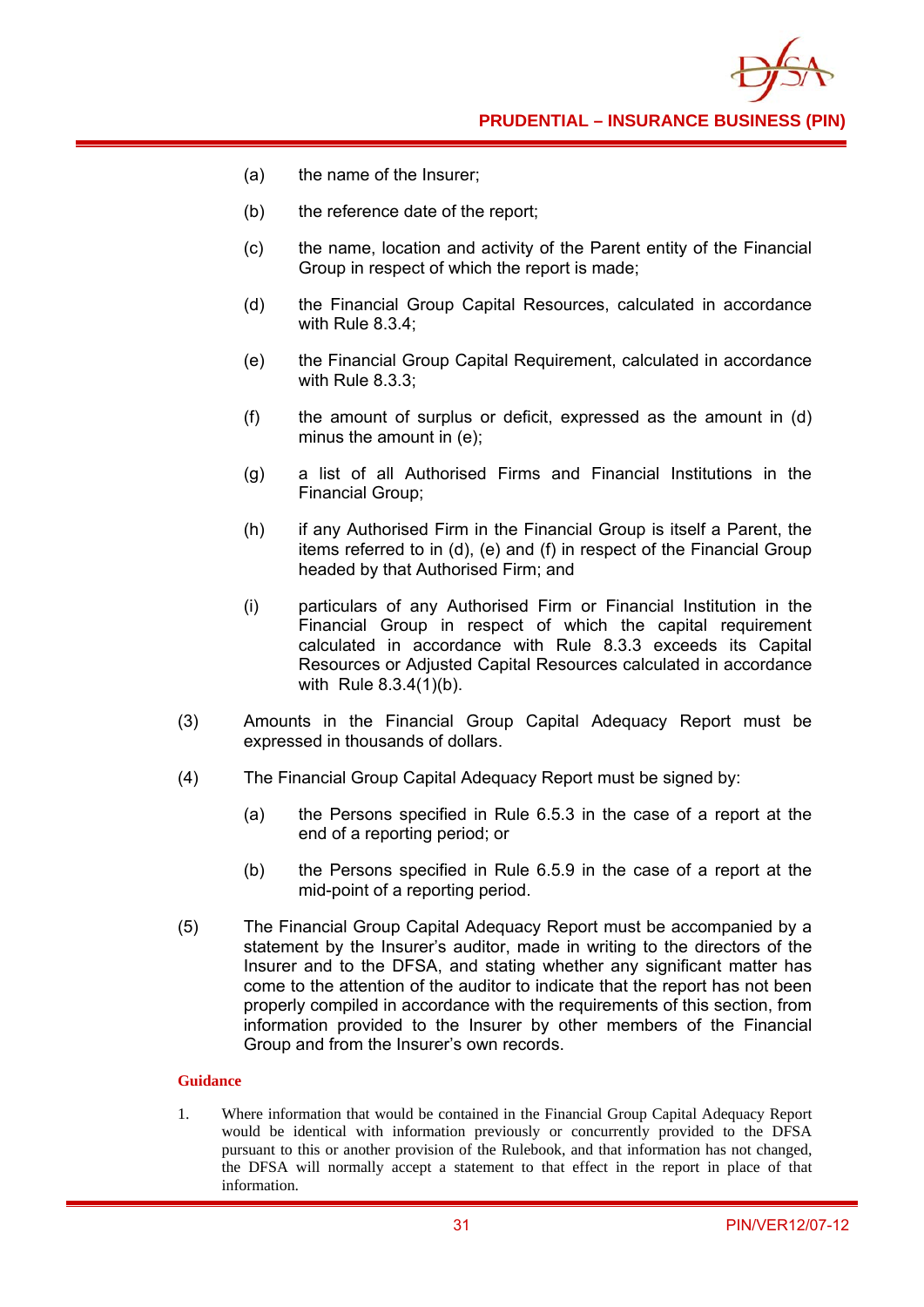

- (a) the name of the Insurer;
- (b) the reference date of the report;
- (c) the name, location and activity of the Parent entity of the Financial Group in respect of which the report is made;
- (d) the Financial Group Capital Resources, calculated in accordance with Rule 8.3.4;
- (e) the Financial Group Capital Requirement, calculated in accordance with Rule 8.3.3;
- (f) the amount of surplus or deficit, expressed as the amount in (d) minus the amount in (e);
- (g) a list of all Authorised Firms and Financial Institutions in the Financial Group;
- (h) if any Authorised Firm in the Financial Group is itself a Parent, the items referred to in (d), (e) and (f) in respect of the Financial Group headed by that Authorised Firm; and
- (i) particulars of any Authorised Firm or Financial Institution in the Financial Group in respect of which the capital requirement calculated in accordance with Rule 8.3.3 exceeds its Capital Resources or Adjusted Capital Resources calculated in accordance with Rule 8.3.4(1)(b).
- (3) Amounts in the Financial Group Capital Adequacy Report must be expressed in thousands of dollars.
- (4) The Financial Group Capital Adequacy Report must be signed by:
	- (a) the Persons specified in Rule 6.5.3 in the case of a report at the end of a reporting period; or
	- (b) the Persons specified in Rule 6.5.9 in the case of a report at the mid-point of a reporting period.
- (5) The Financial Group Capital Adequacy Report must be accompanied by a statement by the Insurer's auditor, made in writing to the directors of the Insurer and to the DFSA, and stating whether any significant matter has come to the attention of the auditor to indicate that the report has not been properly compiled in accordance with the requirements of this section, from information provided to the Insurer by other members of the Financial Group and from the Insurer's own records.

### **Guidance**

1. Where information that would be contained in the Financial Group Capital Adequacy Report would be identical with information previously or concurrently provided to the DFSA pursuant to this or another provision of the Rulebook, and that information has not changed, the DFSA will normally accept a statement to that effect in the report in place of that information.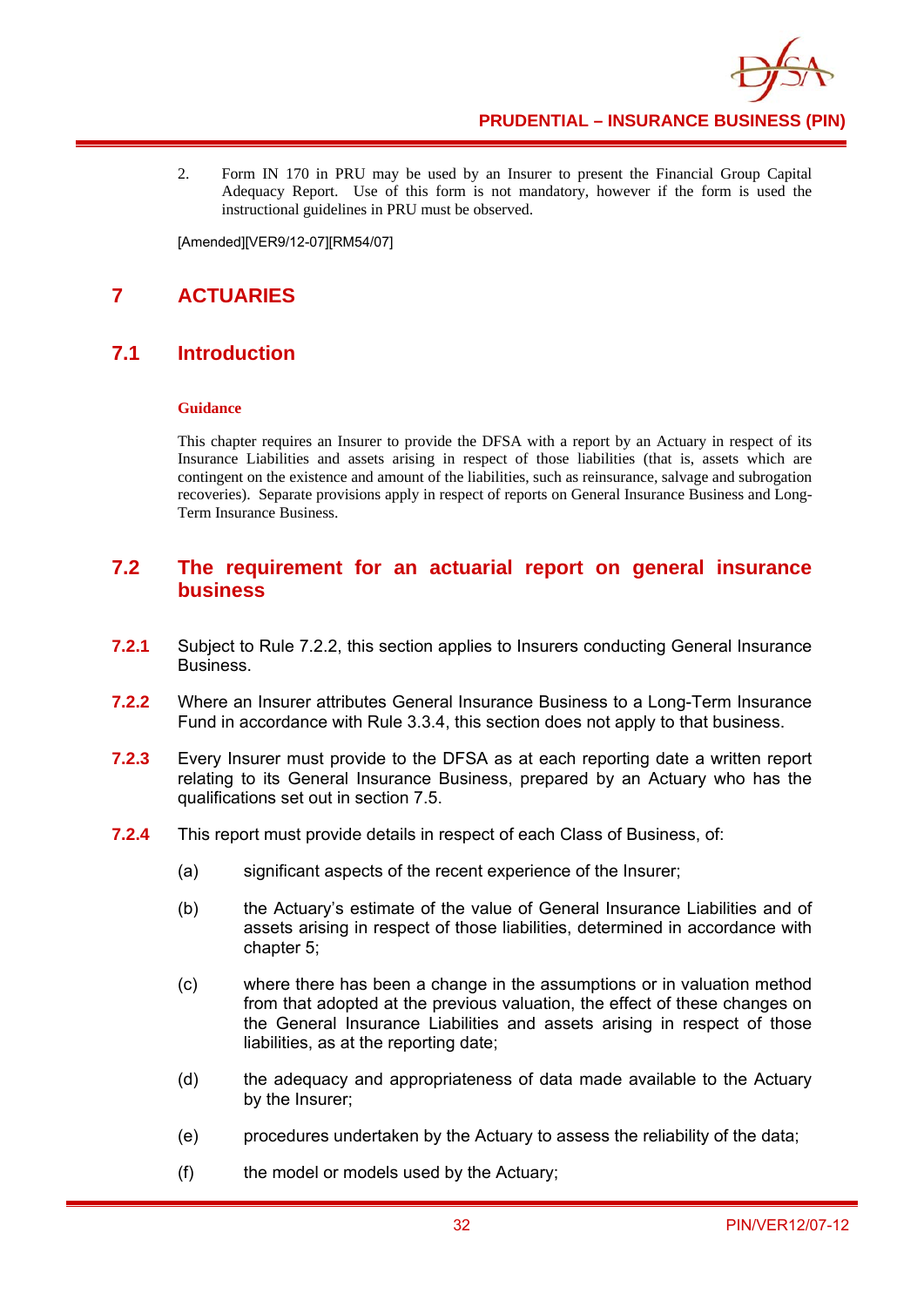

2. Form IN 170 in PRU may be used by an Insurer to present the Financial Group Capital Adequacy Report. Use of this form is not mandatory, however if the form is used the instructional guidelines in PRU must be observed.

[Amended][VER9/12-07][RM54/07]

# **7 ACTUARIES**

# **7.1 Introduction**

### **Guidance**

This chapter requires an Insurer to provide the DFSA with a report by an Actuary in respect of its Insurance Liabilities and assets arising in respect of those liabilities (that is, assets which are contingent on the existence and amount of the liabilities, such as reinsurance, salvage and subrogation recoveries). Separate provisions apply in respect of reports on General Insurance Business and Long-Term Insurance Business.

### **7.2 The requirement for an actuarial report on general insurance business**

- **7.2.1** Subject to Rule 7.2.2, this section applies to Insurers conducting General Insurance Business.
- **7.2.2** Where an Insurer attributes General Insurance Business to a Long-Term Insurance Fund in accordance with Rule 3.3.4, this section does not apply to that business.
- **7.2.3** Every Insurer must provide to the DFSA as at each reporting date a written report relating to its General Insurance Business, prepared by an Actuary who has the qualifications set out in section 7.5.
- **7.2.4** This report must provide details in respect of each Class of Business, of:
	- (a) significant aspects of the recent experience of the Insurer;
	- (b) the Actuary's estimate of the value of General Insurance Liabilities and of assets arising in respect of those liabilities, determined in accordance with chapter 5;
	- (c) where there has been a change in the assumptions or in valuation method from that adopted at the previous valuation, the effect of these changes on the General Insurance Liabilities and assets arising in respect of those liabilities, as at the reporting date;
	- (d) the adequacy and appropriateness of data made available to the Actuary by the Insurer;
	- (e) procedures undertaken by the Actuary to assess the reliability of the data;
	- (f) the model or models used by the Actuary;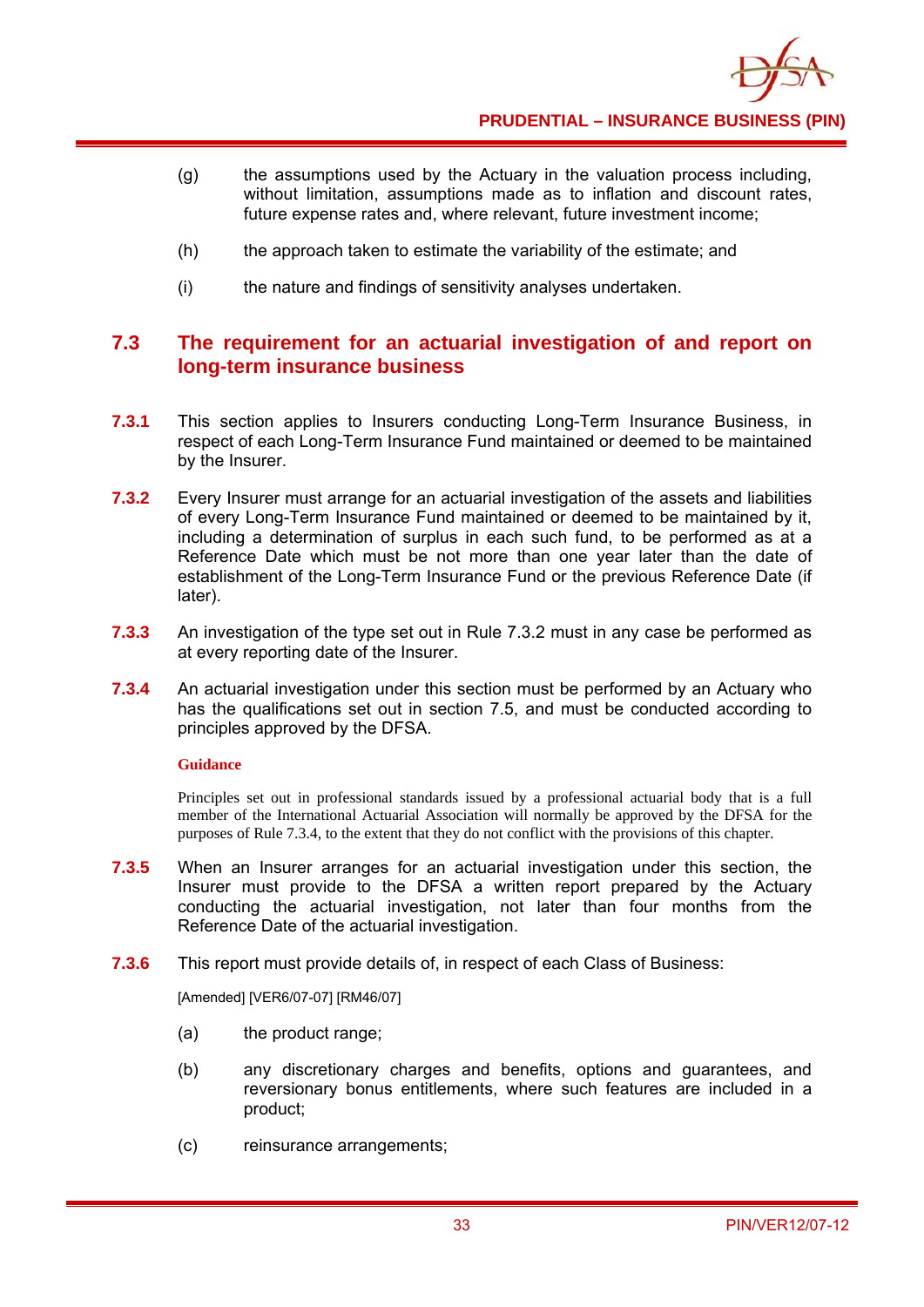- (g) the assumptions used by the Actuary in the valuation process including, without limitation, assumptions made as to inflation and discount rates, future expense rates and, where relevant, future investment income;
- (h) the approach taken to estimate the variability of the estimate; and
- (i) the nature and findings of sensitivity analyses undertaken.

## **7.3 The requirement for an actuarial investigation of and report on long-term insurance business**

- **7.3.1** This section applies to Insurers conducting Long-Term Insurance Business, in respect of each Long-Term Insurance Fund maintained or deemed to be maintained by the Insurer.
- **7.3.2** Every Insurer must arrange for an actuarial investigation of the assets and liabilities of every Long-Term Insurance Fund maintained or deemed to be maintained by it, including a determination of surplus in each such fund, to be performed as at a Reference Date which must be not more than one year later than the date of establishment of the Long-Term Insurance Fund or the previous Reference Date (if later).
- **7.3.3** An investigation of the type set out in Rule 7.3.2 must in any case be performed as at every reporting date of the Insurer.
- **7.3.4** An actuarial investigation under this section must be performed by an Actuary who has the qualifications set out in section 7.5, and must be conducted according to principles approved by the DFSA.

### **Guidance**

Principles set out in professional standards issued by a professional actuarial body that is a full member of the International Actuarial Association will normally be approved by the DFSA for the purposes of Rule 7.3.4, to the extent that they do not conflict with the provisions of this chapter.

- **7.3.5** When an Insurer arranges for an actuarial investigation under this section, the Insurer must provide to the DFSA a written report prepared by the Actuary conducting the actuarial investigation, not later than four months from the Reference Date of the actuarial investigation.
- **7.3.6** This report must provide details of, in respect of each Class of Business:

[Amended] [VER6/07-07] [RM46/07]

- (a) the product range;
- (b) any discretionary charges and benefits, options and guarantees, and reversionary bonus entitlements, where such features are included in a product;
- (c) reinsurance arrangements;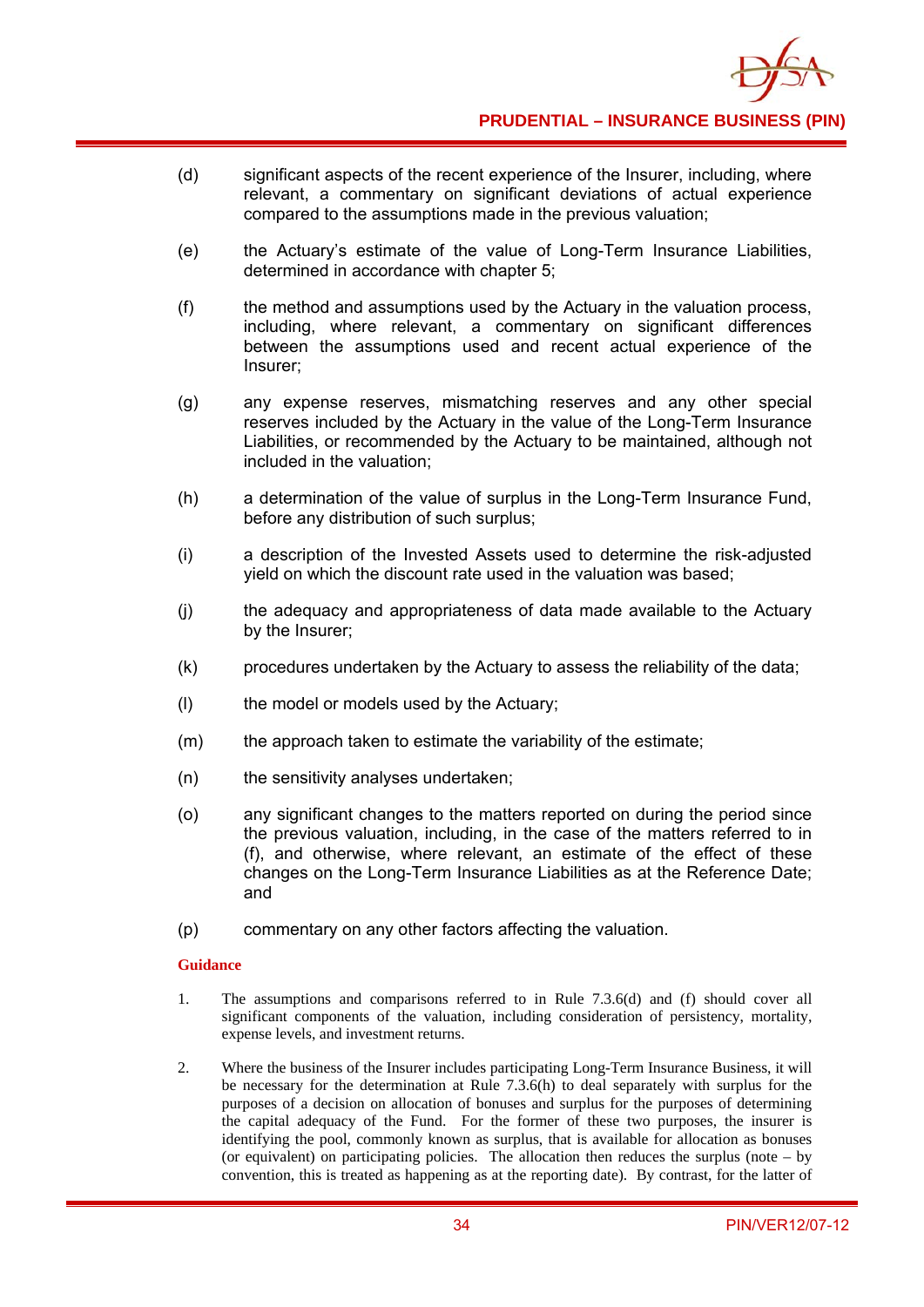

- (d) significant aspects of the recent experience of the Insurer, including, where relevant, a commentary on significant deviations of actual experience compared to the assumptions made in the previous valuation;
- (e) the Actuary's estimate of the value of Long-Term Insurance Liabilities, determined in accordance with chapter 5;
- (f) the method and assumptions used by the Actuary in the valuation process, including, where relevant, a commentary on significant differences between the assumptions used and recent actual experience of the Insurer;
- (g) any expense reserves, mismatching reserves and any other special reserves included by the Actuary in the value of the Long-Term Insurance Liabilities, or recommended by the Actuary to be maintained, although not included in the valuation;
- (h) a determination of the value of surplus in the Long-Term Insurance Fund, before any distribution of such surplus;
- (i) a description of the Invested Assets used to determine the risk-adjusted yield on which the discount rate used in the valuation was based;
- (j) the adequacy and appropriateness of data made available to the Actuary by the Insurer;
- (k) procedures undertaken by the Actuary to assess the reliability of the data;
- (l) the model or models used by the Actuary;
- (m) the approach taken to estimate the variability of the estimate;
- (n) the sensitivity analyses undertaken;
- (o) any significant changes to the matters reported on during the period since the previous valuation, including, in the case of the matters referred to in (f), and otherwise, where relevant, an estimate of the effect of these changes on the Long-Term Insurance Liabilities as at the Reference Date; and
- (p) commentary on any other factors affecting the valuation.

- 1. The assumptions and comparisons referred to in Rule 7.3.6(d) and (f) should cover all significant components of the valuation, including consideration of persistency, mortality, expense levels, and investment returns.
- 2. Where the business of the Insurer includes participating Long-Term Insurance Business, it will be necessary for the determination at Rule 7.3.6(h) to deal separately with surplus for the purposes of a decision on allocation of bonuses and surplus for the purposes of determining the capital adequacy of the Fund. For the former of these two purposes, the insurer is identifying the pool, commonly known as surplus, that is available for allocation as bonuses (or equivalent) on participating policies. The allocation then reduces the surplus (note  $-$  by convention, this is treated as happening as at the reporting date). By contrast, for the latter of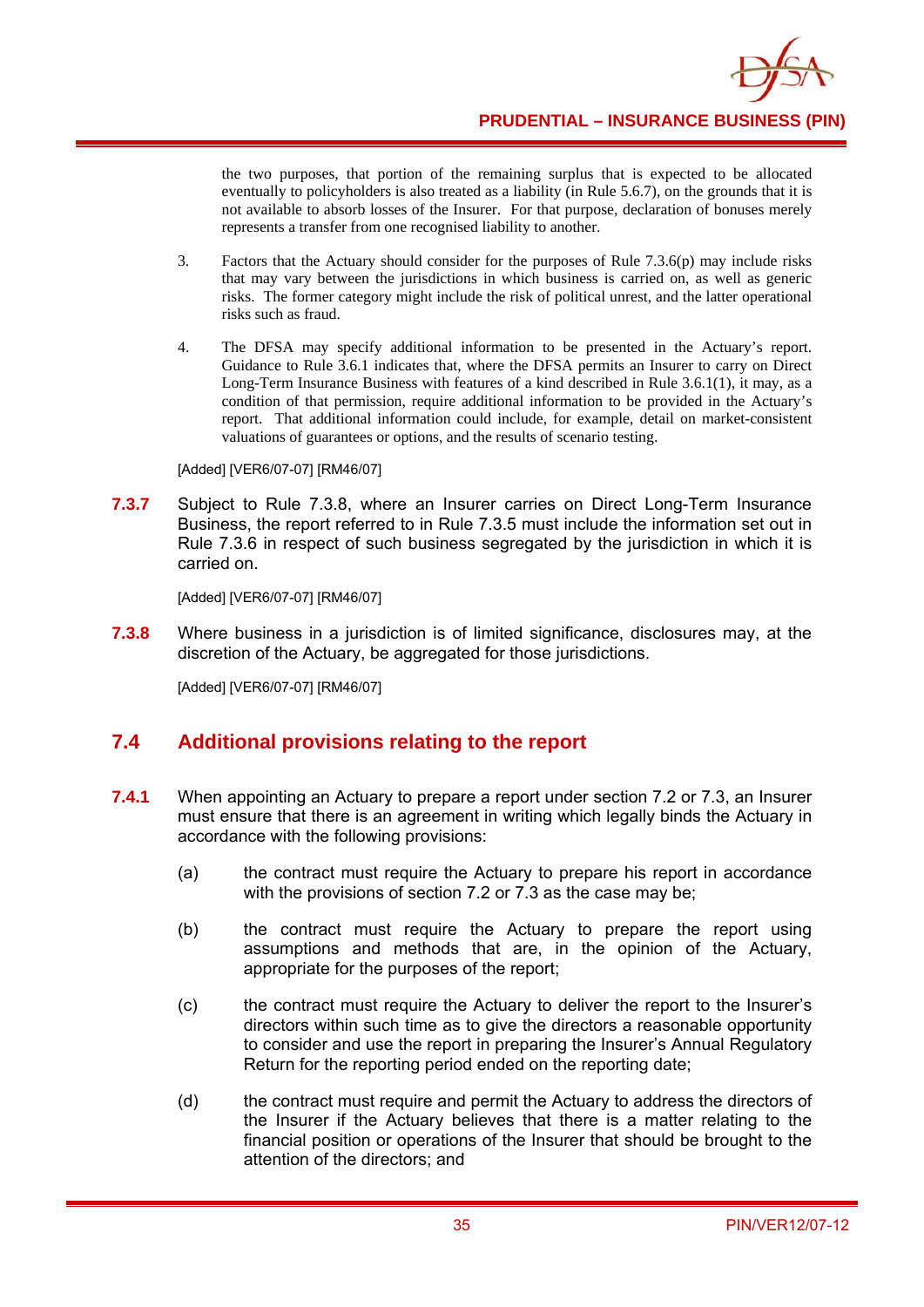

the two purposes, that portion of the remaining surplus that is expected to be allocated eventually to policyholders is also treated as a liability (in Rule 5.6.7), on the grounds that it is not available to absorb losses of the Insurer. For that purpose, declaration of bonuses merely represents a transfer from one recognised liability to another.

- 3. Factors that the Actuary should consider for the purposes of Rule 7.3.6(p) may include risks that may vary between the jurisdictions in which business is carried on, as well as generic risks. The former category might include the risk of political unrest, and the latter operational risks such as fraud.
- 4. The DFSA may specify additional information to be presented in the Actuary's report. Guidance to Rule 3.6.1 indicates that, where the DFSA permits an Insurer to carry on Direct Long-Term Insurance Business with features of a kind described in Rule 3.6.1(1), it may, as a condition of that permission, require additional information to be provided in the Actuary's report. That additional information could include, for example, detail on market-consistent valuations of guarantees or options, and the results of scenario testing.

[Added] [VER6/07-07] [RM46/07]

**7.3.7** Subject to Rule 7.3.8, where an Insurer carries on Direct Long-Term Insurance Business, the report referred to in Rule 7.3.5 must include the information set out in Rule 7.3.6 in respect of such business segregated by the jurisdiction in which it is carried on.

[Added] [VER6/07-07] [RM46/07]

**7.3.8** Where business in a jurisdiction is of limited significance, disclosures may, at the discretion of the Actuary, be aggregated for those jurisdictions.

[Added] [VER6/07-07] [RM46/07]

# **7.4 Additional provisions relating to the report**

- **7.4.1** When appointing an Actuary to prepare a report under section 7.2 or 7.3, an Insurer must ensure that there is an agreement in writing which legally binds the Actuary in accordance with the following provisions:
	- (a) the contract must require the Actuary to prepare his report in accordance with the provisions of section 7.2 or 7.3 as the case may be;
	- (b) the contract must require the Actuary to prepare the report using assumptions and methods that are, in the opinion of the Actuary, appropriate for the purposes of the report;
	- (c) the contract must require the Actuary to deliver the report to the Insurer's directors within such time as to give the directors a reasonable opportunity to consider and use the report in preparing the Insurer's Annual Regulatory Return for the reporting period ended on the reporting date;
	- (d) the contract must require and permit the Actuary to address the directors of the Insurer if the Actuary believes that there is a matter relating to the financial position or operations of the Insurer that should be brought to the attention of the directors; and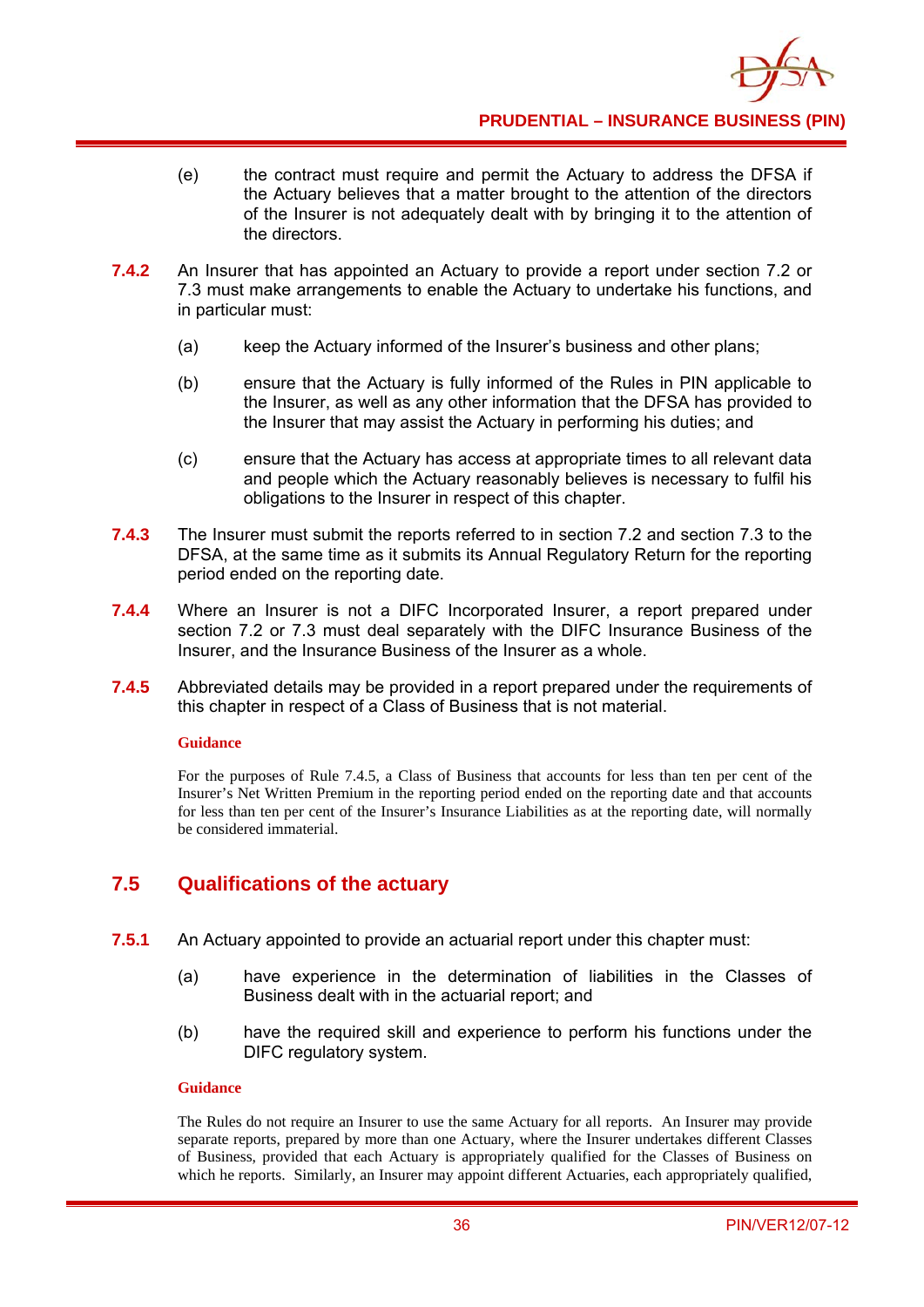

- (e) the contract must require and permit the Actuary to address the DFSA if the Actuary believes that a matter brought to the attention of the directors of the Insurer is not adequately dealt with by bringing it to the attention of the directors.
- **7.4.2** An Insurer that has appointed an Actuary to provide a report under section 7.2 or 7.3 must make arrangements to enable the Actuary to undertake his functions, and in particular must:
	- (a) keep the Actuary informed of the Insurer's business and other plans;
	- (b) ensure that the Actuary is fully informed of the Rules in PIN applicable to the Insurer, as well as any other information that the DFSA has provided to the Insurer that may assist the Actuary in performing his duties; and
	- (c) ensure that the Actuary has access at appropriate times to all relevant data and people which the Actuary reasonably believes is necessary to fulfil his obligations to the Insurer in respect of this chapter.
- **7.4.3** The Insurer must submit the reports referred to in section 7.2 and section 7.3 to the DFSA, at the same time as it submits its Annual Regulatory Return for the reporting period ended on the reporting date.
- **7.4.4** Where an Insurer is not a DIFC Incorporated Insurer, a report prepared under section 7.2 or 7.3 must deal separately with the DIFC Insurance Business of the Insurer, and the Insurance Business of the Insurer as a whole.
- **7.4.5** Abbreviated details may be provided in a report prepared under the requirements of this chapter in respect of a Class of Business that is not material.

### **Guidance**

For the purposes of Rule 7.4.5, a Class of Business that accounts for less than ten per cent of the Insurer's Net Written Premium in the reporting period ended on the reporting date and that accounts for less than ten per cent of the Insurer's Insurance Liabilities as at the reporting date, will normally be considered immaterial.

## **7.5 Qualifications of the actuary**

- **7.5.1** An Actuary appointed to provide an actuarial report under this chapter must:
	- (a) have experience in the determination of liabilities in the Classes of Business dealt with in the actuarial report; and
	- (b) have the required skill and experience to perform his functions under the DIFC regulatory system.

#### **Guidance**

The Rules do not require an Insurer to use the same Actuary for all reports. An Insurer may provide separate reports, prepared by more than one Actuary, where the Insurer undertakes different Classes of Business, provided that each Actuary is appropriately qualified for the Classes of Business on which he reports. Similarly, an Insurer may appoint different Actuaries, each appropriately qualified,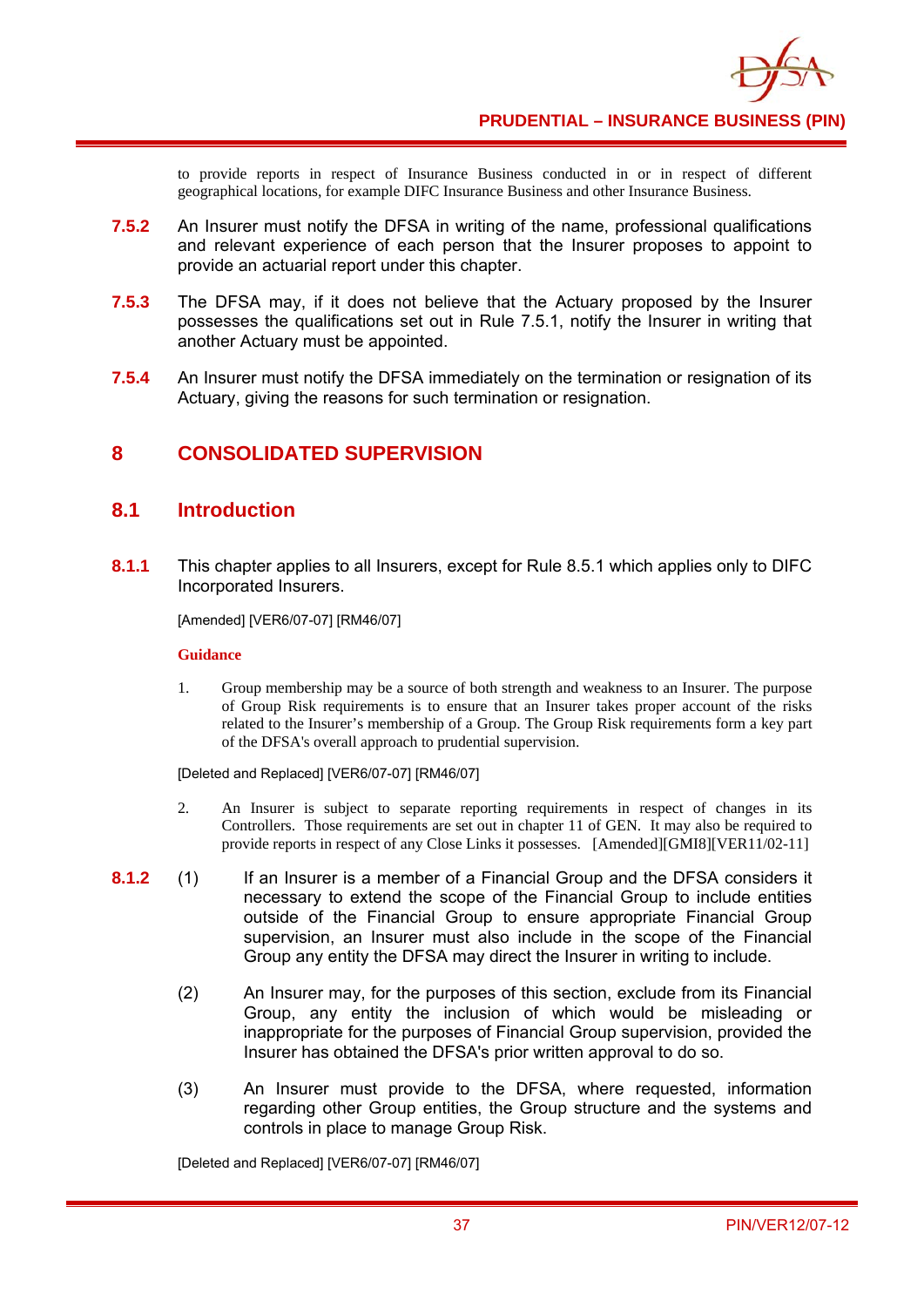

to provide reports in respect of Insurance Business conducted in or in respect of different geographical locations, for example DIFC Insurance Business and other Insurance Business.

- **7.5.2** An Insurer must notify the DFSA in writing of the name, professional qualifications and relevant experience of each person that the Insurer proposes to appoint to provide an actuarial report under this chapter.
- **7.5.3** The DFSA may, if it does not believe that the Actuary proposed by the Insurer possesses the qualifications set out in Rule 7.5.1, notify the Insurer in writing that another Actuary must be appointed.
- **7.5.4** An Insurer must notify the DFSA immediately on the termination or resignation of its Actuary, giving the reasons for such termination or resignation.

## **8 CONSOLIDATED SUPERVISION**

### **8.1 Introduction**

**8.1.1** This chapter applies to all Insurers, except for Rule 8.5.1 which applies only to DIFC Incorporated Insurers.

[Amended] [VER6/07-07] [RM46/07]

#### **Guidance**

1. Group membership may be a source of both strength and weakness to an Insurer. The purpose of Group Risk requirements is to ensure that an Insurer takes proper account of the risks related to the Insurer's membership of a Group. The Group Risk requirements form a key part of the DFSA's overall approach to prudential supervision.

[Deleted and Replaced] [VER6/07-07] [RM46/07]

- 2. An Insurer is subject to separate reporting requirements in respect of changes in its Controllers. Those requirements are set out in chapter 11 of GEN. It may also be required to provide reports in respect of any Close Links it possesses. [Amended][GMI8][VER11/02-11]
- **8.1.2** (1) If an Insurer is a member of a Financial Group and the DFSA considers it necessary to extend the scope of the Financial Group to include entities outside of the Financial Group to ensure appropriate Financial Group supervision, an Insurer must also include in the scope of the Financial Group any entity the DFSA may direct the Insurer in writing to include.
	- (2) An Insurer may, for the purposes of this section, exclude from its Financial Group, any entity the inclusion of which would be misleading or inappropriate for the purposes of Financial Group supervision, provided the Insurer has obtained the DFSA's prior written approval to do so.
	- (3) An Insurer must provide to the DFSA, where requested, information regarding other Group entities, the Group structure and the systems and controls in place to manage Group Risk.

[Deleted and Replaced] [VER6/07-07] [RM46/07]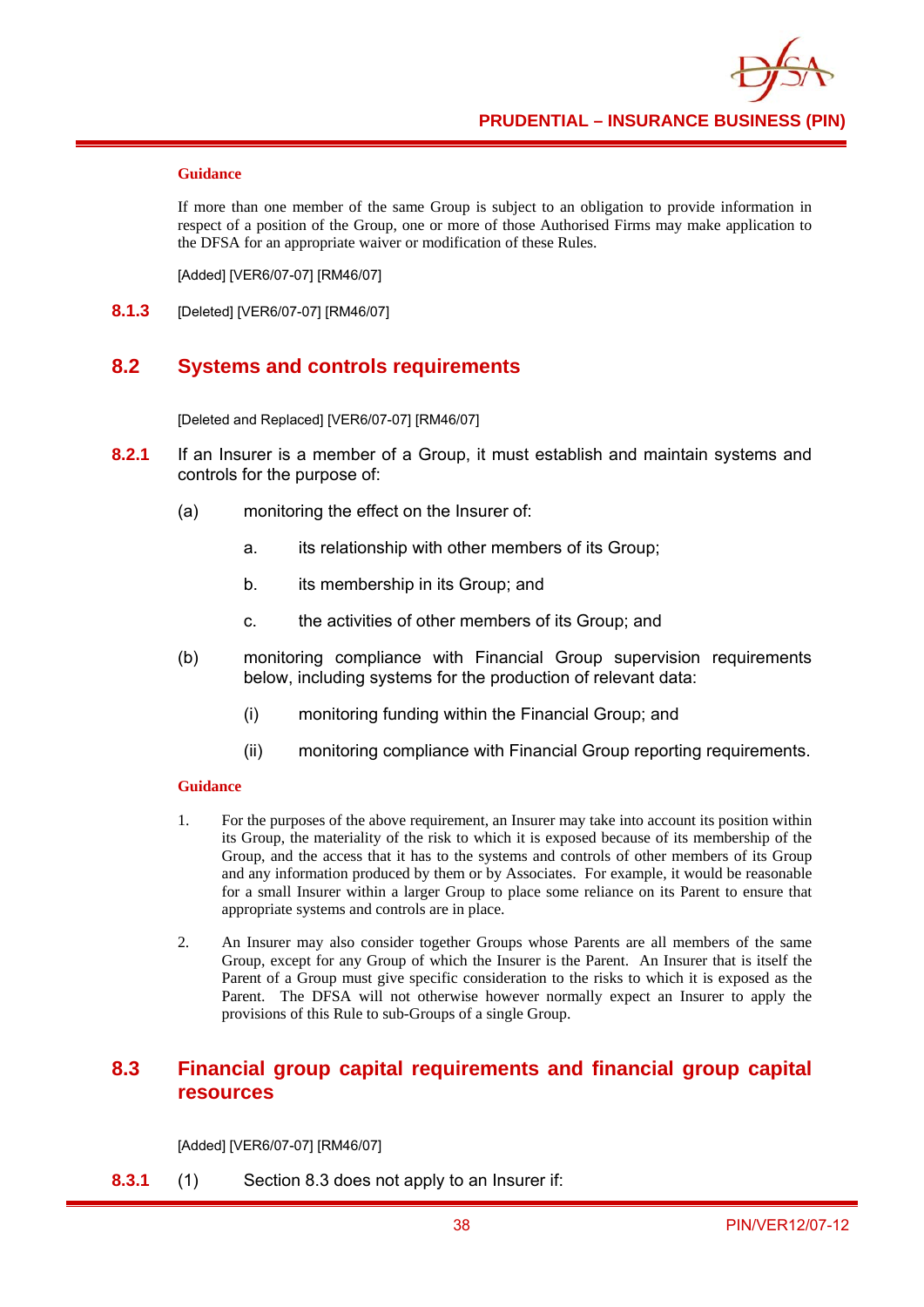#### **Guidance**

If more than one member of the same Group is subject to an obligation to provide information in respect of a position of the Group, one or more of those Authorised Firms may make application to the DFSA for an appropriate waiver or modification of these Rules.

[Added] [VER6/07-07] [RM46/07]

**8.1.3** [Deleted] [VER6/07-07] [RM46/07]

### **8.2 Systems and controls requirements**

[Deleted and Replaced] [VER6/07-07] [RM46/07]

- **8.2.1** If an Insurer is a member of a Group, it must establish and maintain systems and controls for the purpose of:
	- (a) monitoring the effect on the Insurer of:
		- a. its relationship with other members of its Group;
		- b. its membership in its Group; and
		- c. the activities of other members of its Group; and
	- (b) monitoring compliance with Financial Group supervision requirements below, including systems for the production of relevant data:
		- (i) monitoring funding within the Financial Group; and
		- (ii) monitoring compliance with Financial Group reporting requirements.

#### **Guidance**

- 1. For the purposes of the above requirement, an Insurer may take into account its position within its Group, the materiality of the risk to which it is exposed because of its membership of the Group, and the access that it has to the systems and controls of other members of its Group and any information produced by them or by Associates. For example, it would be reasonable for a small Insurer within a larger Group to place some reliance on its Parent to ensure that appropriate systems and controls are in place.
- 2. An Insurer may also consider together Groups whose Parents are all members of the same Group, except for any Group of which the Insurer is the Parent. An Insurer that is itself the Parent of a Group must give specific consideration to the risks to which it is exposed as the Parent. The DFSA will not otherwise however normally expect an Insurer to apply the provisions of this Rule to sub-Groups of a single Group.

## **8.3 Financial group capital requirements and financial group capital resources**

[Added] [VER6/07-07] [RM46/07]

**8.3.1** (1) Section 8.3 does not apply to an Insurer if: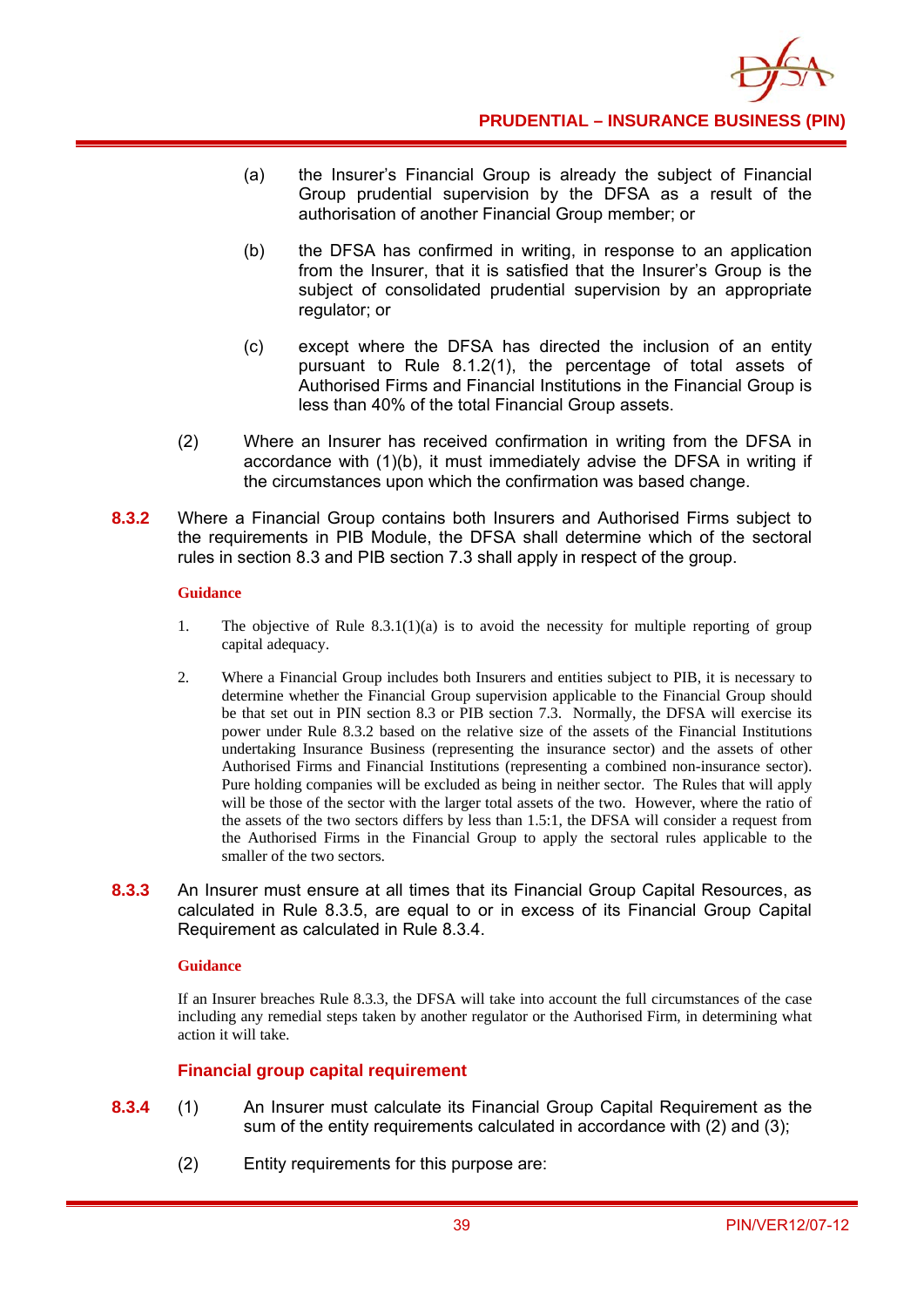

**PRUDENTIAL – INSURANCE BUSINESS (PIN)**

- (a) the Insurer's Financial Group is already the subject of Financial Group prudential supervision by the DFSA as a result of the authorisation of another Financial Group member; or
- (b) the DFSA has confirmed in writing, in response to an application from the Insurer, that it is satisfied that the Insurer's Group is the subject of consolidated prudential supervision by an appropriate regulator; or
- (c) except where the DFSA has directed the inclusion of an entity pursuant to Rule 8.1.2(1), the percentage of total assets of Authorised Firms and Financial Institutions in the Financial Group is less than 40% of the total Financial Group assets.
- (2) Where an Insurer has received confirmation in writing from the DFSA in accordance with (1)(b), it must immediately advise the DFSA in writing if the circumstances upon which the confirmation was based change.
- **8.3.2** Where a Financial Group contains both Insurers and Authorised Firms subject to the requirements in PIB Module, the DFSA shall determine which of the sectoral rules in section 8.3 and PIB section 7.3 shall apply in respect of the group.

### **Guidance**

- 1. The objective of Rule  $8.3.1(1)(a)$  is to avoid the necessity for multiple reporting of group capital adequacy.
- 2. Where a Financial Group includes both Insurers and entities subject to PIB, it is necessary to determine whether the Financial Group supervision applicable to the Financial Group should be that set out in PIN section 8.3 or PIB section 7.3. Normally, the DFSA will exercise its power under Rule 8.3.2 based on the relative size of the assets of the Financial Institutions undertaking Insurance Business (representing the insurance sector) and the assets of other Authorised Firms and Financial Institutions (representing a combined non-insurance sector). Pure holding companies will be excluded as being in neither sector. The Rules that will apply will be those of the sector with the larger total assets of the two. However, where the ratio of the assets of the two sectors differs by less than 1.5:1, the DFSA will consider a request from the Authorised Firms in the Financial Group to apply the sectoral rules applicable to the smaller of the two sectors.
- **8.3.3** An Insurer must ensure at all times that its Financial Group Capital Resources, as calculated in Rule 8.3.5, are equal to or in excess of its Financial Group Capital Requirement as calculated in Rule 8.3.4.

#### **Guidance**

If an Insurer breaches Rule 8.3.3, the DFSA will take into account the full circumstances of the case including any remedial steps taken by another regulator or the Authorised Firm, in determining what action it will take.

### **Financial group capital requirement**

- **8.3.4** (1) An Insurer must calculate its Financial Group Capital Requirement as the sum of the entity requirements calculated in accordance with (2) and (3);
	- (2) Entity requirements for this purpose are: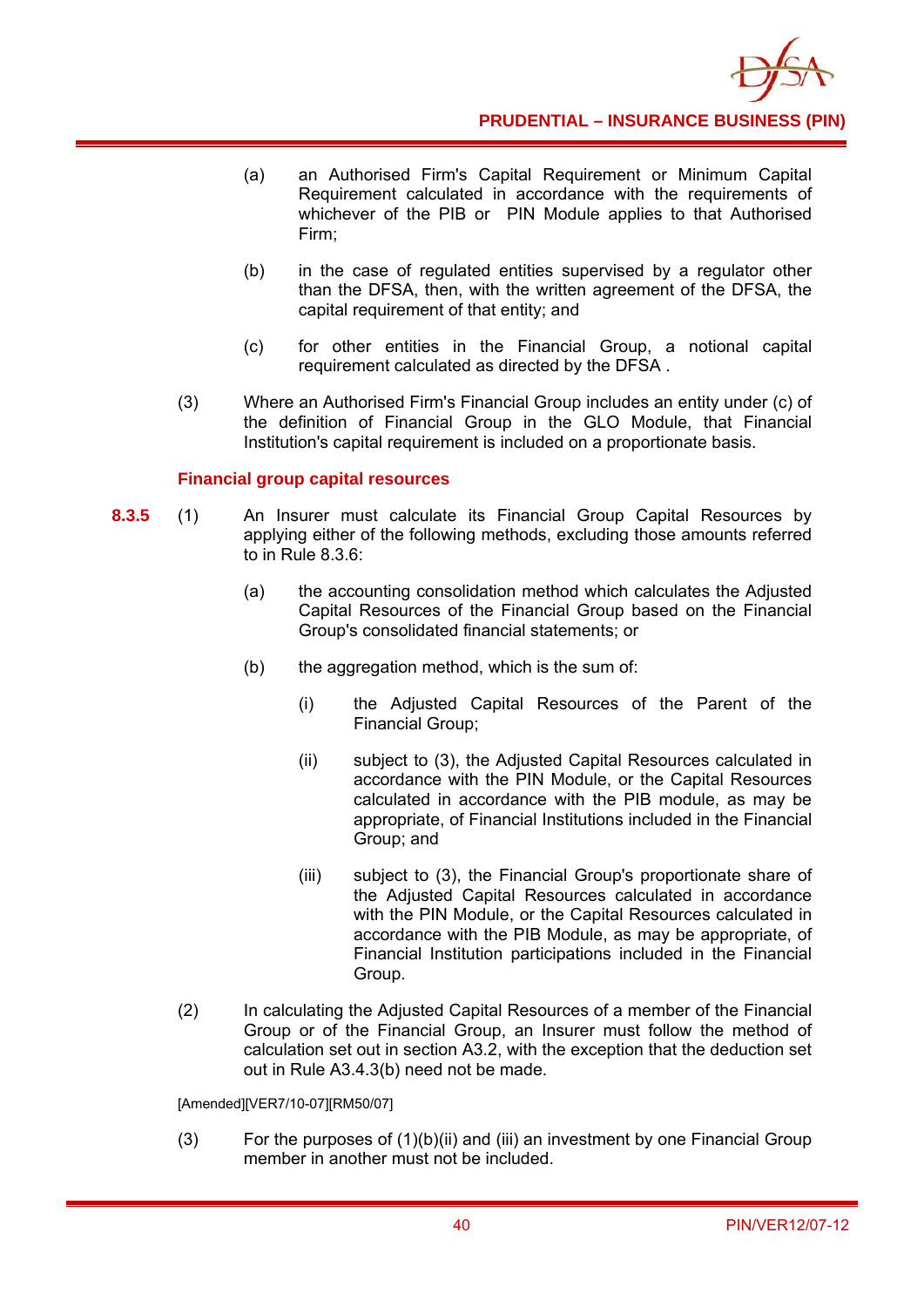

- (a) an Authorised Firm's Capital Requirement or Minimum Capital Requirement calculated in accordance with the requirements of whichever of the PIB or PIN Module applies to that Authorised Firm;
- (b) in the case of regulated entities supervised by a regulator other than the DFSA, then, with the written agreement of the DFSA, the capital requirement of that entity; and
- (c) for other entities in the Financial Group, a notional capital requirement calculated as directed by the DFSA .
- (3) Where an Authorised Firm's Financial Group includes an entity under (c) of the definition of Financial Group in the GLO Module, that Financial Institution's capital requirement is included on a proportionate basis.

### **Financial group capital resources**

- **8.3.5** (1) An Insurer must calculate its Financial Group Capital Resources by applying either of the following methods, excluding those amounts referred to in Rule 8.3.6:
	- (a) the accounting consolidation method which calculates the Adjusted Capital Resources of the Financial Group based on the Financial Group's consolidated financial statements; or
	- (b) the aggregation method, which is the sum of:
		- (i) the Adjusted Capital Resources of the Parent of the Financial Group;
		- (ii) subject to (3), the Adjusted Capital Resources calculated in accordance with the PIN Module, or the Capital Resources calculated in accordance with the PIB module, as may be appropriate, of Financial Institutions included in the Financial Group; and
		- (iii) subject to (3), the Financial Group's proportionate share of the Adjusted Capital Resources calculated in accordance with the PIN Module, or the Capital Resources calculated in accordance with the PIB Module, as may be appropriate, of Financial Institution participations included in the Financial Group.
	- (2) In calculating the Adjusted Capital Resources of a member of the Financial Group or of the Financial Group, an Insurer must follow the method of calculation set out in section A3.2, with the exception that the deduction set out in Rule A3.4.3(b) need not be made.

[Amended][VER7/10-07][RM50/07]

(3) For the purposes of (1)(b)(ii) and (iii) an investment by one Financial Group member in another must not be included.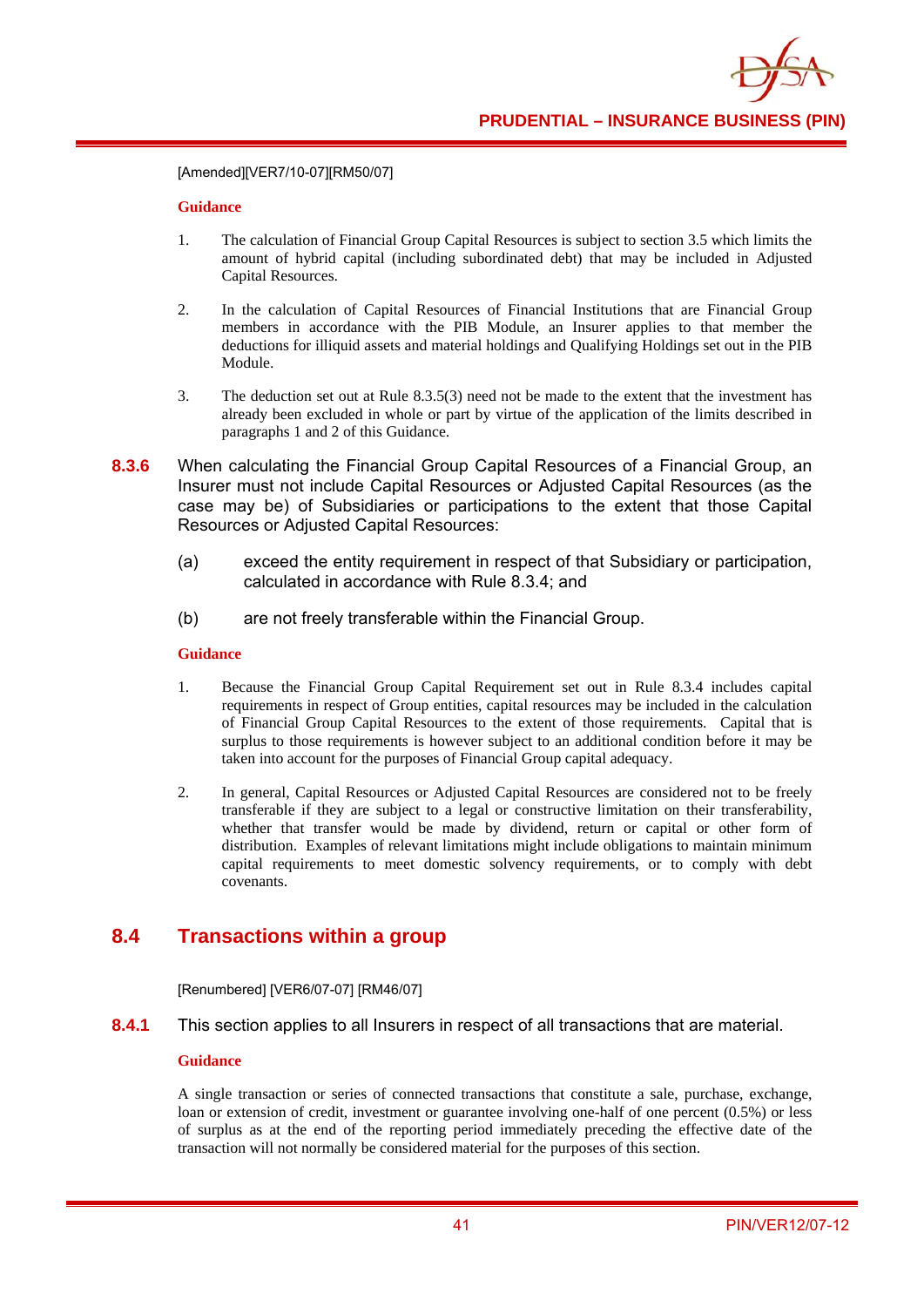[Amended][VER7/10-07][RM50/07]

### **Guidance**

- 1. The calculation of Financial Group Capital Resources is subject to section 3.5 which limits the amount of hybrid capital (including subordinated debt) that may be included in Adjusted Capital Resources.
- 2. In the calculation of Capital Resources of Financial Institutions that are Financial Group members in accordance with the PIB Module, an Insurer applies to that member the deductions for illiquid assets and material holdings and Qualifying Holdings set out in the PIB Module.
- 3. The deduction set out at Rule 8.3.5(3) need not be made to the extent that the investment has already been excluded in whole or part by virtue of the application of the limits described in paragraphs 1 and 2 of this Guidance.
- **8.3.6** When calculating the Financial Group Capital Resources of a Financial Group, an Insurer must not include Capital Resources or Adjusted Capital Resources (as the case may be) of Subsidiaries or participations to the extent that those Capital Resources or Adjusted Capital Resources:
	- (a) exceed the entity requirement in respect of that Subsidiary or participation, calculated in accordance with Rule 8.3.4; and
	- (b) are not freely transferable within the Financial Group.

### **Guidance**

- 1. Because the Financial Group Capital Requirement set out in Rule 8.3.4 includes capital requirements in respect of Group entities, capital resources may be included in the calculation of Financial Group Capital Resources to the extent of those requirements. Capital that is surplus to those requirements is however subject to an additional condition before it may be taken into account for the purposes of Financial Group capital adequacy.
- 2. In general, Capital Resources or Adjusted Capital Resources are considered not to be freely transferable if they are subject to a legal or constructive limitation on their transferability, whether that transfer would be made by dividend, return or capital or other form of distribution. Examples of relevant limitations might include obligations to maintain minimum capital requirements to meet domestic solvency requirements, or to comply with debt covenants.

# **8.4 Transactions within a group**

[Renumbered] [VER6/07-07] [RM46/07]

**8.4.1** This section applies to all Insurers in respect of all transactions that are material.

### **Guidance**

A single transaction or series of connected transactions that constitute a sale, purchase, exchange, loan or extension of credit, investment or guarantee involving one-half of one percent (0.5%) or less of surplus as at the end of the reporting period immediately preceding the effective date of the transaction will not normally be considered material for the purposes of this section.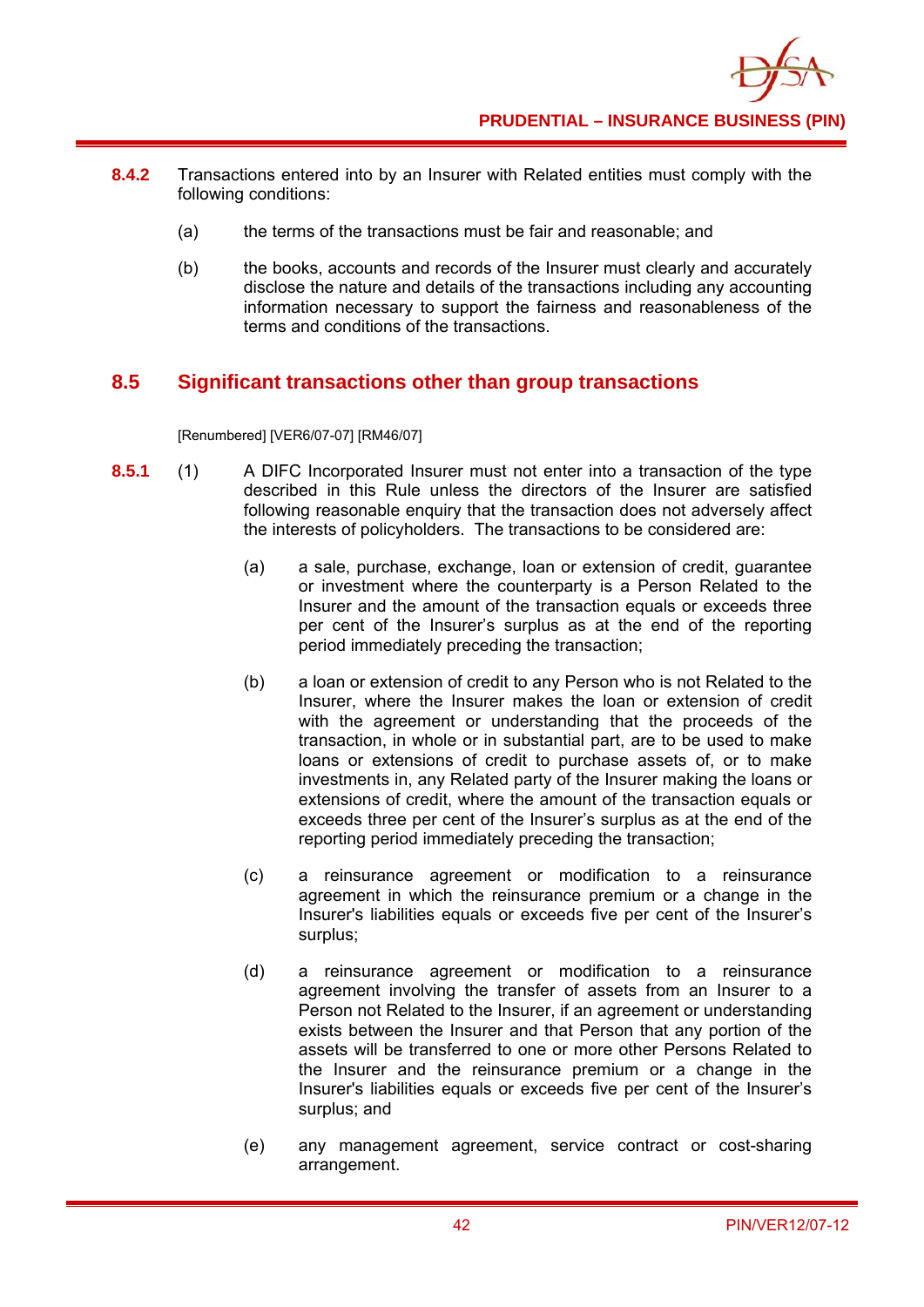- **8.4.2** Transactions entered into by an Insurer with Related entities must comply with the following conditions:
	- (a) the terms of the transactions must be fair and reasonable; and
	- (b) the books, accounts and records of the Insurer must clearly and accurately disclose the nature and details of the transactions including any accounting information necessary to support the fairness and reasonableness of the terms and conditions of the transactions.

### **8.5 Significant transactions other than group transactions**

[Renumbered] [VER6/07-07] [RM46/07]

- **8.5.1** (1) A DIFC Incorporated Insurer must not enter into a transaction of the type described in this Rule unless the directors of the Insurer are satisfied following reasonable enquiry that the transaction does not adversely affect the interests of policyholders. The transactions to be considered are:
	- (a) a sale, purchase, exchange, loan or extension of credit, guarantee or investment where the counterparty is a Person Related to the Insurer and the amount of the transaction equals or exceeds three per cent of the Insurer's surplus as at the end of the reporting period immediately preceding the transaction;
	- (b) a loan or extension of credit to any Person who is not Related to the Insurer, where the Insurer makes the loan or extension of credit with the agreement or understanding that the proceeds of the transaction, in whole or in substantial part, are to be used to make loans or extensions of credit to purchase assets of, or to make investments in, any Related party of the Insurer making the loans or extensions of credit, where the amount of the transaction equals or exceeds three per cent of the Insurer's surplus as at the end of the reporting period immediately preceding the transaction;
	- (c) a reinsurance agreement or modification to a reinsurance agreement in which the reinsurance premium or a change in the Insurer's liabilities equals or exceeds five per cent of the Insurer's surplus;
	- (d) a reinsurance agreement or modification to a reinsurance agreement involving the transfer of assets from an Insurer to a Person not Related to the Insurer, if an agreement or understanding exists between the Insurer and that Person that any portion of the assets will be transferred to one or more other Persons Related to the Insurer and the reinsurance premium or a change in the Insurer's liabilities equals or exceeds five per cent of the Insurer's surplus; and
	- (e) any management agreement, service contract or cost-sharing arrangement.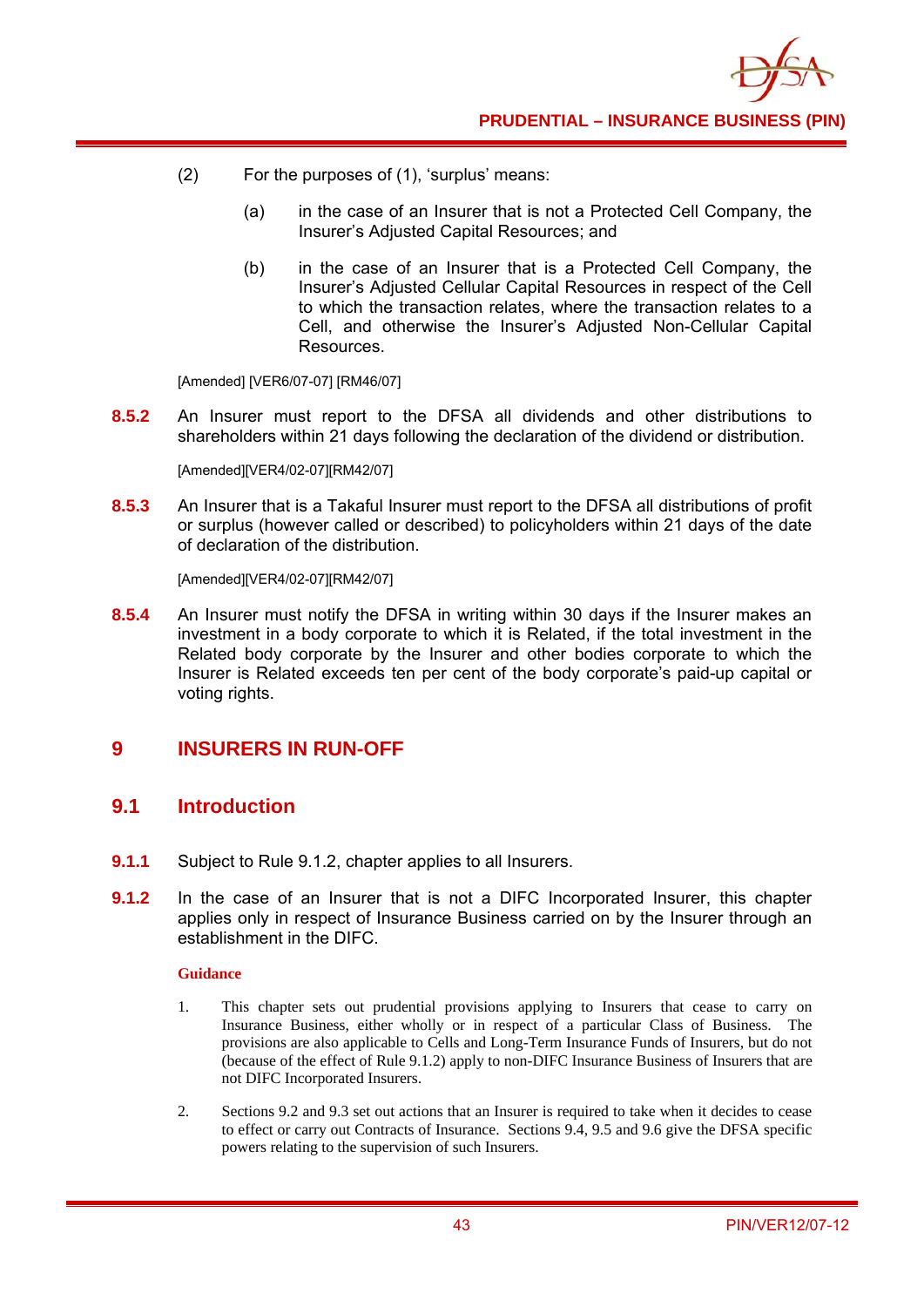

- (2) For the purposes of (1), 'surplus' means:
	- (a) in the case of an Insurer that is not a Protected Cell Company, the Insurer's Adjusted Capital Resources; and
	- (b) in the case of an Insurer that is a Protected Cell Company, the Insurer's Adjusted Cellular Capital Resources in respect of the Cell to which the transaction relates, where the transaction relates to a Cell, and otherwise the Insurer's Adjusted Non-Cellular Capital Resources.

[Amended] [VER6/07-07] [RM46/07]

**8.5.2** An Insurer must report to the DFSA all dividends and other distributions to shareholders within 21 days following the declaration of the dividend or distribution.

[Amended][VER4/02-07][RM42/07]

**8.5.3** An Insurer that is a Takaful Insurer must report to the DFSA all distributions of profit or surplus (however called or described) to policyholders within 21 days of the date of declaration of the distribution.

[Amended][VER4/02-07][RM42/07]

**8.5.4** An Insurer must notify the DFSA in writing within 30 days if the Insurer makes an investment in a body corporate to which it is Related, if the total investment in the Related body corporate by the Insurer and other bodies corporate to which the Insurer is Related exceeds ten per cent of the body corporate's paid-up capital or voting rights.

## **9 INSURERS IN RUN-OFF**

### **9.1 Introduction**

- **9.1.1** Subject to Rule 9.1.2, chapter applies to all Insurers.
- **9.1.2** In the case of an Insurer that is not a DIFC Incorporated Insurer, this chapter applies only in respect of Insurance Business carried on by the Insurer through an establishment in the DIFC.

- 1. This chapter sets out prudential provisions applying to Insurers that cease to carry on Insurance Business, either wholly or in respect of a particular Class of Business. The provisions are also applicable to Cells and Long-Term Insurance Funds of Insurers, but do not (because of the effect of Rule 9.1.2) apply to non-DIFC Insurance Business of Insurers that are not DIFC Incorporated Insurers.
- 2. Sections 9.2 and 9.3 set out actions that an Insurer is required to take when it decides to cease to effect or carry out Contracts of Insurance. Sections 9.4, 9.5 and 9.6 give the DFSA specific powers relating to the supervision of such Insurers.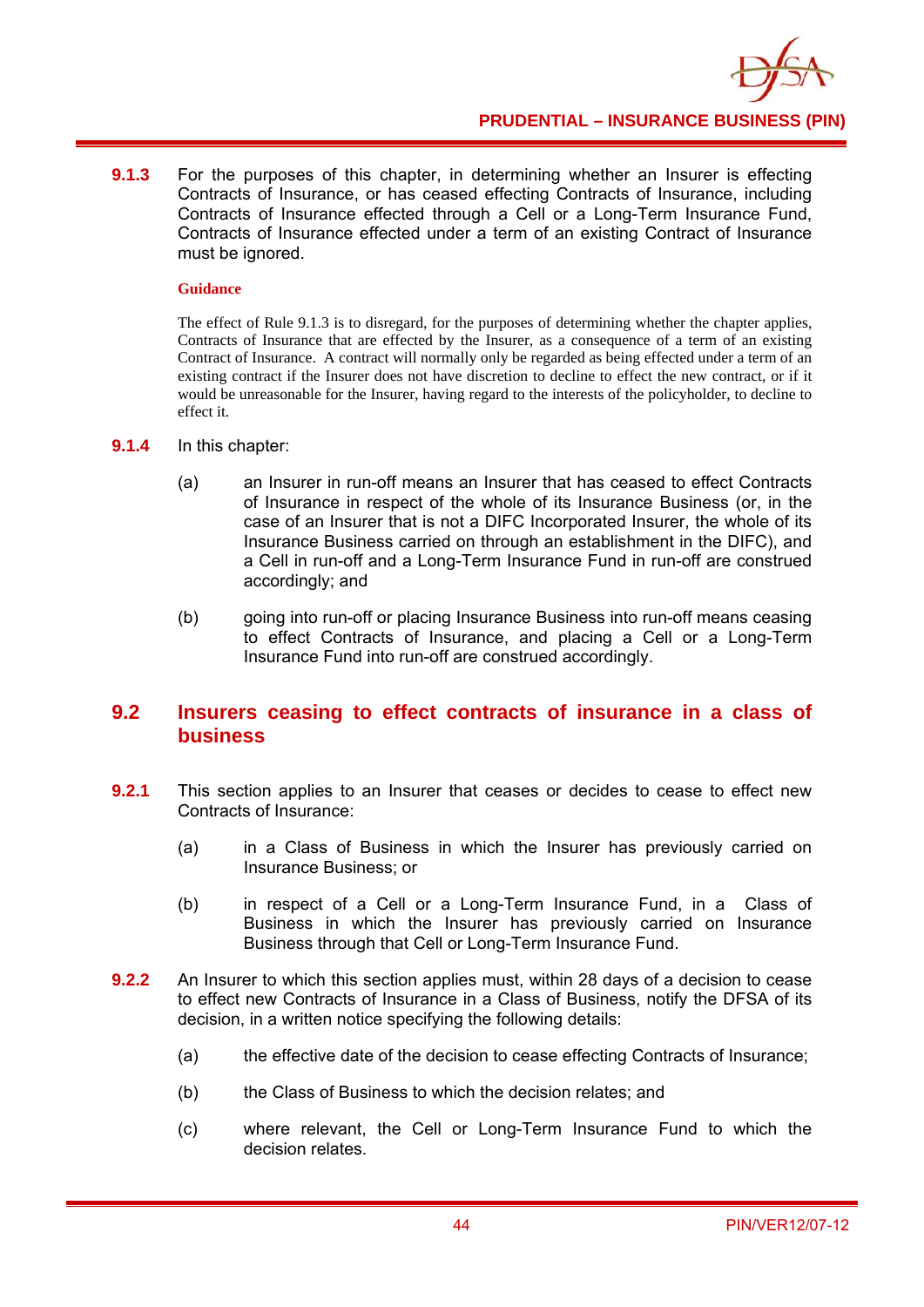**9.1.3** For the purposes of this chapter, in determining whether an Insurer is effecting Contracts of Insurance, or has ceased effecting Contracts of Insurance, including Contracts of Insurance effected through a Cell or a Long-Term Insurance Fund, Contracts of Insurance effected under a term of an existing Contract of Insurance must be ignored.

### **Guidance**

The effect of Rule 9.1.3 is to disregard, for the purposes of determining whether the chapter applies, Contracts of Insurance that are effected by the Insurer, as a consequence of a term of an existing Contract of Insurance. A contract will normally only be regarded as being effected under a term of an existing contract if the Insurer does not have discretion to decline to effect the new contract, or if it would be unreasonable for the Insurer, having regard to the interests of the policyholder, to decline to effect it.

- **9.1.4** In this chapter:
	- (a) an Insurer in run-off means an Insurer that has ceased to effect Contracts of Insurance in respect of the whole of its Insurance Business (or, in the case of an Insurer that is not a DIFC Incorporated Insurer, the whole of its Insurance Business carried on through an establishment in the DIFC), and a Cell in run-off and a Long-Term Insurance Fund in run-off are construed accordingly; and
	- (b) going into run-off or placing Insurance Business into run-off means ceasing to effect Contracts of Insurance, and placing a Cell or a Long-Term Insurance Fund into run-off are construed accordingly.

### **9.2 Insurers ceasing to effect contracts of insurance in a class of business**

- **9.2.1** This section applies to an Insurer that ceases or decides to cease to effect new Contracts of Insurance:
	- (a) in a Class of Business in which the Insurer has previously carried on Insurance Business; or
	- (b) in respect of a Cell or a Long-Term Insurance Fund, in a Class of Business in which the Insurer has previously carried on Insurance Business through that Cell or Long-Term Insurance Fund.
- **9.2.2** An Insurer to which this section applies must, within 28 days of a decision to cease to effect new Contracts of Insurance in a Class of Business, notify the DFSA of its decision, in a written notice specifying the following details:
	- (a) the effective date of the decision to cease effecting Contracts of Insurance;
	- (b) the Class of Business to which the decision relates; and
	- (c) where relevant, the Cell or Long-Term Insurance Fund to which the decision relates.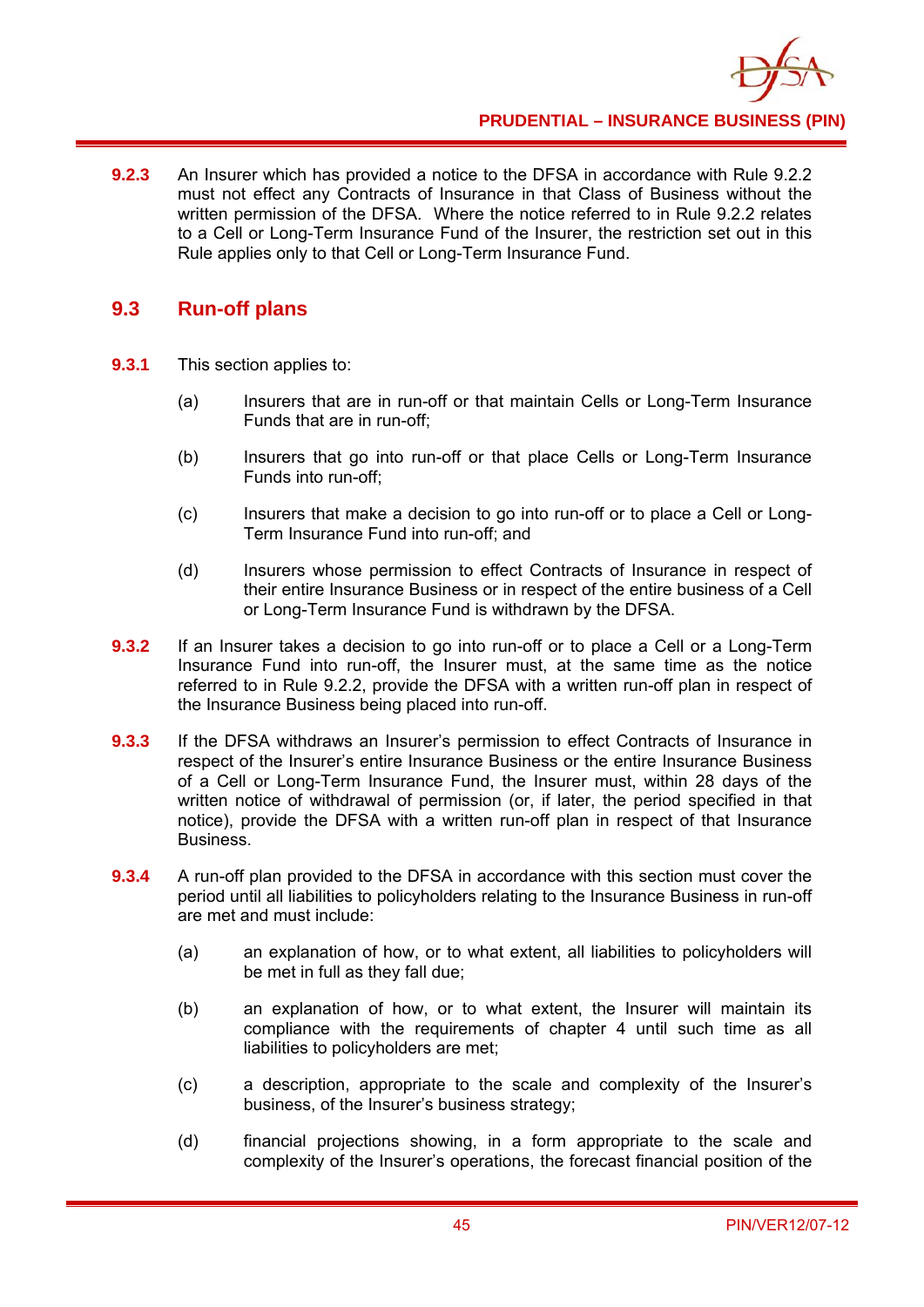**9.2.3** An Insurer which has provided a notice to the DFSA in accordance with Rule 9.2.2 must not effect any Contracts of Insurance in that Class of Business without the written permission of the DFSA. Where the notice referred to in Rule 9.2.2 relates to a Cell or Long-Term Insurance Fund of the Insurer, the restriction set out in this Rule applies only to that Cell or Long-Term Insurance Fund.

## **9.3 Run-off plans**

- **9.3.1** This section applies to:
	- (a) Insurers that are in run-off or that maintain Cells or Long-Term Insurance Funds that are in run-off;
	- (b) Insurers that go into run-off or that place Cells or Long-Term Insurance Funds into run-off;
	- (c) Insurers that make a decision to go into run-off or to place a Cell or Long-Term Insurance Fund into run-off; and
	- (d) Insurers whose permission to effect Contracts of Insurance in respect of their entire Insurance Business or in respect of the entire business of a Cell or Long-Term Insurance Fund is withdrawn by the DFSA.
- **9.3.2** If an Insurer takes a decision to go into run-off or to place a Cell or a Long-Term Insurance Fund into run-off, the Insurer must, at the same time as the notice referred to in Rule 9.2.2, provide the DFSA with a written run-off plan in respect of the Insurance Business being placed into run-off.
- **9.3.3** If the DFSA withdraws an Insurer's permission to effect Contracts of Insurance in respect of the Insurer's entire Insurance Business or the entire Insurance Business of a Cell or Long-Term Insurance Fund, the Insurer must, within 28 days of the written notice of withdrawal of permission (or, if later, the period specified in that notice), provide the DFSA with a written run-off plan in respect of that Insurance Business.
- **9.3.4** A run-off plan provided to the DFSA in accordance with this section must cover the period until all liabilities to policyholders relating to the Insurance Business in run-off are met and must include:
	- (a) an explanation of how, or to what extent, all liabilities to policyholders will be met in full as they fall due;
	- (b) an explanation of how, or to what extent, the Insurer will maintain its compliance with the requirements of chapter 4 until such time as all liabilities to policyholders are met;
	- (c) a description, appropriate to the scale and complexity of the Insurer's business, of the Insurer's business strategy;
	- (d) financial projections showing, in a form appropriate to the scale and complexity of the Insurer's operations, the forecast financial position of the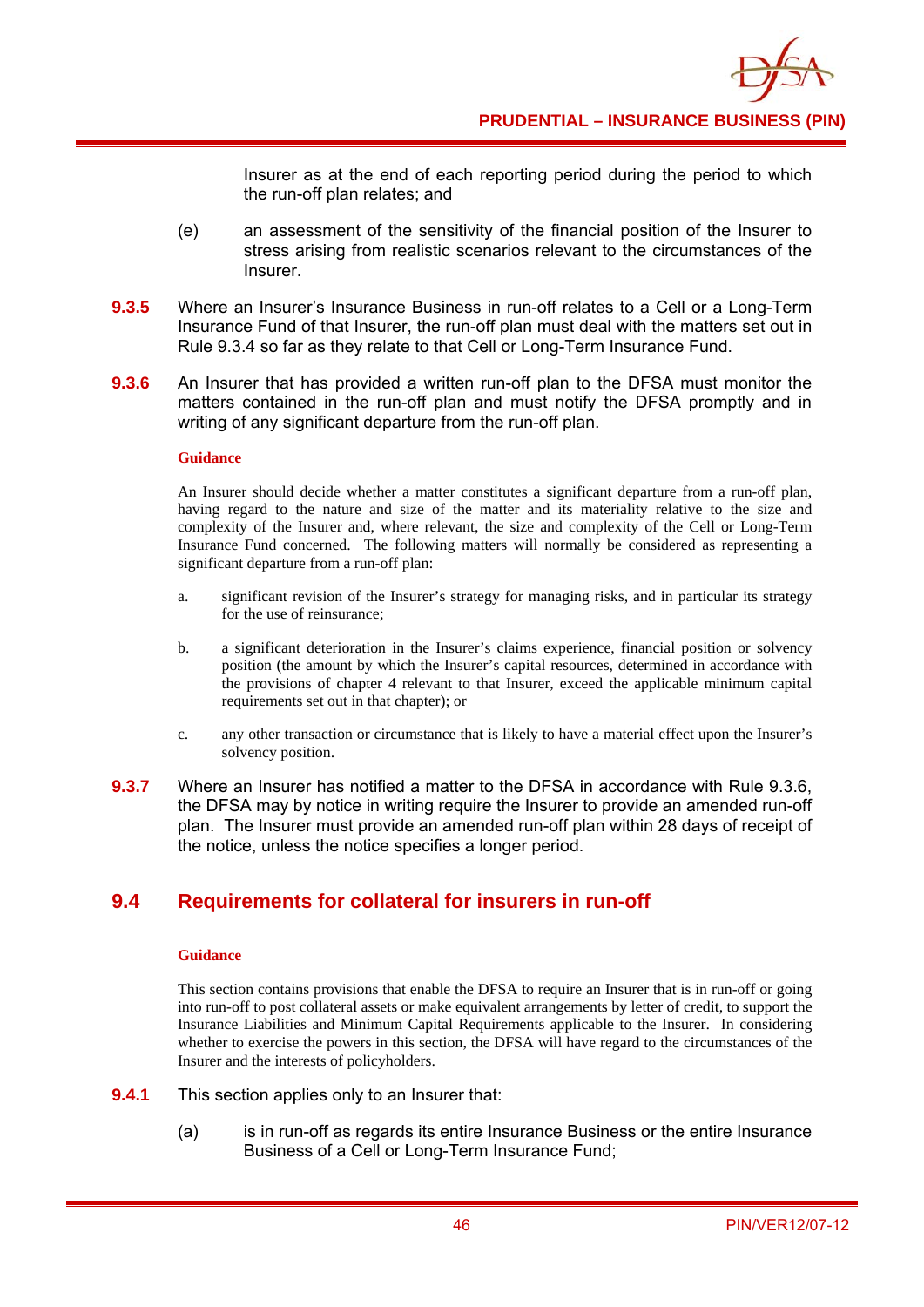Insurer as at the end of each reporting period during the period to which the run-off plan relates; and

- (e) an assessment of the sensitivity of the financial position of the Insurer to stress arising from realistic scenarios relevant to the circumstances of the Insurer.
- **9.3.5** Where an Insurer's Insurance Business in run-off relates to a Cell or a Long-Term Insurance Fund of that Insurer, the run-off plan must deal with the matters set out in Rule 9.3.4 so far as they relate to that Cell or Long-Term Insurance Fund.
- **9.3.6** An Insurer that has provided a written run-off plan to the DFSA must monitor the matters contained in the run-off plan and must notify the DFSA promptly and in writing of any significant departure from the run-off plan.

### **Guidance**

An Insurer should decide whether a matter constitutes a significant departure from a run-off plan, having regard to the nature and size of the matter and its materiality relative to the size and complexity of the Insurer and, where relevant, the size and complexity of the Cell or Long-Term Insurance Fund concerned. The following matters will normally be considered as representing a significant departure from a run-off plan:

- a. significant revision of the Insurer's strategy for managing risks, and in particular its strategy for the use of reinsurance;
- b. a significant deterioration in the Insurer's claims experience, financial position or solvency position (the amount by which the Insurer's capital resources, determined in accordance with the provisions of chapter 4 relevant to that Insurer, exceed the applicable minimum capital requirements set out in that chapter); or
- c. any other transaction or circumstance that is likely to have a material effect upon the Insurer's solvency position.
- **9.3.7** Where an Insurer has notified a matter to the DFSA in accordance with Rule 9.3.6, the DFSA may by notice in writing require the Insurer to provide an amended run-off plan. The Insurer must provide an amended run-off plan within 28 days of receipt of the notice, unless the notice specifies a longer period.

# **9.4 Requirements for collateral for insurers in run-off**

#### **Guidance**

This section contains provisions that enable the DFSA to require an Insurer that is in run-off or going into run-off to post collateral assets or make equivalent arrangements by letter of credit, to support the Insurance Liabilities and Minimum Capital Requirements applicable to the Insurer. In considering whether to exercise the powers in this section, the DFSA will have regard to the circumstances of the Insurer and the interests of policyholders.

- **9.4.1** This section applies only to an Insurer that:
	- (a) is in run-off as regards its entire Insurance Business or the entire Insurance Business of a Cell or Long-Term Insurance Fund;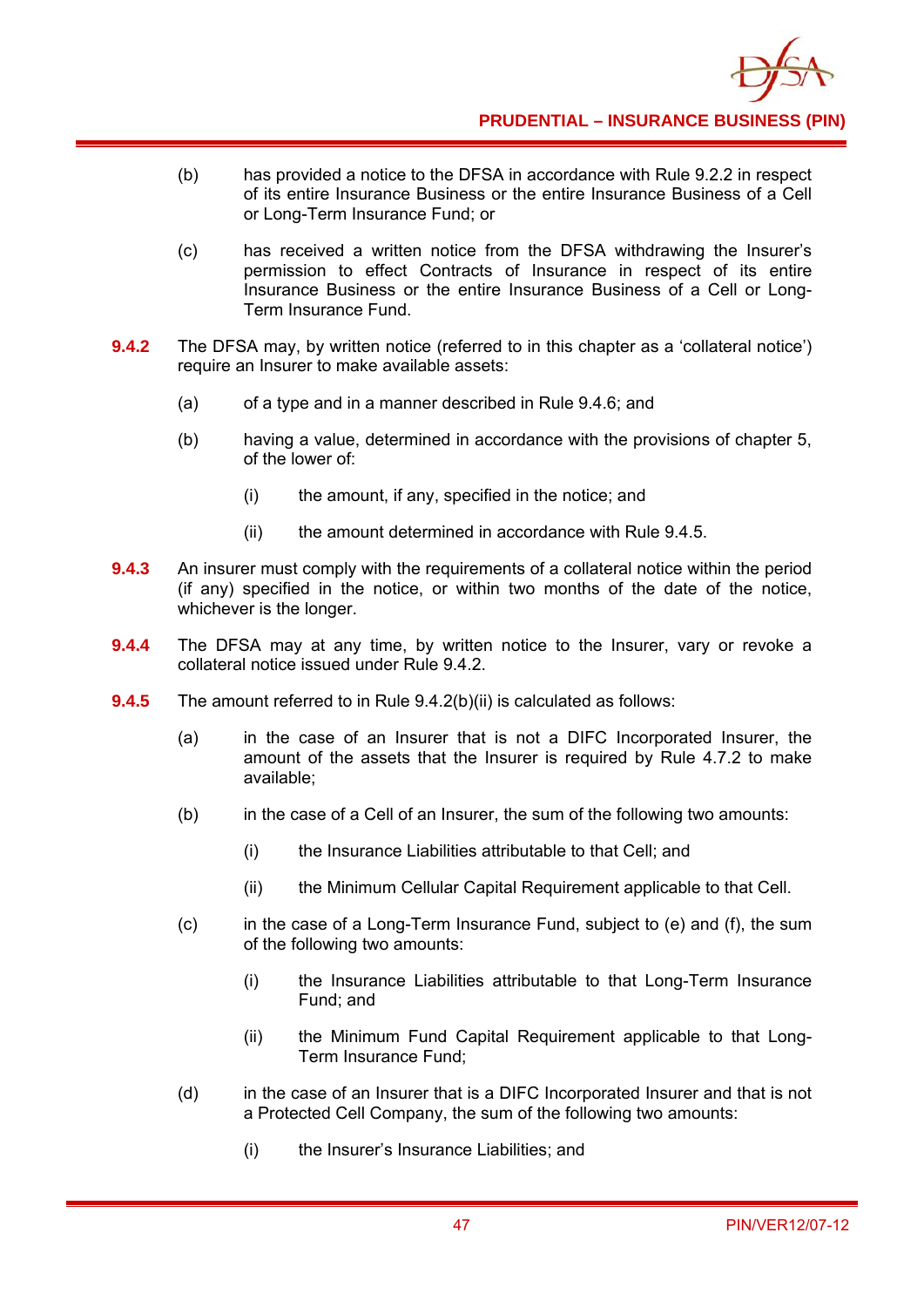

- (b) has provided a notice to the DFSA in accordance with Rule 9.2.2 in respect of its entire Insurance Business or the entire Insurance Business of a Cell or Long-Term Insurance Fund; or
- (c) has received a written notice from the DFSA withdrawing the Insurer's permission to effect Contracts of Insurance in respect of its entire Insurance Business or the entire Insurance Business of a Cell or Long-Term Insurance Fund.
- **9.4.2** The DFSA may, by written notice (referred to in this chapter as a 'collateral notice') require an Insurer to make available assets:
	- (a) of a type and in a manner described in Rule 9.4.6; and
	- (b) having a value, determined in accordance with the provisions of chapter 5, of the lower of:
		- (i) the amount, if any, specified in the notice; and
		- (ii) the amount determined in accordance with Rule 9.4.5.
- **9.4.3** An insurer must comply with the requirements of a collateral notice within the period (if any) specified in the notice, or within two months of the date of the notice, whichever is the longer.
- **9.4.4** The DFSA may at any time, by written notice to the Insurer, vary or revoke a collateral notice issued under Rule 9.4.2.
- **9.4.5** The amount referred to in Rule 9.4.2(b)(ii) is calculated as follows:
	- (a) in the case of an Insurer that is not a DIFC Incorporated Insurer, the amount of the assets that the Insurer is required by Rule 4.7.2 to make available;
	- (b) in the case of a Cell of an Insurer, the sum of the following two amounts:
		- (i) the Insurance Liabilities attributable to that Cell; and
		- (ii) the Minimum Cellular Capital Requirement applicable to that Cell.
	- (c) in the case of a Long-Term Insurance Fund, subject to (e) and (f), the sum of the following two amounts:
		- (i) the Insurance Liabilities attributable to that Long-Term Insurance Fund; and
		- (ii) the Minimum Fund Capital Requirement applicable to that Long-Term Insurance Fund;
	- (d) in the case of an Insurer that is a DIFC Incorporated Insurer and that is not a Protected Cell Company, the sum of the following two amounts:
		- (i) the Insurer's Insurance Liabilities; and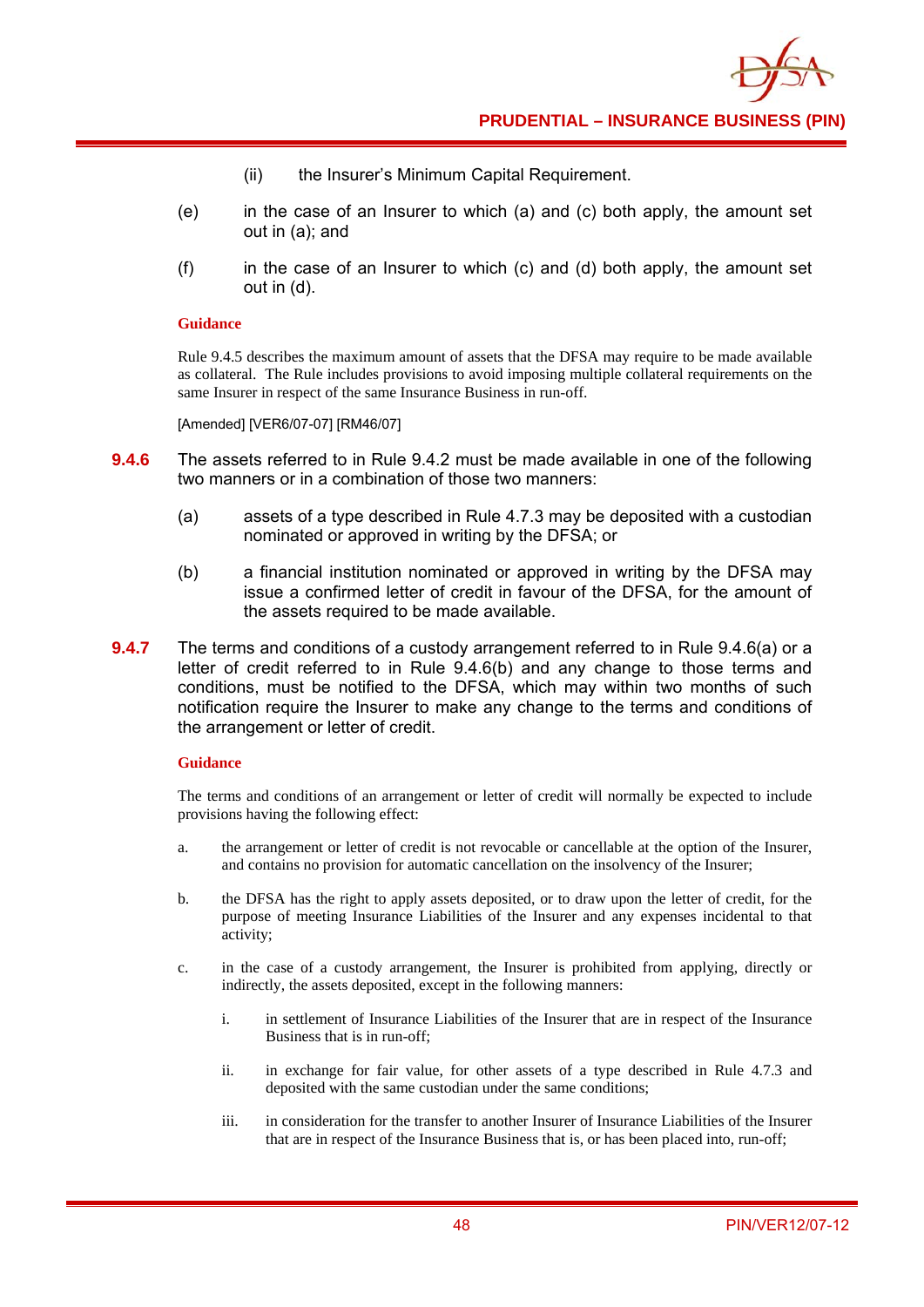- (ii) the Insurer's Minimum Capital Requirement.
- (e) in the case of an Insurer to which (a) and (c) both apply, the amount set out in (a); and
- $(f)$  in the case of an Insurer to which (c) and (d) both apply, the amount set out in (d).

#### **Guidance**

Rule 9.4.5 describes the maximum amount of assets that the DFSA may require to be made available as collateral. The Rule includes provisions to avoid imposing multiple collateral requirements on the same Insurer in respect of the same Insurance Business in run-off.

[Amended] [VER6/07-07] [RM46/07]

- **9.4.6** The assets referred to in Rule 9.4.2 must be made available in one of the following two manners or in a combination of those two manners:
	- (a) assets of a type described in Rule 4.7.3 may be deposited with a custodian nominated or approved in writing by the DFSA; or
	- (b) a financial institution nominated or approved in writing by the DFSA may issue a confirmed letter of credit in favour of the DFSA, for the amount of the assets required to be made available.
- **9.4.7** The terms and conditions of a custody arrangement referred to in Rule 9.4.6(a) or a letter of credit referred to in Rule 9.4.6(b) and any change to those terms and conditions, must be notified to the DFSA, which may within two months of such notification require the Insurer to make any change to the terms and conditions of the arrangement or letter of credit.

### **Guidance**

The terms and conditions of an arrangement or letter of credit will normally be expected to include provisions having the following effect:

- a. the arrangement or letter of credit is not revocable or cancellable at the option of the Insurer, and contains no provision for automatic cancellation on the insolvency of the Insurer;
- b. the DFSA has the right to apply assets deposited, or to draw upon the letter of credit, for the purpose of meeting Insurance Liabilities of the Insurer and any expenses incidental to that activity;
- c. in the case of a custody arrangement, the Insurer is prohibited from applying, directly or indirectly, the assets deposited, except in the following manners:
	- i. in settlement of Insurance Liabilities of the Insurer that are in respect of the Insurance Business that is in run-off;
	- ii. in exchange for fair value, for other assets of a type described in Rule 4.7.3 and deposited with the same custodian under the same conditions;
	- iii. in consideration for the transfer to another Insurer of Insurance Liabilities of the Insurer that are in respect of the Insurance Business that is, or has been placed into, run-off;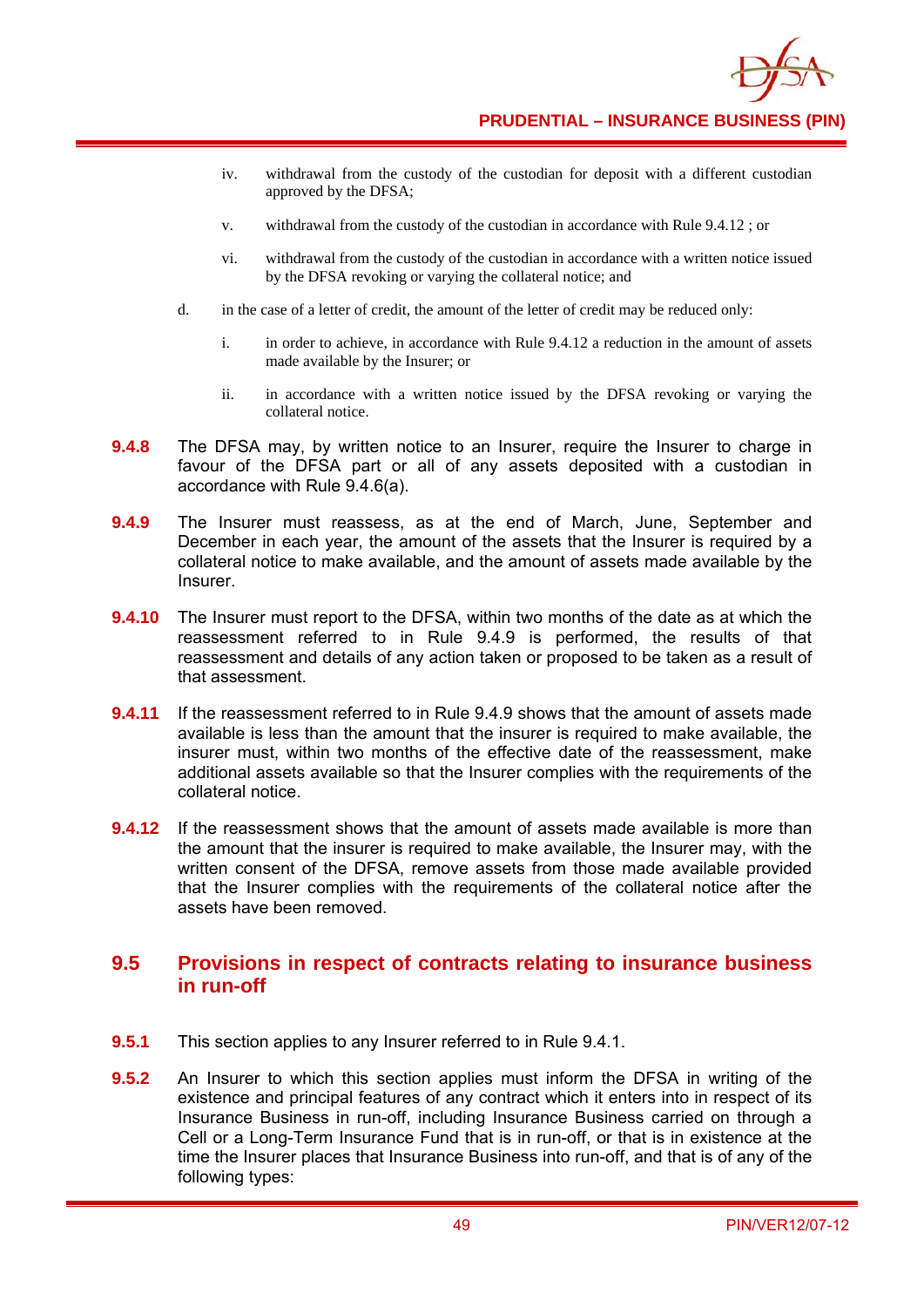

- iv. withdrawal from the custody of the custodian for deposit with a different custodian approved by the DFSA;
- v. withdrawal from the custody of the custodian in accordance with Rule 9.4.12 ; or
- vi. withdrawal from the custody of the custodian in accordance with a written notice issued by the DFSA revoking or varying the collateral notice; and
- d. in the case of a letter of credit, the amount of the letter of credit may be reduced only:
	- i. in order to achieve, in accordance with Rule 9.4.12 a reduction in the amount of assets made available by the Insurer; or
	- ii. in accordance with a written notice issued by the DFSA revoking or varying the collateral notice.
- **9.4.8** The DFSA may, by written notice to an Insurer, require the Insurer to charge in favour of the DFSA part or all of any assets deposited with a custodian in accordance with Rule 9.4.6(a).
- **9.4.9** The Insurer must reassess, as at the end of March, June, September and December in each year, the amount of the assets that the Insurer is required by a collateral notice to make available, and the amount of assets made available by the Insurer.
- **9.4.10** The Insurer must report to the DFSA, within two months of the date as at which the reassessment referred to in Rule 9.4.9 is performed, the results of that reassessment and details of any action taken or proposed to be taken as a result of that assessment.
- **9.4.11** If the reassessment referred to in Rule 9.4.9 shows that the amount of assets made available is less than the amount that the insurer is required to make available, the insurer must, within two months of the effective date of the reassessment, make additional assets available so that the Insurer complies with the requirements of the collateral notice.
- **9.4.12** If the reassessment shows that the amount of assets made available is more than the amount that the insurer is required to make available, the Insurer may, with the written consent of the DFSA, remove assets from those made available provided that the Insurer complies with the requirements of the collateral notice after the assets have been removed.

### **9.5 Provisions in respect of contracts relating to insurance business in run-off**

- **9.5.1** This section applies to any Insurer referred to in Rule 9.4.1.
- **9.5.2** An Insurer to which this section applies must inform the DFSA in writing of the existence and principal features of any contract which it enters into in respect of its Insurance Business in run-off, including Insurance Business carried on through a Cell or a Long-Term Insurance Fund that is in run-off, or that is in existence at the time the Insurer places that Insurance Business into run-off, and that is of any of the following types: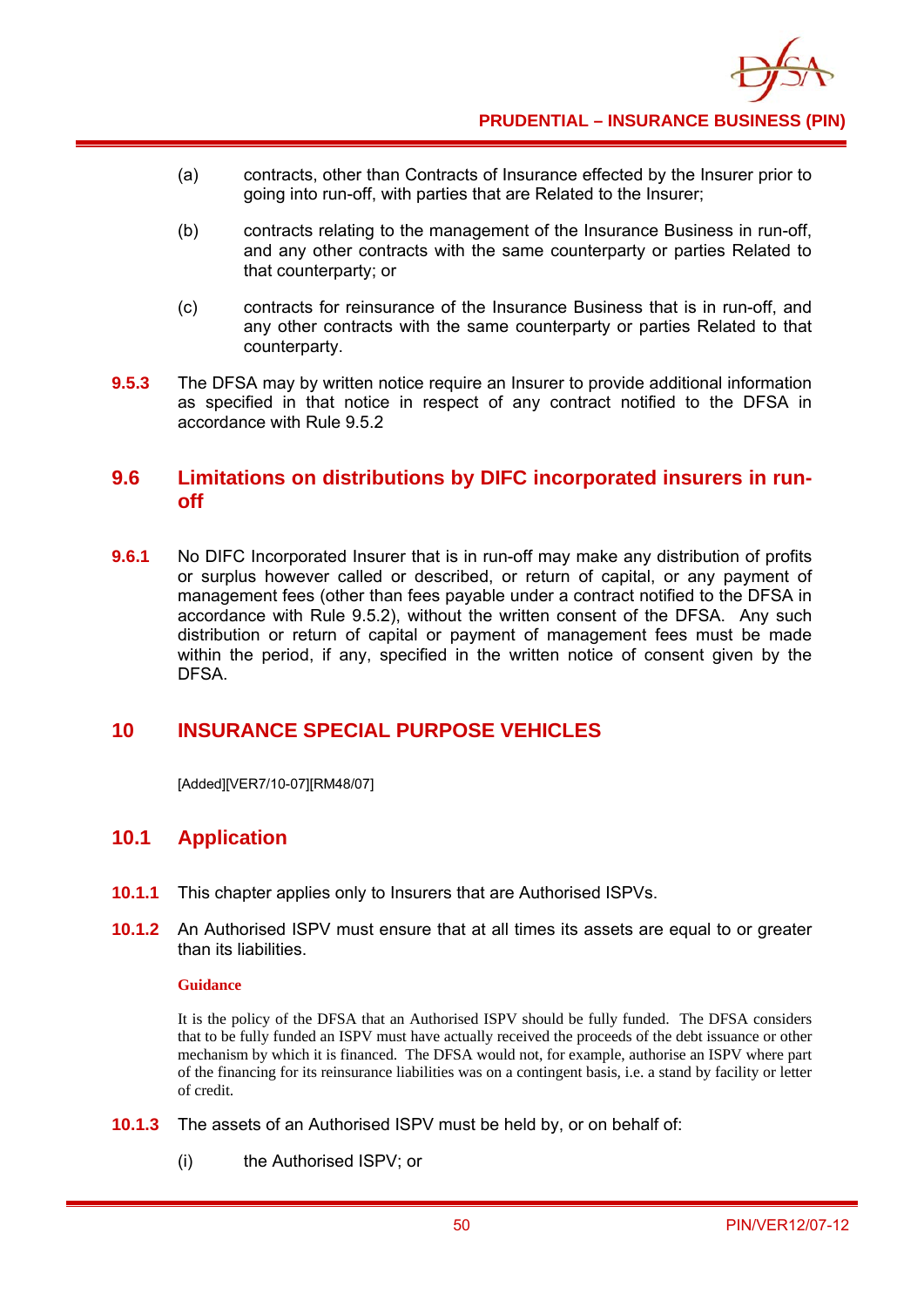

- (a) contracts, other than Contracts of Insurance effected by the Insurer prior to going into run-off, with parties that are Related to the Insurer;
- (b) contracts relating to the management of the Insurance Business in run-off, and any other contracts with the same counterparty or parties Related to that counterparty; or
- (c) contracts for reinsurance of the Insurance Business that is in run-off, and any other contracts with the same counterparty or parties Related to that counterparty.
- **9.5.3** The DFSA may by written notice require an Insurer to provide additional information as specified in that notice in respect of any contract notified to the DFSA in accordance with Rule 9.5.2

### **9.6 Limitations on distributions by DIFC incorporated insurers in runoff**

**9.6.1** No DIFC Incorporated Insurer that is in run-off may make any distribution of profits or surplus however called or described, or return of capital, or any payment of management fees (other than fees payable under a contract notified to the DFSA in accordance with Rule 9.5.2), without the written consent of the DFSA. Any such distribution or return of capital or payment of management fees must be made within the period, if any, specified in the written notice of consent given by the DFSA.

## **10 INSURANCE SPECIAL PURPOSE VEHICLES**

[Added][VER7/10-07][RM48/07]

## **10.1 Application**

- **10.1.1** This chapter applies only to Insurers that are Authorised ISPVs.
- **10.1.2** An Authorised ISPV must ensure that at all times its assets are equal to or greater than its liabilities.

### **Guidance**

It is the policy of the DFSA that an Authorised ISPV should be fully funded. The DFSA considers that to be fully funded an ISPV must have actually received the proceeds of the debt issuance or other mechanism by which it is financed. The DFSA would not, for example, authorise an ISPV where part of the financing for its reinsurance liabilities was on a contingent basis, i.e. a stand by facility or letter of credit.

- **10.1.3** The assets of an Authorised ISPV must be held by, or on behalf of:
	- (i) the Authorised ISPV; or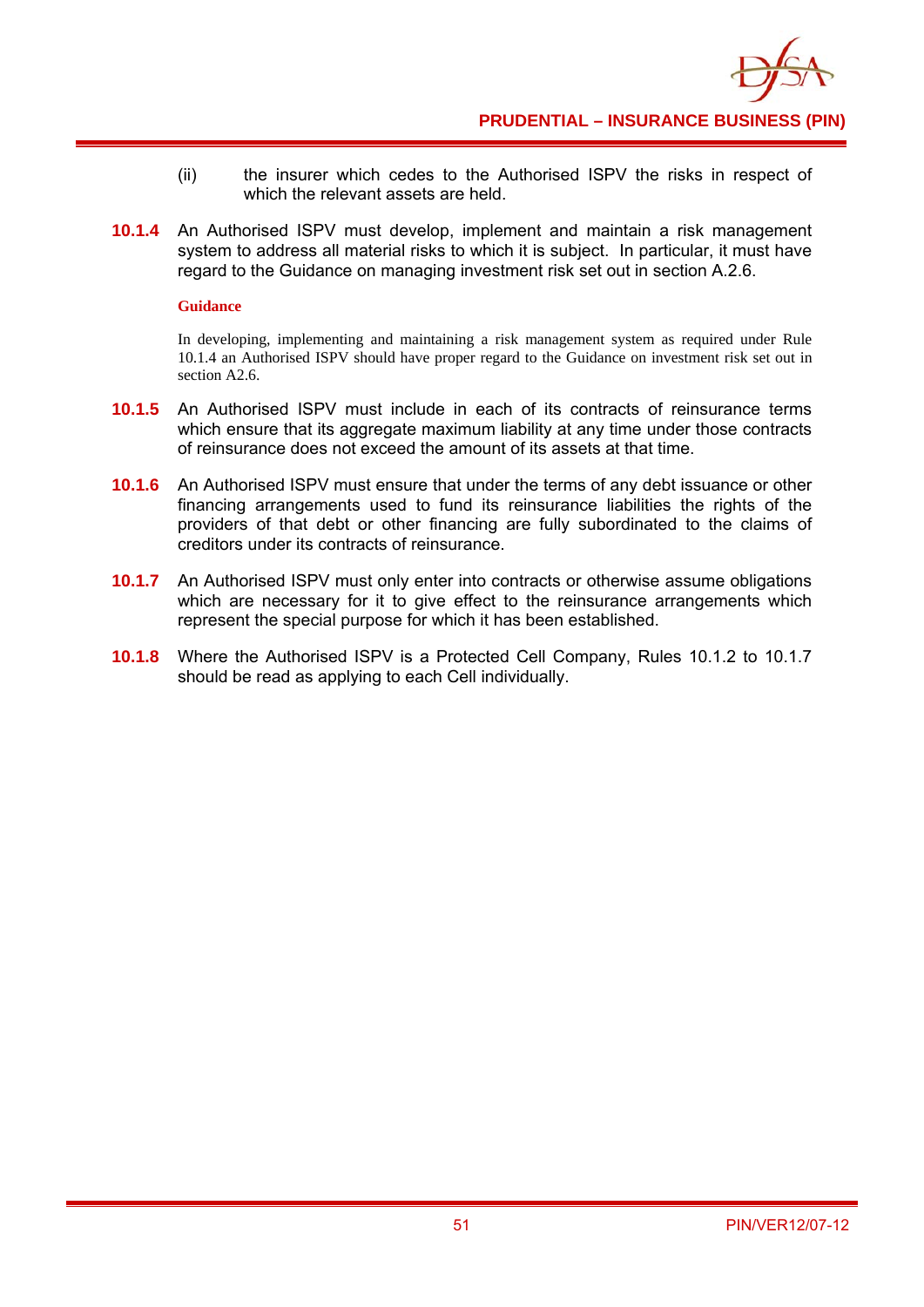

- (ii) the insurer which cedes to the Authorised ISPV the risks in respect of which the relevant assets are held.
- **10.1.4** An Authorised ISPV must develop, implement and maintain a risk management system to address all material risks to which it is subject. In particular, it must have regard to the Guidance on managing investment risk set out in section A.2.6.

### **Guidance**

In developing, implementing and maintaining a risk management system as required under Rule 10.1.4 an Authorised ISPV should have proper regard to the Guidance on investment risk set out in section A<sub>2.6</sub>.

- **10.1.5** An Authorised ISPV must include in each of its contracts of reinsurance terms which ensure that its aggregate maximum liability at any time under those contracts of reinsurance does not exceed the amount of its assets at that time.
- **10.1.6** An Authorised ISPV must ensure that under the terms of any debt issuance or other financing arrangements used to fund its reinsurance liabilities the rights of the providers of that debt or other financing are fully subordinated to the claims of creditors under its contracts of reinsurance.
- **10.1.7** An Authorised ISPV must only enter into contracts or otherwise assume obligations which are necessary for it to give effect to the reinsurance arrangements which represent the special purpose for which it has been established.
- **10.1.8** Where the Authorised ISPV is a Protected Cell Company, Rules 10.1.2 to 10.1.7 should be read as applying to each Cell individually.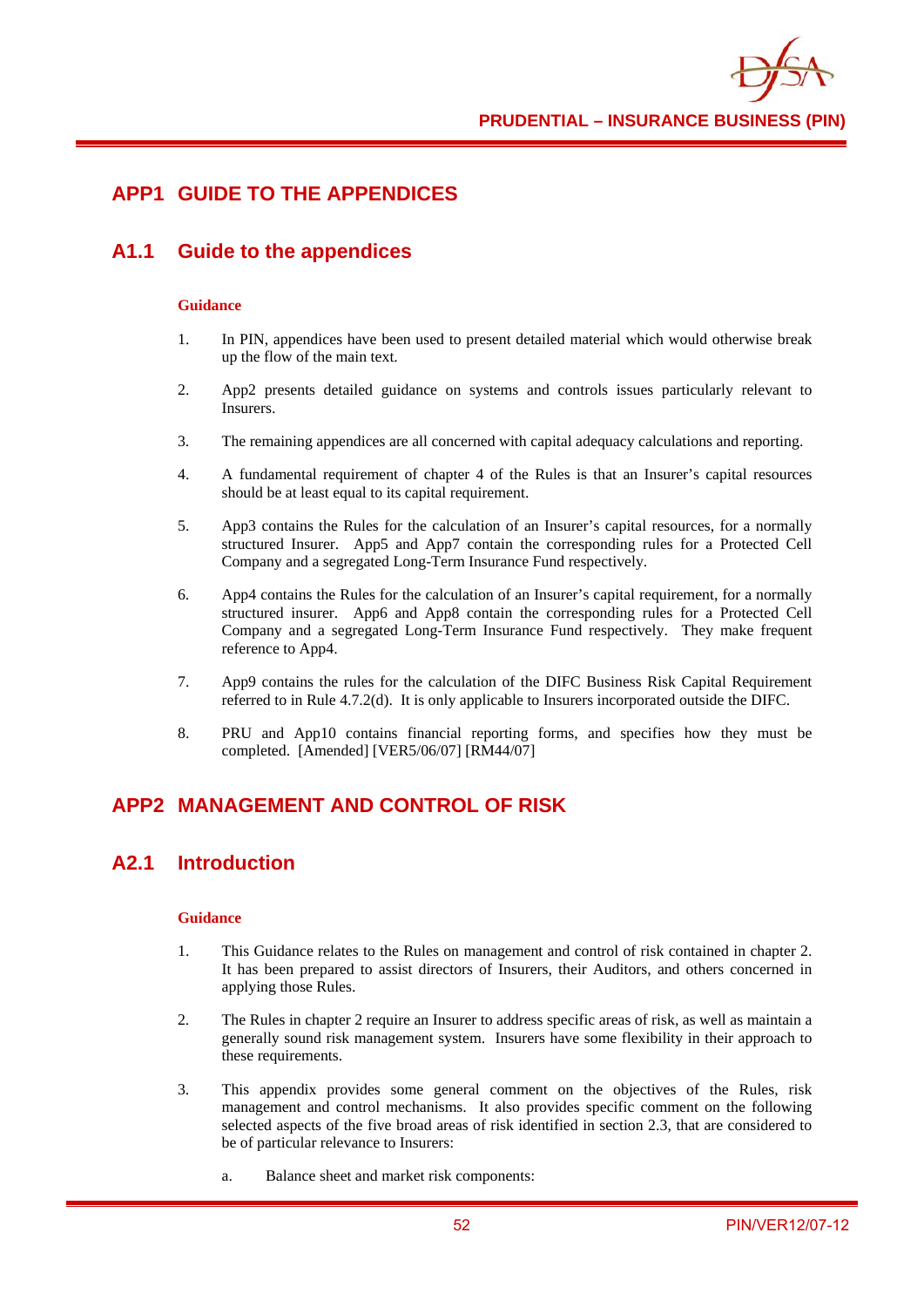

## **APP1 GUIDE TO THE APPENDICES**

## **A1.1 Guide to the appendices**

### **Guidance**

- 1. In PIN, appendices have been used to present detailed material which would otherwise break up the flow of the main text.
- 2. App2 presents detailed guidance on systems and controls issues particularly relevant to Insurers.
- 3. The remaining appendices are all concerned with capital adequacy calculations and reporting.
- 4. A fundamental requirement of chapter 4 of the Rules is that an Insurer's capital resources should be at least equal to its capital requirement.
- 5. App3 contains the Rules for the calculation of an Insurer's capital resources, for a normally structured Insurer. App5 and App7 contain the corresponding rules for a Protected Cell Company and a segregated Long-Term Insurance Fund respectively.
- 6. App4 contains the Rules for the calculation of an Insurer's capital requirement, for a normally structured insurer. App6 and App8 contain the corresponding rules for a Protected Cell Company and a segregated Long-Term Insurance Fund respectively. They make frequent reference to App4.
- 7. App9 contains the rules for the calculation of the DIFC Business Risk Capital Requirement referred to in Rule 4.7.2(d). It is only applicable to Insurers incorporated outside the DIFC.
- 8. PRU and App10 contains financial reporting forms, and specifies how they must be completed. [Amended] [VER5/06/07] [RM44/07]

# **APP2 MANAGEMENT AND CONTROL OF RISK**

## **A2.1 Introduction**

- 1. This Guidance relates to the Rules on management and control of risk contained in chapter 2. It has been prepared to assist directors of Insurers, their Auditors, and others concerned in applying those Rules.
- 2. The Rules in chapter 2 require an Insurer to address specific areas of risk, as well as maintain a generally sound risk management system. Insurers have some flexibility in their approach to these requirements.
- 3. This appendix provides some general comment on the objectives of the Rules, risk management and control mechanisms. It also provides specific comment on the following selected aspects of the five broad areas of risk identified in section 2.3, that are considered to be of particular relevance to Insurers:
	- a. Balance sheet and market risk components: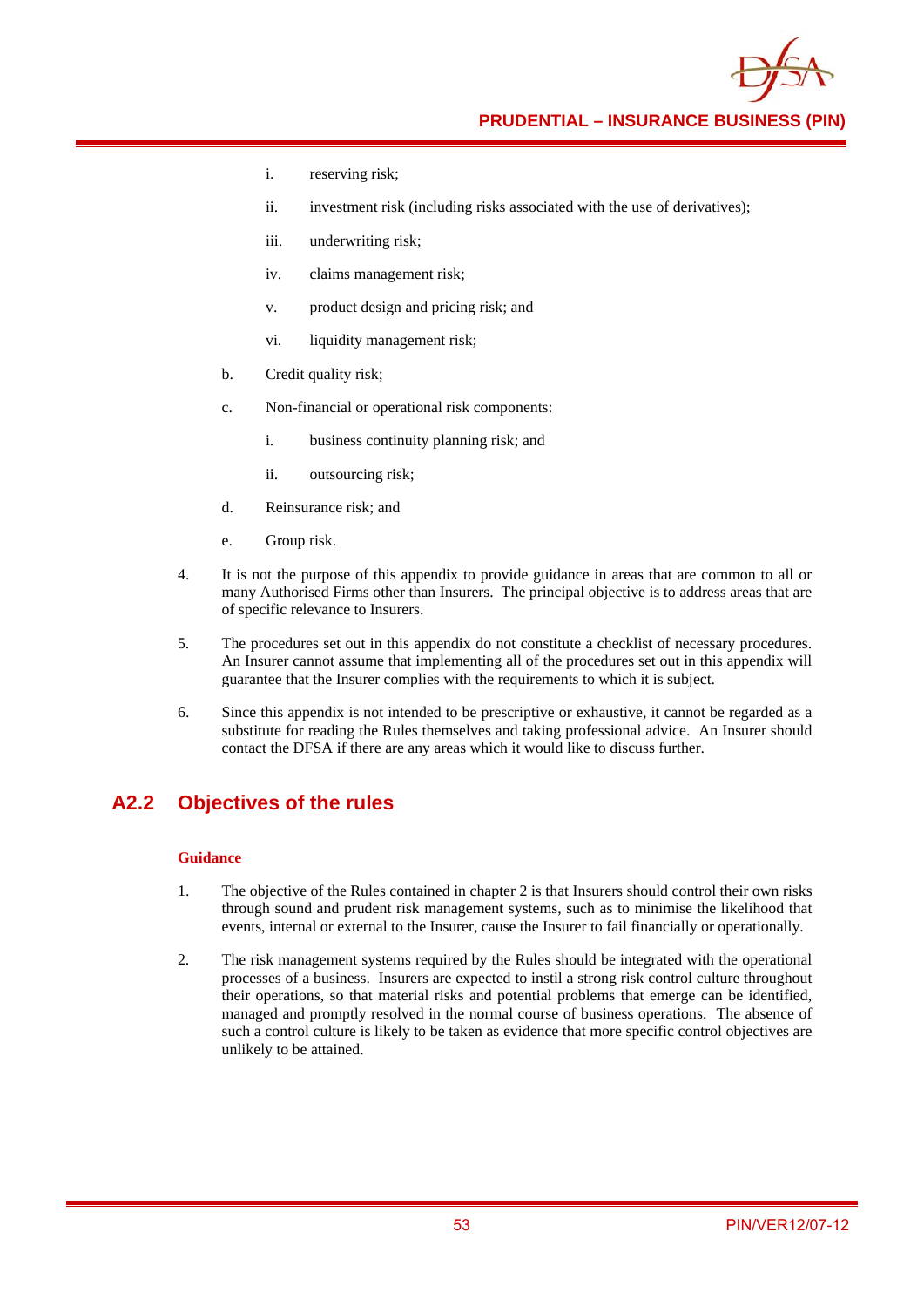**PRUDENTIAL – INSURANCE BUSINESS (PIN)**

- i. reserving risk;
- ii. investment risk (including risks associated with the use of derivatives);
- iii. underwriting risk;
- iv. claims management risk;
- v. product design and pricing risk; and
- vi. liquidity management risk;
- b. Credit quality risk;
- c. Non-financial or operational risk components:
	- i. business continuity planning risk; and
	- ii. outsourcing risk;
- d. Reinsurance risk; and
- e. Group risk.
- 4. It is not the purpose of this appendix to provide guidance in areas that are common to all or many Authorised Firms other than Insurers. The principal objective is to address areas that are of specific relevance to Insurers.
- 5. The procedures set out in this appendix do not constitute a checklist of necessary procedures. An Insurer cannot assume that implementing all of the procedures set out in this appendix will guarantee that the Insurer complies with the requirements to which it is subject.
- 6. Since this appendix is not intended to be prescriptive or exhaustive, it cannot be regarded as a substitute for reading the Rules themselves and taking professional advice. An Insurer should contact the DFSA if there are any areas which it would like to discuss further.

## **A2.2 Objectives of the rules**

- 1. The objective of the Rules contained in chapter 2 is that Insurers should control their own risks through sound and prudent risk management systems, such as to minimise the likelihood that events, internal or external to the Insurer, cause the Insurer to fail financially or operationally.
- 2. The risk management systems required by the Rules should be integrated with the operational processes of a business. Insurers are expected to instil a strong risk control culture throughout their operations, so that material risks and potential problems that emerge can be identified, managed and promptly resolved in the normal course of business operations. The absence of such a control culture is likely to be taken as evidence that more specific control objectives are unlikely to be attained.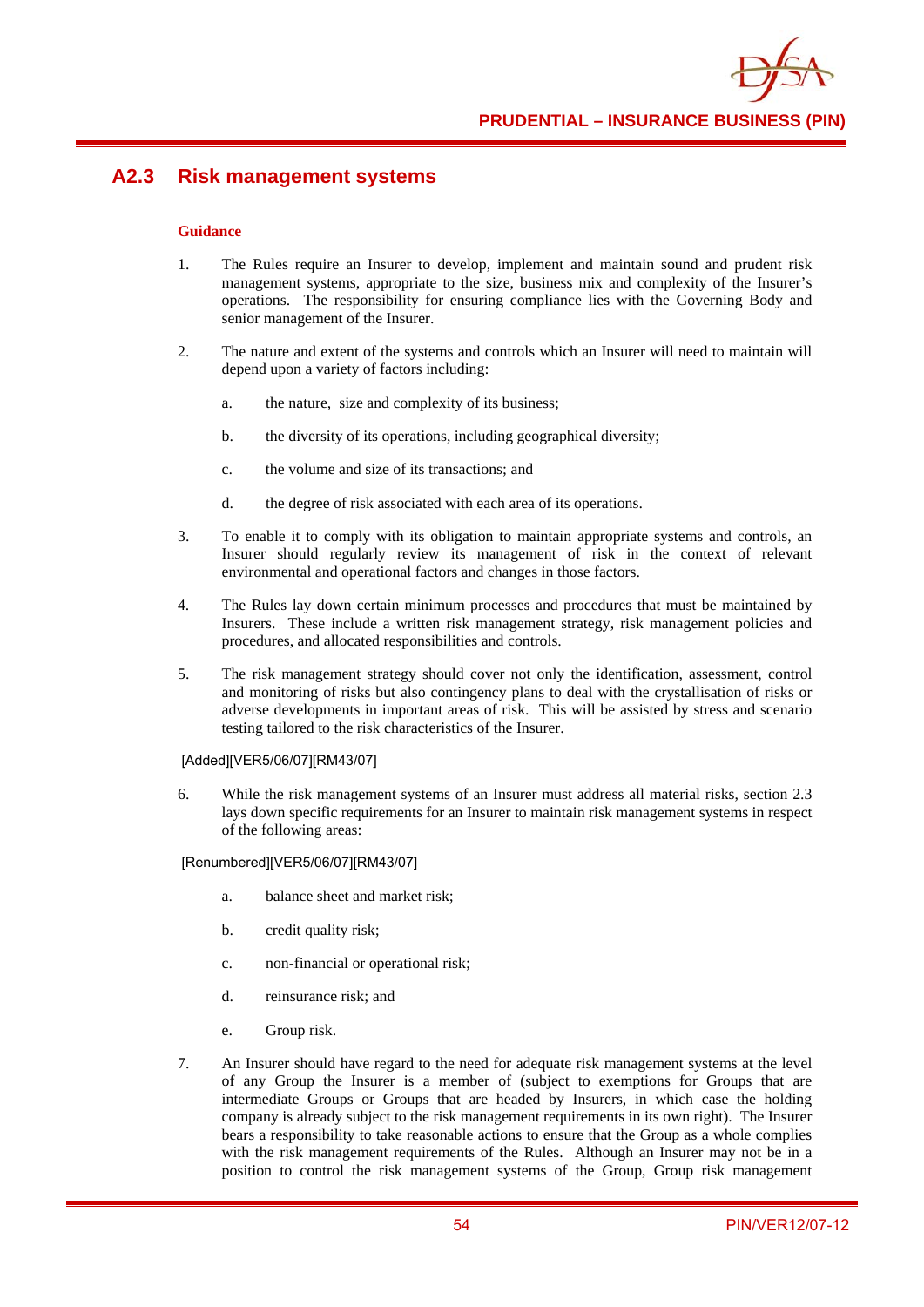

## **A2.3 Risk management systems**

#### **Guidance**

- 1. The Rules require an Insurer to develop, implement and maintain sound and prudent risk management systems, appropriate to the size, business mix and complexity of the Insurer's operations. The responsibility for ensuring compliance lies with the Governing Body and senior management of the Insurer.
- 2. The nature and extent of the systems and controls which an Insurer will need to maintain will depend upon a variety of factors including:
	- a. the nature, size and complexity of its business;
	- b. the diversity of its operations, including geographical diversity;
	- c. the volume and size of its transactions; and
	- d. the degree of risk associated with each area of its operations.
- 3. To enable it to comply with its obligation to maintain appropriate systems and controls, an Insurer should regularly review its management of risk in the context of relevant environmental and operational factors and changes in those factors.
- 4. The Rules lay down certain minimum processes and procedures that must be maintained by Insurers. These include a written risk management strategy, risk management policies and procedures, and allocated responsibilities and controls.
- 5. The risk management strategy should cover not only the identification, assessment, control and monitoring of risks but also contingency plans to deal with the crystallisation of risks or adverse developments in important areas of risk. This will be assisted by stress and scenario testing tailored to the risk characteristics of the Insurer.

#### [Added][VER5/06/07][RM43/07]

6. While the risk management systems of an Insurer must address all material risks, section 2.3 lays down specific requirements for an Insurer to maintain risk management systems in respect of the following areas:

[Renumbered][VER5/06/07][RM43/07]

- a. balance sheet and market risk;
- b. credit quality risk;
- c. non-financial or operational risk;
- d. reinsurance risk; and
- e. Group risk.
- 7. An Insurer should have regard to the need for adequate risk management systems at the level of any Group the Insurer is a member of (subject to exemptions for Groups that are intermediate Groups or Groups that are headed by Insurers, in which case the holding company is already subject to the risk management requirements in its own right). The Insurer bears a responsibility to take reasonable actions to ensure that the Group as a whole complies with the risk management requirements of the Rules. Although an Insurer may not be in a position to control the risk management systems of the Group, Group risk management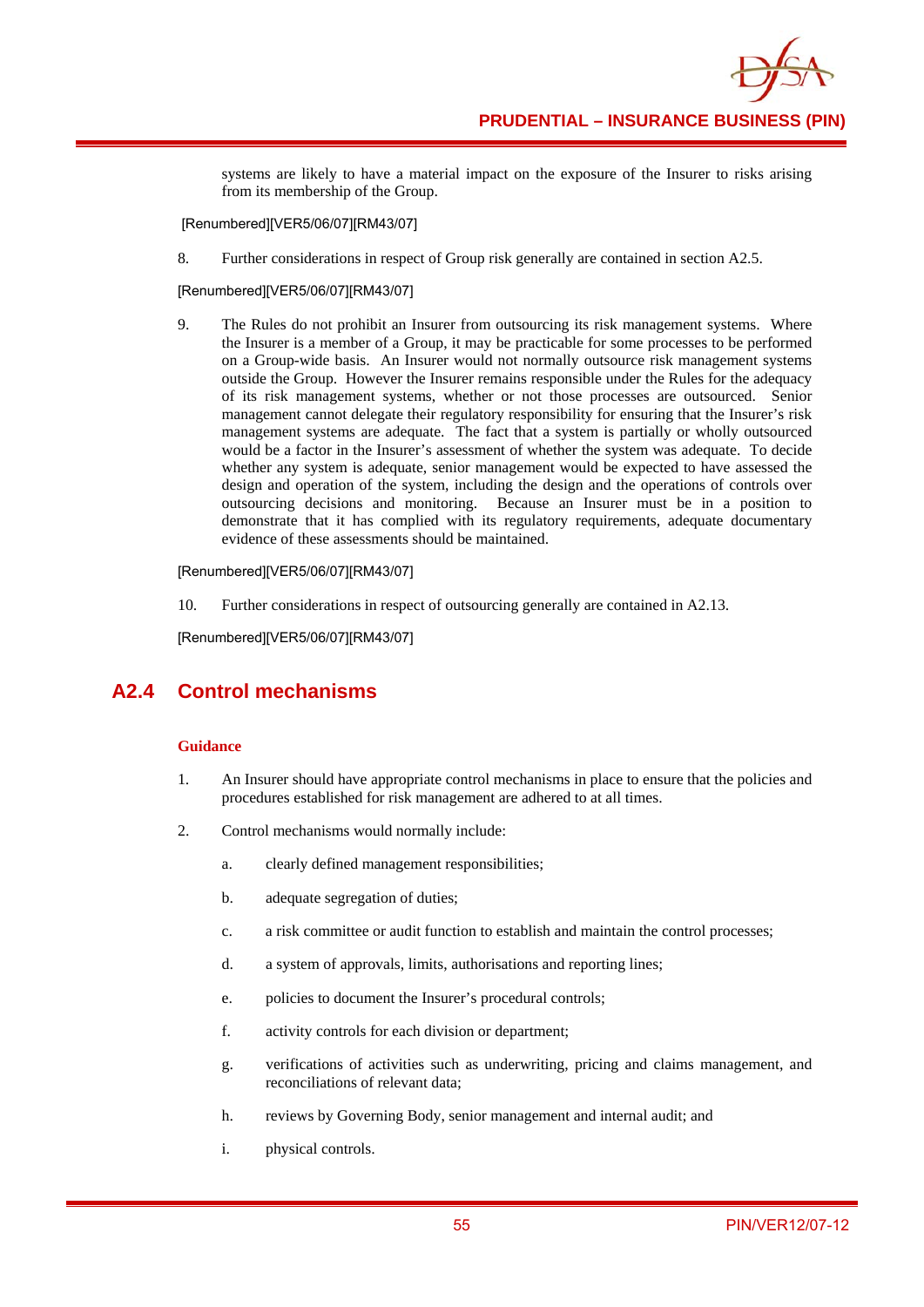systems are likely to have a material impact on the exposure of the Insurer to risks arising from its membership of the Group.

[Renumbered][VER5/06/07][RM43/07]

8. Further considerations in respect of Group risk generally are contained in section A2.5.

[Renumbered][VER5/06/07][RM43/07]

9. The Rules do not prohibit an Insurer from outsourcing its risk management systems. Where the Insurer is a member of a Group, it may be practicable for some processes to be performed on a Group-wide basis. An Insurer would not normally outsource risk management systems outside the Group. However the Insurer remains responsible under the Rules for the adequacy of its risk management systems, whether or not those processes are outsourced. Senior management cannot delegate their regulatory responsibility for ensuring that the Insurer's risk management systems are adequate. The fact that a system is partially or wholly outsourced would be a factor in the Insurer's assessment of whether the system was adequate. To decide whether any system is adequate, senior management would be expected to have assessed the design and operation of the system, including the design and the operations of controls over outsourcing decisions and monitoring. Because an Insurer must be in a position to demonstrate that it has complied with its regulatory requirements, adequate documentary evidence of these assessments should be maintained.

[Renumbered][VER5/06/07][RM43/07]

10. Further considerations in respect of outsourcing generally are contained in A2.13.

[Renumbered][VER5/06/07][RM43/07]

# **A2.4 Control mechanisms**

- 1. An Insurer should have appropriate control mechanisms in place to ensure that the policies and procedures established for risk management are adhered to at all times.
- 2. Control mechanisms would normally include:
	- a. clearly defined management responsibilities;
	- b. adequate segregation of duties;
	- c. a risk committee or audit function to establish and maintain the control processes;
	- d. a system of approvals, limits, authorisations and reporting lines;
	- e. policies to document the Insurer's procedural controls;
	- f. activity controls for each division or department;
	- g. verifications of activities such as underwriting, pricing and claims management, and reconciliations of relevant data;
	- h. reviews by Governing Body, senior management and internal audit; and
	- i. physical controls.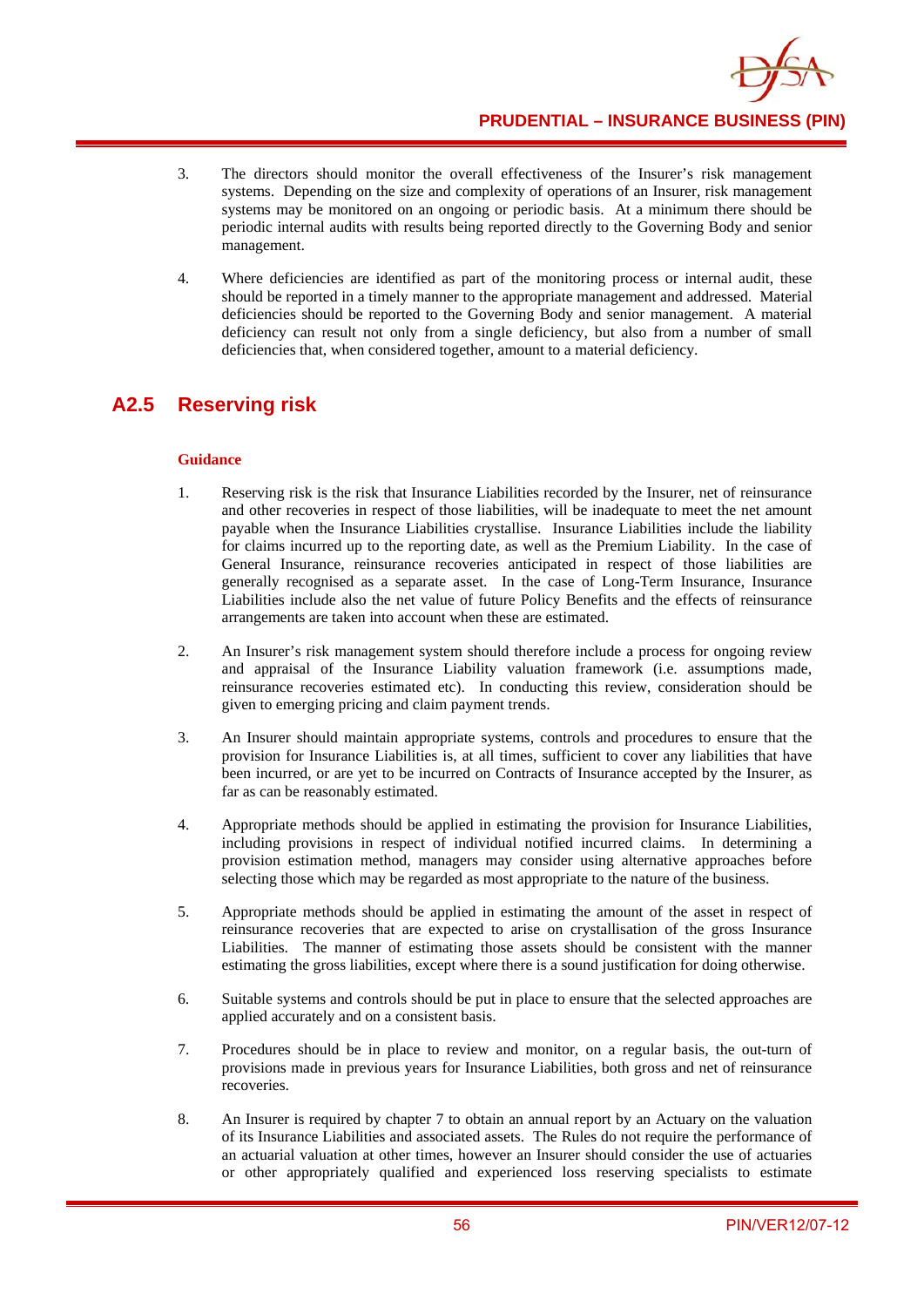- 3. The directors should monitor the overall effectiveness of the Insurer's risk management systems. Depending on the size and complexity of operations of an Insurer, risk management systems may be monitored on an ongoing or periodic basis. At a minimum there should be periodic internal audits with results being reported directly to the Governing Body and senior management.
- 4. Where deficiencies are identified as part of the monitoring process or internal audit, these should be reported in a timely manner to the appropriate management and addressed. Material deficiencies should be reported to the Governing Body and senior management. A material deficiency can result not only from a single deficiency, but also from a number of small deficiencies that, when considered together, amount to a material deficiency.

# **A2.5 Reserving risk**

- 1. Reserving risk is the risk that Insurance Liabilities recorded by the Insurer, net of reinsurance and other recoveries in respect of those liabilities, will be inadequate to meet the net amount payable when the Insurance Liabilities crystallise. Insurance Liabilities include the liability for claims incurred up to the reporting date, as well as the Premium Liability. In the case of General Insurance, reinsurance recoveries anticipated in respect of those liabilities are generally recognised as a separate asset. In the case of Long-Term Insurance, Insurance Liabilities include also the net value of future Policy Benefits and the effects of reinsurance arrangements are taken into account when these are estimated.
- 2. An Insurer's risk management system should therefore include a process for ongoing review and appraisal of the Insurance Liability valuation framework (i.e. assumptions made, reinsurance recoveries estimated etc). In conducting this review, consideration should be given to emerging pricing and claim payment trends.
- 3. An Insurer should maintain appropriate systems, controls and procedures to ensure that the provision for Insurance Liabilities is, at all times, sufficient to cover any liabilities that have been incurred, or are yet to be incurred on Contracts of Insurance accepted by the Insurer, as far as can be reasonably estimated.
- 4. Appropriate methods should be applied in estimating the provision for Insurance Liabilities, including provisions in respect of individual notified incurred claims. In determining a provision estimation method, managers may consider using alternative approaches before selecting those which may be regarded as most appropriate to the nature of the business.
- 5. Appropriate methods should be applied in estimating the amount of the asset in respect of reinsurance recoveries that are expected to arise on crystallisation of the gross Insurance Liabilities. The manner of estimating those assets should be consistent with the manner estimating the gross liabilities, except where there is a sound justification for doing otherwise.
- 6. Suitable systems and controls should be put in place to ensure that the selected approaches are applied accurately and on a consistent basis.
- 7. Procedures should be in place to review and monitor, on a regular basis, the out-turn of provisions made in previous years for Insurance Liabilities, both gross and net of reinsurance recoveries.
- 8. An Insurer is required by chapter 7 to obtain an annual report by an Actuary on the valuation of its Insurance Liabilities and associated assets. The Rules do not require the performance of an actuarial valuation at other times, however an Insurer should consider the use of actuaries or other appropriately qualified and experienced loss reserving specialists to estimate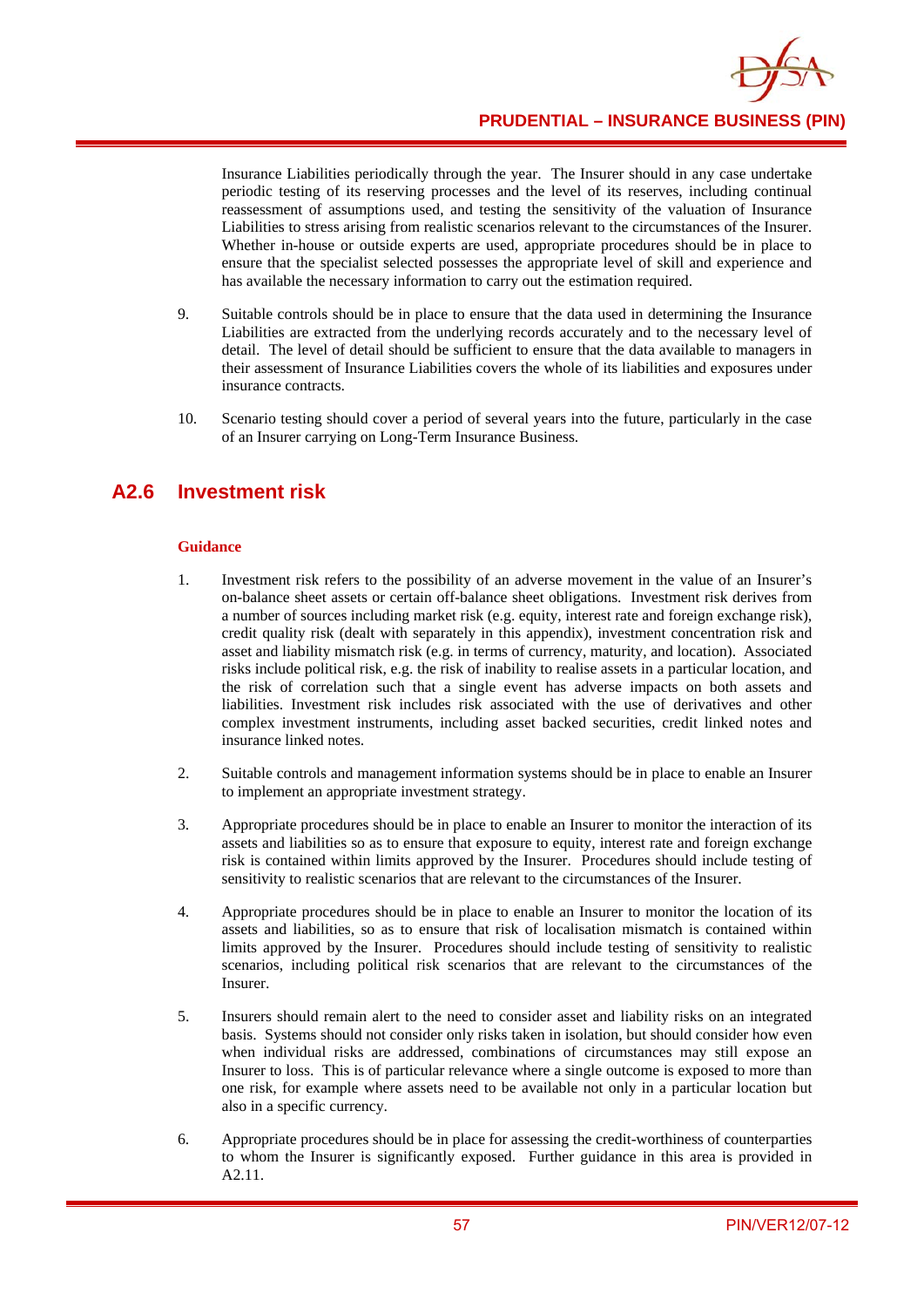

**PRUDENTIAL – INSURANCE BUSINESS (PIN)**

Insurance Liabilities periodically through the year. The Insurer should in any case undertake periodic testing of its reserving processes and the level of its reserves, including continual reassessment of assumptions used, and testing the sensitivity of the valuation of Insurance Liabilities to stress arising from realistic scenarios relevant to the circumstances of the Insurer. Whether in-house or outside experts are used, appropriate procedures should be in place to ensure that the specialist selected possesses the appropriate level of skill and experience and has available the necessary information to carry out the estimation required.

- 9. Suitable controls should be in place to ensure that the data used in determining the Insurance Liabilities are extracted from the underlying records accurately and to the necessary level of detail. The level of detail should be sufficient to ensure that the data available to managers in their assessment of Insurance Liabilities covers the whole of its liabilities and exposures under insurance contracts.
- 10. Scenario testing should cover a period of several years into the future, particularly in the case of an Insurer carrying on Long-Term Insurance Business.

### **A2.6 Investment risk**

- 1. Investment risk refers to the possibility of an adverse movement in the value of an Insurer's on-balance sheet assets or certain off-balance sheet obligations. Investment risk derives from a number of sources including market risk (e.g. equity, interest rate and foreign exchange risk), credit quality risk (dealt with separately in this appendix), investment concentration risk and asset and liability mismatch risk (e.g. in terms of currency, maturity, and location). Associated risks include political risk, e.g. the risk of inability to realise assets in a particular location, and the risk of correlation such that a single event has adverse impacts on both assets and liabilities. Investment risk includes risk associated with the use of derivatives and other complex investment instruments, including asset backed securities, credit linked notes and insurance linked notes.
- 2. Suitable controls and management information systems should be in place to enable an Insurer to implement an appropriate investment strategy.
- 3. Appropriate procedures should be in place to enable an Insurer to monitor the interaction of its assets and liabilities so as to ensure that exposure to equity, interest rate and foreign exchange risk is contained within limits approved by the Insurer. Procedures should include testing of sensitivity to realistic scenarios that are relevant to the circumstances of the Insurer.
- 4. Appropriate procedures should be in place to enable an Insurer to monitor the location of its assets and liabilities, so as to ensure that risk of localisation mismatch is contained within limits approved by the Insurer. Procedures should include testing of sensitivity to realistic scenarios, including political risk scenarios that are relevant to the circumstances of the Insurer.
- 5. Insurers should remain alert to the need to consider asset and liability risks on an integrated basis. Systems should not consider only risks taken in isolation, but should consider how even when individual risks are addressed, combinations of circumstances may still expose an Insurer to loss. This is of particular relevance where a single outcome is exposed to more than one risk, for example where assets need to be available not only in a particular location but also in a specific currency.
- 6. Appropriate procedures should be in place for assessing the credit-worthiness of counterparties to whom the Insurer is significantly exposed. Further guidance in this area is provided in A2.11.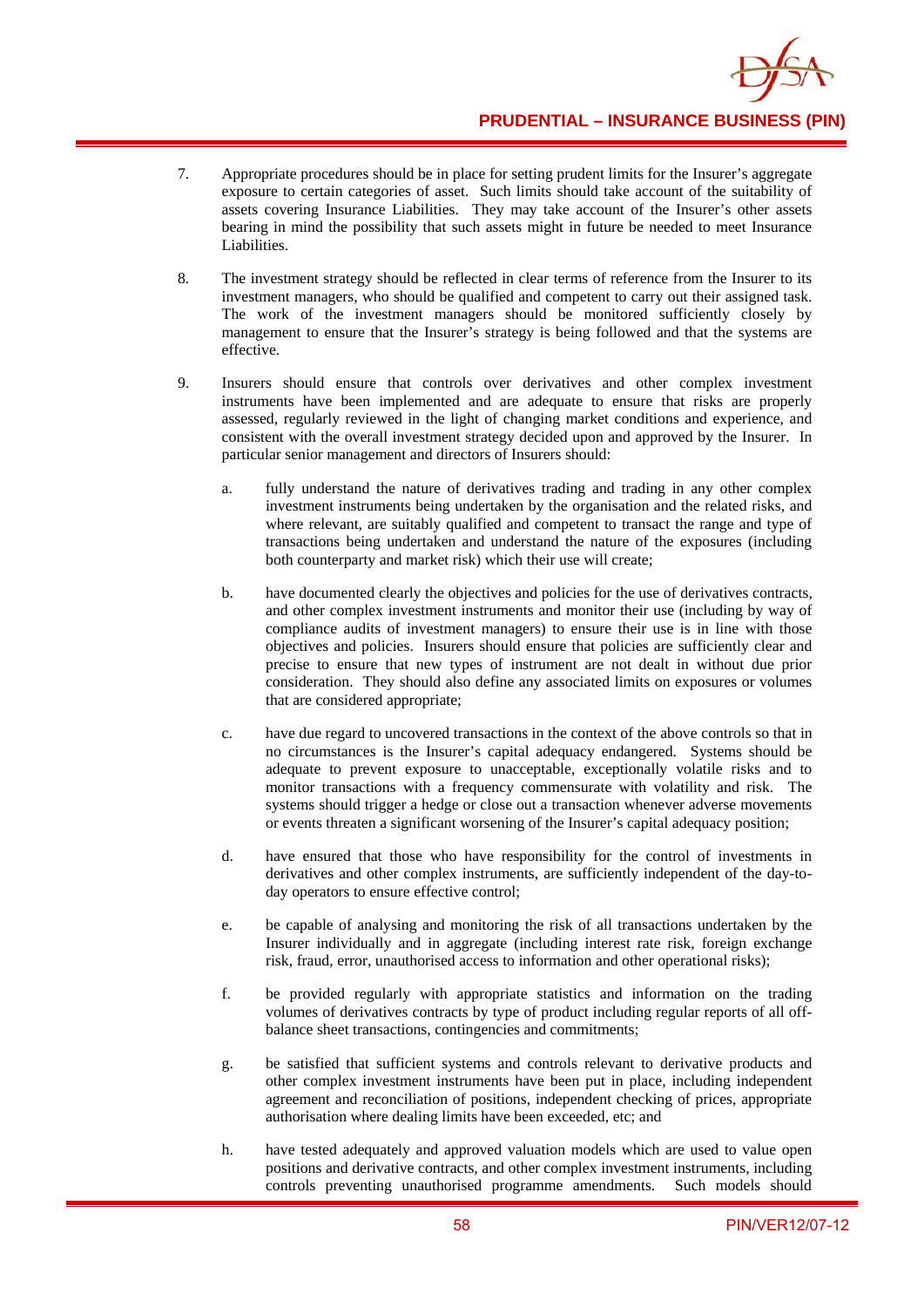- 7. Appropriate procedures should be in place for setting prudent limits for the Insurer's aggregate exposure to certain categories of asset. Such limits should take account of the suitability of assets covering Insurance Liabilities. They may take account of the Insurer's other assets bearing in mind the possibility that such assets might in future be needed to meet Insurance Liabilities.
- 8. The investment strategy should be reflected in clear terms of reference from the Insurer to its investment managers, who should be qualified and competent to carry out their assigned task. The work of the investment managers should be monitored sufficiently closely by management to ensure that the Insurer's strategy is being followed and that the systems are effective.
- 9. Insurers should ensure that controls over derivatives and other complex investment instruments have been implemented and are adequate to ensure that risks are properly assessed, regularly reviewed in the light of changing market conditions and experience, and consistent with the overall investment strategy decided upon and approved by the Insurer. In particular senior management and directors of Insurers should:
	- a. fully understand the nature of derivatives trading and trading in any other complex investment instruments being undertaken by the organisation and the related risks, and where relevant, are suitably qualified and competent to transact the range and type of transactions being undertaken and understand the nature of the exposures (including both counterparty and market risk) which their use will create;
	- b. have documented clearly the objectives and policies for the use of derivatives contracts, and other complex investment instruments and monitor their use (including by way of compliance audits of investment managers) to ensure their use is in line with those objectives and policies. Insurers should ensure that policies are sufficiently clear and precise to ensure that new types of instrument are not dealt in without due prior consideration. They should also define any associated limits on exposures or volumes that are considered appropriate;
	- c. have due regard to uncovered transactions in the context of the above controls so that in no circumstances is the Insurer's capital adequacy endangered. Systems should be adequate to prevent exposure to unacceptable, exceptionally volatile risks and to monitor transactions with a frequency commensurate with volatility and risk. The systems should trigger a hedge or close out a transaction whenever adverse movements or events threaten a significant worsening of the Insurer's capital adequacy position;
	- d. have ensured that those who have responsibility for the control of investments in derivatives and other complex instruments, are sufficiently independent of the day-today operators to ensure effective control;
	- e. be capable of analysing and monitoring the risk of all transactions undertaken by the Insurer individually and in aggregate (including interest rate risk, foreign exchange risk, fraud, error, unauthorised access to information and other operational risks);
	- f. be provided regularly with appropriate statistics and information on the trading volumes of derivatives contracts by type of product including regular reports of all offbalance sheet transactions, contingencies and commitments;
	- g. be satisfied that sufficient systems and controls relevant to derivative products and other complex investment instruments have been put in place, including independent agreement and reconciliation of positions, independent checking of prices, appropriate authorisation where dealing limits have been exceeded, etc; and
	- h. have tested adequately and approved valuation models which are used to value open positions and derivative contracts, and other complex investment instruments, including controls preventing unauthorised programme amendments. Such models should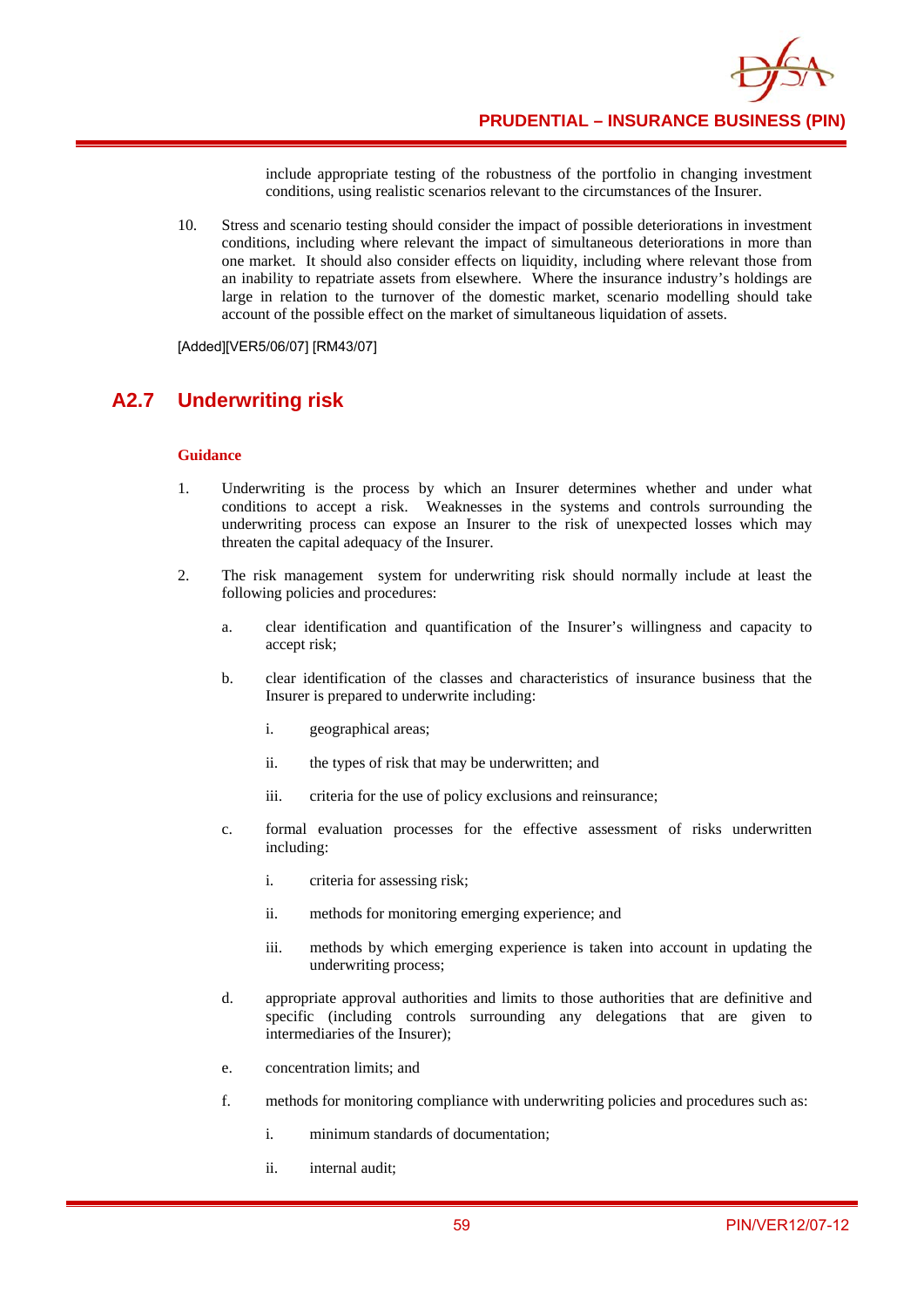include appropriate testing of the robustness of the portfolio in changing investment conditions, using realistic scenarios relevant to the circumstances of the Insurer.

10. Stress and scenario testing should consider the impact of possible deteriorations in investment conditions, including where relevant the impact of simultaneous deteriorations in more than one market. It should also consider effects on liquidity, including where relevant those from an inability to repatriate assets from elsewhere. Where the insurance industry's holdings are large in relation to the turnover of the domestic market, scenario modelling should take account of the possible effect on the market of simultaneous liquidation of assets.

[Added][VER5/06/07] [RM43/07]

# **A2.7 Underwriting risk**

- 1. Underwriting is the process by which an Insurer determines whether and under what conditions to accept a risk. Weaknesses in the systems and controls surrounding the underwriting process can expose an Insurer to the risk of unexpected losses which may threaten the capital adequacy of the Insurer.
- 2. The risk management system for underwriting risk should normally include at least the following policies and procedures:
	- a. clear identification and quantification of the Insurer's willingness and capacity to accept risk;
	- b. clear identification of the classes and characteristics of insurance business that the Insurer is prepared to underwrite including:
		- i. geographical areas;
		- ii. the types of risk that may be underwritten; and
		- iii. criteria for the use of policy exclusions and reinsurance;
	- c. formal evaluation processes for the effective assessment of risks underwritten including:
		- i. criteria for assessing risk;
		- ii. methods for monitoring emerging experience; and
		- iii. methods by which emerging experience is taken into account in updating the underwriting process;
	- d. appropriate approval authorities and limits to those authorities that are definitive and specific (including controls surrounding any delegations that are given to intermediaries of the Insurer);
	- e. concentration limits; and
	- f. methods for monitoring compliance with underwriting policies and procedures such as:
		- i. minimum standards of documentation;
		- ii. internal audit;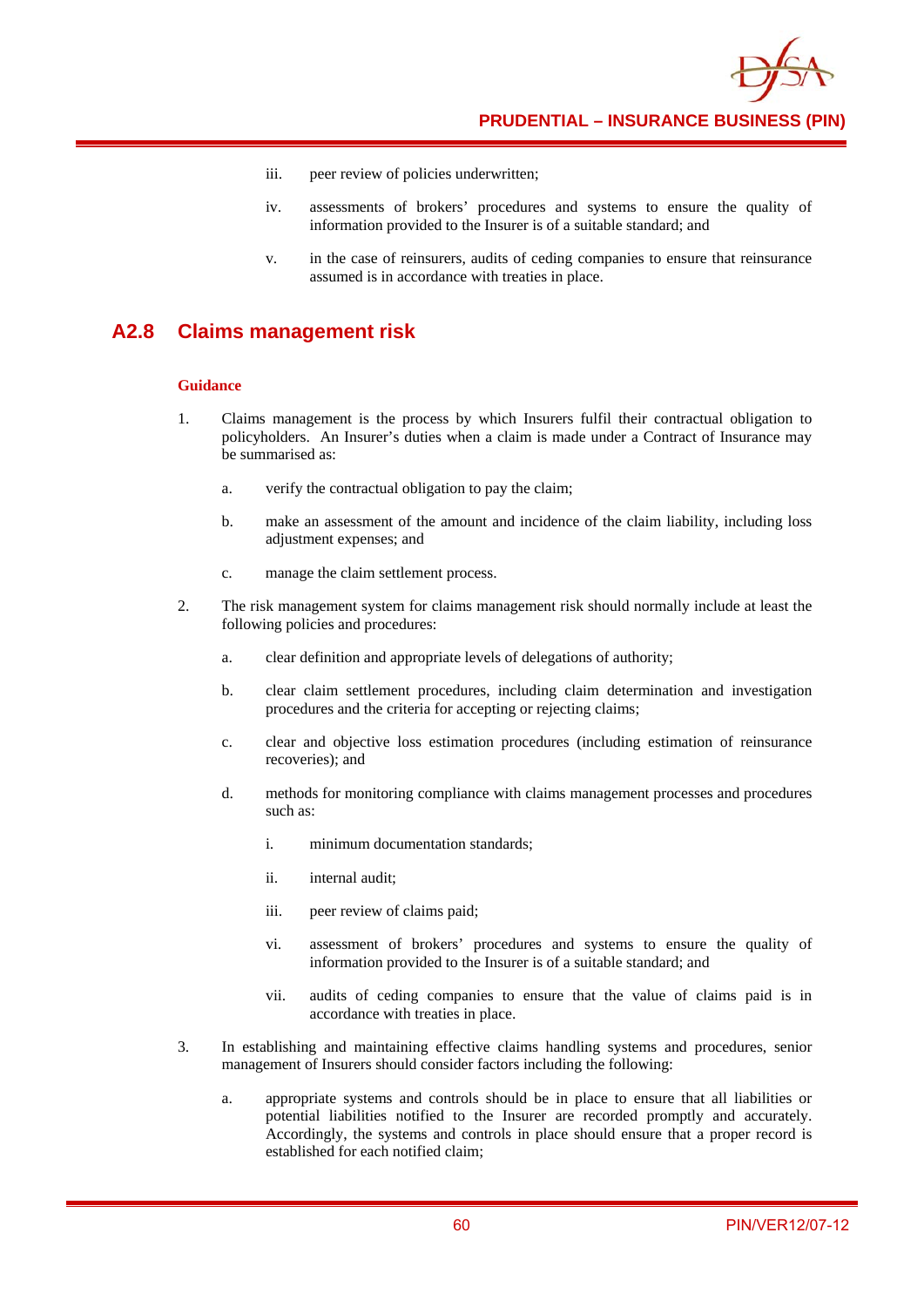

**PRUDENTIAL – INSURANCE BUSINESS (PIN)**

- iii. peer review of policies underwritten;
- iv. assessments of brokers' procedures and systems to ensure the quality of information provided to the Insurer is of a suitable standard; and
- v. in the case of reinsurers, audits of ceding companies to ensure that reinsurance assumed is in accordance with treaties in place.

### **A2.8 Claims management risk**

- 1. Claims management is the process by which Insurers fulfil their contractual obligation to policyholders. An Insurer's duties when a claim is made under a Contract of Insurance may be summarised as:
	- a. verify the contractual obligation to pay the claim;
	- b. make an assessment of the amount and incidence of the claim liability, including loss adjustment expenses; and
	- c. manage the claim settlement process.
- 2. The risk management system for claims management risk should normally include at least the following policies and procedures:
	- a. clear definition and appropriate levels of delegations of authority;
	- b. clear claim settlement procedures, including claim determination and investigation procedures and the criteria for accepting or rejecting claims;
	- c. clear and objective loss estimation procedures (including estimation of reinsurance recoveries); and
	- d. methods for monitoring compliance with claims management processes and procedures such as:
		- i. minimum documentation standards;
		- ii. internal audit;
		- iii. peer review of claims paid;
		- vi. assessment of brokers' procedures and systems to ensure the quality of information provided to the Insurer is of a suitable standard; and
		- vii. audits of ceding companies to ensure that the value of claims paid is in accordance with treaties in place.
- 3. In establishing and maintaining effective claims handling systems and procedures, senior management of Insurers should consider factors including the following:
	- a. appropriate systems and controls should be in place to ensure that all liabilities or potential liabilities notified to the Insurer are recorded promptly and accurately. Accordingly, the systems and controls in place should ensure that a proper record is established for each notified claim;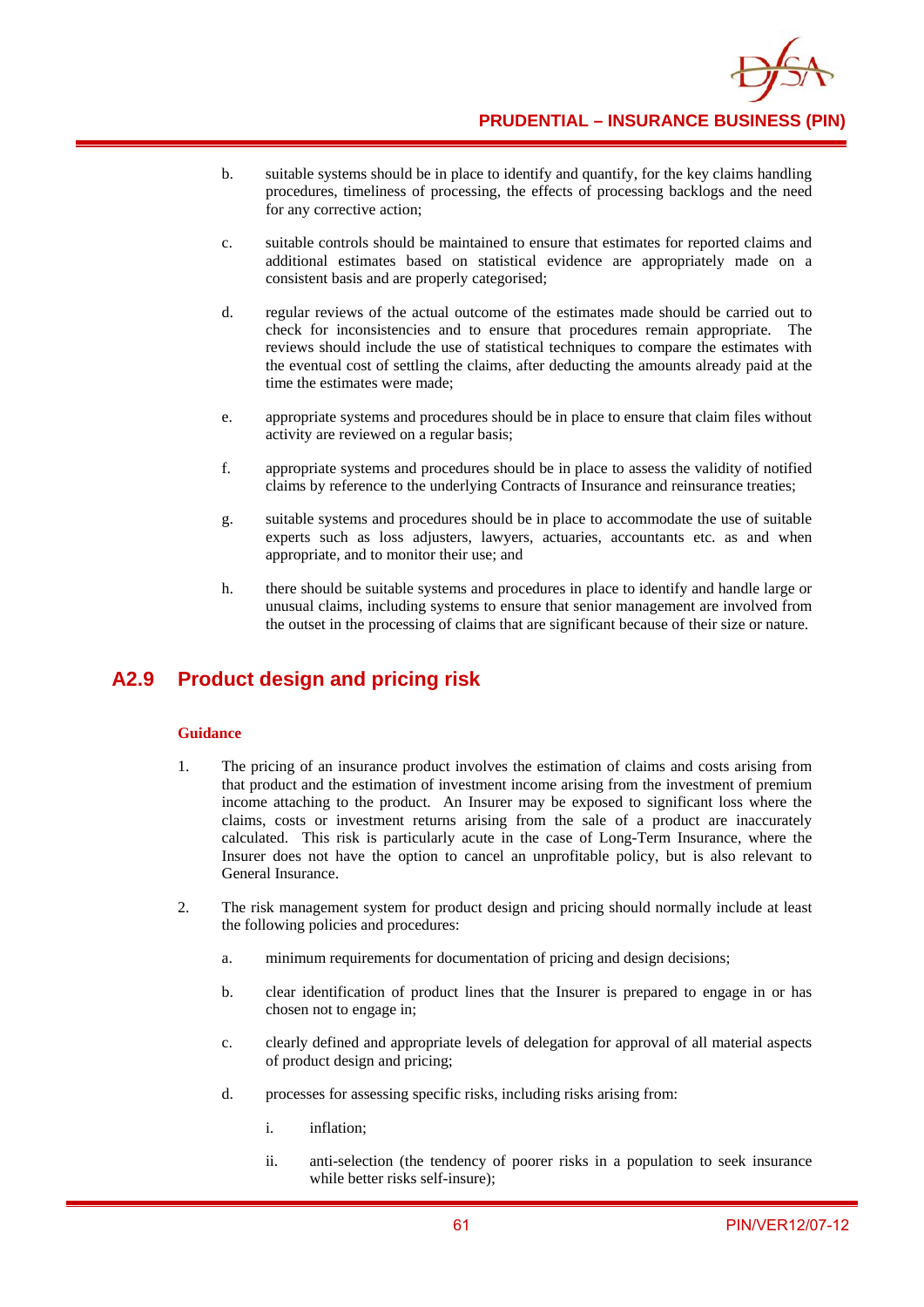

- b. suitable systems should be in place to identify and quantify, for the key claims handling procedures, timeliness of processing, the effects of processing backlogs and the need for any corrective action;
- c. suitable controls should be maintained to ensure that estimates for reported claims and additional estimates based on statistical evidence are appropriately made on a consistent basis and are properly categorised;
- d. regular reviews of the actual outcome of the estimates made should be carried out to check for inconsistencies and to ensure that procedures remain appropriate. The reviews should include the use of statistical techniques to compare the estimates with the eventual cost of settling the claims, after deducting the amounts already paid at the time the estimates were made;
- e. appropriate systems and procedures should be in place to ensure that claim files without activity are reviewed on a regular basis;
- f. appropriate systems and procedures should be in place to assess the validity of notified claims by reference to the underlying Contracts of Insurance and reinsurance treaties;
- g. suitable systems and procedures should be in place to accommodate the use of suitable experts such as loss adjusters, lawyers, actuaries, accountants etc. as and when appropriate, and to monitor their use; and
- h. there should be suitable systems and procedures in place to identify and handle large or unusual claims, including systems to ensure that senior management are involved from the outset in the processing of claims that are significant because of their size or nature.

# **A2.9 Product design and pricing risk**

- 1. The pricing of an insurance product involves the estimation of claims and costs arising from that product and the estimation of investment income arising from the investment of premium income attaching to the product. An Insurer may be exposed to significant loss where the claims, costs or investment returns arising from the sale of a product are inaccurately calculated. This risk is particularly acute in the case of Long-Term Insurance, where the Insurer does not have the option to cancel an unprofitable policy, but is also relevant to General Insurance.
- 2. The risk management system for product design and pricing should normally include at least the following policies and procedures:
	- a. minimum requirements for documentation of pricing and design decisions;
	- b. clear identification of product lines that the Insurer is prepared to engage in or has chosen not to engage in;
	- c. clearly defined and appropriate levels of delegation for approval of all material aspects of product design and pricing;
	- d. processes for assessing specific risks, including risks arising from:
		- i. inflation;
		- ii. anti-selection (the tendency of poorer risks in a population to seek insurance while better risks self-insure);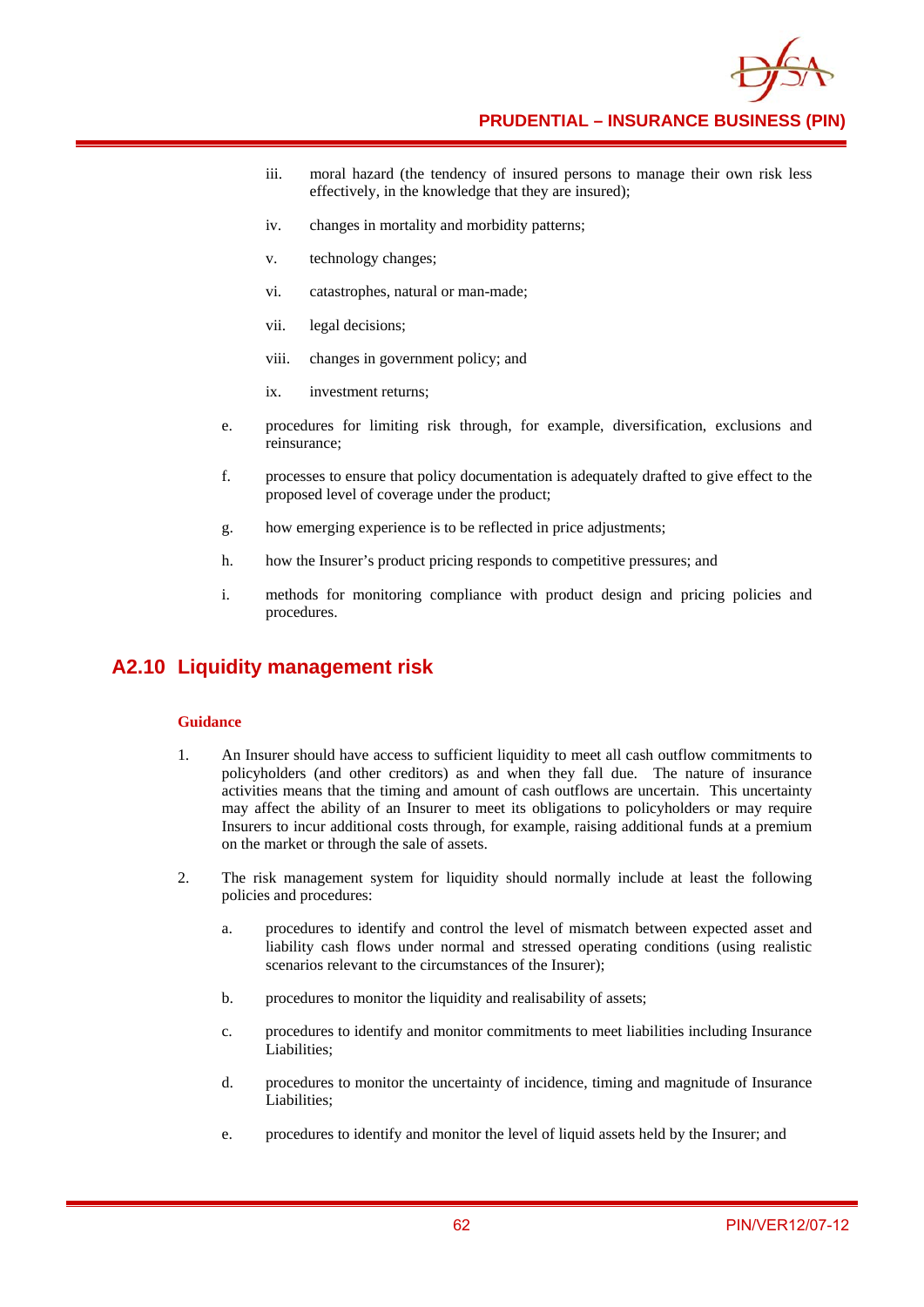

- iii. moral hazard (the tendency of insured persons to manage their own risk less effectively, in the knowledge that they are insured);
- iv. changes in mortality and morbidity patterns;
- v. technology changes;
- vi. catastrophes, natural or man-made;
- vii. legal decisions;
- viii. changes in government policy; and
- ix. investment returns;
- e. procedures for limiting risk through, for example, diversification, exclusions and reinsurance;
- f. processes to ensure that policy documentation is adequately drafted to give effect to the proposed level of coverage under the product;
- g. how emerging experience is to be reflected in price adjustments;
- h. how the Insurer's product pricing responds to competitive pressures; and
- i. methods for monitoring compliance with product design and pricing policies and procedures.

## **A2.10 Liquidity management risk**

- 1. An Insurer should have access to sufficient liquidity to meet all cash outflow commitments to policyholders (and other creditors) as and when they fall due. The nature of insurance activities means that the timing and amount of cash outflows are uncertain. This uncertainty may affect the ability of an Insurer to meet its obligations to policyholders or may require Insurers to incur additional costs through, for example, raising additional funds at a premium on the market or through the sale of assets.
- 2. The risk management system for liquidity should normally include at least the following policies and procedures:
	- a. procedures to identify and control the level of mismatch between expected asset and liability cash flows under normal and stressed operating conditions (using realistic scenarios relevant to the circumstances of the Insurer);
	- b. procedures to monitor the liquidity and realisability of assets;
	- c. procedures to identify and monitor commitments to meet liabilities including Insurance Liabilities;
	- d. procedures to monitor the uncertainty of incidence, timing and magnitude of Insurance Liabilities;
	- e. procedures to identify and monitor the level of liquid assets held by the Insurer; and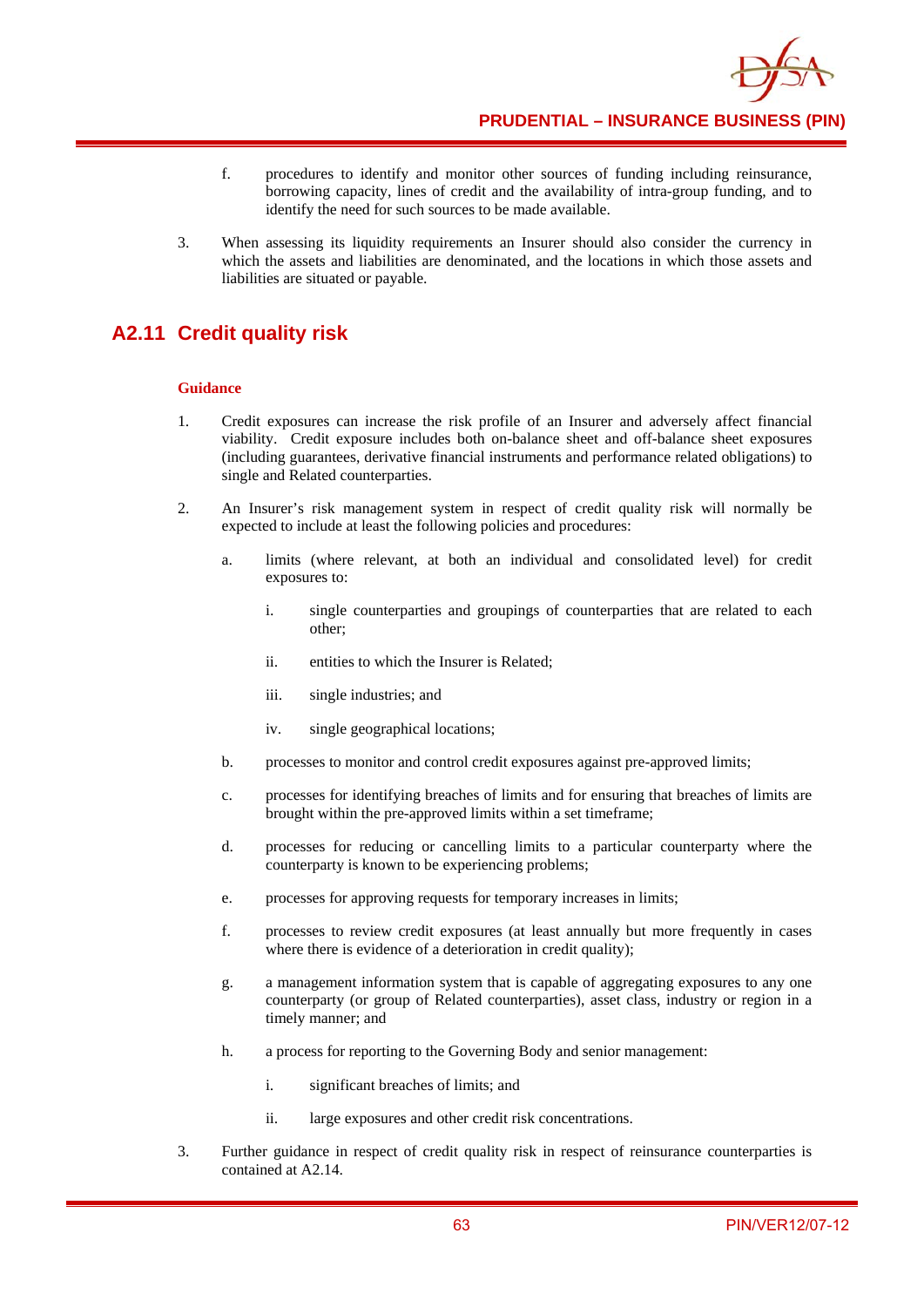

- f. procedures to identify and monitor other sources of funding including reinsurance, borrowing capacity, lines of credit and the availability of intra-group funding, and to identify the need for such sources to be made available.
- 3. When assessing its liquidity requirements an Insurer should also consider the currency in which the assets and liabilities are denominated, and the locations in which those assets and liabilities are situated or payable.

# **A2.11 Credit quality risk**

- 1. Credit exposures can increase the risk profile of an Insurer and adversely affect financial viability. Credit exposure includes both on-balance sheet and off-balance sheet exposures (including guarantees, derivative financial instruments and performance related obligations) to single and Related counterparties.
- 2. An Insurer's risk management system in respect of credit quality risk will normally be expected to include at least the following policies and procedures:
	- a. limits (where relevant, at both an individual and consolidated level) for credit exposures to:
		- i. single counterparties and groupings of counterparties that are related to each other;
		- ii. entities to which the Insurer is Related;
		- iii. single industries; and
		- iv. single geographical locations;
	- b. processes to monitor and control credit exposures against pre-approved limits;
	- c. processes for identifying breaches of limits and for ensuring that breaches of limits are brought within the pre-approved limits within a set timeframe;
	- d. processes for reducing or cancelling limits to a particular counterparty where the counterparty is known to be experiencing problems;
	- e. processes for approving requests for temporary increases in limits;
	- f. processes to review credit exposures (at least annually but more frequently in cases where there is evidence of a deterioration in credit quality);
	- g. a management information system that is capable of aggregating exposures to any one counterparty (or group of Related counterparties), asset class, industry or region in a timely manner; and
	- h. a process for reporting to the Governing Body and senior management:
		- i. significant breaches of limits; and
		- ii. large exposures and other credit risk concentrations.
- 3. Further guidance in respect of credit quality risk in respect of reinsurance counterparties is contained at A2.14.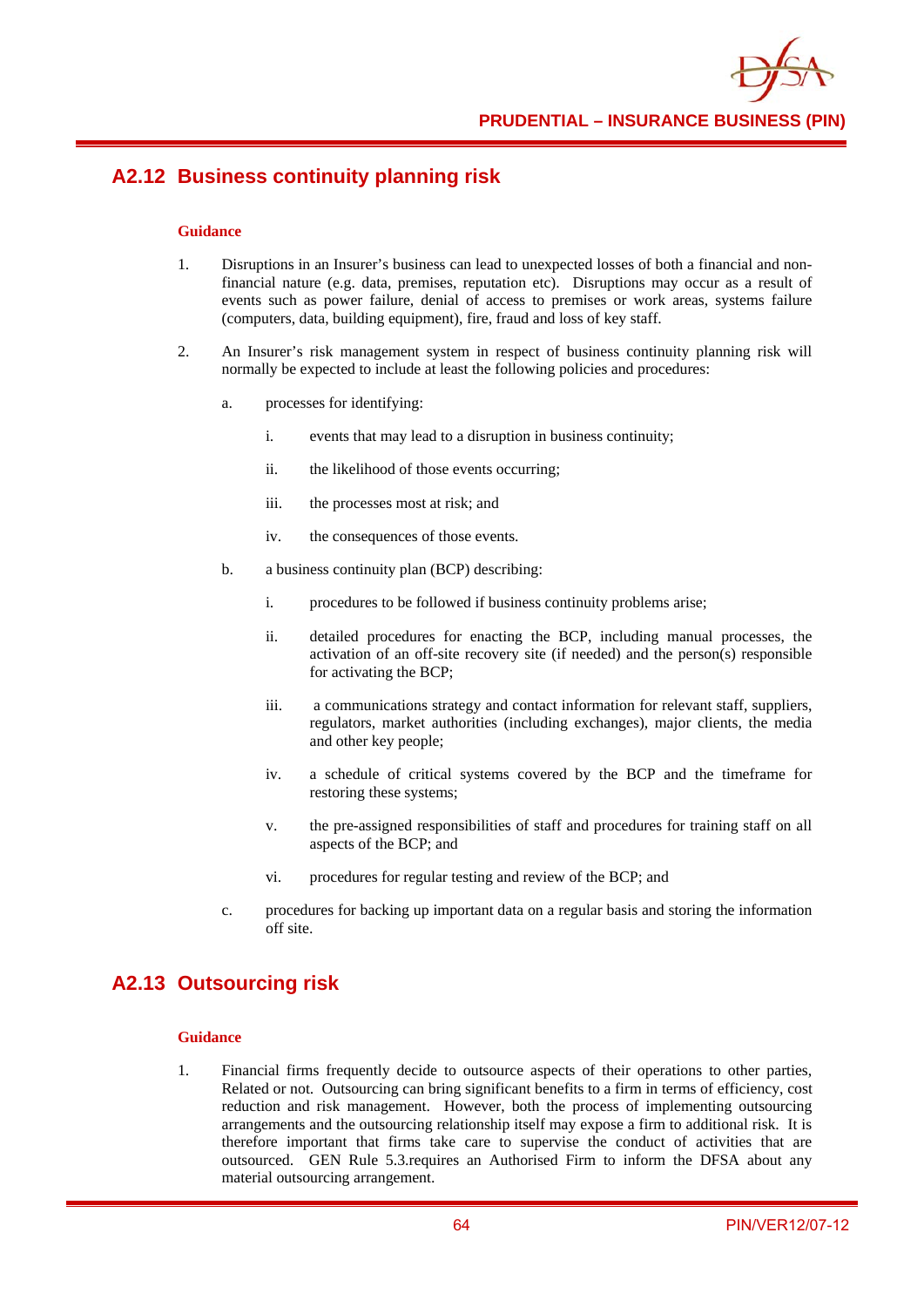

**PRUDENTIAL – INSURANCE BUSINESS (PIN)**

# **A2.12 Business continuity planning risk**

#### **Guidance**

- 1. Disruptions in an Insurer's business can lead to unexpected losses of both a financial and nonfinancial nature (e.g. data, premises, reputation etc). Disruptions may occur as a result of events such as power failure, denial of access to premises or work areas, systems failure (computers, data, building equipment), fire, fraud and loss of key staff.
- 2. An Insurer's risk management system in respect of business continuity planning risk will normally be expected to include at least the following policies and procedures:
	- a. processes for identifying:
		- i. events that may lead to a disruption in business continuity;
		- ii. the likelihood of those events occurring;
		- iii. the processes most at risk; and
		- iv. the consequences of those events.
	- b. a business continuity plan (BCP) describing:
		- i. procedures to be followed if business continuity problems arise;
		- ii. detailed procedures for enacting the BCP, including manual processes, the activation of an off-site recovery site (if needed) and the person(s) responsible for activating the BCP;
		- iii. a communications strategy and contact information for relevant staff, suppliers, regulators, market authorities (including exchanges), major clients, the media and other key people;
		- iv. a schedule of critical systems covered by the BCP and the timeframe for restoring these systems;
		- v. the pre-assigned responsibilities of staff and procedures for training staff on all aspects of the BCP; and
		- vi. procedures for regular testing and review of the BCP; and
	- c. procedures for backing up important data on a regular basis and storing the information off site.

## **A2.13 Outsourcing risk**

#### **Guidance**

1. Financial firms frequently decide to outsource aspects of their operations to other parties, Related or not. Outsourcing can bring significant benefits to a firm in terms of efficiency, cost reduction and risk management. However, both the process of implementing outsourcing arrangements and the outsourcing relationship itself may expose a firm to additional risk. It is therefore important that firms take care to supervise the conduct of activities that are outsourced. GEN Rule 5.3.requires an Authorised Firm to inform the DFSA about any material outsourcing arrangement.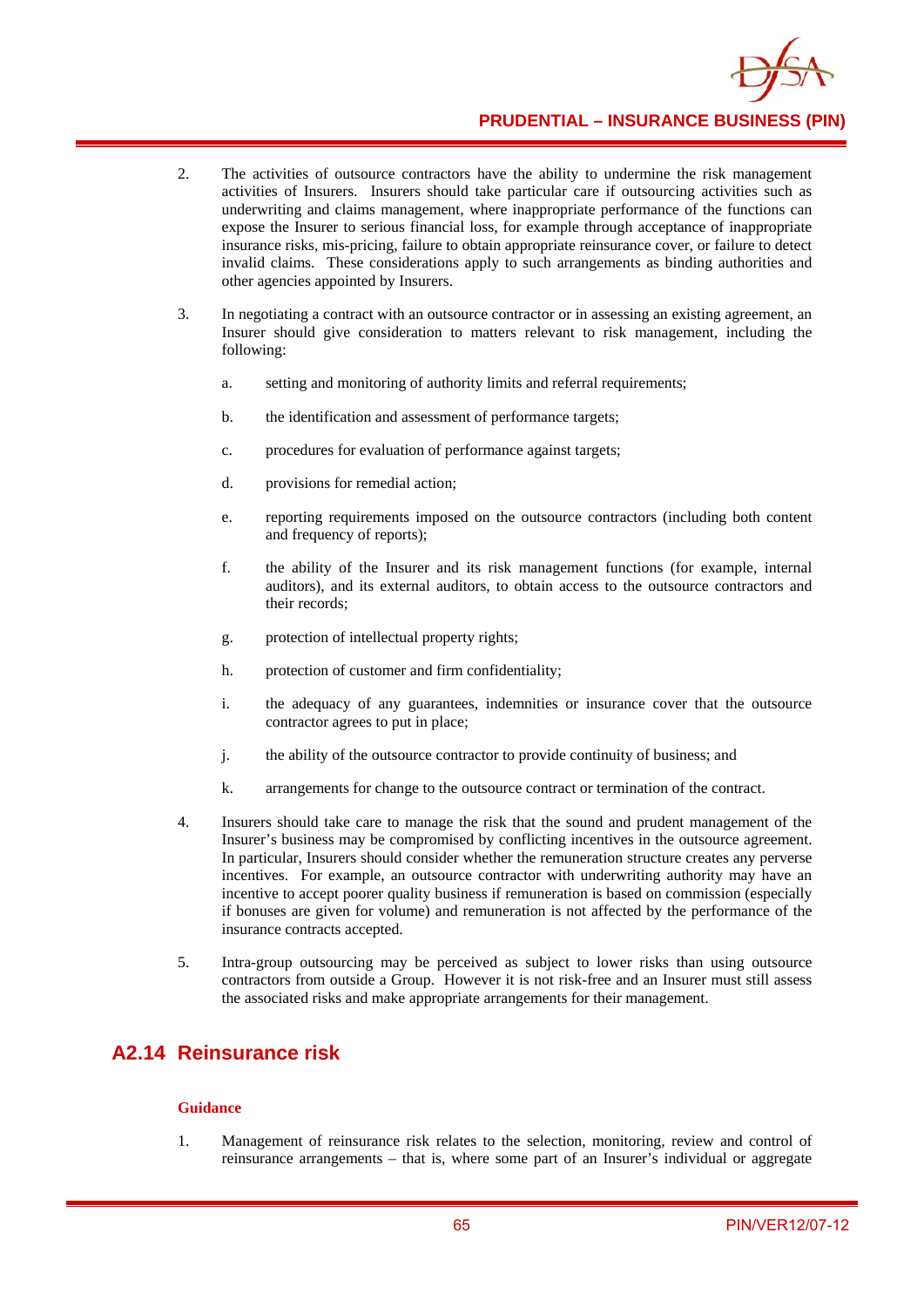

**PRUDENTIAL – INSURANCE BUSINESS (PIN)**

- 2. The activities of outsource contractors have the ability to undermine the risk management activities of Insurers. Insurers should take particular care if outsourcing activities such as underwriting and claims management, where inappropriate performance of the functions can expose the Insurer to serious financial loss, for example through acceptance of inappropriate insurance risks, mis-pricing, failure to obtain appropriate reinsurance cover, or failure to detect invalid claims. These considerations apply to such arrangements as binding authorities and other agencies appointed by Insurers.
- 3. In negotiating a contract with an outsource contractor or in assessing an existing agreement, an Insurer should give consideration to matters relevant to risk management, including the following:
	- a. setting and monitoring of authority limits and referral requirements;
	- b. the identification and assessment of performance targets;
	- c. procedures for evaluation of performance against targets;
	- d. provisions for remedial action;
	- e. reporting requirements imposed on the outsource contractors (including both content and frequency of reports);
	- f. the ability of the Insurer and its risk management functions (for example, internal auditors), and its external auditors, to obtain access to the outsource contractors and their records;
	- g. protection of intellectual property rights;
	- h. protection of customer and firm confidentiality;
	- i. the adequacy of any guarantees, indemnities or insurance cover that the outsource contractor agrees to put in place;
	- j. the ability of the outsource contractor to provide continuity of business; and
	- k. arrangements for change to the outsource contract or termination of the contract.
- 4. Insurers should take care to manage the risk that the sound and prudent management of the Insurer's business may be compromised by conflicting incentives in the outsource agreement. In particular, Insurers should consider whether the remuneration structure creates any perverse incentives. For example, an outsource contractor with underwriting authority may have an incentive to accept poorer quality business if remuneration is based on commission (especially if bonuses are given for volume) and remuneration is not affected by the performance of the insurance contracts accepted.
- 5. Intra-group outsourcing may be perceived as subject to lower risks than using outsource contractors from outside a Group. However it is not risk-free and an Insurer must still assess the associated risks and make appropriate arrangements for their management.

## **A2.14 Reinsurance risk**

### **Guidance**

1. Management of reinsurance risk relates to the selection, monitoring, review and control of reinsurance arrangements – that is, where some part of an Insurer's individual or aggregate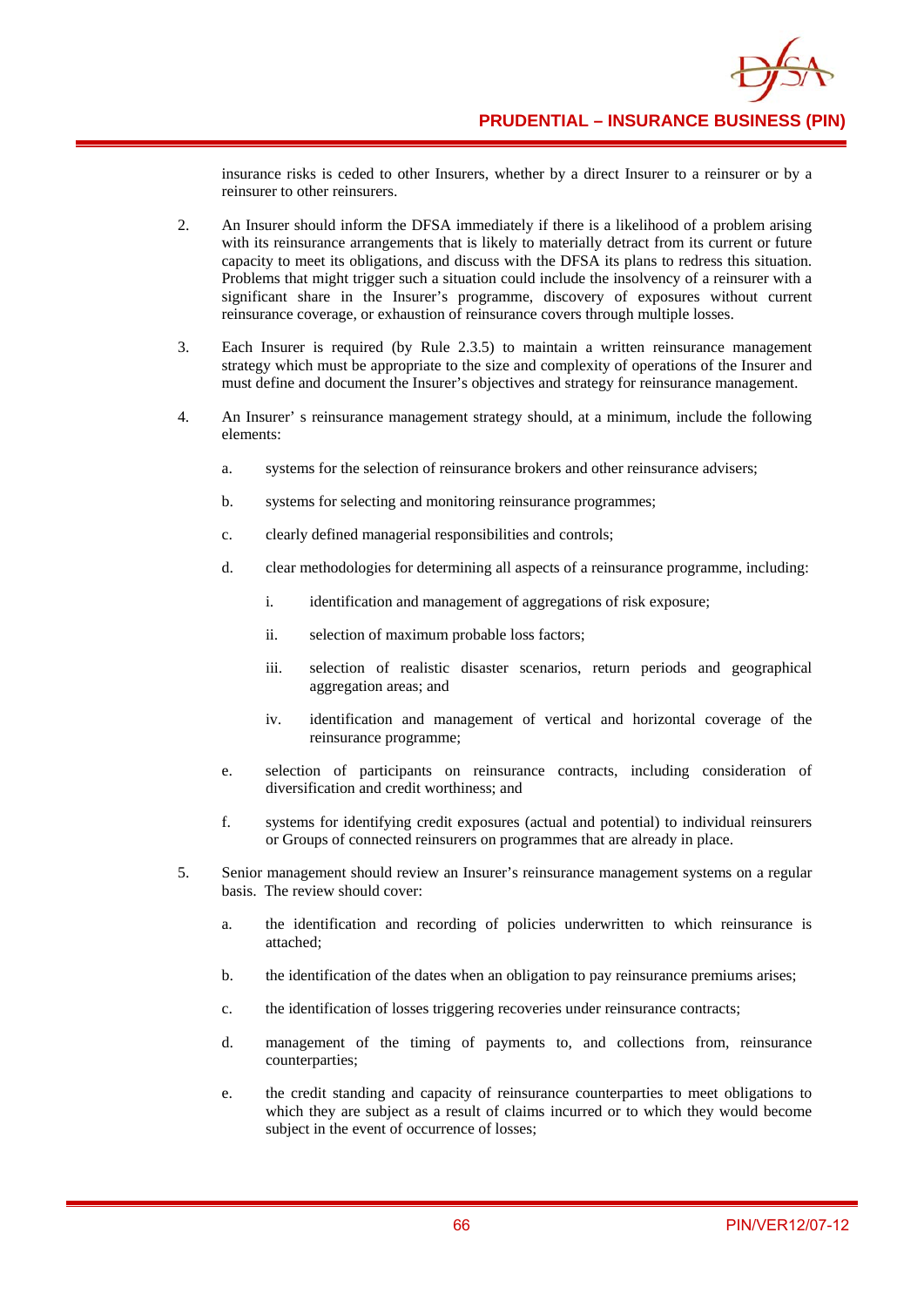insurance risks is ceded to other Insurers, whether by a direct Insurer to a reinsurer or by a reinsurer to other reinsurers.

- 2. An Insurer should inform the DFSA immediately if there is a likelihood of a problem arising with its reinsurance arrangements that is likely to materially detract from its current or future capacity to meet its obligations, and discuss with the DFSA its plans to redress this situation. Problems that might trigger such a situation could include the insolvency of a reinsurer with a significant share in the Insurer's programme, discovery of exposures without current reinsurance coverage, or exhaustion of reinsurance covers through multiple losses.
- 3. Each Insurer is required (by Rule 2.3.5) to maintain a written reinsurance management strategy which must be appropriate to the size and complexity of operations of the Insurer and must define and document the Insurer's objectives and strategy for reinsurance management.
- 4. An Insurer' s reinsurance management strategy should, at a minimum, include the following elements:
	- a. systems for the selection of reinsurance brokers and other reinsurance advisers;
	- b. systems for selecting and monitoring reinsurance programmes;
	- c. clearly defined managerial responsibilities and controls;
	- d. clear methodologies for determining all aspects of a reinsurance programme, including:
		- i. identification and management of aggregations of risk exposure;
		- ii. selection of maximum probable loss factors;
		- iii. selection of realistic disaster scenarios, return periods and geographical aggregation areas; and
		- iv. identification and management of vertical and horizontal coverage of the reinsurance programme;
	- e. selection of participants on reinsurance contracts, including consideration of diversification and credit worthiness; and
	- f. systems for identifying credit exposures (actual and potential) to individual reinsurers or Groups of connected reinsurers on programmes that are already in place.
- 5. Senior management should review an Insurer's reinsurance management systems on a regular basis. The review should cover:
	- a. the identification and recording of policies underwritten to which reinsurance is attached;
	- b. the identification of the dates when an obligation to pay reinsurance premiums arises;
	- c. the identification of losses triggering recoveries under reinsurance contracts;
	- d. management of the timing of payments to, and collections from, reinsurance counterparties;
	- e. the credit standing and capacity of reinsurance counterparties to meet obligations to which they are subject as a result of claims incurred or to which they would become subject in the event of occurrence of losses;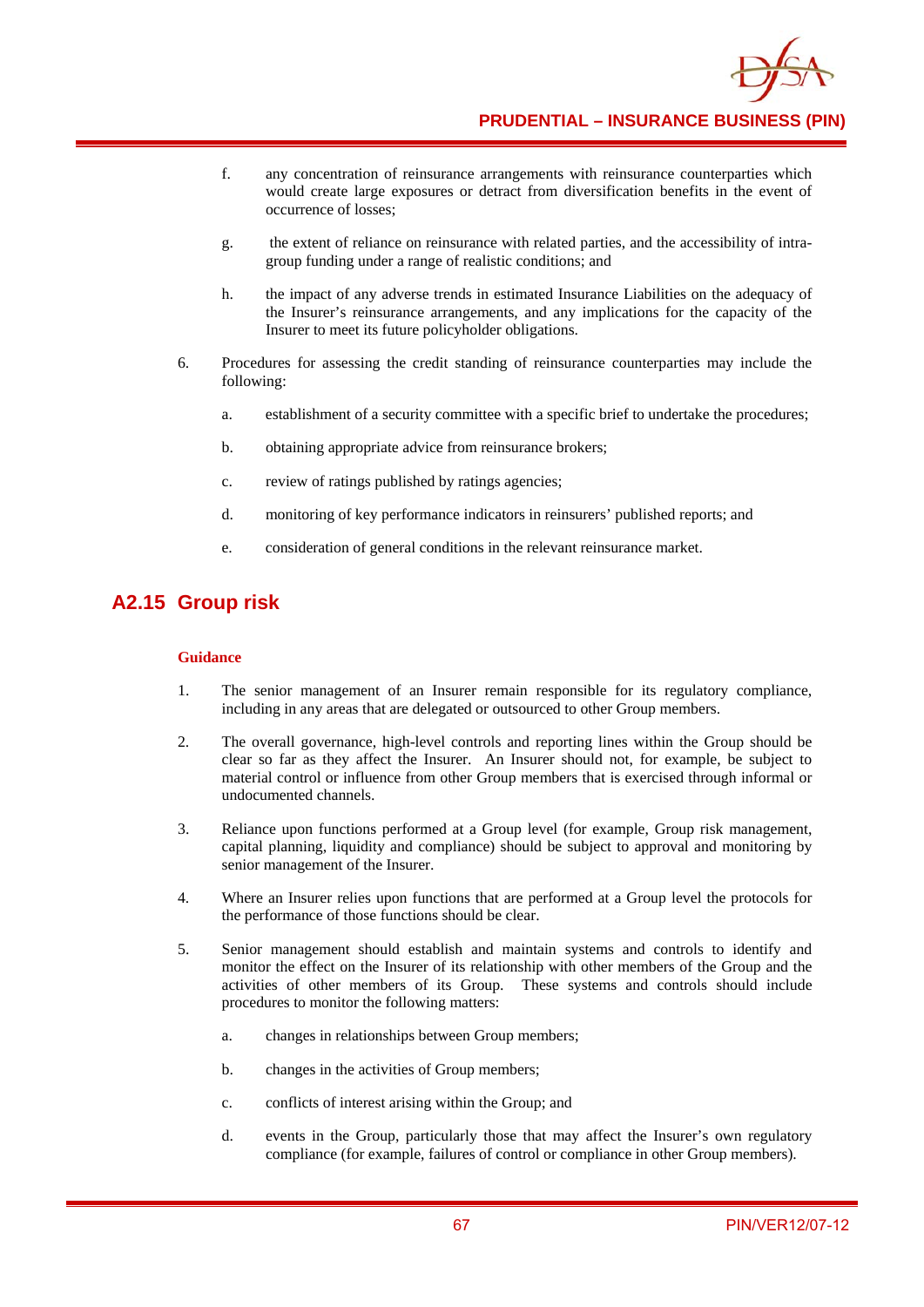

**PRUDENTIAL – INSURANCE BUSINESS (PIN)**

- f. any concentration of reinsurance arrangements with reinsurance counterparties which would create large exposures or detract from diversification benefits in the event of occurrence of losses;
- g. the extent of reliance on reinsurance with related parties, and the accessibility of intragroup funding under a range of realistic conditions; and
- h. the impact of any adverse trends in estimated Insurance Liabilities on the adequacy of the Insurer's reinsurance arrangements, and any implications for the capacity of the Insurer to meet its future policyholder obligations.
- 6. Procedures for assessing the credit standing of reinsurance counterparties may include the following:
	- a. establishment of a security committee with a specific brief to undertake the procedures;
	- b. obtaining appropriate advice from reinsurance brokers;
	- c. review of ratings published by ratings agencies;
	- d. monitoring of key performance indicators in reinsurers' published reports; and
	- e. consideration of general conditions in the relevant reinsurance market.

### **A2.15 Group risk**

- 1. The senior management of an Insurer remain responsible for its regulatory compliance, including in any areas that are delegated or outsourced to other Group members.
- 2. The overall governance, high-level controls and reporting lines within the Group should be clear so far as they affect the Insurer. An Insurer should not, for example, be subject to material control or influence from other Group members that is exercised through informal or undocumented channels.
- 3. Reliance upon functions performed at a Group level (for example, Group risk management, capital planning, liquidity and compliance) should be subject to approval and monitoring by senior management of the Insurer.
- 4. Where an Insurer relies upon functions that are performed at a Group level the protocols for the performance of those functions should be clear.
- 5. Senior management should establish and maintain systems and controls to identify and monitor the effect on the Insurer of its relationship with other members of the Group and the activities of other members of its Group. These systems and controls should include procedures to monitor the following matters:
	- a. changes in relationships between Group members;
	- b. changes in the activities of Group members;
	- c. conflicts of interest arising within the Group; and
	- d. events in the Group, particularly those that may affect the Insurer's own regulatory compliance (for example, failures of control or compliance in other Group members).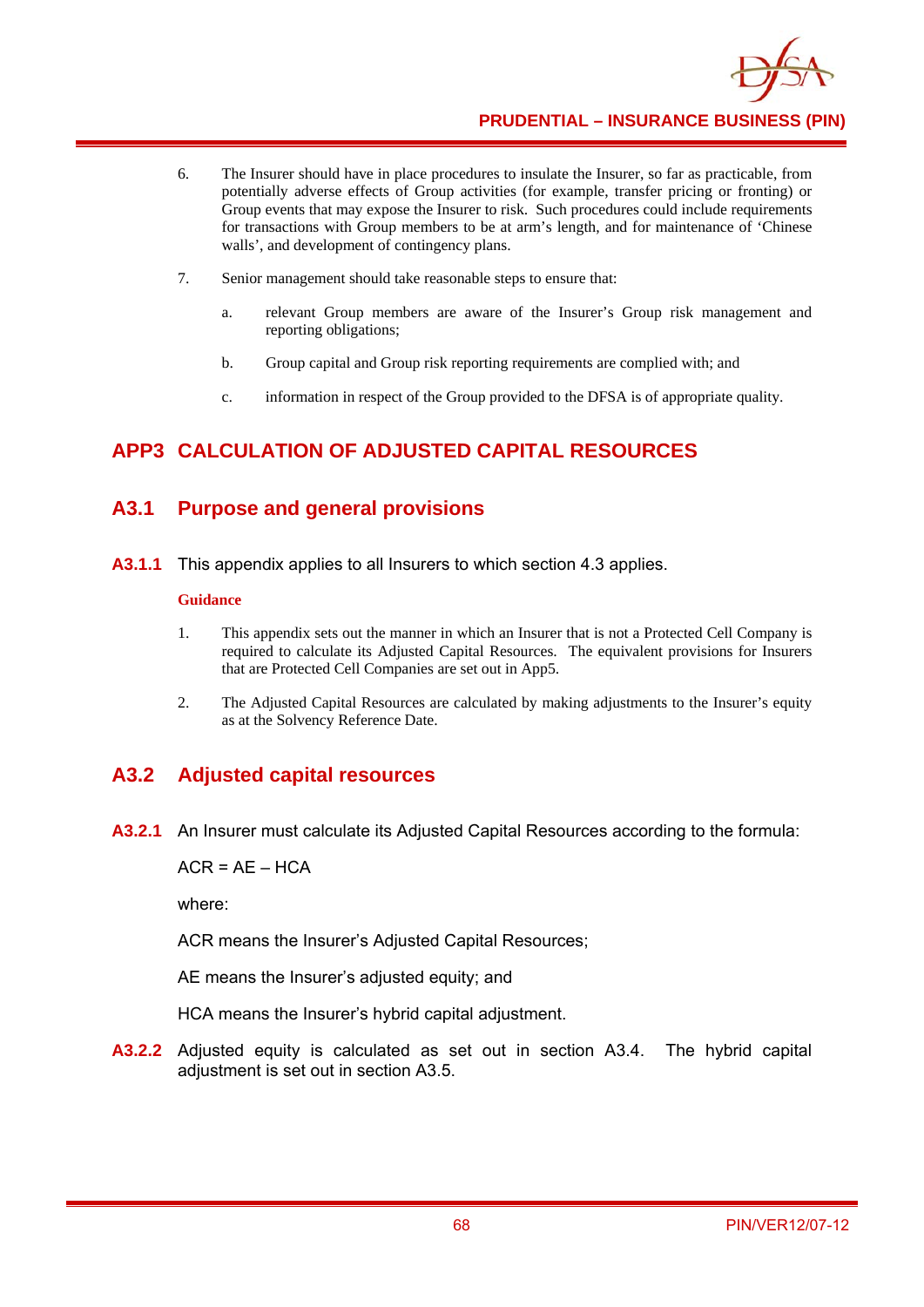

- 6. The Insurer should have in place procedures to insulate the Insurer, so far as practicable, from potentially adverse effects of Group activities (for example, transfer pricing or fronting) or Group events that may expose the Insurer to risk. Such procedures could include requirements for transactions with Group members to be at arm's length, and for maintenance of 'Chinese walls', and development of contingency plans.
- 7. Senior management should take reasonable steps to ensure that:
	- a. relevant Group members are aware of the Insurer's Group risk management and reporting obligations;
	- b. Group capital and Group risk reporting requirements are complied with; and
	- c. information in respect of the Group provided to the DFSA is of appropriate quality.

# **APP3 CALCULATION OF ADJUSTED CAPITAL RESOURCES**

### **A3.1 Purpose and general provisions**

**A3.1.1** This appendix applies to all Insurers to which section 4.3 applies.

#### **Guidance**

- 1. This appendix sets out the manner in which an Insurer that is not a Protected Cell Company is required to calculate its Adjusted Capital Resources. The equivalent provisions for Insurers that are Protected Cell Companies are set out in App5.
- 2. The Adjusted Capital Resources are calculated by making adjustments to the Insurer's equity as at the Solvency Reference Date.

## **A3.2 Adjusted capital resources**

**A3.2.1** An Insurer must calculate its Adjusted Capital Resources according to the formula:

 $ACR = AE - HCA$ 

where:

ACR means the Insurer's Adjusted Capital Resources;

AE means the Insurer's adjusted equity; and

HCA means the Insurer's hybrid capital adjustment.

**A3.2.2** Adjusted equity is calculated as set out in section A3.4. The hybrid capital adjustment is set out in section A3.5.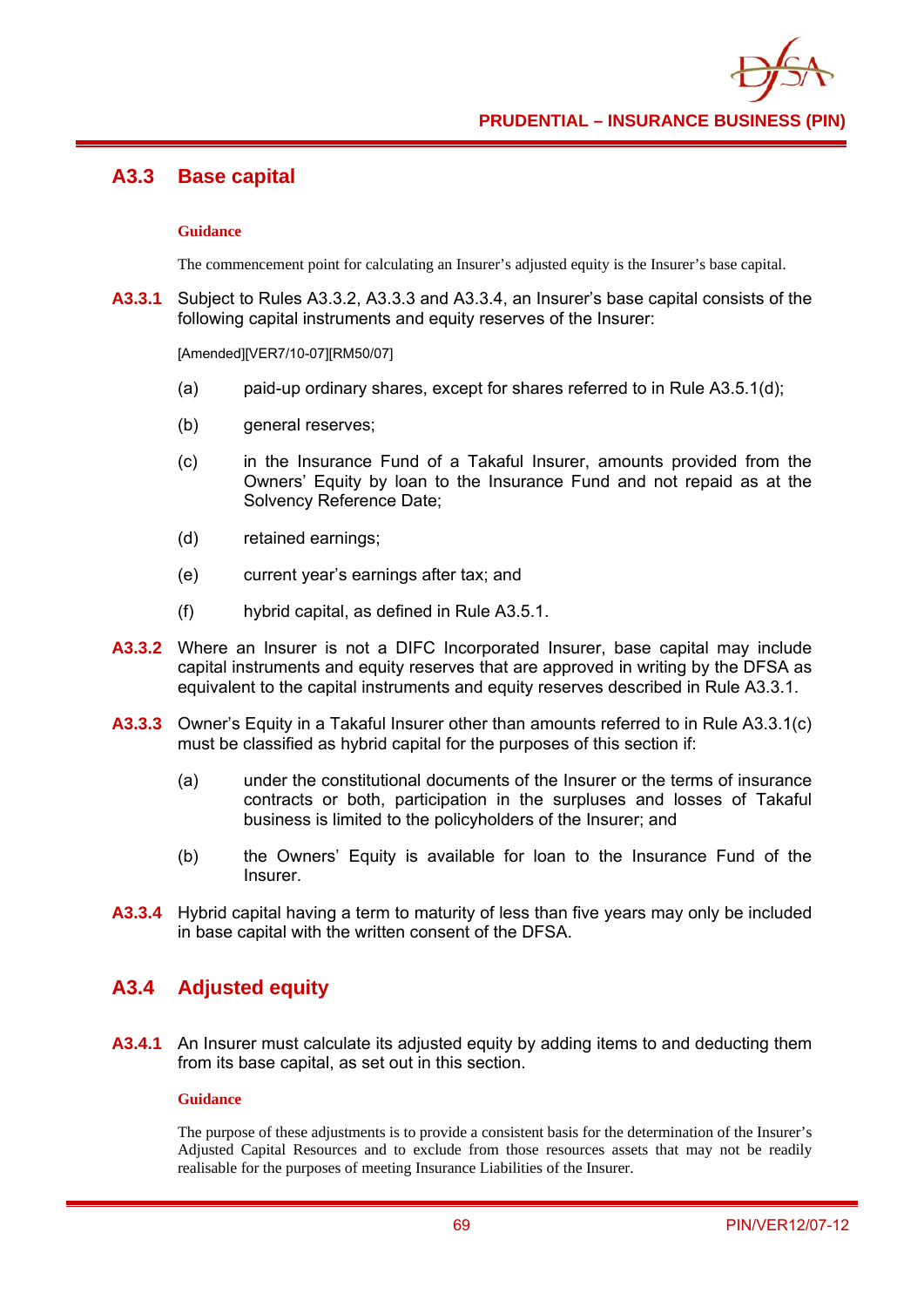## **A3.3 Base capital**

#### **Guidance**

The commencement point for calculating an Insurer's adjusted equity is the Insurer's base capital.

**A3.3.1** Subject to Rules A3.3.2, A3.3.3 and A3.3.4, an Insurer's base capital consists of the following capital instruments and equity reserves of the Insurer:

[Amended][VER7/10-07][RM50/07]

- (a) paid-up ordinary shares, except for shares referred to in Rule A3.5.1(d);
- (b) general reserves;
- (c) in the Insurance Fund of a Takaful Insurer, amounts provided from the Owners' Equity by loan to the Insurance Fund and not repaid as at the Solvency Reference Date;
- (d) retained earnings;
- (e) current year's earnings after tax; and
- (f) hybrid capital, as defined in Rule A3.5.1.
- **A3.3.2** Where an Insurer is not a DIFC Incorporated Insurer, base capital may include capital instruments and equity reserves that are approved in writing by the DFSA as equivalent to the capital instruments and equity reserves described in Rule A3.3.1.
- **A3.3.3** Owner's Equity in a Takaful Insurer other than amounts referred to in Rule A3.3.1(c) must be classified as hybrid capital for the purposes of this section if:
	- (a) under the constitutional documents of the Insurer or the terms of insurance contracts or both, participation in the surpluses and losses of Takaful business is limited to the policyholders of the Insurer; and
	- (b) the Owners' Equity is available for loan to the Insurance Fund of the Insurer.
- **A3.3.4** Hybrid capital having a term to maturity of less than five years may only be included in base capital with the written consent of the DFSA.

### **A3.4 Adjusted equity**

**A3.4.1** An Insurer must calculate its adjusted equity by adding items to and deducting them from its base capital, as set out in this section.

#### **Guidance**

The purpose of these adjustments is to provide a consistent basis for the determination of the Insurer's Adjusted Capital Resources and to exclude from those resources assets that may not be readily realisable for the purposes of meeting Insurance Liabilities of the Insurer.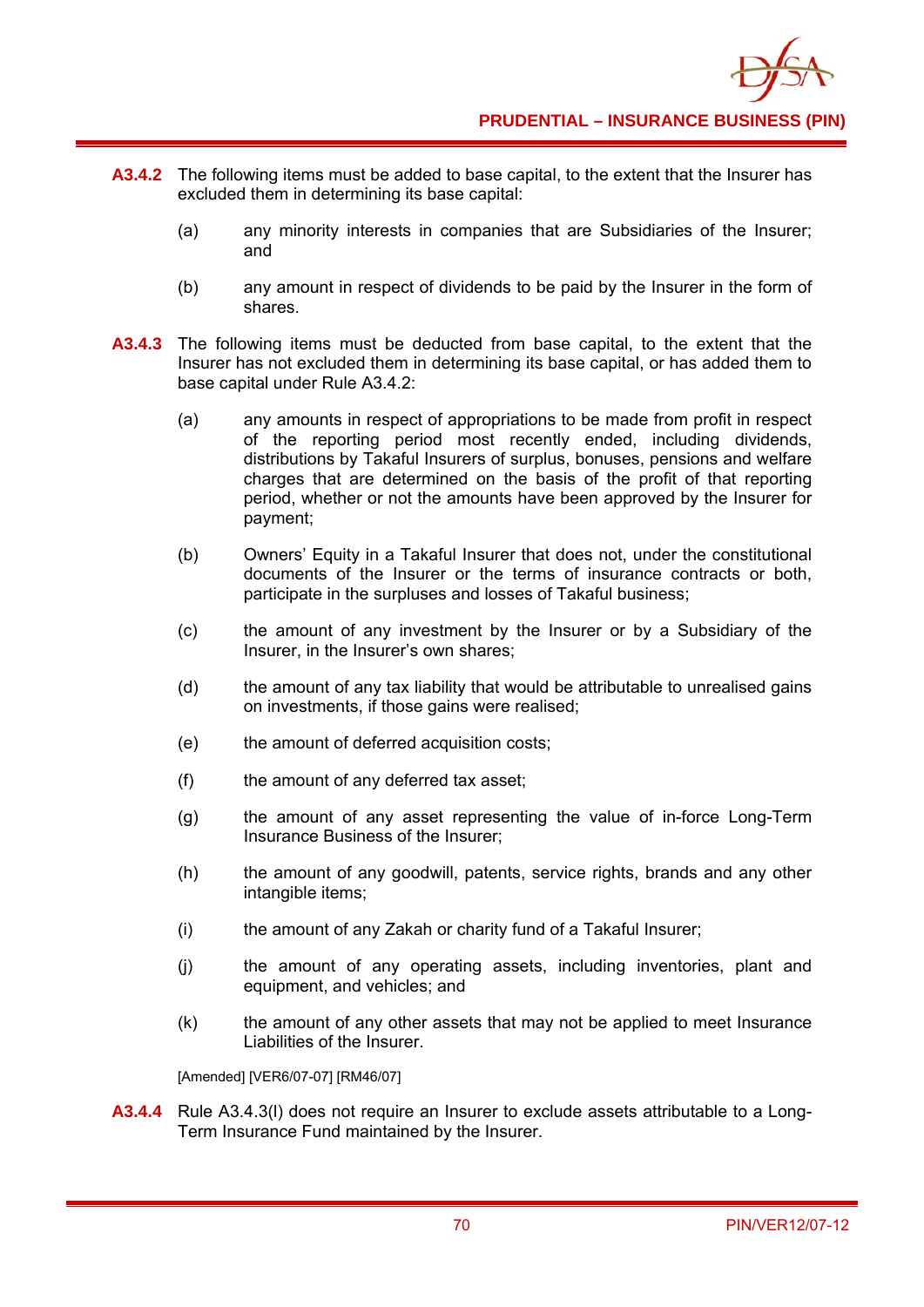

- **A3.4.2** The following items must be added to base capital, to the extent that the Insurer has excluded them in determining its base capital:
	- (a) any minority interests in companies that are Subsidiaries of the Insurer; and
	- (b) any amount in respect of dividends to be paid by the Insurer in the form of shares.
- **A3.4.3** The following items must be deducted from base capital, to the extent that the Insurer has not excluded them in determining its base capital, or has added them to base capital under Rule A3.4.2:
	- (a) any amounts in respect of appropriations to be made from profit in respect of the reporting period most recently ended, including dividends, distributions by Takaful Insurers of surplus, bonuses, pensions and welfare charges that are determined on the basis of the profit of that reporting period, whether or not the amounts have been approved by the Insurer for payment;
	- (b) Owners' Equity in a Takaful Insurer that does not, under the constitutional documents of the Insurer or the terms of insurance contracts or both, participate in the surpluses and losses of Takaful business;
	- (c) the amount of any investment by the Insurer or by a Subsidiary of the Insurer, in the Insurer's own shares;
	- (d) the amount of any tax liability that would be attributable to unrealised gains on investments, if those gains were realised;
	- (e) the amount of deferred acquisition costs;
	- (f) the amount of any deferred tax asset;
	- (g) the amount of any asset representing the value of in-force Long-Term Insurance Business of the Insurer;
	- (h) the amount of any goodwill, patents, service rights, brands and any other intangible items;
	- (i) the amount of any Zakah or charity fund of a Takaful Insurer;
	- (j) the amount of any operating assets, including inventories, plant and equipment, and vehicles; and
	- (k) the amount of any other assets that may not be applied to meet Insurance Liabilities of the Insurer.

[Amended] [VER6/07-07] [RM46/07]

**A3.4.4** Rule A3.4.3(l) does not require an Insurer to exclude assets attributable to a Long-Term Insurance Fund maintained by the Insurer.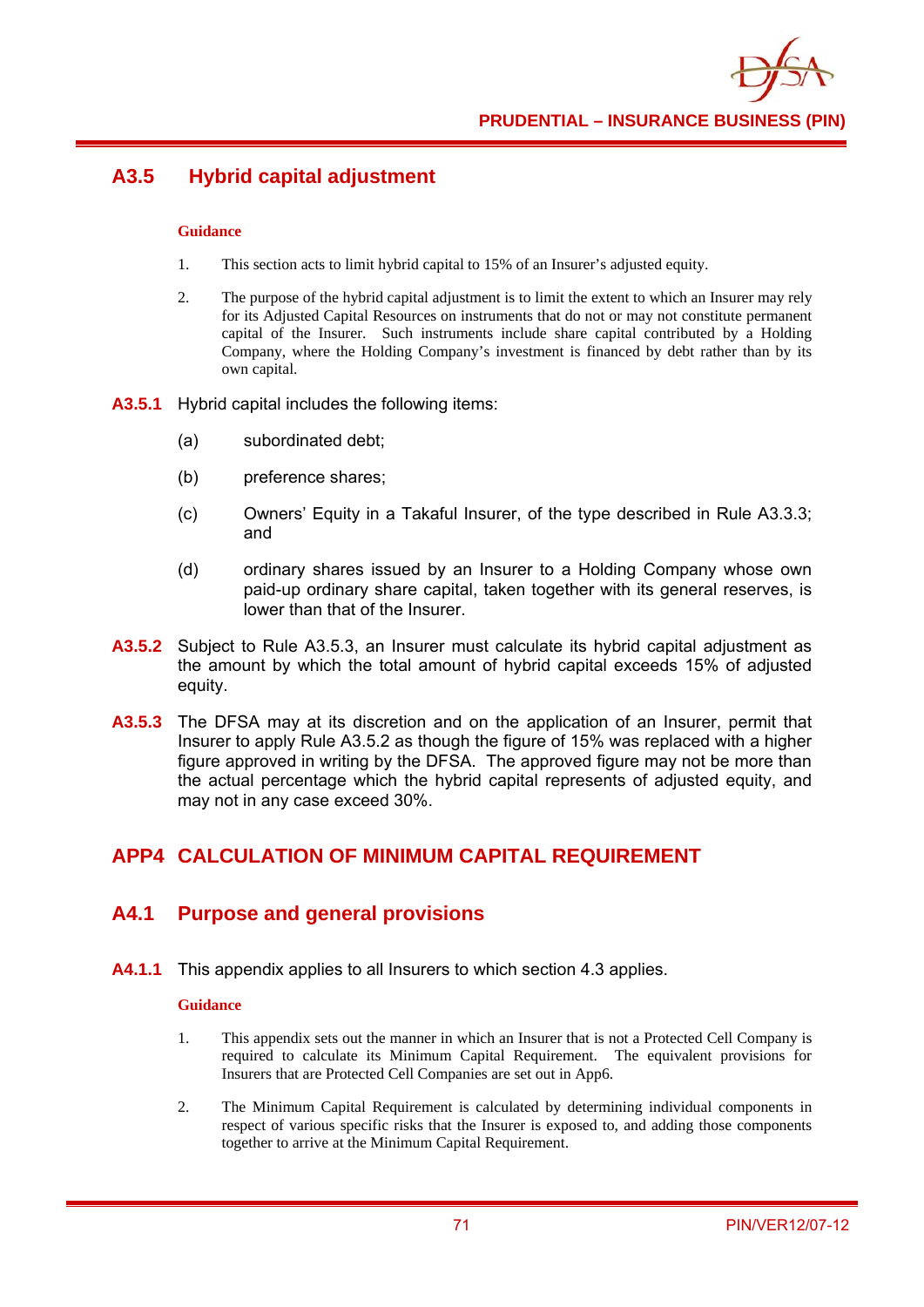

# **A3.5 Hybrid capital adjustment**

#### **Guidance**

- 1. This section acts to limit hybrid capital to 15% of an Insurer's adjusted equity.
- 2. The purpose of the hybrid capital adjustment is to limit the extent to which an Insurer may rely for its Adjusted Capital Resources on instruments that do not or may not constitute permanent capital of the Insurer. Such instruments include share capital contributed by a Holding Company, where the Holding Company's investment is financed by debt rather than by its own capital.
- **A3.5.1** Hybrid capital includes the following items:
	- (a) subordinated debt;
	- (b) preference shares;
	- (c) Owners' Equity in a Takaful Insurer, of the type described in Rule A3.3.3; and
	- (d) ordinary shares issued by an Insurer to a Holding Company whose own paid-up ordinary share capital, taken together with its general reserves, is lower than that of the Insurer.
- **A3.5.2** Subject to Rule A3.5.3, an Insurer must calculate its hybrid capital adjustment as the amount by which the total amount of hybrid capital exceeds 15% of adjusted equity.
- **A3.5.3** The DFSA may at its discretion and on the application of an Insurer, permit that Insurer to apply Rule A3.5.2 as though the figure of 15% was replaced with a higher figure approved in writing by the DFSA. The approved figure may not be more than the actual percentage which the hybrid capital represents of adjusted equity, and may not in any case exceed 30%.

## **APP4 CALCULATION OF MINIMUM CAPITAL REQUIREMENT**

### **A4.1 Purpose and general provisions**

**A4.1.1** This appendix applies to all Insurers to which section 4.3 applies.

- 1. This appendix sets out the manner in which an Insurer that is not a Protected Cell Company is required to calculate its Minimum Capital Requirement. The equivalent provisions for Insurers that are Protected Cell Companies are set out in App6.
- 2. The Minimum Capital Requirement is calculated by determining individual components in respect of various specific risks that the Insurer is exposed to, and adding those components together to arrive at the Minimum Capital Requirement.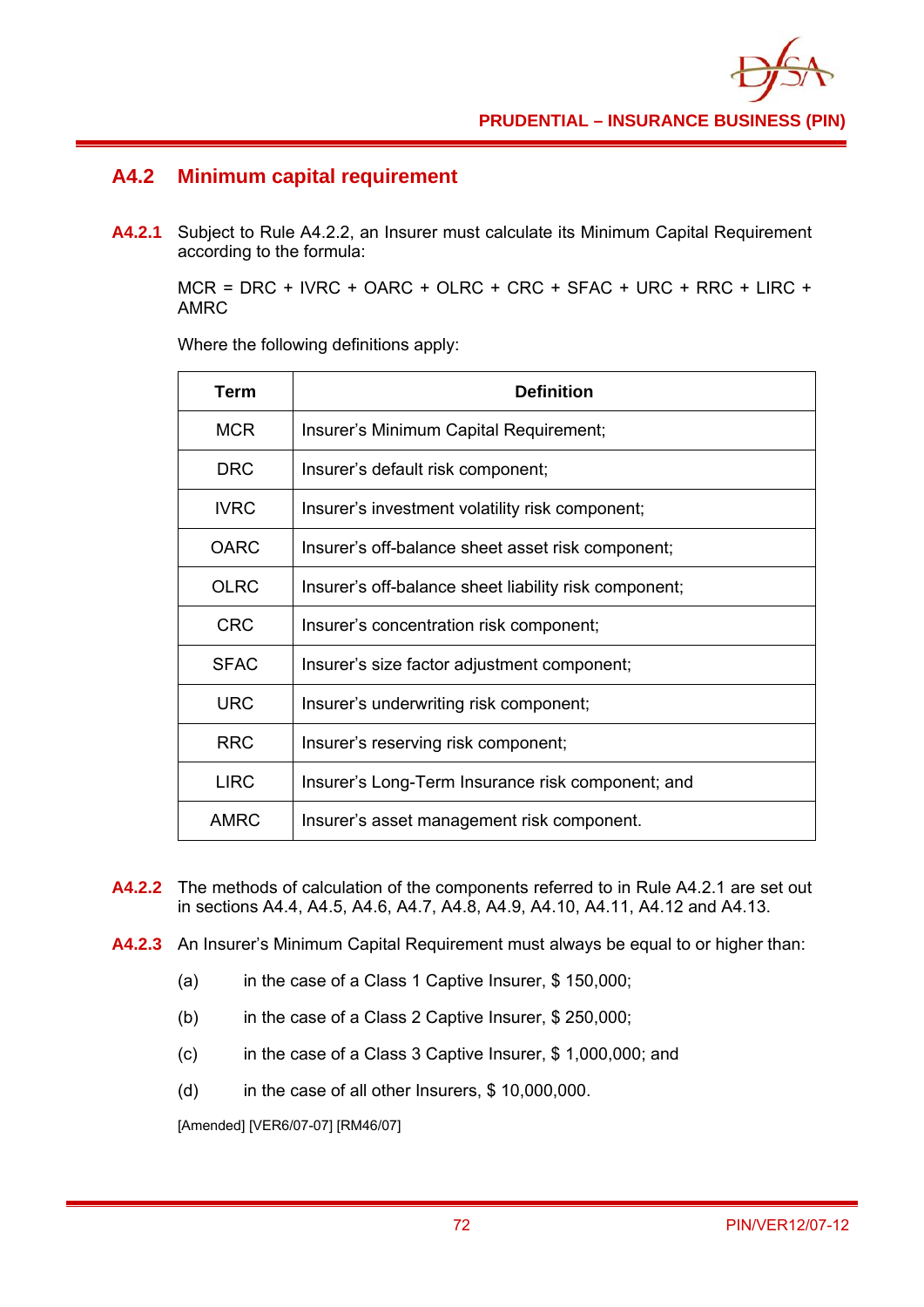

### **A4.2 Minimum capital requirement**

**A4.2.1** Subject to Rule A4.2.2, an Insurer must calculate its Minimum Capital Requirement according to the formula:

MCR = DRC + IVRC + OARC + OLRC + CRC + SFAC + URC + RRC + LIRC + AMRC

Where the following definitions apply:

| Term        | <b>Definition</b>                                     |
|-------------|-------------------------------------------------------|
| <b>MCR</b>  | Insurer's Minimum Capital Requirement;                |
| <b>DRC</b>  | Insurer's default risk component;                     |
| <b>IVRC</b> | Insurer's investment volatility risk component;       |
| <b>OARC</b> | Insurer's off-balance sheet asset risk component;     |
| <b>OLRC</b> | Insurer's off-balance sheet liability risk component; |
| <b>CRC</b>  | Insurer's concentration risk component;               |
| <b>SFAC</b> | Insurer's size factor adjustment component;           |
| <b>URC</b>  | Insurer's underwriting risk component;                |
| <b>RRC</b>  | Insurer's reserving risk component;                   |
| <b>LIRC</b> | Insurer's Long-Term Insurance risk component; and     |
| <b>AMRC</b> | Insurer's asset management risk component.            |

- **A4.2.2** The methods of calculation of the components referred to in Rule A4.2.1 are set out in sections A4.4, A4.5, A4.6, A4.7, A4.8, A4.9, A4.10, A4.11, A4.12 and A4.13.
- **A4.2.3** An Insurer's Minimum Capital Requirement must always be equal to or higher than:
	- (a) in the case of a Class 1 Captive Insurer, \$ 150,000;
	- (b) in the case of a Class 2 Captive Insurer, \$ 250,000;
	- (c) in the case of a Class 3 Captive Insurer, \$ 1,000,000; and
	- (d) in the case of all other Insurers, \$ 10,000,000.

[Amended] [VER6/07-07] [RM46/07]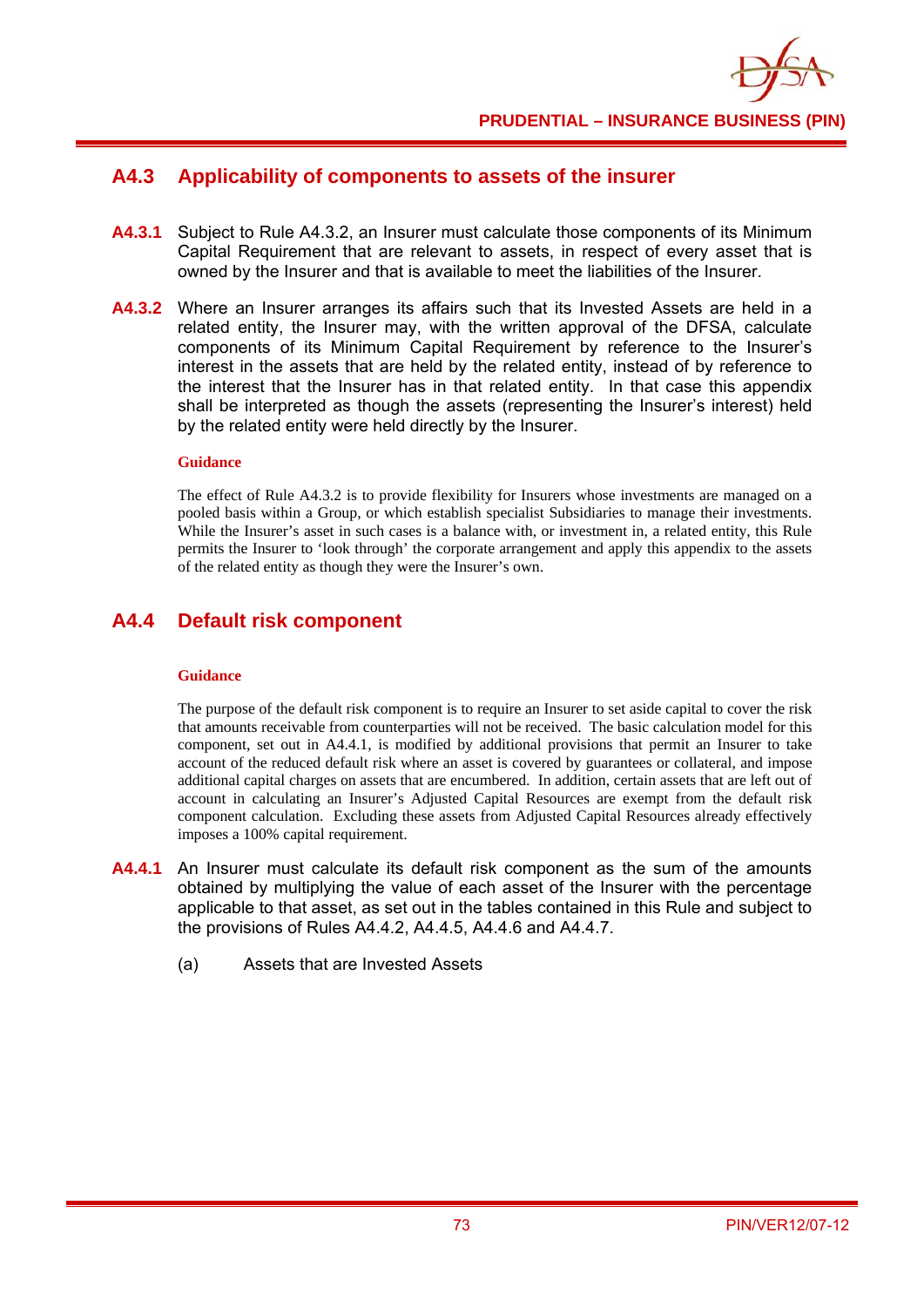

### **A4.3 Applicability of components to assets of the insurer**

- **A4.3.1** Subject to Rule A4.3.2, an Insurer must calculate those components of its Minimum Capital Requirement that are relevant to assets, in respect of every asset that is owned by the Insurer and that is available to meet the liabilities of the Insurer.
- **A4.3.2** Where an Insurer arranges its affairs such that its Invested Assets are held in a related entity, the Insurer may, with the written approval of the DFSA, calculate components of its Minimum Capital Requirement by reference to the Insurer's interest in the assets that are held by the related entity, instead of by reference to the interest that the Insurer has in that related entity. In that case this appendix shall be interpreted as though the assets (representing the Insurer's interest) held by the related entity were held directly by the Insurer.

#### **Guidance**

The effect of Rule A4.3.2 is to provide flexibility for Insurers whose investments are managed on a pooled basis within a Group, or which establish specialist Subsidiaries to manage their investments. While the Insurer's asset in such cases is a balance with, or investment in, a related entity, this Rule permits the Insurer to 'look through' the corporate arrangement and apply this appendix to the assets of the related entity as though they were the Insurer's own.

### **A4.4 Default risk component**

#### **Guidance**

The purpose of the default risk component is to require an Insurer to set aside capital to cover the risk that amounts receivable from counterparties will not be received. The basic calculation model for this component, set out in A4.4.1, is modified by additional provisions that permit an Insurer to take account of the reduced default risk where an asset is covered by guarantees or collateral, and impose additional capital charges on assets that are encumbered. In addition, certain assets that are left out of account in calculating an Insurer's Adjusted Capital Resources are exempt from the default risk component calculation. Excluding these assets from Adjusted Capital Resources already effectively imposes a 100% capital requirement.

- **A4.4.1** An Insurer must calculate its default risk component as the sum of the amounts obtained by multiplying the value of each asset of the Insurer with the percentage applicable to that asset, as set out in the tables contained in this Rule and subject to the provisions of Rules A4.4.2, A4.4.5, A4.4.6 and A4.4.7.
	- (a) Assets that are Invested Assets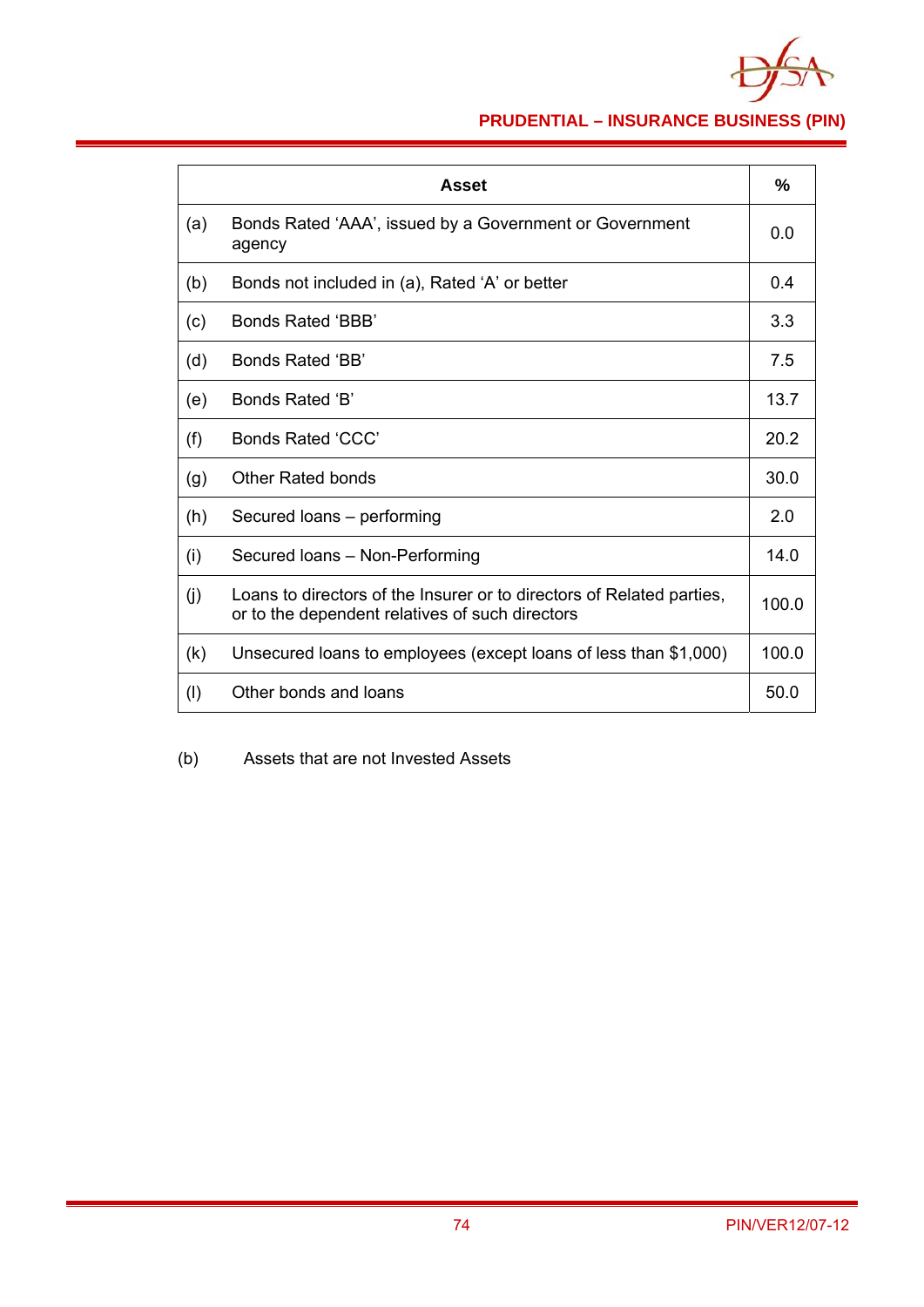

# **PRUDENTIAL – INSURANCE BUSINESS (PIN)**

|     | Asset                                                                                                                    | %     |
|-----|--------------------------------------------------------------------------------------------------------------------------|-------|
| (a) | Bonds Rated 'AAA', issued by a Government or Government<br>agency                                                        | 0.0   |
| (b) | Bonds not included in (a), Rated 'A' or better                                                                           | 0.4   |
| (c) | Bonds Rated 'BBB'                                                                                                        | 3.3   |
| (d) | Bonds Rated 'BB'                                                                                                         | 7.5   |
| (e) | Bonds Rated 'B'                                                                                                          | 13.7  |
| (f) | <b>Bonds Rated 'CCC'</b>                                                                                                 | 20.2  |
| (g) | <b>Other Rated bonds</b>                                                                                                 | 30.0  |
| (h) | Secured loans - performing                                                                                               | 2.0   |
| (i) | Secured Ioans - Non-Performing                                                                                           | 14.0  |
| (j) | Loans to directors of the Insurer or to directors of Related parties,<br>or to the dependent relatives of such directors | 100.0 |
| (k) | Unsecured loans to employees (except loans of less than \$1,000)                                                         | 100.0 |
| (1) | Other bonds and loans                                                                                                    | 50.0  |

(b) Assets that are not Invested Assets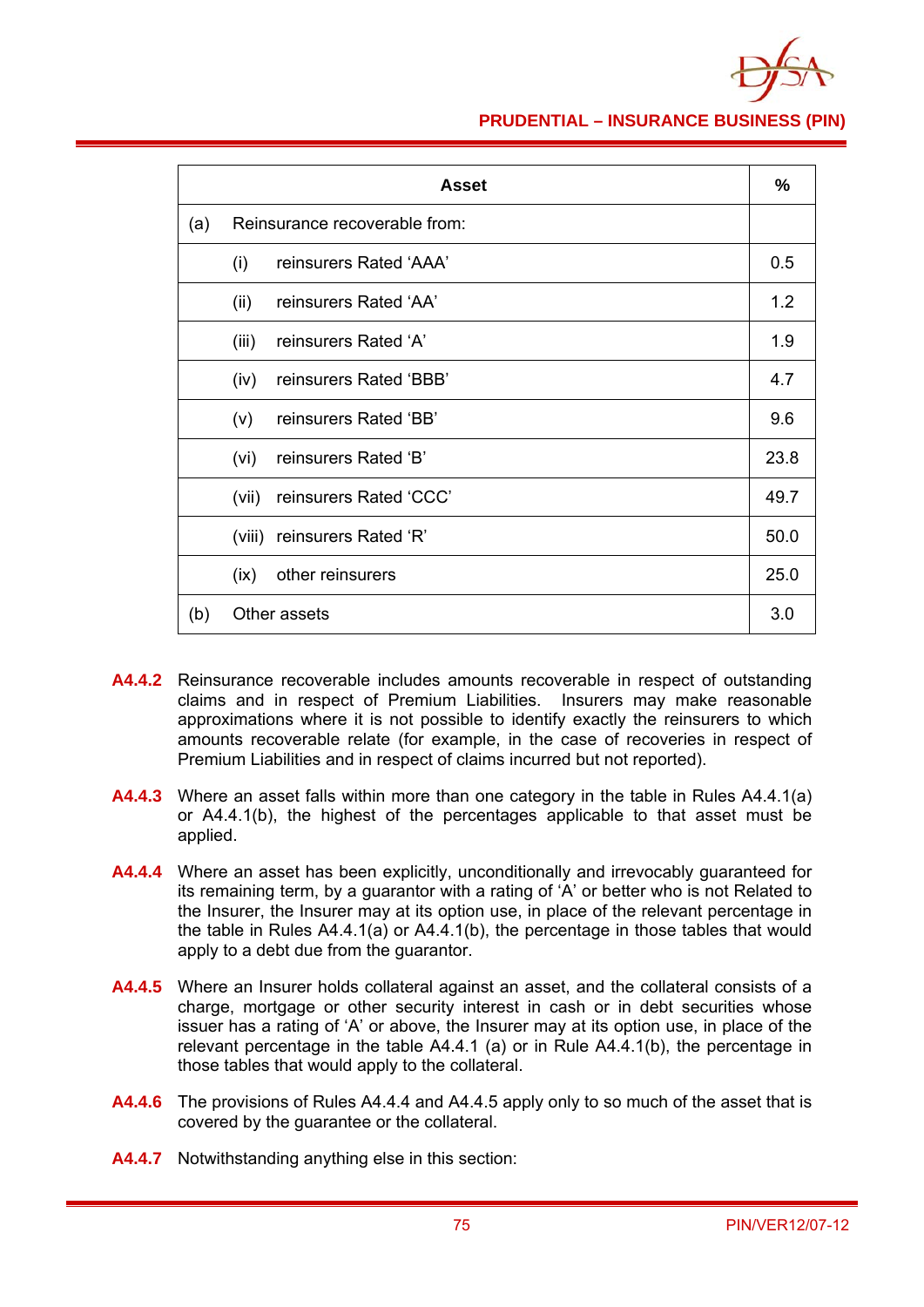

### **PRUDENTIAL – INSURANCE BUSINESS (PIN)**

|     |       | <b>Asset</b>                  | %    |
|-----|-------|-------------------------------|------|
| (a) |       | Reinsurance recoverable from: |      |
|     | (i)   | reinsurers Rated 'AAA'        | 0.5  |
|     | (ii)  | reinsurers Rated 'AA'         | 1.2  |
|     | (iii) | reinsurers Rated 'A'          | 1.9  |
|     | (iv)  | reinsurers Rated 'BBB'        | 4.7  |
|     | (V)   | reinsurers Rated 'BB'         | 9.6  |
|     | (vi)  | reinsurers Rated 'B'          | 23.8 |
|     | (vii) | reinsurers Rated 'CCC'        | 49.7 |
|     |       | (viii) reinsurers Rated 'R'   | 50.0 |
|     | (ix)  | other reinsurers              | 25.0 |
| (b) |       | Other assets                  | 3.0  |

- **A4.4.2** Reinsurance recoverable includes amounts recoverable in respect of outstanding claims and in respect of Premium Liabilities. Insurers may make reasonable approximations where it is not possible to identify exactly the reinsurers to which amounts recoverable relate (for example, in the case of recoveries in respect of Premium Liabilities and in respect of claims incurred but not reported).
- **A4.4.3** Where an asset falls within more than one category in the table in Rules A4.4.1(a) or A4.4.1(b), the highest of the percentages applicable to that asset must be applied.
- **A4.4.4** Where an asset has been explicitly, unconditionally and irrevocably guaranteed for its remaining term, by a guarantor with a rating of 'A' or better who is not Related to the Insurer, the Insurer may at its option use, in place of the relevant percentage in the table in Rules A4.4.1(a) or A4.4.1(b), the percentage in those tables that would apply to a debt due from the guarantor.
- **A4.4.5** Where an Insurer holds collateral against an asset, and the collateral consists of a charge, mortgage or other security interest in cash or in debt securities whose issuer has a rating of 'A' or above, the Insurer may at its option use, in place of the relevant percentage in the table A4.4.1 (a) or in Rule A4.4.1(b), the percentage in those tables that would apply to the collateral.
- **A4.4.6** The provisions of Rules A4.4.4 and A4.4.5 apply only to so much of the asset that is covered by the guarantee or the collateral.
- **A4.4.7** Notwithstanding anything else in this section: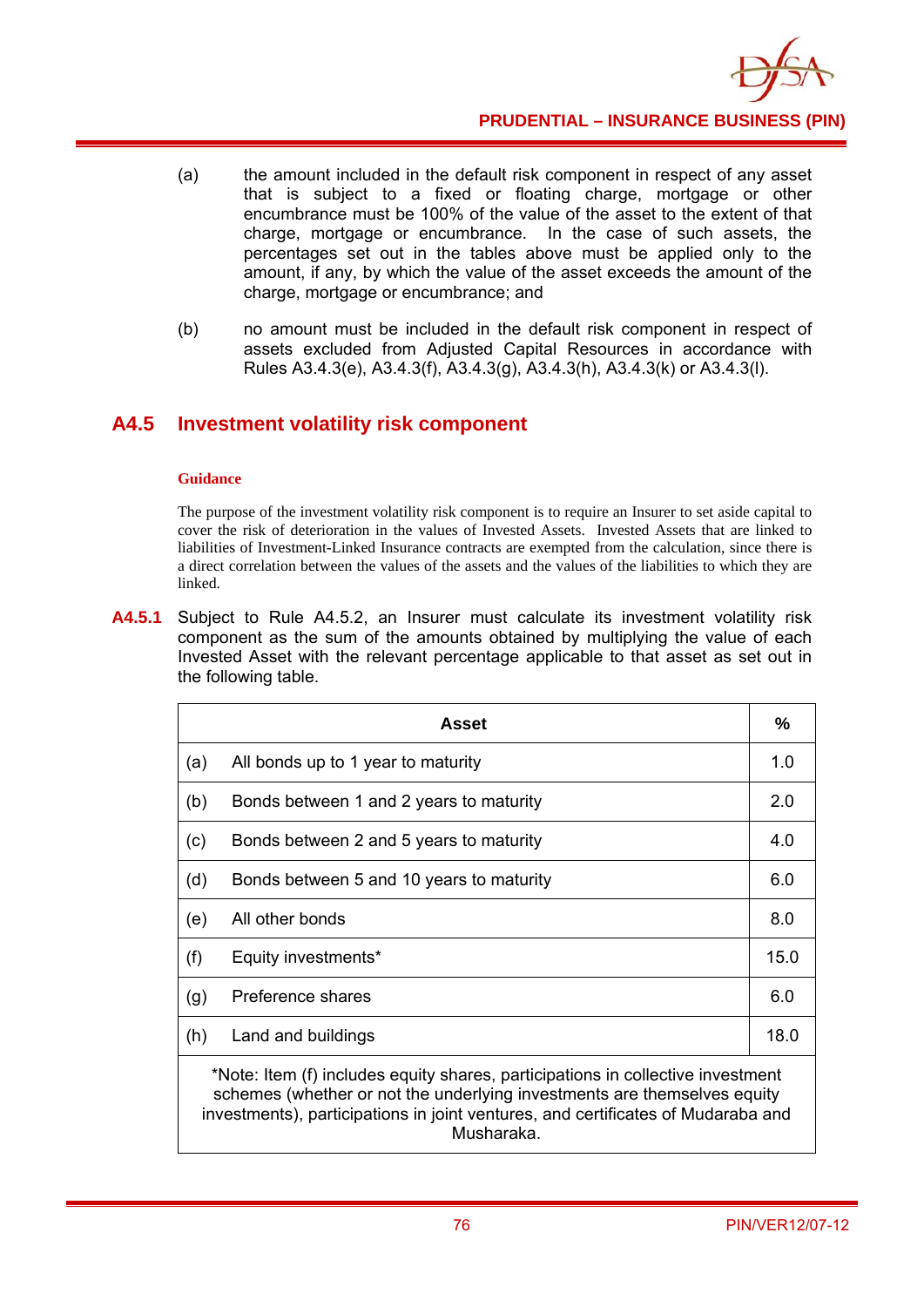

- (a) the amount included in the default risk component in respect of any asset that is subject to a fixed or floating charge, mortgage or other encumbrance must be 100% of the value of the asset to the extent of that charge, mortgage or encumbrance. In the case of such assets, the percentages set out in the tables above must be applied only to the amount, if any, by which the value of the asset exceeds the amount of the charge, mortgage or encumbrance; and
- (b) no amount must be included in the default risk component in respect of assets excluded from Adjusted Capital Resources in accordance with Rules A3.4.3(e), A3.4.3(f), A3.4.3(g), A3.4.3(h), A3.4.3(k) or A3.4.3(l).

# **A4.5 Investment volatility risk component**

#### **Guidance**

The purpose of the investment volatility risk component is to require an Insurer to set aside capital to cover the risk of deterioration in the values of Invested Assets. Invested Assets that are linked to liabilities of Investment-Linked Insurance contracts are exempted from the calculation, since there is a direct correlation between the values of the assets and the values of the liabilities to which they are linked.

**A4.5.1** Subject to Rule A4.5.2, an Insurer must calculate its investment volatility risk component as the sum of the amounts obtained by multiplying the value of each Invested Asset with the relevant percentage applicable to that asset as set out in the following table.

|     | Asset                                                                           | $\frac{9}{6}$ |  |
|-----|---------------------------------------------------------------------------------|---------------|--|
| (a) | All bonds up to 1 year to maturity                                              | 1.0           |  |
| (b) | Bonds between 1 and 2 years to maturity                                         | 2.0           |  |
| (c) | Bonds between 2 and 5 years to maturity                                         | 4.0           |  |
| (d) | Bonds between 5 and 10 years to maturity                                        | 6.0           |  |
| (e) | All other bonds                                                                 | 8.0           |  |
| (f) | Equity investments*                                                             | 15.0          |  |
| (g) | Preference shares                                                               | 6.0           |  |
| (h) | Land and buildings                                                              | 18.0          |  |
|     | *Note: Item (f) includes equity shares, participations in collective investment |               |  |

schemes (whether or not the underlying investments are themselves equity investments), participations in joint ventures, and certificates of Mudaraba and Musharaka.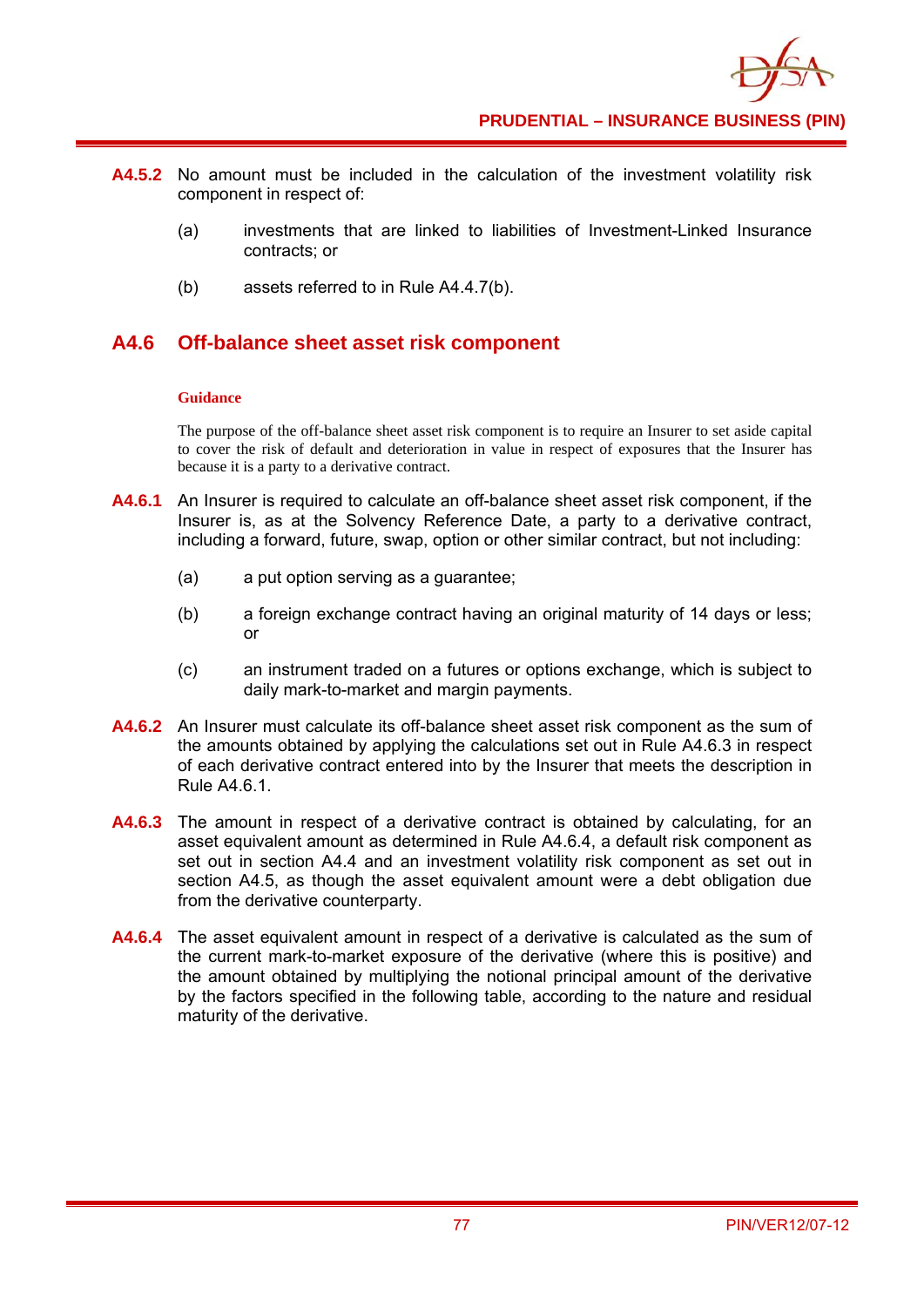

- **A4.5.2** No amount must be included in the calculation of the investment volatility risk component in respect of:
	- (a) investments that are linked to liabilities of Investment-Linked Insurance contracts; or
	- (b) assets referred to in Rule A4.4.7(b).

## **A4.6 Off-balance sheet asset risk component**

#### **Guidance**

The purpose of the off-balance sheet asset risk component is to require an Insurer to set aside capital to cover the risk of default and deterioration in value in respect of exposures that the Insurer has because it is a party to a derivative contract.

- **A4.6.1** An Insurer is required to calculate an off-balance sheet asset risk component, if the Insurer is, as at the Solvency Reference Date, a party to a derivative contract, including a forward, future, swap, option or other similar contract, but not including:
	- (a) a put option serving as a guarantee;
	- (b) a foreign exchange contract having an original maturity of 14 days or less; or
	- (c) an instrument traded on a futures or options exchange, which is subject to daily mark-to-market and margin payments.
- **A4.6.2** An Insurer must calculate its off-balance sheet asset risk component as the sum of the amounts obtained by applying the calculations set out in Rule A4.6.3 in respect of each derivative contract entered into by the Insurer that meets the description in Rule A4.6.1.
- **A4.6.3** The amount in respect of a derivative contract is obtained by calculating, for an asset equivalent amount as determined in Rule A4.6.4, a default risk component as set out in section A4.4 and an investment volatility risk component as set out in section A4.5, as though the asset equivalent amount were a debt obligation due from the derivative counterparty.
- **A4.6.4** The asset equivalent amount in respect of a derivative is calculated as the sum of the current mark-to-market exposure of the derivative (where this is positive) and the amount obtained by multiplying the notional principal amount of the derivative by the factors specified in the following table, according to the nature and residual maturity of the derivative.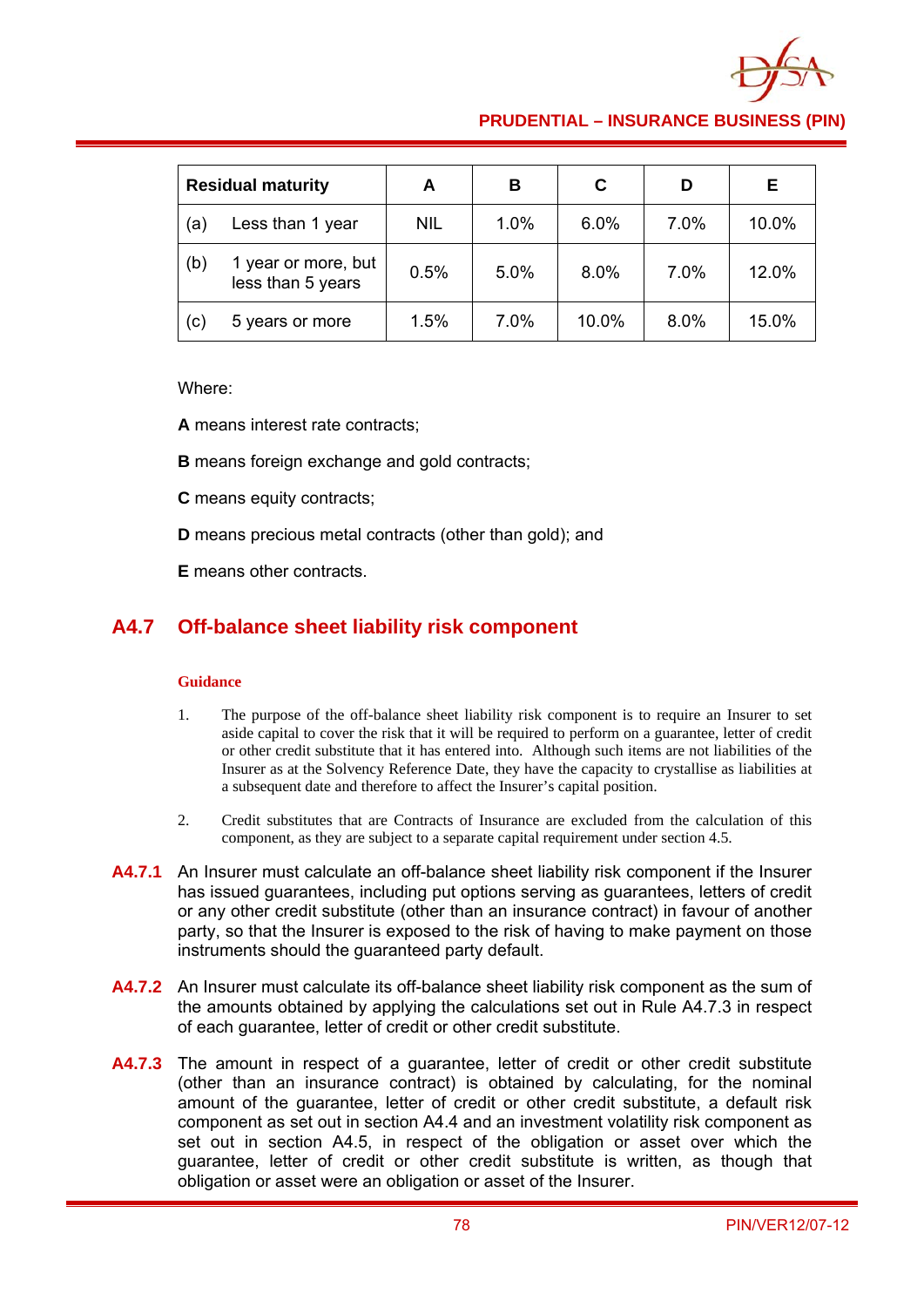

### **PRUDENTIAL – INSURANCE BUSINESS (PIN)**

| <b>Residual maturity</b> |                                          | A          | в    | C     |      | E.    |
|--------------------------|------------------------------------------|------------|------|-------|------|-------|
| (a)                      | Less than 1 year                         | <b>NIL</b> | 1.0% | 6.0%  | 7.0% | 10.0% |
| (b)                      | 1 year or more, but<br>less than 5 years | 0.5%       | 5.0% | 8.0%  | 7.0% | 12.0% |
| (c)                      | 5 years or more                          | 1.5%       | 7.0% | 10.0% | 8.0% | 15.0% |

#### Where:

**A** means interest rate contracts;

**B** means foreign exchange and gold contracts;

**C** means equity contracts;

**D** means precious metal contracts (other than gold); and

**E** means other contracts.

### **A4.7 Off-balance sheet liability risk component**

- 1. The purpose of the off-balance sheet liability risk component is to require an Insurer to set aside capital to cover the risk that it will be required to perform on a guarantee, letter of credit or other credit substitute that it has entered into. Although such items are not liabilities of the Insurer as at the Solvency Reference Date, they have the capacity to crystallise as liabilities at a subsequent date and therefore to affect the Insurer's capital position.
- 2. Credit substitutes that are Contracts of Insurance are excluded from the calculation of this component, as they are subject to a separate capital requirement under section 4.5.
- **A4.7.1** An Insurer must calculate an off-balance sheet liability risk component if the Insurer has issued guarantees, including put options serving as guarantees, letters of credit or any other credit substitute (other than an insurance contract) in favour of another party, so that the Insurer is exposed to the risk of having to make payment on those instruments should the guaranteed party default.
- **A4.7.2** An Insurer must calculate its off-balance sheet liability risk component as the sum of the amounts obtained by applying the calculations set out in Rule A4.7.3 in respect of each guarantee, letter of credit or other credit substitute.
- A4.7.3 The amount in respect of a guarantee, letter of credit or other credit substitute (other than an insurance contract) is obtained by calculating, for the nominal amount of the guarantee, letter of credit or other credit substitute, a default risk component as set out in section A4.4 and an investment volatility risk component as set out in section A4.5, in respect of the obligation or asset over which the guarantee, letter of credit or other credit substitute is written, as though that obligation or asset were an obligation or asset of the Insurer.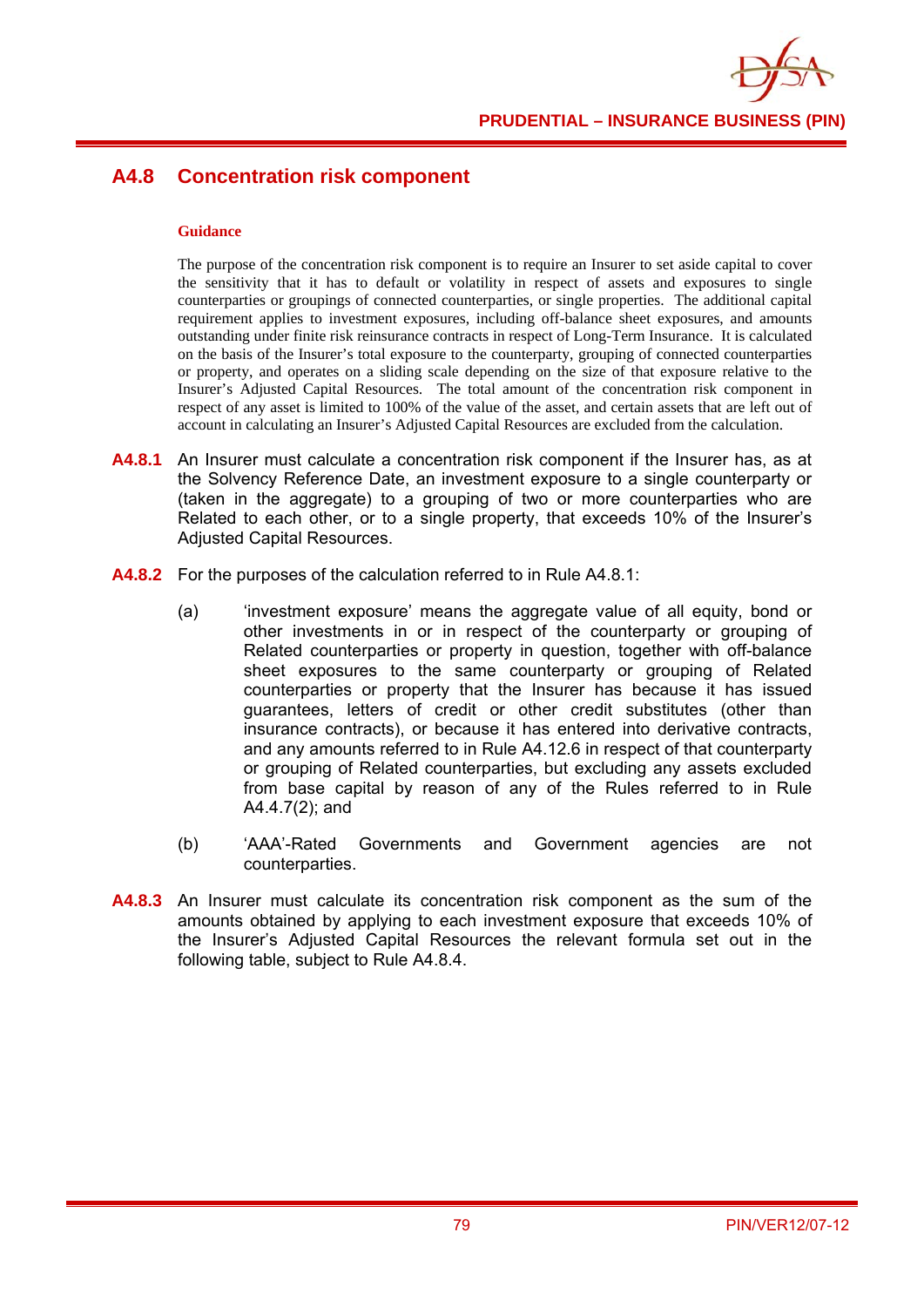

# **A4.8 Concentration risk component**

#### **Guidance**

The purpose of the concentration risk component is to require an Insurer to set aside capital to cover the sensitivity that it has to default or volatility in respect of assets and exposures to single counterparties or groupings of connected counterparties, or single properties. The additional capital requirement applies to investment exposures, including off-balance sheet exposures, and amounts outstanding under finite risk reinsurance contracts in respect of Long-Term Insurance. It is calculated on the basis of the Insurer's total exposure to the counterparty, grouping of connected counterparties or property, and operates on a sliding scale depending on the size of that exposure relative to the Insurer's Adjusted Capital Resources. The total amount of the concentration risk component in respect of any asset is limited to 100% of the value of the asset, and certain assets that are left out of account in calculating an Insurer's Adjusted Capital Resources are excluded from the calculation.

- **A4.8.1** An Insurer must calculate a concentration risk component if the Insurer has, as at the Solvency Reference Date, an investment exposure to a single counterparty or (taken in the aggregate) to a grouping of two or more counterparties who are Related to each other, or to a single property, that exceeds 10% of the Insurer's Adjusted Capital Resources.
- **A4.8.2** For the purposes of the calculation referred to in Rule A4.8.1:
	- (a) 'investment exposure' means the aggregate value of all equity, bond or other investments in or in respect of the counterparty or grouping of Related counterparties or property in question, together with off-balance sheet exposures to the same counterparty or grouping of Related counterparties or property that the Insurer has because it has issued guarantees, letters of credit or other credit substitutes (other than insurance contracts), or because it has entered into derivative contracts, and any amounts referred to in Rule A4.12.6 in respect of that counterparty or grouping of Related counterparties, but excluding any assets excluded from base capital by reason of any of the Rules referred to in Rule A4.4.7(2); and
	- (b) 'AAA'-Rated Governments and Government agencies are not counterparties.
- **A4.8.3** An Insurer must calculate its concentration risk component as the sum of the amounts obtained by applying to each investment exposure that exceeds 10% of the Insurer's Adjusted Capital Resources the relevant formula set out in the following table, subject to Rule A4.8.4.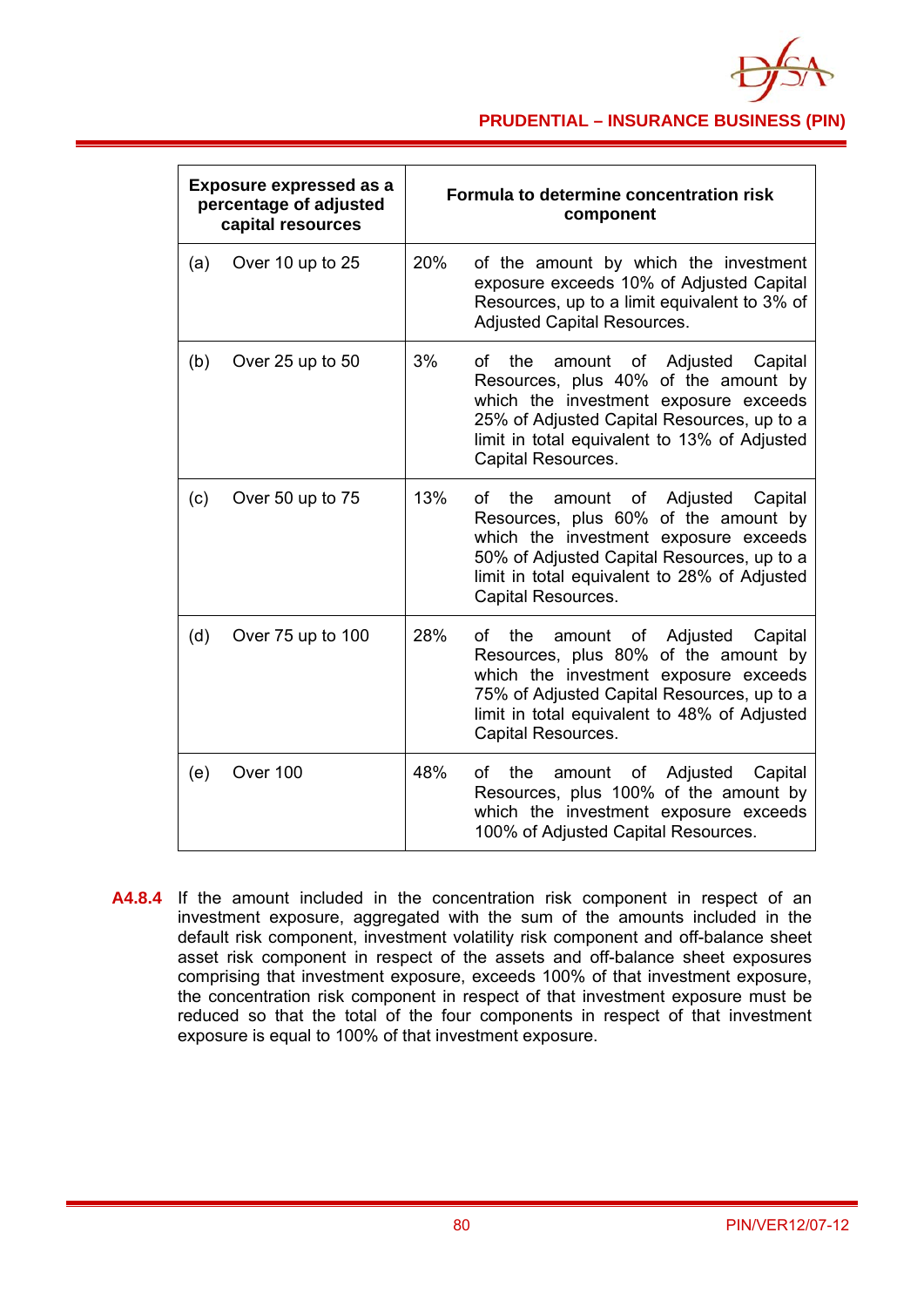

### **PRUDENTIAL – INSURANCE BUSINESS (PIN)**

| <b>Exposure expressed as a</b><br>percentage of adjusted<br>capital resources |                   |     | Formula to determine concentration risk<br>component                                                                                                                                                                                                  |
|-------------------------------------------------------------------------------|-------------------|-----|-------------------------------------------------------------------------------------------------------------------------------------------------------------------------------------------------------------------------------------------------------|
| (a)                                                                           | Over 10 up to 25  | 20% | of the amount by which the investment<br>exposure exceeds 10% of Adjusted Capital<br>Resources, up to a limit equivalent to 3% of<br><b>Adjusted Capital Resources.</b>                                                                               |
| (b)                                                                           | Over 25 up to 50  | 3%  | amount of Adjusted<br>οf<br>the<br>Capital<br>Resources, plus 40% of the amount by<br>which the investment exposure exceeds<br>25% of Adjusted Capital Resources, up to a<br>limit in total equivalent to 13% of Adjusted<br>Capital Resources.       |
| (c)                                                                           | Over 50 up to 75  | 13% | the<br>Adjusted<br>Capital<br>οf<br>of<br>amount<br>Resources, plus 60% of the amount by<br>which the investment exposure exceeds<br>50% of Adjusted Capital Resources, up to a<br>limit in total equivalent to 28% of Adjusted<br>Capital Resources. |
| (d)                                                                           | Over 75 up to 100 | 28% | the<br>Adjusted<br>Capital<br>οf<br>amount<br>of<br>Resources, plus 80% of the amount by<br>which the investment exposure exceeds<br>75% of Adjusted Capital Resources, up to a<br>limit in total equivalent to 48% of Adjusted<br>Capital Resources. |
| (e)                                                                           | Over 100          | 48% | Adjusted<br>οf<br>the<br>amount<br>of<br>Capital<br>Resources, plus 100% of the amount by<br>which the investment exposure exceeds<br>100% of Adjusted Capital Resources.                                                                             |

**A4.8.4** If the amount included in the concentration risk component in respect of an investment exposure, aggregated with the sum of the amounts included in the default risk component, investment volatility risk component and off-balance sheet asset risk component in respect of the assets and off-balance sheet exposures comprising that investment exposure, exceeds 100% of that investment exposure, the concentration risk component in respect of that investment exposure must be reduced so that the total of the four components in respect of that investment exposure is equal to 100% of that investment exposure.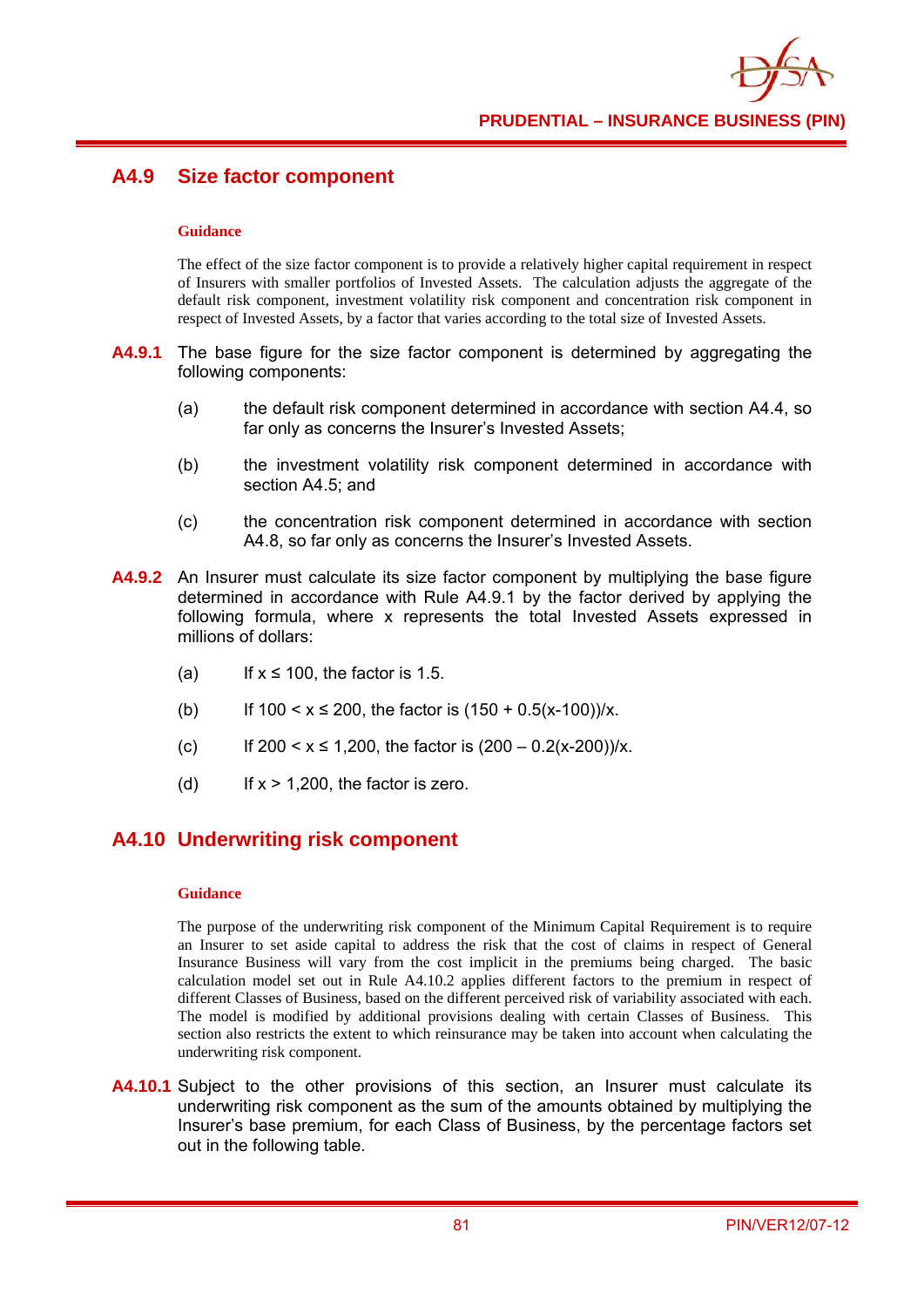

## **A4.9 Size factor component**

#### **Guidance**

The effect of the size factor component is to provide a relatively higher capital requirement in respect of Insurers with smaller portfolios of Invested Assets. The calculation adjusts the aggregate of the default risk component, investment volatility risk component and concentration risk component in respect of Invested Assets, by a factor that varies according to the total size of Invested Assets.

- **A4.9.1** The base figure for the size factor component is determined by aggregating the following components:
	- (a) the default risk component determined in accordance with section A4.4, so far only as concerns the Insurer's Invested Assets;
	- (b) the investment volatility risk component determined in accordance with section A4.5; and
	- (c) the concentration risk component determined in accordance with section A4.8, so far only as concerns the Insurer's Invested Assets.
- **A4.9.2** An Insurer must calculate its size factor component by multiplying the base figure determined in accordance with Rule A4.9.1 by the factor derived by applying the following formula, where x represents the total Invested Assets expressed in millions of dollars:
	- (a) If  $x \le 100$ , the factor is 1.5.
	- (b) If  $100 < x \le 200$ , the factor is  $(150 + 0.5(x-100))/x$ .
	- (c) If  $200 < x \le 1,200$ , the factor is  $(200 0.2(x-200))/x$ .
	- (d) If  $x > 1,200$ , the factor is zero.

### **A4.10 Underwriting risk component**

#### **Guidance**

The purpose of the underwriting risk component of the Minimum Capital Requirement is to require an Insurer to set aside capital to address the risk that the cost of claims in respect of General Insurance Business will vary from the cost implicit in the premiums being charged. The basic calculation model set out in Rule A4.10.2 applies different factors to the premium in respect of different Classes of Business, based on the different perceived risk of variability associated with each. The model is modified by additional provisions dealing with certain Classes of Business. This section also restricts the extent to which reinsurance may be taken into account when calculating the underwriting risk component.

**A4.10.1** Subject to the other provisions of this section, an Insurer must calculate its underwriting risk component as the sum of the amounts obtained by multiplying the Insurer's base premium, for each Class of Business, by the percentage factors set out in the following table.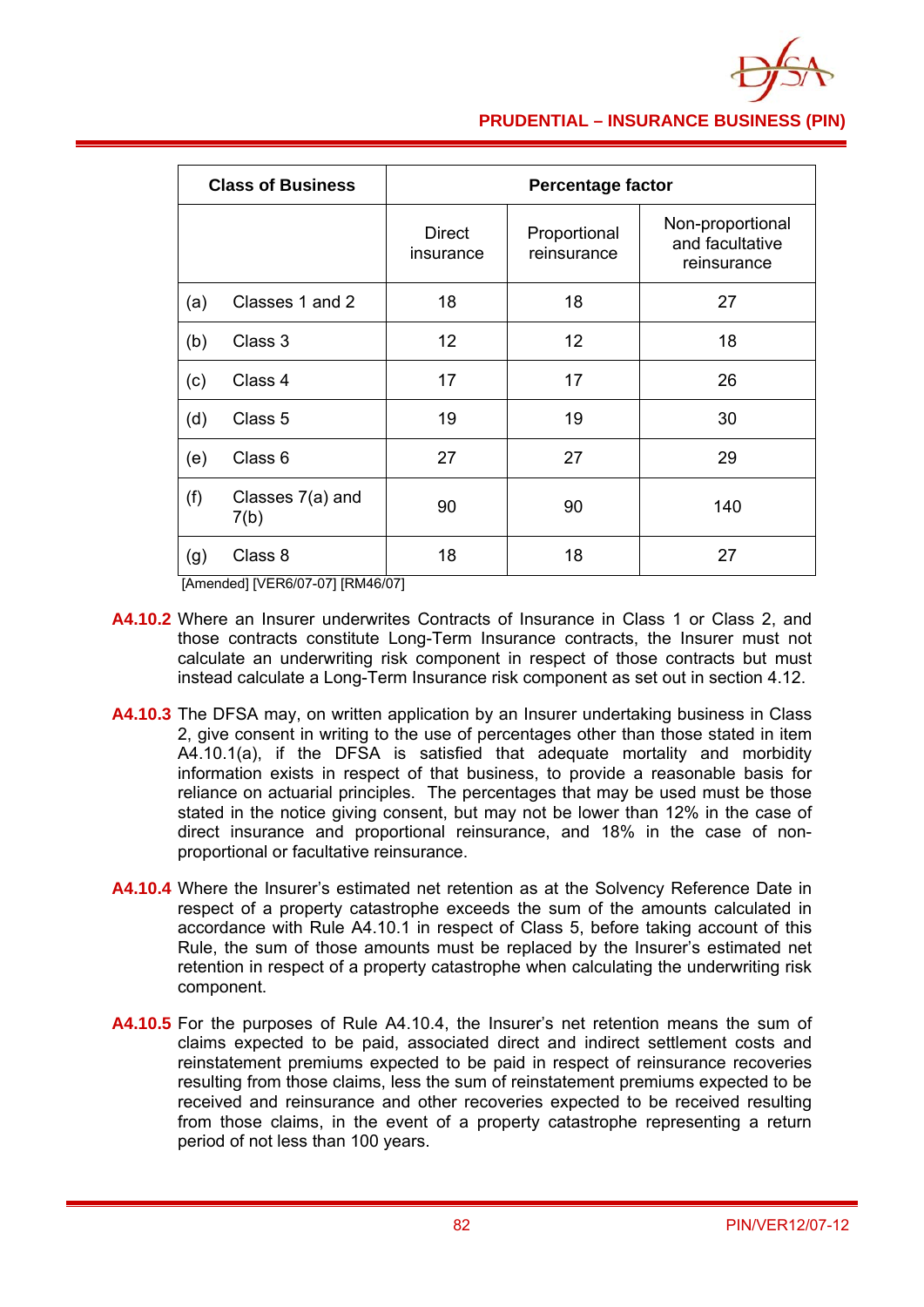

### **PRUDENTIAL – INSURANCE BUSINESS (PIN)**

| <b>Class of Business</b> |                          | <b>Percentage factor</b>   |                             |                                                    |  |
|--------------------------|--------------------------|----------------------------|-----------------------------|----------------------------------------------------|--|
|                          |                          | <b>Direct</b><br>insurance | Proportional<br>reinsurance | Non-proportional<br>and facultative<br>reinsurance |  |
| (a)                      | Classes 1 and 2          | 18                         | 18                          | 27                                                 |  |
| (b)                      | Class 3                  | 12                         | 12                          | 18                                                 |  |
| (c)                      | Class 4                  | 17                         | 17                          | 26                                                 |  |
| (d)                      | Class 5                  | 19                         | 19                          | 30                                                 |  |
| (e)                      | Class 6                  | 27                         | 27                          | 29                                                 |  |
| (f)                      | Classes 7(a) and<br>7(b) | 90                         | 90                          | 140                                                |  |
| (g)                      | Class 8                  | 18                         | 18                          | 27                                                 |  |

[Amended] [VER6/07-07] [RM46/07]

- **A4.10.2** Where an Insurer underwrites Contracts of Insurance in Class 1 or Class 2, and those contracts constitute Long-Term Insurance contracts, the Insurer must not calculate an underwriting risk component in respect of those contracts but must instead calculate a Long-Term Insurance risk component as set out in section 4.12.
- **A4.10.3** The DFSA may, on written application by an Insurer undertaking business in Class 2, give consent in writing to the use of percentages other than those stated in item A4.10.1(a), if the DFSA is satisfied that adequate mortality and morbidity information exists in respect of that business, to provide a reasonable basis for reliance on actuarial principles. The percentages that may be used must be those stated in the notice giving consent, but may not be lower than 12% in the case of direct insurance and proportional reinsurance, and 18% in the case of nonproportional or facultative reinsurance.
- **A4.10.4** Where the Insurer's estimated net retention as at the Solvency Reference Date in respect of a property catastrophe exceeds the sum of the amounts calculated in accordance with Rule A4.10.1 in respect of Class 5, before taking account of this Rule, the sum of those amounts must be replaced by the Insurer's estimated net retention in respect of a property catastrophe when calculating the underwriting risk component.
- **A4.10.5** For the purposes of Rule A4.10.4, the Insurer's net retention means the sum of claims expected to be paid, associated direct and indirect settlement costs and reinstatement premiums expected to be paid in respect of reinsurance recoveries resulting from those claims, less the sum of reinstatement premiums expected to be received and reinsurance and other recoveries expected to be received resulting from those claims, in the event of a property catastrophe representing a return period of not less than 100 years.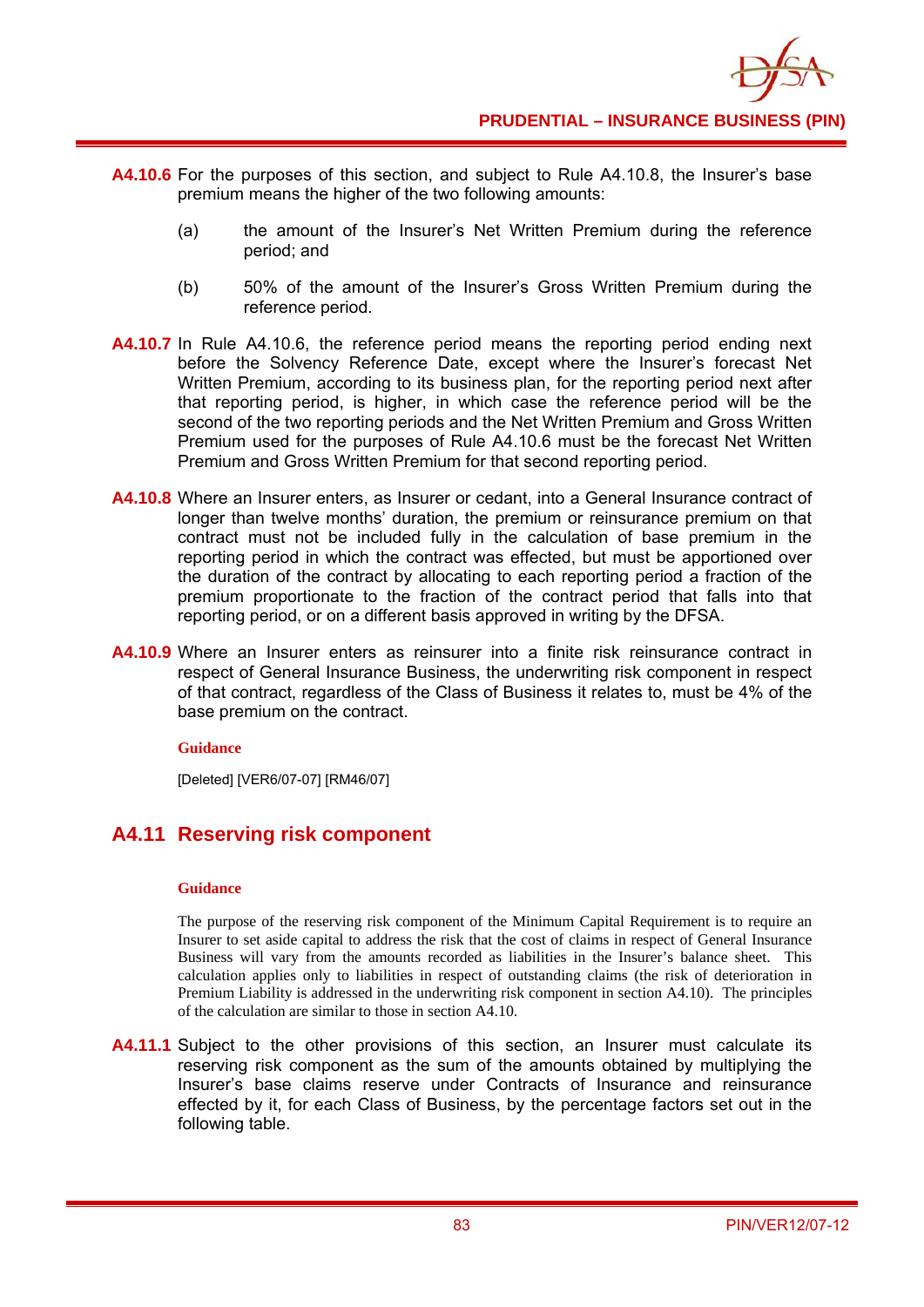

- **A4.10.6** For the purposes of this section, and subject to Rule A4.10.8, the Insurer's base premium means the higher of the two following amounts:
	- (a) the amount of the Insurer's Net Written Premium during the reference period; and
	- (b) 50% of the amount of the Insurer's Gross Written Premium during the reference period.
- **A4.10.7** In Rule A4.10.6, the reference period means the reporting period ending next before the Solvency Reference Date, except where the Insurer's forecast Net Written Premium, according to its business plan, for the reporting period next after that reporting period, is higher, in which case the reference period will be the second of the two reporting periods and the Net Written Premium and Gross Written Premium used for the purposes of Rule A4.10.6 must be the forecast Net Written Premium and Gross Written Premium for that second reporting period.
- **A4.10.8** Where an Insurer enters, as Insurer or cedant, into a General Insurance contract of longer than twelve months' duration, the premium or reinsurance premium on that contract must not be included fully in the calculation of base premium in the reporting period in which the contract was effected, but must be apportioned over the duration of the contract by allocating to each reporting period a fraction of the premium proportionate to the fraction of the contract period that falls into that reporting period, or on a different basis approved in writing by the DFSA.
- **A4.10.9** Where an Insurer enters as reinsurer into a finite risk reinsurance contract in respect of General Insurance Business, the underwriting risk component in respect of that contract, regardless of the Class of Business it relates to, must be 4% of the base premium on the contract.

#### **Guidance**

[Deleted] [VER6/07-07] [RM46/07]

## **A4.11 Reserving risk component**

#### **Guidance**

The purpose of the reserving risk component of the Minimum Capital Requirement is to require an Insurer to set aside capital to address the risk that the cost of claims in respect of General Insurance Business will vary from the amounts recorded as liabilities in the Insurer's balance sheet. This calculation applies only to liabilities in respect of outstanding claims (the risk of deterioration in Premium Liability is addressed in the underwriting risk component in section A4.10). The principles of the calculation are similar to those in section A4.10.

**A4.11.1** Subject to the other provisions of this section, an Insurer must calculate its reserving risk component as the sum of the amounts obtained by multiplying the Insurer's base claims reserve under Contracts of Insurance and reinsurance effected by it, for each Class of Business, by the percentage factors set out in the following table.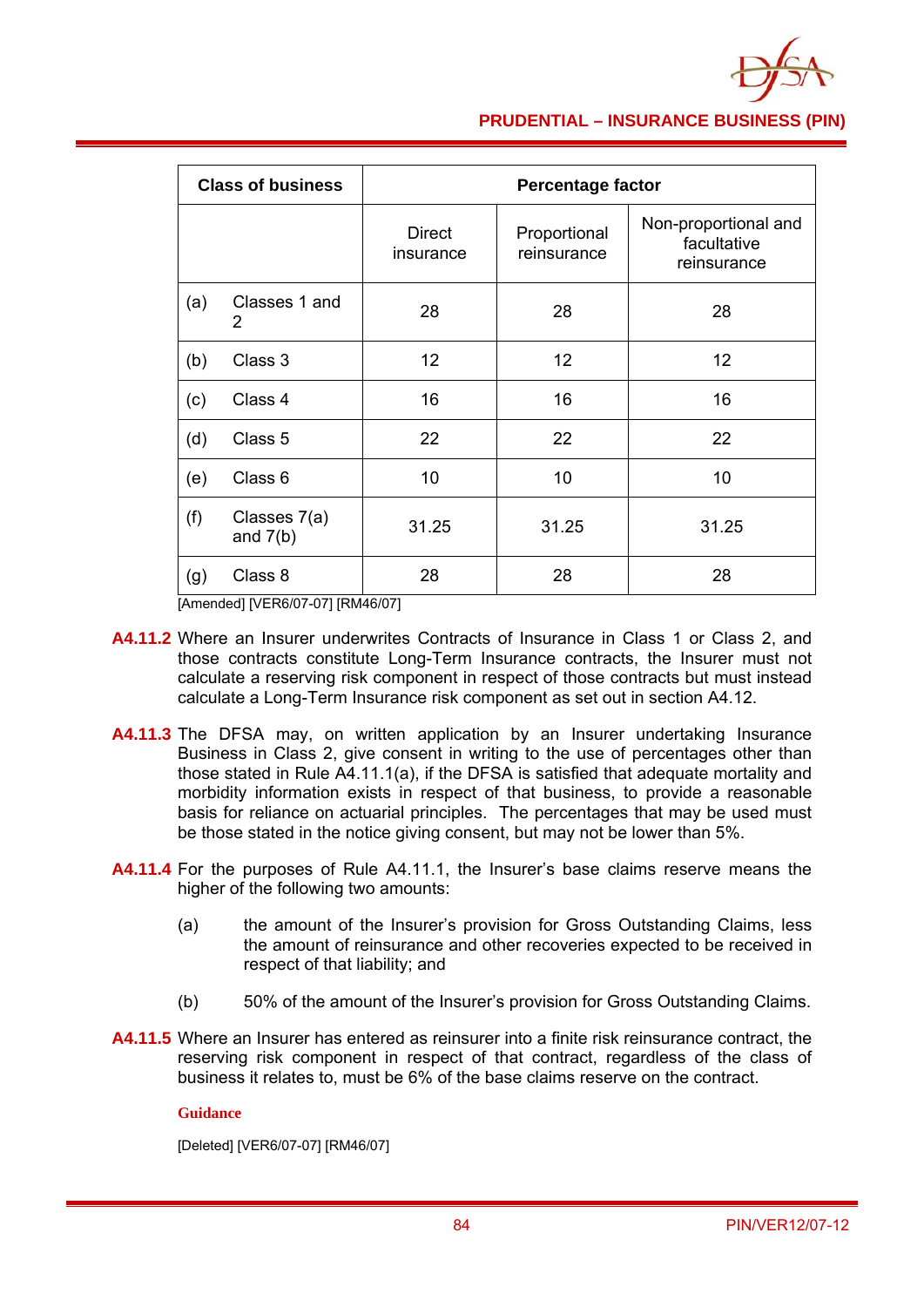

### **PRUDENTIAL – INSURANCE BUSINESS (PIN)**

| <b>Class of business</b> |                            | <b>Percentage factor</b>   |                             |                                                    |  |
|--------------------------|----------------------------|----------------------------|-----------------------------|----------------------------------------------------|--|
|                          |                            | <b>Direct</b><br>insurance | Proportional<br>reinsurance | Non-proportional and<br>facultative<br>reinsurance |  |
| (a)                      | Classes 1 and<br>2         | 28                         | 28                          | 28                                                 |  |
| (b)                      | Class 3                    | 12                         | 12 <sub>2</sub>             | 12                                                 |  |
| (c)                      | Class 4                    | 16                         | 16                          | 16                                                 |  |
| (d)                      | Class 5                    | 22                         | 22                          | 22                                                 |  |
| (e)                      | Class 6                    | 10                         | 10                          | 10                                                 |  |
| (f)                      | Classes 7(a)<br>and $7(b)$ | 31.25                      | 31.25                       | 31.25                                              |  |
| (g)                      | Class 8                    | 28                         | 28                          | 28                                                 |  |

[Amended] [VER6/07-07] [RM46/07]

- **A4.11.2** Where an Insurer underwrites Contracts of Insurance in Class 1 or Class 2, and those contracts constitute Long-Term Insurance contracts, the Insurer must not calculate a reserving risk component in respect of those contracts but must instead calculate a Long-Term Insurance risk component as set out in section A4.12.
- **A4.11.3** The DFSA may, on written application by an Insurer undertaking Insurance Business in Class 2, give consent in writing to the use of percentages other than those stated in Rule A4.11.1(a), if the DFSA is satisfied that adequate mortality and morbidity information exists in respect of that business, to provide a reasonable basis for reliance on actuarial principles. The percentages that may be used must be those stated in the notice giving consent, but may not be lower than 5%.
- **A4.11.4** For the purposes of Rule A4.11.1, the Insurer's base claims reserve means the higher of the following two amounts:
	- (a) the amount of the Insurer's provision for Gross Outstanding Claims, less the amount of reinsurance and other recoveries expected to be received in respect of that liability; and
	- (b) 50% of the amount of the Insurer's provision for Gross Outstanding Claims.
- **A4.11.5** Where an Insurer has entered as reinsurer into a finite risk reinsurance contract, the reserving risk component in respect of that contract, regardless of the class of business it relates to, must be 6% of the base claims reserve on the contract.

### **Guidance**

[Deleted] [VER6/07-07] [RM46/07]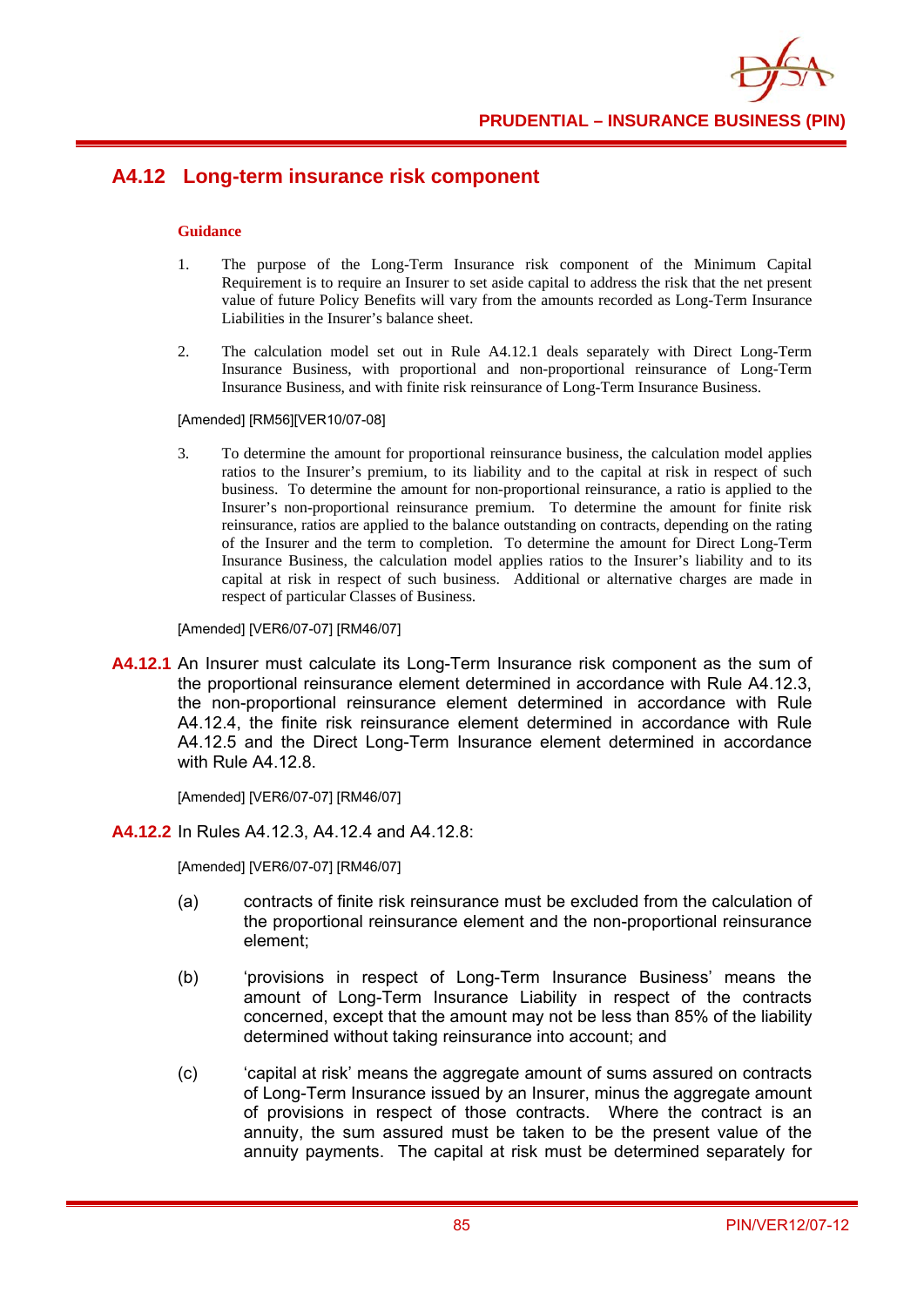

## **A4.12 Long-term insurance risk component**

#### **Guidance**

- 1. The purpose of the Long-Term Insurance risk component of the Minimum Capital Requirement is to require an Insurer to set aside capital to address the risk that the net present value of future Policy Benefits will vary from the amounts recorded as Long-Term Insurance Liabilities in the Insurer's balance sheet.
- 2. The calculation model set out in Rule A4.12.1 deals separately with Direct Long-Term Insurance Business, with proportional and non-proportional reinsurance of Long-Term Insurance Business, and with finite risk reinsurance of Long-Term Insurance Business.

[Amended] [RM56][VER10/07-08]

3. To determine the amount for proportional reinsurance business, the calculation model applies ratios to the Insurer's premium, to its liability and to the capital at risk in respect of such business. To determine the amount for non-proportional reinsurance, a ratio is applied to the Insurer's non-proportional reinsurance premium. To determine the amount for finite risk reinsurance, ratios are applied to the balance outstanding on contracts, depending on the rating of the Insurer and the term to completion. To determine the amount for Direct Long-Term Insurance Business, the calculation model applies ratios to the Insurer's liability and to its capital at risk in respect of such business. Additional or alternative charges are made in respect of particular Classes of Business.

[Amended] [VER6/07-07] [RM46/07]

**A4.12.1** An Insurer must calculate its Long-Term Insurance risk component as the sum of the proportional reinsurance element determined in accordance with Rule A4.12.3, the non-proportional reinsurance element determined in accordance with Rule A4.12.4, the finite risk reinsurance element determined in accordance with Rule A4.12.5 and the Direct Long-Term Insurance element determined in accordance with Rule A4.12.8.

[Amended] [VER6/07-07] [RM46/07]

**A4.12.2** In Rules A4.12.3, A4.12.4 and A4.12.8:

[Amended] [VER6/07-07] [RM46/07]

- (a) contracts of finite risk reinsurance must be excluded from the calculation of the proportional reinsurance element and the non-proportional reinsurance element;
- (b) 'provisions in respect of Long-Term Insurance Business' means the amount of Long-Term Insurance Liability in respect of the contracts concerned, except that the amount may not be less than 85% of the liability determined without taking reinsurance into account; and
- (c) 'capital at risk' means the aggregate amount of sums assured on contracts of Long-Term Insurance issued by an Insurer, minus the aggregate amount of provisions in respect of those contracts. Where the contract is an annuity, the sum assured must be taken to be the present value of the annuity payments. The capital at risk must be determined separately for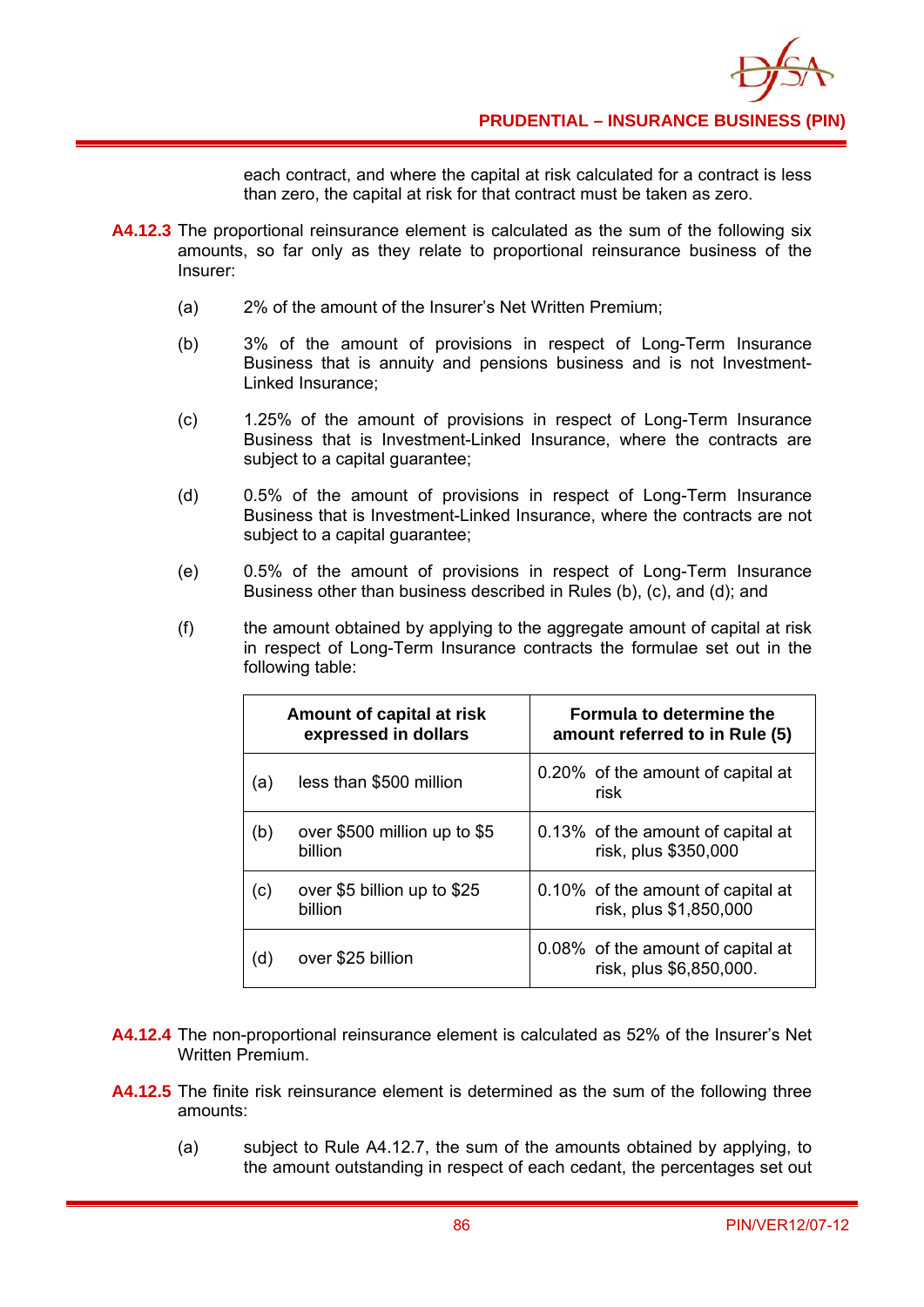each contract, and where the capital at risk calculated for a contract is less than zero, the capital at risk for that contract must be taken as zero.

- **A4.12.3** The proportional reinsurance element is calculated as the sum of the following six amounts, so far only as they relate to proportional reinsurance business of the Insurer:
	- (a) 2% of the amount of the Insurer's Net Written Premium;
	- (b) 3% of the amount of provisions in respect of Long-Term Insurance Business that is annuity and pensions business and is not Investment-Linked Insurance;
	- (c) 1.25% of the amount of provisions in respect of Long-Term Insurance Business that is Investment-Linked Insurance, where the contracts are subject to a capital guarantee;
	- (d) 0.5% of the amount of provisions in respect of Long-Term Insurance Business that is Investment-Linked Insurance, where the contracts are not subject to a capital guarantee;
	- (e) 0.5% of the amount of provisions in respect of Long-Term Insurance Business other than business described in Rules (b), (c), and (d); and
	- (f) the amount obtained by applying to the aggregate amount of capital at risk in respect of Long-Term Insurance contracts the formulae set out in the following table:

| Amount of capital at risk<br>expressed in dollars |                                         | <b>Formula to determine the</b><br>amount referred to in Rule (5) |
|---------------------------------------------------|-----------------------------------------|-------------------------------------------------------------------|
| (a)                                               | less than \$500 million                 | 0.20% of the amount of capital at<br>risk                         |
| (b)                                               | over \$500 million up to \$5<br>billion | 0.13% of the amount of capital at<br>risk, plus \$350,000         |
| (c)                                               | over \$5 billion up to \$25<br>billion  | 0.10% of the amount of capital at<br>risk, plus \$1,850,000       |
| d)                                                | over \$25 billion                       | 0.08% of the amount of capital at<br>risk, plus \$6,850,000.      |

- **A4.12.4** The non-proportional reinsurance element is calculated as 52% of the Insurer's Net Written Premium.
- **A4.12.5** The finite risk reinsurance element is determined as the sum of the following three amounts:
	- (a) subject to Rule A4.12.7, the sum of the amounts obtained by applying, to the amount outstanding in respect of each cedant, the percentages set out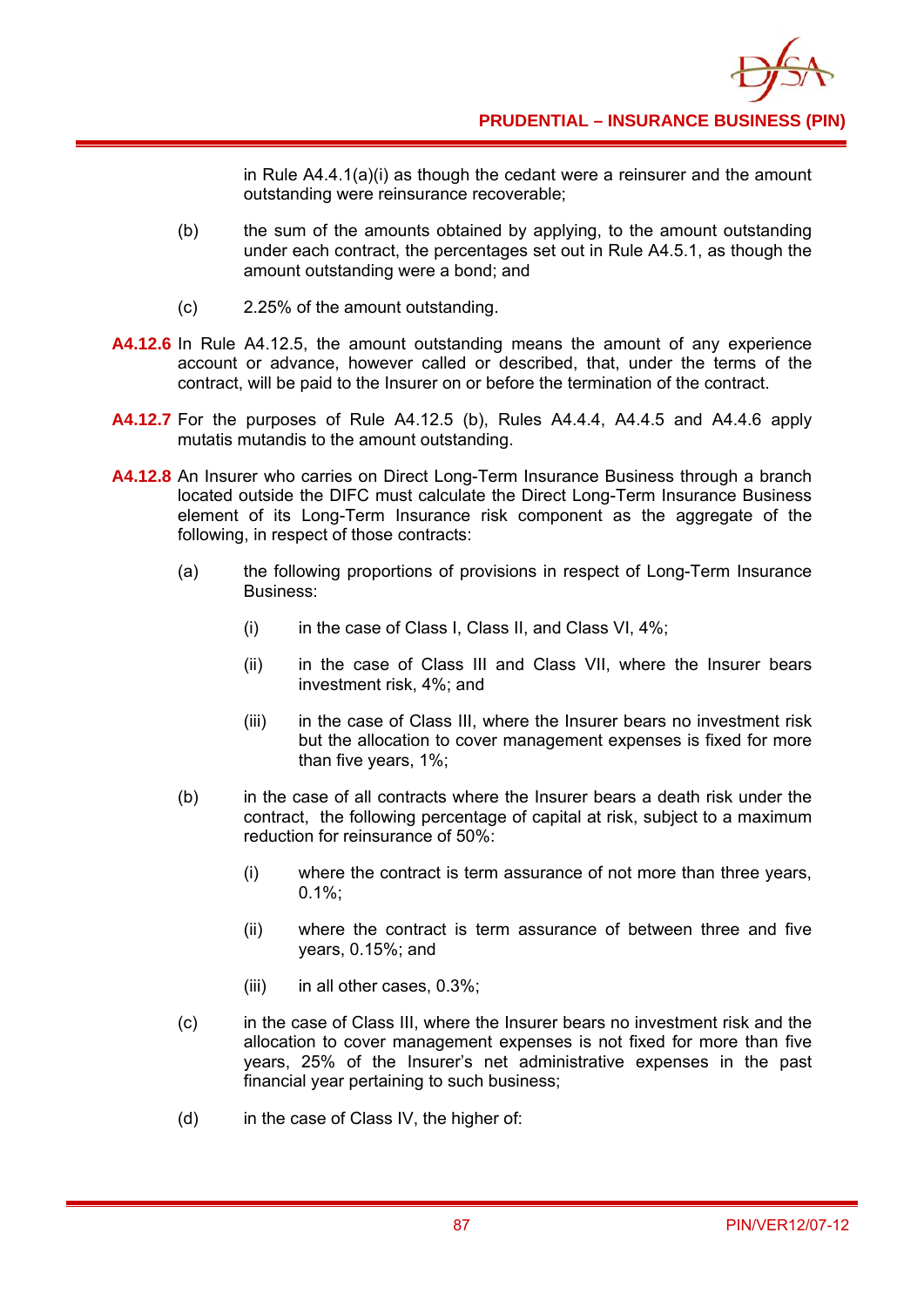in Rule  $A4.4.1(a)(i)$  as though the cedant were a reinsurer and the amount outstanding were reinsurance recoverable;

- (b) the sum of the amounts obtained by applying, to the amount outstanding under each contract, the percentages set out in Rule A4.5.1, as though the amount outstanding were a bond; and
- (c) 2.25% of the amount outstanding.
- **A4.12.6** In Rule A4.12.5, the amount outstanding means the amount of any experience account or advance, however called or described, that, under the terms of the contract, will be paid to the Insurer on or before the termination of the contract.
- **A4.12.7** For the purposes of Rule A4.12.5 (b), Rules A4.4.4, A4.4.5 and A4.4.6 apply mutatis mutandis to the amount outstanding.
- **A4.12.8** An Insurer who carries on Direct Long-Term Insurance Business through a branch located outside the DIFC must calculate the Direct Long-Term Insurance Business element of its Long-Term Insurance risk component as the aggregate of the following, in respect of those contracts:
	- (a) the following proportions of provisions in respect of Long-Term Insurance Business:
		- (i) in the case of Class I, Class II, and Class VI,  $4\%$ ;
		- (ii) in the case of Class III and Class VII, where the Insurer bears investment risk, 4%; and
		- (iii) in the case of Class III, where the Insurer bears no investment risk but the allocation to cover management expenses is fixed for more than five years, 1%;
	- (b) in the case of all contracts where the Insurer bears a death risk under the contract, the following percentage of capital at risk, subject to a maximum reduction for reinsurance of 50%:
		- (i) where the contract is term assurance of not more than three years, 0.1%;
		- (ii) where the contract is term assurance of between three and five years, 0.15%; and
		- (iii) in all other cases,  $0.3\%$ ;
	- (c) in the case of Class III, where the Insurer bears no investment risk and the allocation to cover management expenses is not fixed for more than five years, 25% of the Insurer's net administrative expenses in the past financial year pertaining to such business;
	- (d) in the case of Class IV, the higher of: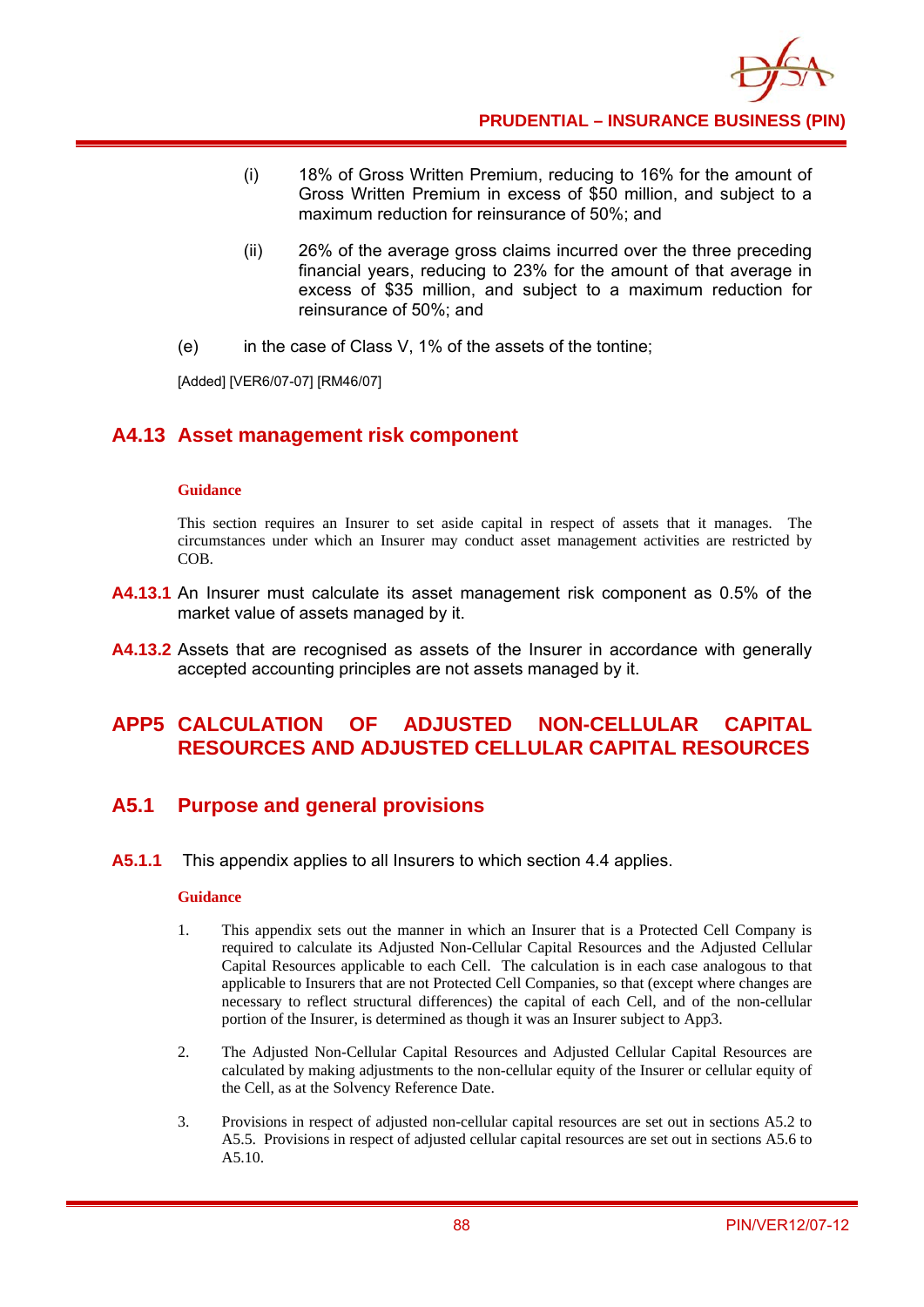

- (i) 18% of Gross Written Premium, reducing to 16% for the amount of Gross Written Premium in excess of \$50 million, and subject to a maximum reduction for reinsurance of 50%; and
- (ii) 26% of the average gross claims incurred over the three preceding financial years, reducing to 23% for the amount of that average in excess of \$35 million, and subject to a maximum reduction for reinsurance of 50%; and
- (e) in the case of Class V, 1% of the assets of the tontine;

[Added] [VER6/07-07] [RM46/07]

## **A4.13 Asset management risk component**

#### **Guidance**

This section requires an Insurer to set aside capital in respect of assets that it manages. The circumstances under which an Insurer may conduct asset management activities are restricted by COB.

- **A4.13.1** An Insurer must calculate its asset management risk component as 0.5% of the market value of assets managed by it.
- **A4.13.2** Assets that are recognised as assets of the Insurer in accordance with generally accepted accounting principles are not assets managed by it.

## **APP5 CALCULATION OF ADJUSTED NON-CELLULAR CAPITAL RESOURCES AND ADJUSTED CELLULAR CAPITAL RESOURCES**

### **A5.1 Purpose and general provisions**

**A5.1.1** This appendix applies to all Insurers to which section 4.4 applies.

- 1. This appendix sets out the manner in which an Insurer that is a Protected Cell Company is required to calculate its Adjusted Non-Cellular Capital Resources and the Adjusted Cellular Capital Resources applicable to each Cell. The calculation is in each case analogous to that applicable to Insurers that are not Protected Cell Companies, so that (except where changes are necessary to reflect structural differences) the capital of each Cell, and of the non-cellular portion of the Insurer, is determined as though it was an Insurer subject to App3.
- 2. The Adjusted Non-Cellular Capital Resources and Adjusted Cellular Capital Resources are calculated by making adjustments to the non-cellular equity of the Insurer or cellular equity of the Cell, as at the Solvency Reference Date.
- 3. Provisions in respect of adjusted non-cellular capital resources are set out in sections A5.2 to A5.5. Provisions in respect of adjusted cellular capital resources are set out in sections A5.6 to A5.10.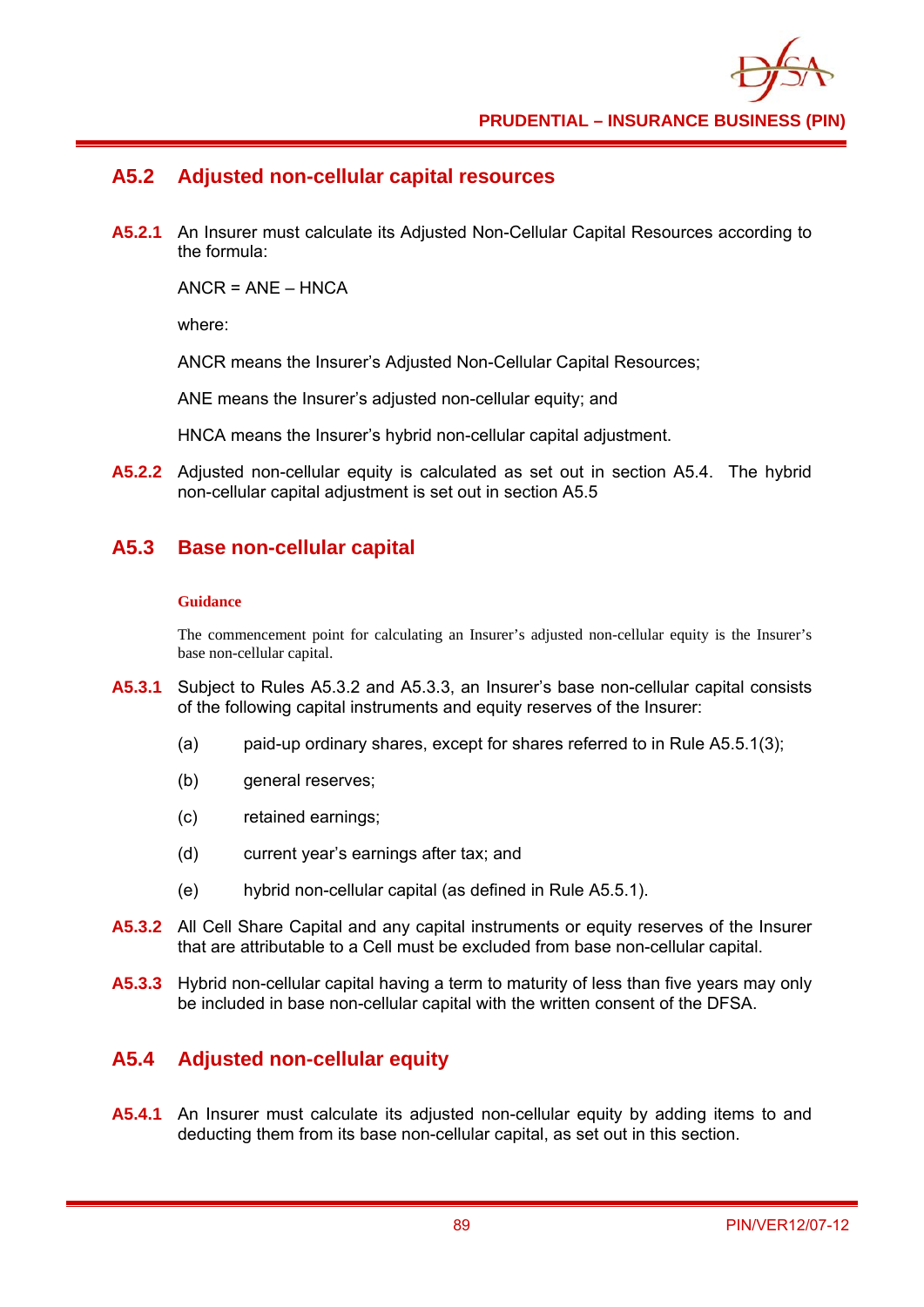## **A5.2 Adjusted non-cellular capital resources**

**A5.2.1** An Insurer must calculate its Adjusted Non-Cellular Capital Resources according to the formula:

 $ANCE = ANF - HNCA$ 

where:

ANCR means the Insurer's Adjusted Non-Cellular Capital Resources;

ANE means the Insurer's adjusted non-cellular equity; and

HNCA means the Insurer's hybrid non-cellular capital adjustment.

**A5.2.2** Adjusted non-cellular equity is calculated as set out in section A5.4. The hybrid non-cellular capital adjustment is set out in section A5.5

### **A5.3 Base non-cellular capital**

#### **Guidance**

The commencement point for calculating an Insurer's adjusted non-cellular equity is the Insurer's base non-cellular capital.

- **A5.3.1** Subject to Rules A5.3.2 and A5.3.3, an Insurer's base non-cellular capital consists of the following capital instruments and equity reserves of the Insurer:
	- (a) paid-up ordinary shares, except for shares referred to in Rule A5.5.1(3);
	- (b) general reserves;
	- (c) retained earnings;
	- (d) current year's earnings after tax; and
	- (e) hybrid non-cellular capital (as defined in Rule A5.5.1).
- **A5.3.2** All Cell Share Capital and any capital instruments or equity reserves of the Insurer that are attributable to a Cell must be excluded from base non-cellular capital.
- **A5.3.3** Hybrid non-cellular capital having a term to maturity of less than five years may only be included in base non-cellular capital with the written consent of the DFSA.

## **A5.4 Adjusted non-cellular equity**

**A5.4.1** An Insurer must calculate its adjusted non-cellular equity by adding items to and deducting them from its base non-cellular capital, as set out in this section.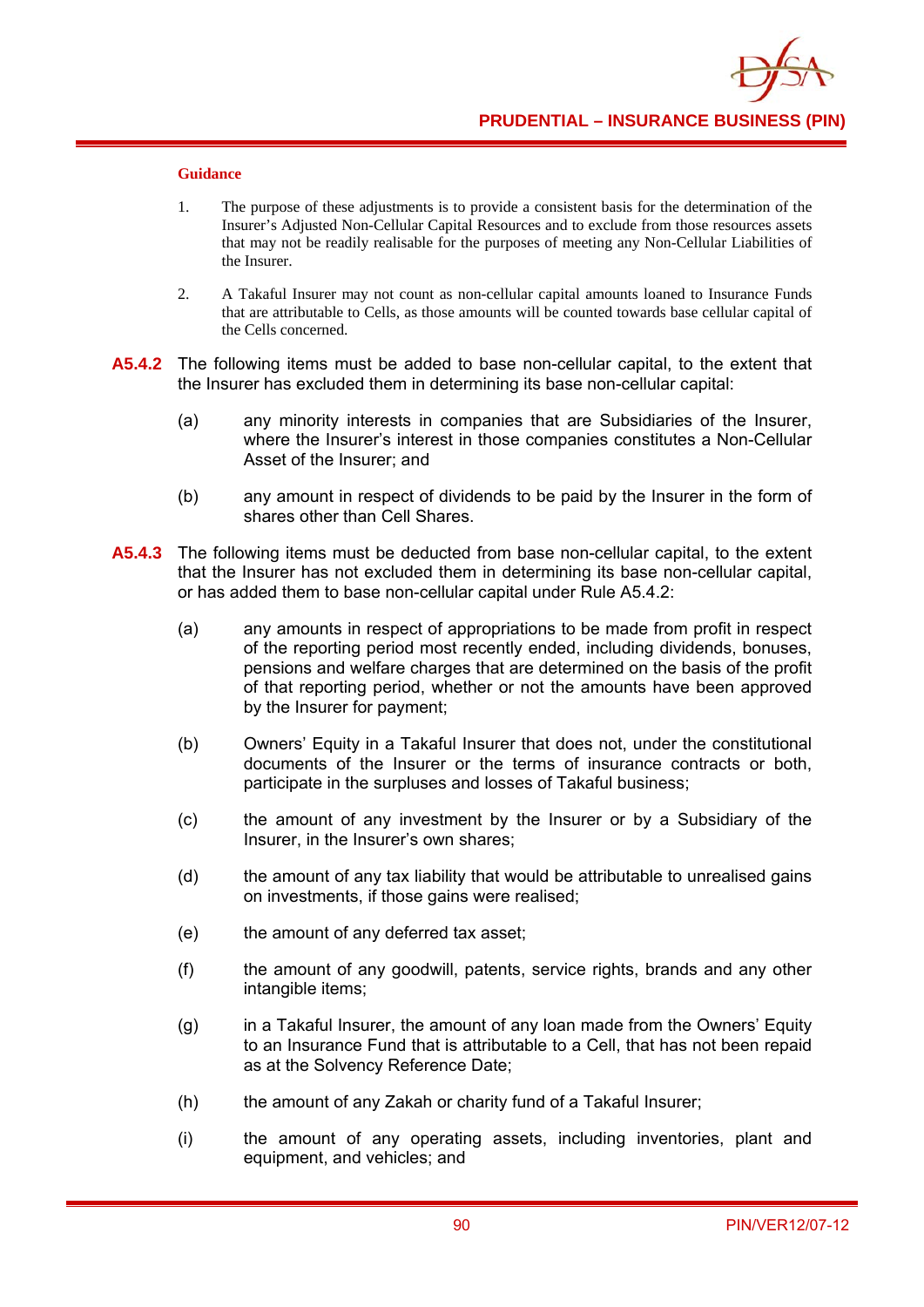- 1. The purpose of these adjustments is to provide a consistent basis for the determination of the Insurer's Adjusted Non-Cellular Capital Resources and to exclude from those resources assets that may not be readily realisable for the purposes of meeting any Non-Cellular Liabilities of the Insurer.
- 2. A Takaful Insurer may not count as non-cellular capital amounts loaned to Insurance Funds that are attributable to Cells, as those amounts will be counted towards base cellular capital of the Cells concerned.
- **A5.4.2** The following items must be added to base non-cellular capital, to the extent that the Insurer has excluded them in determining its base non-cellular capital:
	- (a) any minority interests in companies that are Subsidiaries of the Insurer, where the Insurer's interest in those companies constitutes a Non-Cellular Asset of the Insurer; and
	- (b) any amount in respect of dividends to be paid by the Insurer in the form of shares other than Cell Shares.
- **A5.4.3** The following items must be deducted from base non-cellular capital, to the extent that the Insurer has not excluded them in determining its base non-cellular capital, or has added them to base non-cellular capital under Rule A5.4.2:
	- (a) any amounts in respect of appropriations to be made from profit in respect of the reporting period most recently ended, including dividends, bonuses, pensions and welfare charges that are determined on the basis of the profit of that reporting period, whether or not the amounts have been approved by the Insurer for payment;
	- (b) Owners' Equity in a Takaful Insurer that does not, under the constitutional documents of the Insurer or the terms of insurance contracts or both, participate in the surpluses and losses of Takaful business;
	- (c) the amount of any investment by the Insurer or by a Subsidiary of the Insurer, in the Insurer's own shares;
	- (d) the amount of any tax liability that would be attributable to unrealised gains on investments, if those gains were realised;
	- (e) the amount of any deferred tax asset;
	- (f) the amount of any goodwill, patents, service rights, brands and any other intangible items;
	- (g) in a Takaful Insurer, the amount of any loan made from the Owners' Equity to an Insurance Fund that is attributable to a Cell, that has not been repaid as at the Solvency Reference Date;
	- (h) the amount of any Zakah or charity fund of a Takaful Insurer;
	- (i) the amount of any operating assets, including inventories, plant and equipment, and vehicles; and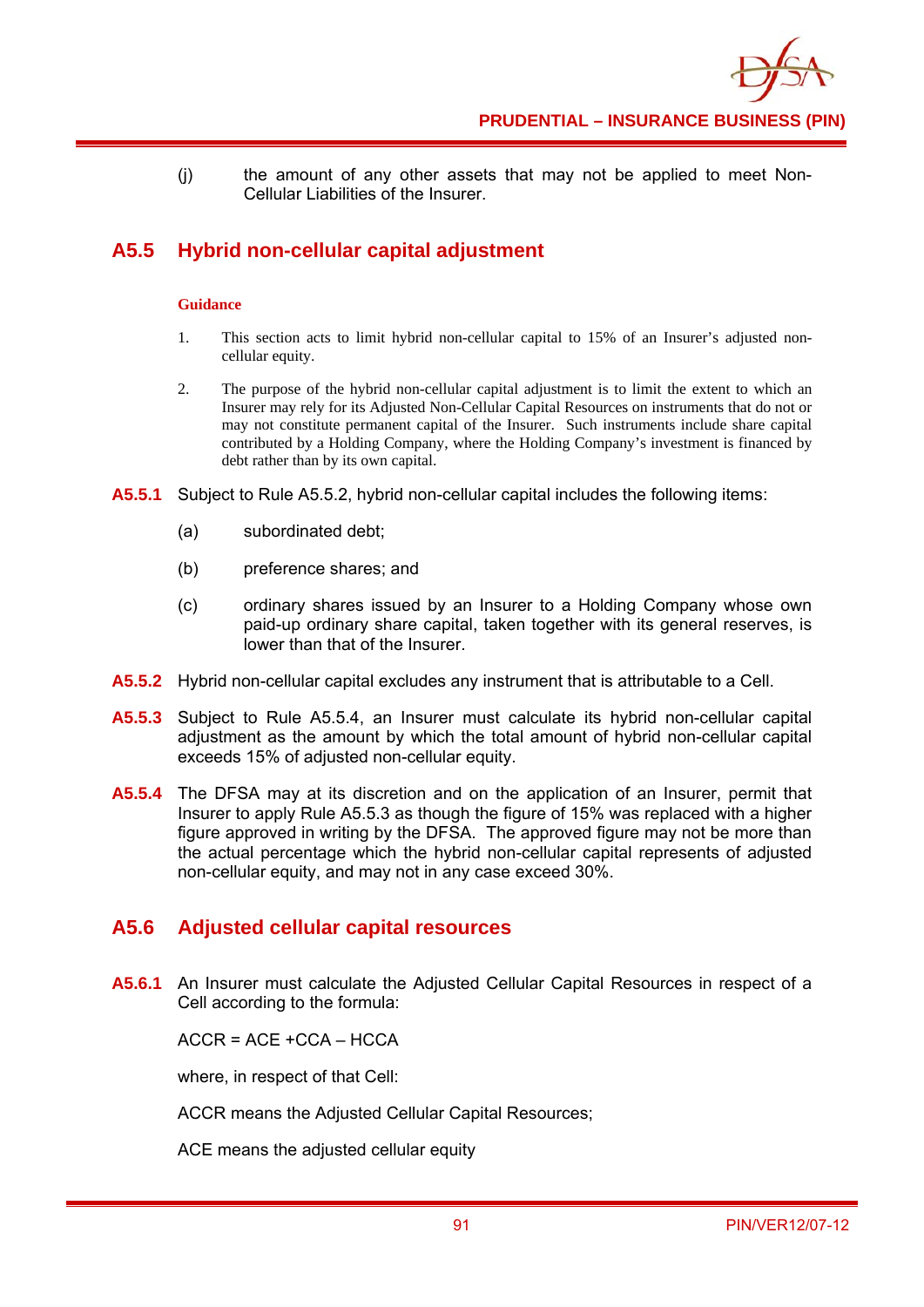

(j) the amount of any other assets that may not be applied to meet Non-Cellular Liabilities of the Insurer.

# **A5.5 Hybrid non-cellular capital adjustment**

#### **Guidance**

- 1. This section acts to limit hybrid non-cellular capital to 15% of an Insurer's adjusted noncellular equity.
- 2. The purpose of the hybrid non-cellular capital adjustment is to limit the extent to which an Insurer may rely for its Adjusted Non-Cellular Capital Resources on instruments that do not or may not constitute permanent capital of the Insurer. Such instruments include share capital contributed by a Holding Company, where the Holding Company's investment is financed by debt rather than by its own capital.
- **A5.5.1** Subject to Rule A5.5.2, hybrid non-cellular capital includes the following items:
	- (a) subordinated debt;
	- (b) preference shares; and
	- (c) ordinary shares issued by an Insurer to a Holding Company whose own paid-up ordinary share capital, taken together with its general reserves, is lower than that of the Insurer.
- **A5.5.2** Hybrid non-cellular capital excludes any instrument that is attributable to a Cell.
- **A5.5.3** Subject to Rule A5.5.4, an Insurer must calculate its hybrid non-cellular capital adjustment as the amount by which the total amount of hybrid non-cellular capital exceeds 15% of adjusted non-cellular equity.
- **A5.5.4** The DFSA may at its discretion and on the application of an Insurer, permit that Insurer to apply Rule A5.5.3 as though the figure of 15% was replaced with a higher figure approved in writing by the DFSA. The approved figure may not be more than the actual percentage which the hybrid non-cellular capital represents of adjusted non-cellular equity, and may not in any case exceed 30%.

### **A5.6 Adjusted cellular capital resources**

**A5.6.1** An Insurer must calculate the Adjusted Cellular Capital Resources in respect of a Cell according to the formula:

 $ACCR = ACE + CCA - HCCA$ 

where, in respect of that Cell:

ACCR means the Adjusted Cellular Capital Resources;

ACE means the adjusted cellular equity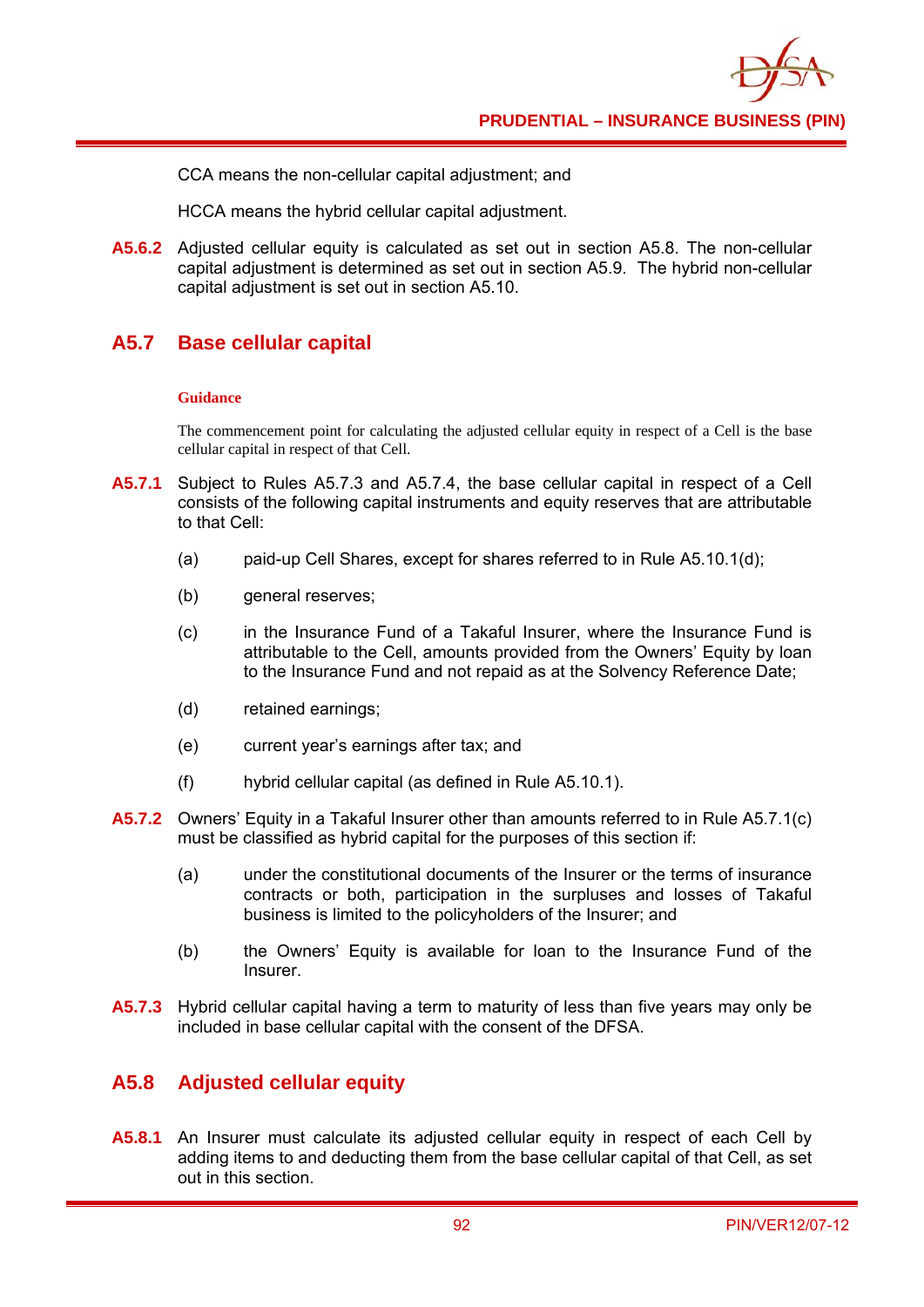CCA means the non-cellular capital adjustment; and

HCCA means the hybrid cellular capital adjustment.

**A5.6.2** Adjusted cellular equity is calculated as set out in section A5.8. The non-cellular capital adjustment is determined as set out in section A5.9. The hybrid non-cellular capital adjustment is set out in section A5.10.

## **A5.7 Base cellular capital**

#### **Guidance**

The commencement point for calculating the adjusted cellular equity in respect of a Cell is the base cellular capital in respect of that Cell.

- **A5.7.1** Subject to Rules A5.7.3 and A5.7.4, the base cellular capital in respect of a Cell consists of the following capital instruments and equity reserves that are attributable to that Cell:
	- (a) paid-up Cell Shares, except for shares referred to in Rule A5.10.1(d);
	- (b) general reserves;
	- (c) in the Insurance Fund of a Takaful Insurer, where the Insurance Fund is attributable to the Cell, amounts provided from the Owners' Equity by loan to the Insurance Fund and not repaid as at the Solvency Reference Date;
	- (d) retained earnings;
	- (e) current year's earnings after tax; and
	- (f) hybrid cellular capital (as defined in Rule A5.10.1).
- **A5.7.2** Owners' Equity in a Takaful Insurer other than amounts referred to in Rule A5.7.1(c) must be classified as hybrid capital for the purposes of this section if:
	- (a) under the constitutional documents of the Insurer or the terms of insurance contracts or both, participation in the surpluses and losses of Takaful business is limited to the policyholders of the Insurer; and
	- (b) the Owners' Equity is available for loan to the Insurance Fund of the Insurer.
- **A5.7.3** Hybrid cellular capital having a term to maturity of less than five years may only be included in base cellular capital with the consent of the DFSA.

## **A5.8 Adjusted cellular equity**

**A5.8.1** An Insurer must calculate its adjusted cellular equity in respect of each Cell by adding items to and deducting them from the base cellular capital of that Cell, as set out in this section.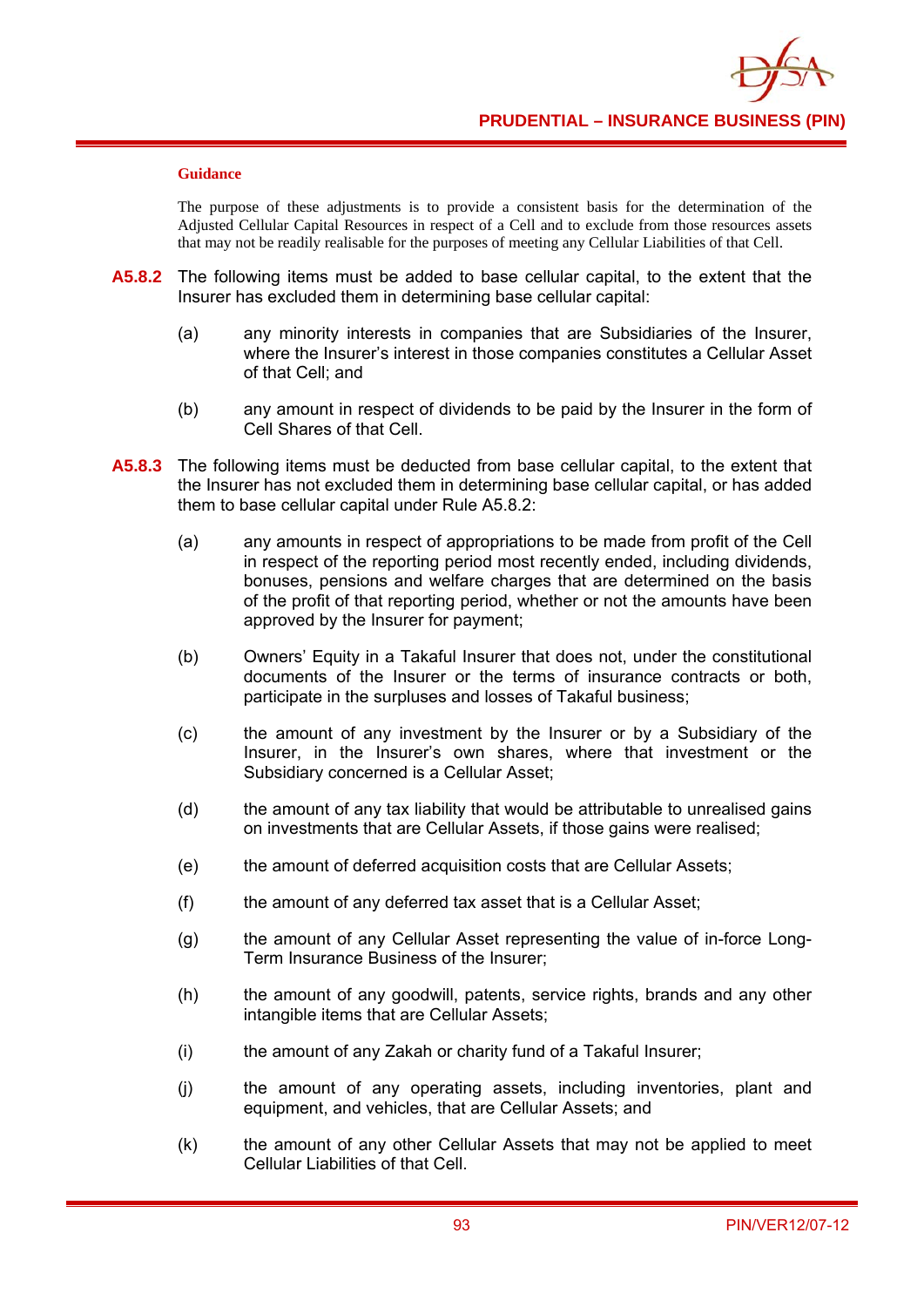#### **Guidance**

The purpose of these adjustments is to provide a consistent basis for the determination of the Adjusted Cellular Capital Resources in respect of a Cell and to exclude from those resources assets that may not be readily realisable for the purposes of meeting any Cellular Liabilities of that Cell.

- **A5.8.2** The following items must be added to base cellular capital, to the extent that the Insurer has excluded them in determining base cellular capital:
	- (a) any minority interests in companies that are Subsidiaries of the Insurer, where the Insurer's interest in those companies constitutes a Cellular Asset of that Cell; and
	- (b) any amount in respect of dividends to be paid by the Insurer in the form of Cell Shares of that Cell.
- **A5.8.3** The following items must be deducted from base cellular capital, to the extent that the Insurer has not excluded them in determining base cellular capital, or has added them to base cellular capital under Rule A5.8.2:
	- (a) any amounts in respect of appropriations to be made from profit of the Cell in respect of the reporting period most recently ended, including dividends, bonuses, pensions and welfare charges that are determined on the basis of the profit of that reporting period, whether or not the amounts have been approved by the Insurer for payment;
	- (b) Owners' Equity in a Takaful Insurer that does not, under the constitutional documents of the Insurer or the terms of insurance contracts or both, participate in the surpluses and losses of Takaful business;
	- (c) the amount of any investment by the Insurer or by a Subsidiary of the Insurer, in the Insurer's own shares, where that investment or the Subsidiary concerned is a Cellular Asset;
	- (d) the amount of any tax liability that would be attributable to unrealised gains on investments that are Cellular Assets, if those gains were realised;
	- (e) the amount of deferred acquisition costs that are Cellular Assets;
	- (f) the amount of any deferred tax asset that is a Cellular Asset;
	- (g) the amount of any Cellular Asset representing the value of in-force Long-Term Insurance Business of the Insurer;
	- (h) the amount of any goodwill, patents, service rights, brands and any other intangible items that are Cellular Assets;
	- (i) the amount of any Zakah or charity fund of a Takaful Insurer;
	- (j) the amount of any operating assets, including inventories, plant and equipment, and vehicles, that are Cellular Assets; and
	- (k) the amount of any other Cellular Assets that may not be applied to meet Cellular Liabilities of that Cell.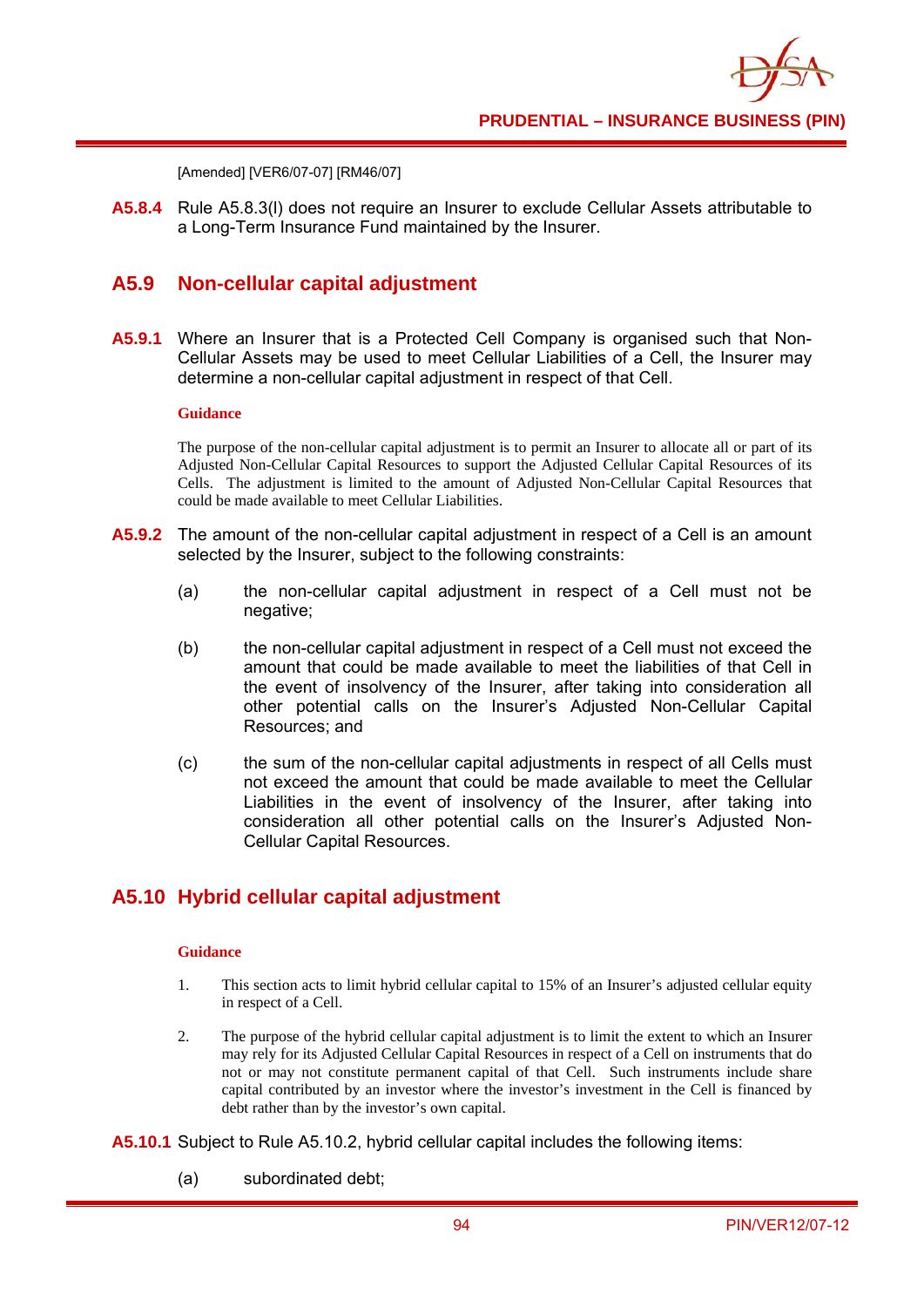[Amended] [VER6/07-07] [RM46/07]

**A5.8.4** Rule A5.8.3(l) does not require an Insurer to exclude Cellular Assets attributable to a Long-Term Insurance Fund maintained by the Insurer.

### **A5.9 Non-cellular capital adjustment**

**A5.9.1** Where an Insurer that is a Protected Cell Company is organised such that Non-Cellular Assets may be used to meet Cellular Liabilities of a Cell, the Insurer may determine a non-cellular capital adjustment in respect of that Cell.

#### **Guidance**

The purpose of the non-cellular capital adjustment is to permit an Insurer to allocate all or part of its Adjusted Non-Cellular Capital Resources to support the Adjusted Cellular Capital Resources of its Cells. The adjustment is limited to the amount of Adjusted Non-Cellular Capital Resources that could be made available to meet Cellular Liabilities.

- **A5.9.2** The amount of the non-cellular capital adjustment in respect of a Cell is an amount selected by the Insurer, subject to the following constraints:
	- (a) the non-cellular capital adjustment in respect of a Cell must not be negative;
	- (b) the non-cellular capital adjustment in respect of a Cell must not exceed the amount that could be made available to meet the liabilities of that Cell in the event of insolvency of the Insurer, after taking into consideration all other potential calls on the Insurer's Adjusted Non-Cellular Capital Resources; and
	- (c) the sum of the non-cellular capital adjustments in respect of all Cells must not exceed the amount that could be made available to meet the Cellular Liabilities in the event of insolvency of the Insurer, after taking into consideration all other potential calls on the Insurer's Adjusted Non-Cellular Capital Resources.

### **A5.10 Hybrid cellular capital adjustment**

- 1. This section acts to limit hybrid cellular capital to 15% of an Insurer's adjusted cellular equity in respect of a Cell.
- 2. The purpose of the hybrid cellular capital adjustment is to limit the extent to which an Insurer may rely for its Adjusted Cellular Capital Resources in respect of a Cell on instruments that do not or may not constitute permanent capital of that Cell. Such instruments include share capital contributed by an investor where the investor's investment in the Cell is financed by debt rather than by the investor's own capital.
- **A5.10.1** Subject to Rule A5.10.2, hybrid cellular capital includes the following items:
	- (a) subordinated debt;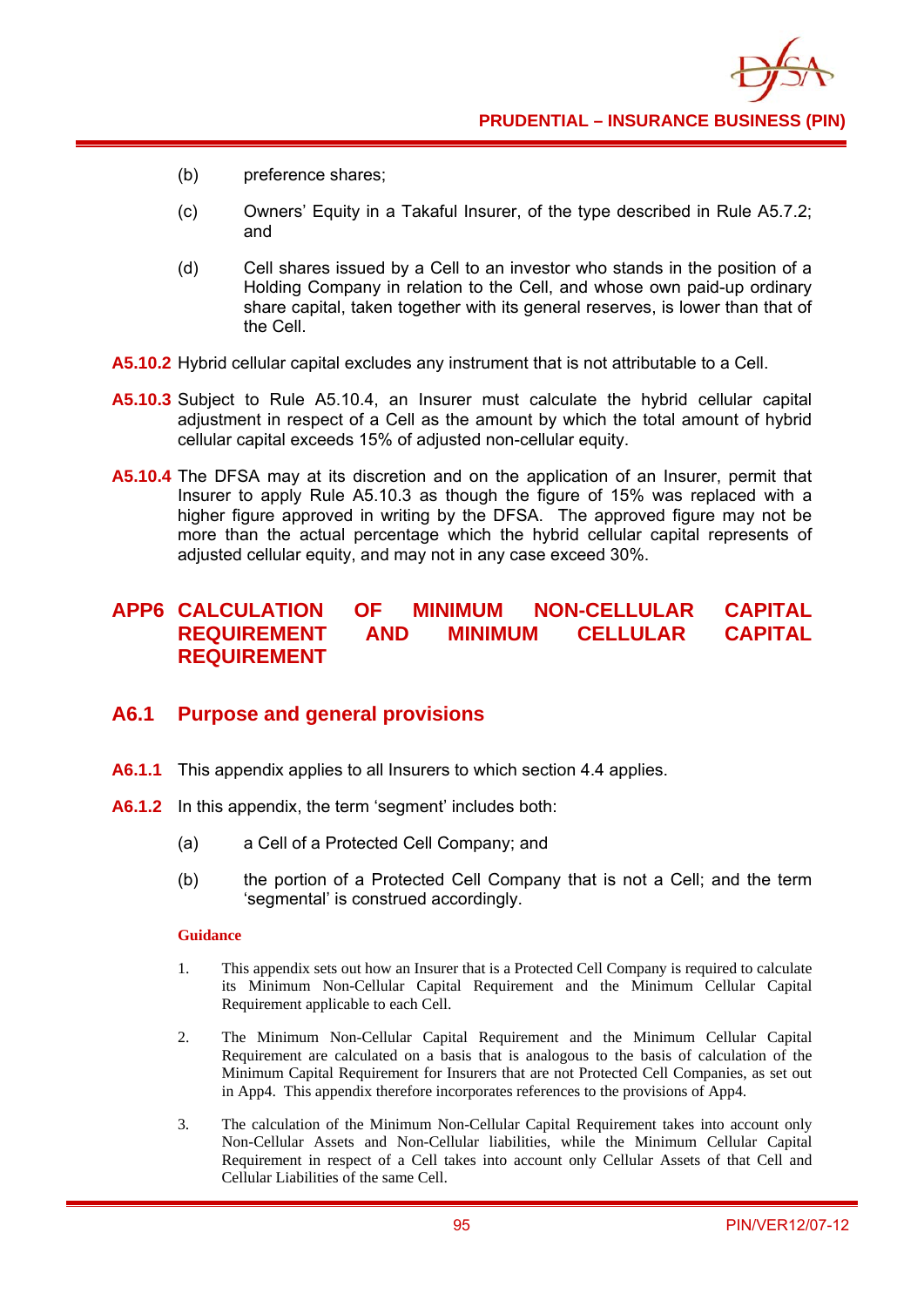- (b) preference shares;
- (c) Owners' Equity in a Takaful Insurer, of the type described in Rule A5.7.2; and
- (d) Cell shares issued by a Cell to an investor who stands in the position of a Holding Company in relation to the Cell, and whose own paid-up ordinary share capital, taken together with its general reserves, is lower than that of the Cell.
- **A5.10.2** Hybrid cellular capital excludes any instrument that is not attributable to a Cell.
- **A5.10.3** Subject to Rule A5.10.4, an Insurer must calculate the hybrid cellular capital adjustment in respect of a Cell as the amount by which the total amount of hybrid cellular capital exceeds 15% of adjusted non-cellular equity.
- **A5.10.4** The DFSA may at its discretion and on the application of an Insurer, permit that Insurer to apply Rule A5.10.3 as though the figure of 15% was replaced with a higher figure approved in writing by the DFSA. The approved figure may not be more than the actual percentage which the hybrid cellular capital represents of adjusted cellular equity, and may not in any case exceed 30%.

## **APP6 CALCULATION OF MINIMUM NON-CELLULAR CAPITAL REQUIREMENT AND MINIMUM CELLULAR CAPITAL REQUIREMENT**

### **A6.1 Purpose and general provisions**

- **A6.1.1** This appendix applies to all Insurers to which section 4.4 applies.
- **A6.1.2** In this appendix, the term 'segment' includes both:
	- (a) a Cell of a Protected Cell Company; and
	- (b) the portion of a Protected Cell Company that is not a Cell; and the term 'segmental' is construed accordingly.

- 1. This appendix sets out how an Insurer that is a Protected Cell Company is required to calculate its Minimum Non-Cellular Capital Requirement and the Minimum Cellular Capital Requirement applicable to each Cell.
- 2. The Minimum Non-Cellular Capital Requirement and the Minimum Cellular Capital Requirement are calculated on a basis that is analogous to the basis of calculation of the Minimum Capital Requirement for Insurers that are not Protected Cell Companies, as set out in App4. This appendix therefore incorporates references to the provisions of App4.
- 3. The calculation of the Minimum Non-Cellular Capital Requirement takes into account only Non-Cellular Assets and Non-Cellular liabilities, while the Minimum Cellular Capital Requirement in respect of a Cell takes into account only Cellular Assets of that Cell and Cellular Liabilities of the same Cell.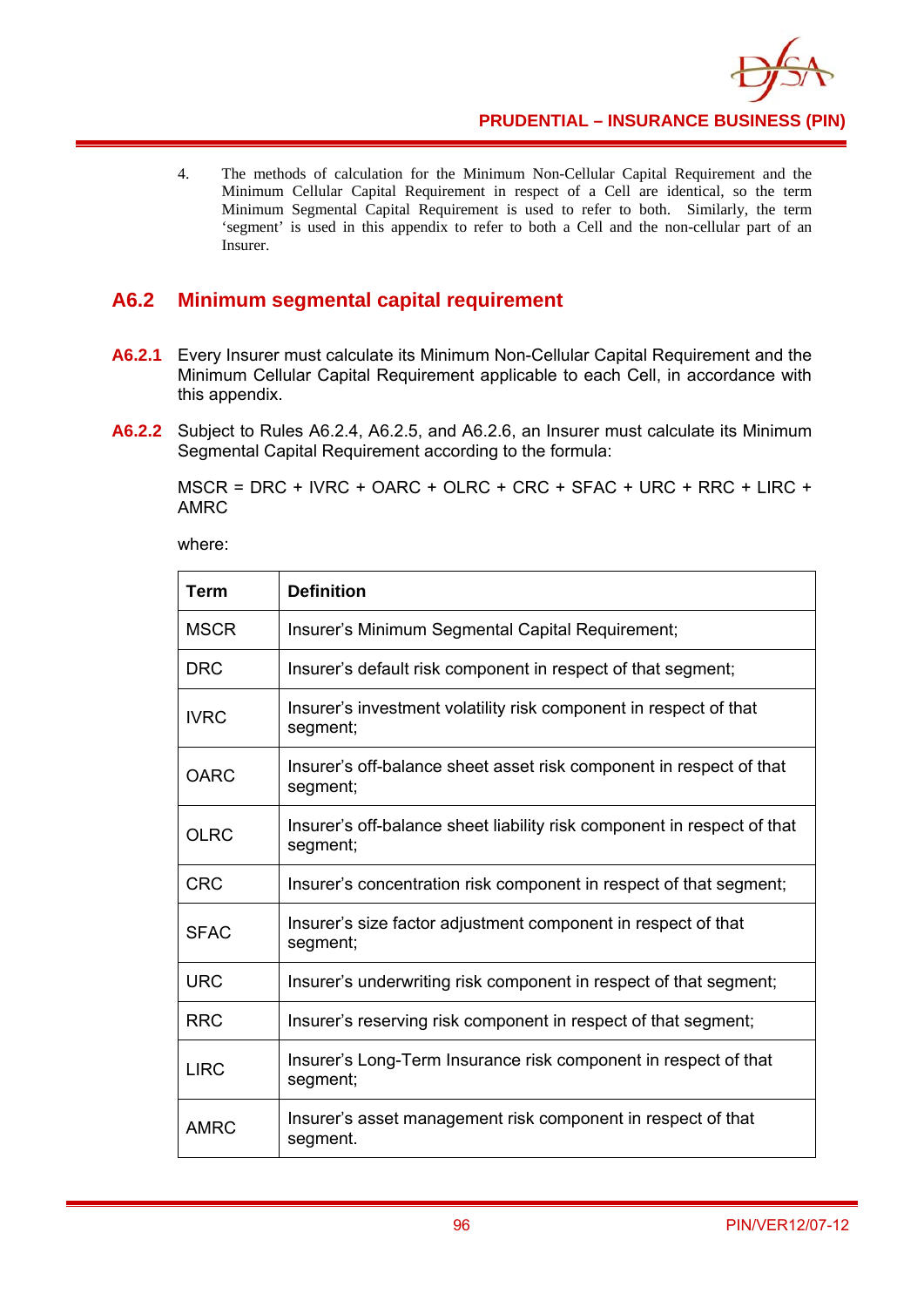

4. The methods of calculation for the Minimum Non-Cellular Capital Requirement and the Minimum Cellular Capital Requirement in respect of a Cell are identical, so the term Minimum Segmental Capital Requirement is used to refer to both. Similarly, the term 'segment' is used in this appendix to refer to both a Cell and the non-cellular part of an Insurer.

# **A6.2 Minimum segmental capital requirement**

- **A6.2.1** Every Insurer must calculate its Minimum Non-Cellular Capital Requirement and the Minimum Cellular Capital Requirement applicable to each Cell, in accordance with this appendix.
- **A6.2.2** Subject to Rules A6.2.4, A6.2.5, and A6.2.6, an Insurer must calculate its Minimum Segmental Capital Requirement according to the formula:

MSCR = DRC + IVRC + OARC + OLRC + CRC + SFAC + URC + RRC + LIRC + AMRC

where:

| Term        | <b>Definition</b>                                                                   |
|-------------|-------------------------------------------------------------------------------------|
| <b>MSCR</b> | Insurer's Minimum Segmental Capital Requirement;                                    |
| <b>DRC</b>  | Insurer's default risk component in respect of that segment;                        |
| <b>IVRC</b> | Insurer's investment volatility risk component in respect of that<br>segment;       |
| <b>OARC</b> | Insurer's off-balance sheet asset risk component in respect of that<br>segment;     |
| <b>OLRC</b> | Insurer's off-balance sheet liability risk component in respect of that<br>segment; |
| <b>CRC</b>  | Insurer's concentration risk component in respect of that segment;                  |
| <b>SFAC</b> | Insurer's size factor adjustment component in respect of that<br>segment;           |
| <b>URC</b>  | Insurer's underwriting risk component in respect of that segment;                   |
| <b>RRC</b>  | Insurer's reserving risk component in respect of that segment;                      |
| <b>LIRC</b> | Insurer's Long-Term Insurance risk component in respect of that<br>segment;         |
| <b>AMRC</b> | Insurer's asset management risk component in respect of that<br>segment.            |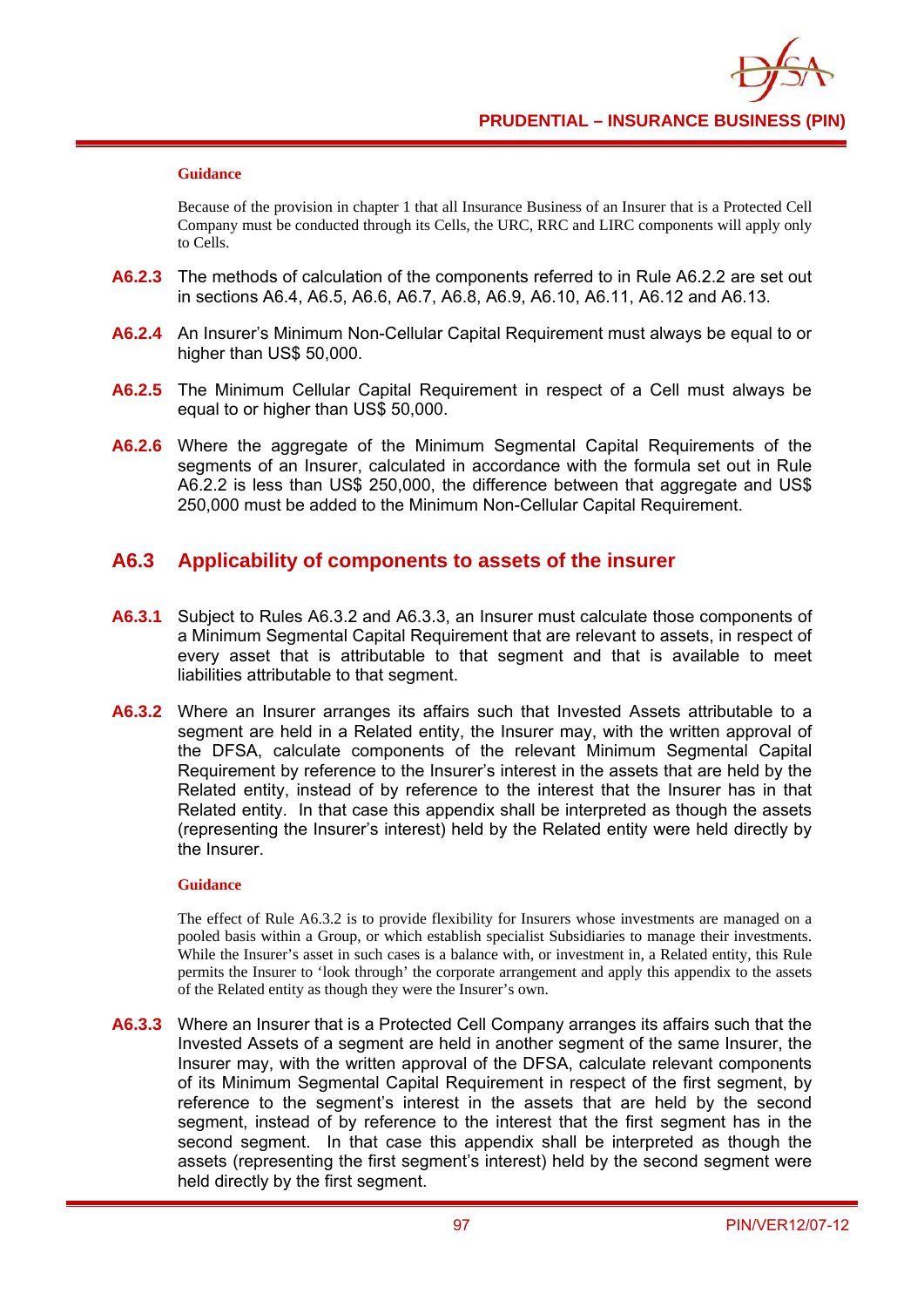#### **Guidance**

Because of the provision in chapter 1 that all Insurance Business of an Insurer that is a Protected Cell Company must be conducted through its Cells, the URC, RRC and LIRC components will apply only to Cells.

- **A6.2.3** The methods of calculation of the components referred to in Rule A6.2.2 are set out in sections A6.4, A6.5, A6.6, A6.7, A6.8, A6.9, A6.10, A6.11, A6.12 and A6.13.
- **A6.2.4** An Insurer's Minimum Non-Cellular Capital Requirement must always be equal to or higher than US\$ 50,000.
- **A6.2.5** The Minimum Cellular Capital Requirement in respect of a Cell must always be equal to or higher than US\$ 50,000.
- **A6.2.6** Where the aggregate of the Minimum Segmental Capital Requirements of the segments of an Insurer, calculated in accordance with the formula set out in Rule A6.2.2 is less than US\$ 250,000, the difference between that aggregate and US\$ 250,000 must be added to the Minimum Non-Cellular Capital Requirement.

### **A6.3 Applicability of components to assets of the insurer**

- **A6.3.1** Subject to Rules A6.3.2 and A6.3.3, an Insurer must calculate those components of a Minimum Segmental Capital Requirement that are relevant to assets, in respect of every asset that is attributable to that segment and that is available to meet liabilities attributable to that segment.
- **A6.3.2** Where an Insurer arranges its affairs such that Invested Assets attributable to a segment are held in a Related entity, the Insurer may, with the written approval of the DFSA, calculate components of the relevant Minimum Segmental Capital Requirement by reference to the Insurer's interest in the assets that are held by the Related entity, instead of by reference to the interest that the Insurer has in that Related entity. In that case this appendix shall be interpreted as though the assets (representing the Insurer's interest) held by the Related entity were held directly by the Insurer.

#### **Guidance**

The effect of Rule A6.3.2 is to provide flexibility for Insurers whose investments are managed on a pooled basis within a Group, or which establish specialist Subsidiaries to manage their investments. While the Insurer's asset in such cases is a balance with, or investment in, a Related entity, this Rule permits the Insurer to 'look through' the corporate arrangement and apply this appendix to the assets of the Related entity as though they were the Insurer's own.

**A6.3.3** Where an Insurer that is a Protected Cell Company arranges its affairs such that the Invested Assets of a segment are held in another segment of the same Insurer, the Insurer may, with the written approval of the DFSA, calculate relevant components of its Minimum Segmental Capital Requirement in respect of the first segment, by reference to the segment's interest in the assets that are held by the second segment, instead of by reference to the interest that the first segment has in the second segment. In that case this appendix shall be interpreted as though the assets (representing the first segment's interest) held by the second segment were held directly by the first segment.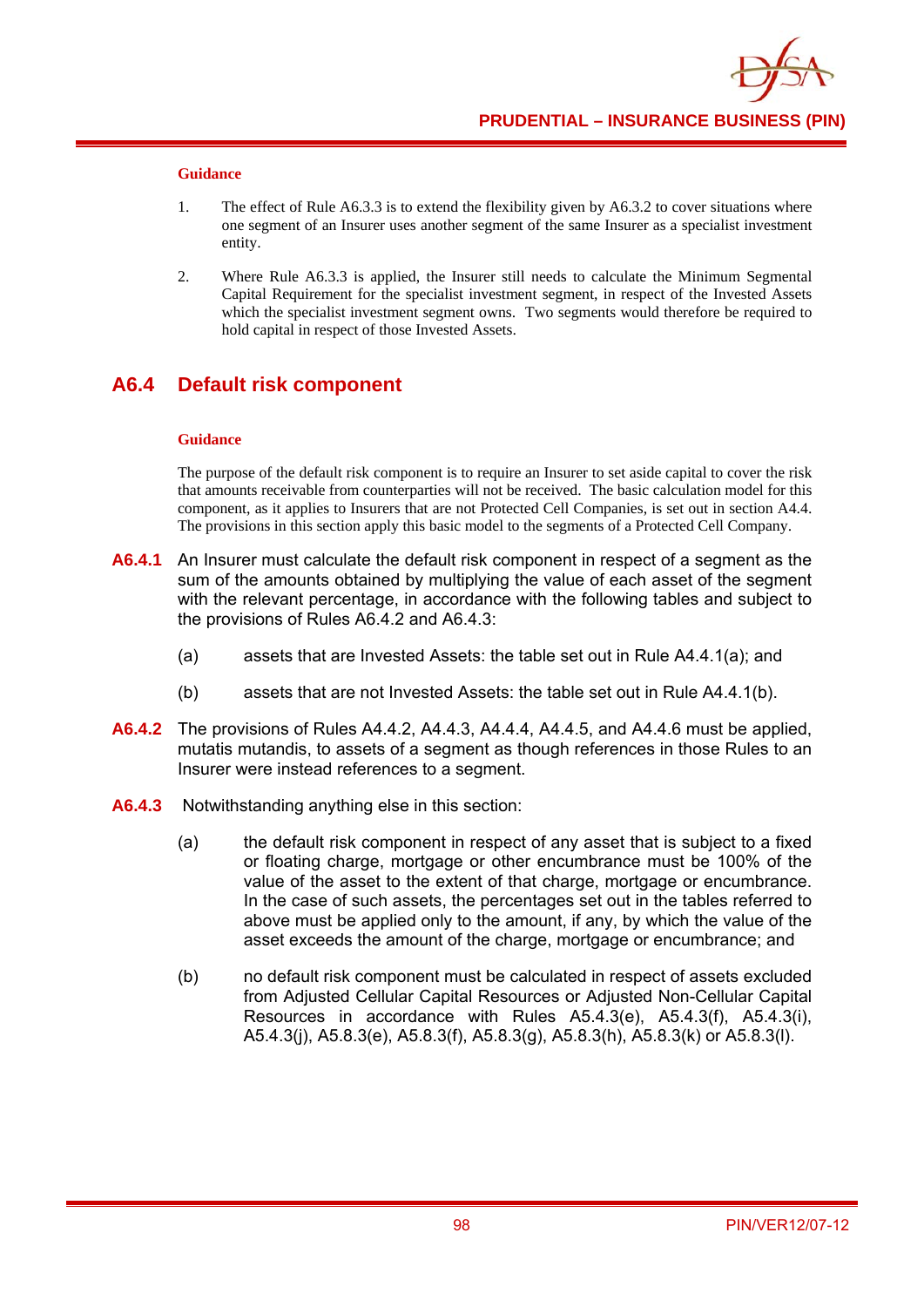#### **Guidance**

- 1. The effect of Rule A6.3.3 is to extend the flexibility given by A6.3.2 to cover situations where one segment of an Insurer uses another segment of the same Insurer as a specialist investment entity.
- 2. Where Rule A6.3.3 is applied, the Insurer still needs to calculate the Minimum Segmental Capital Requirement for the specialist investment segment, in respect of the Invested Assets which the specialist investment segment owns. Two segments would therefore be required to hold capital in respect of those Invested Assets.

### **A6.4 Default risk component**

#### **Guidance**

The purpose of the default risk component is to require an Insurer to set aside capital to cover the risk that amounts receivable from counterparties will not be received. The basic calculation model for this component, as it applies to Insurers that are not Protected Cell Companies, is set out in section A4.4. The provisions in this section apply this basic model to the segments of a Protected Cell Company.

- **A6.4.1** An Insurer must calculate the default risk component in respect of a segment as the sum of the amounts obtained by multiplying the value of each asset of the segment with the relevant percentage, in accordance with the following tables and subject to the provisions of Rules A6.4.2 and A6.4.3:
	- (a) assets that are Invested Assets: the table set out in Rule A4.4.1(a); and
	- (b) assets that are not Invested Assets: the table set out in Rule A4.4.1(b).
- **A6.4.2** The provisions of Rules A4.4.2, A4.4.3, A4.4.4, A4.4.5, and A4.4.6 must be applied, mutatis mutandis, to assets of a segment as though references in those Rules to an Insurer were instead references to a segment.
- **A6.4.3** Notwithstanding anything else in this section:
	- (a) the default risk component in respect of any asset that is subject to a fixed or floating charge, mortgage or other encumbrance must be 100% of the value of the asset to the extent of that charge, mortgage or encumbrance. In the case of such assets, the percentages set out in the tables referred to above must be applied only to the amount, if any, by which the value of the asset exceeds the amount of the charge, mortgage or encumbrance; and
	- (b) no default risk component must be calculated in respect of assets excluded from Adjusted Cellular Capital Resources or Adjusted Non-Cellular Capital Resources in accordance with Rules A5.4.3(e), A5.4.3(f), A5.4.3(i), A5.4.3(j), A5.8.3(e), A5.8.3(f), A5.8.3(g), A5.8.3(h), A5.8.3(k) or A5.8.3(l).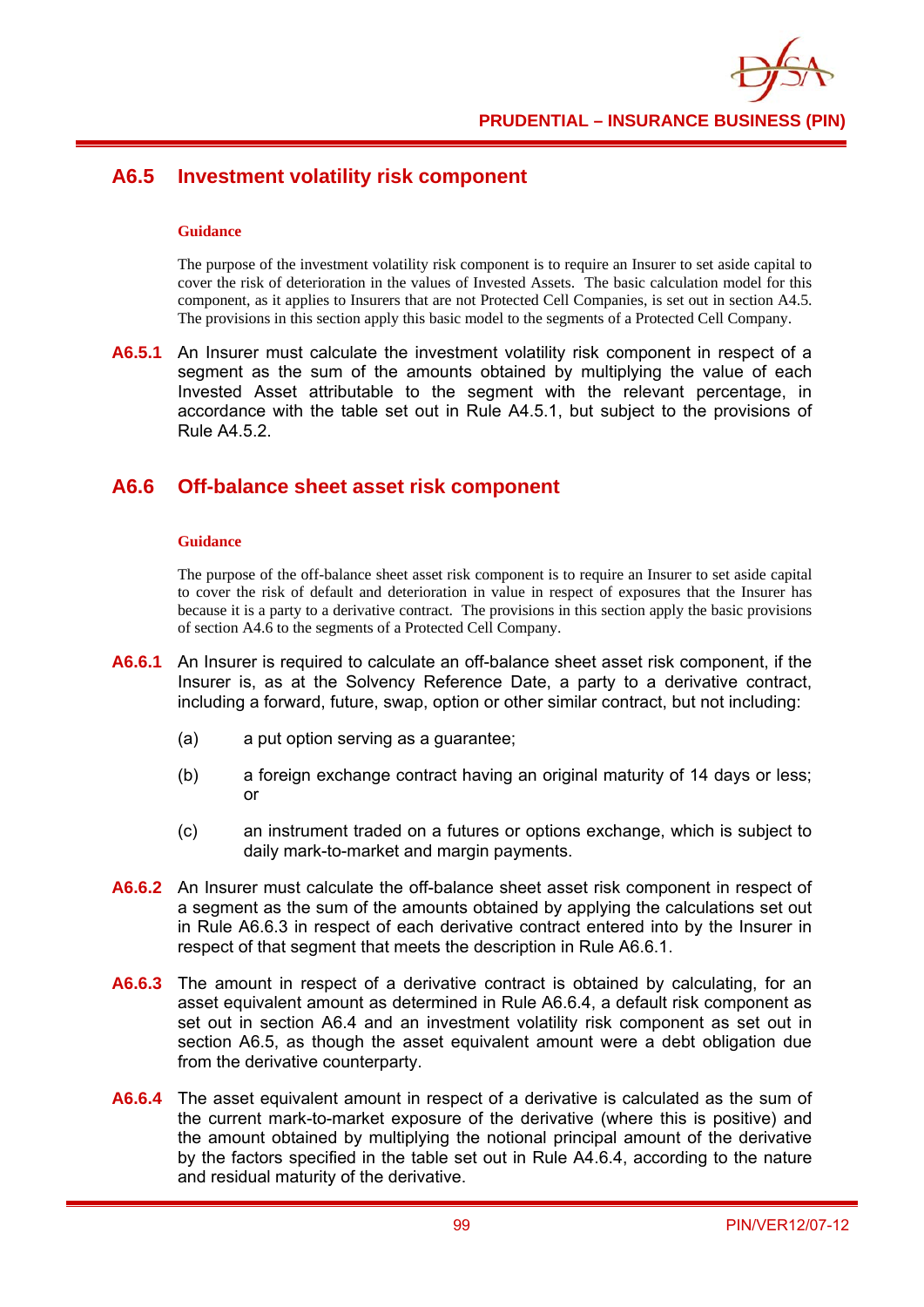

## **A6.5 Investment volatility risk component**

#### **Guidance**

The purpose of the investment volatility risk component is to require an Insurer to set aside capital to cover the risk of deterioration in the values of Invested Assets. The basic calculation model for this component, as it applies to Insurers that are not Protected Cell Companies, is set out in section A4.5. The provisions in this section apply this basic model to the segments of a Protected Cell Company.

**A6.5.1** An Insurer must calculate the investment volatility risk component in respect of a segment as the sum of the amounts obtained by multiplying the value of each Invested Asset attributable to the segment with the relevant percentage, in accordance with the table set out in Rule A4.5.1, but subject to the provisions of Rule A4.5.2.

### **A6.6 Off-balance sheet asset risk component**

#### **Guidance**

The purpose of the off-balance sheet asset risk component is to require an Insurer to set aside capital to cover the risk of default and deterioration in value in respect of exposures that the Insurer has because it is a party to a derivative contract. The provisions in this section apply the basic provisions of section A4.6 to the segments of a Protected Cell Company.

- **A6.6.1** An Insurer is required to calculate an off-balance sheet asset risk component, if the Insurer is, as at the Solvency Reference Date, a party to a derivative contract, including a forward, future, swap, option or other similar contract, but not including:
	- (a) a put option serving as a guarantee;
	- (b) a foreign exchange contract having an original maturity of 14 days or less; or
	- (c) an instrument traded on a futures or options exchange, which is subject to daily mark-to-market and margin payments.
- **A6.6.2** An Insurer must calculate the off-balance sheet asset risk component in respect of a segment as the sum of the amounts obtained by applying the calculations set out in Rule A6.6.3 in respect of each derivative contract entered into by the Insurer in respect of that segment that meets the description in Rule A6.6.1.
- **A6.6.3** The amount in respect of a derivative contract is obtained by calculating, for an asset equivalent amount as determined in Rule A6.6.4, a default risk component as set out in section A6.4 and an investment volatility risk component as set out in section A6.5, as though the asset equivalent amount were a debt obligation due from the derivative counterparty.
- **A6.6.4** The asset equivalent amount in respect of a derivative is calculated as the sum of the current mark-to-market exposure of the derivative (where this is positive) and the amount obtained by multiplying the notional principal amount of the derivative by the factors specified in the table set out in Rule A4.6.4, according to the nature and residual maturity of the derivative.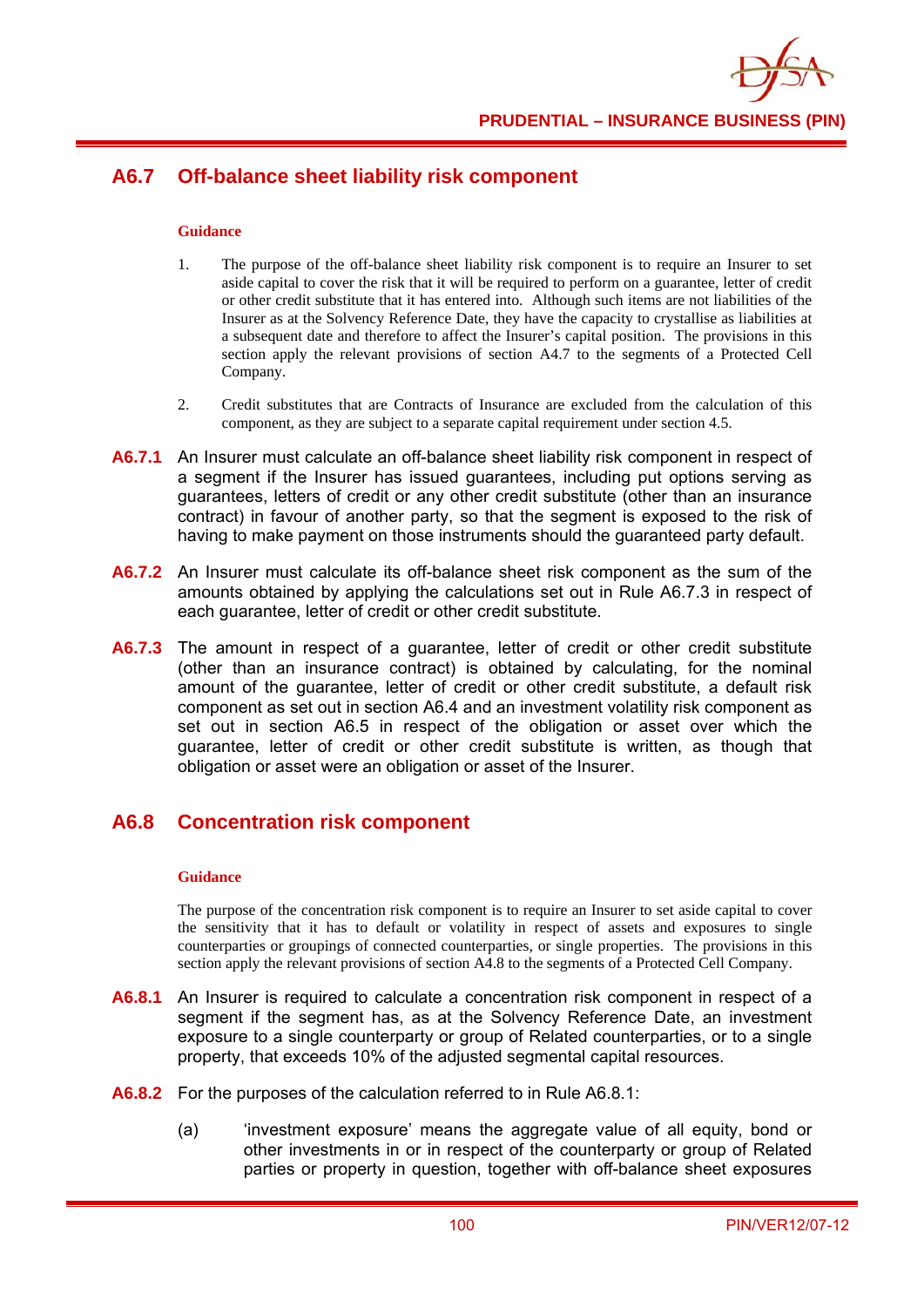# **A6.7 Off-balance sheet liability risk component**

#### **Guidance**

- 1. The purpose of the off-balance sheet liability risk component is to require an Insurer to set aside capital to cover the risk that it will be required to perform on a guarantee, letter of credit or other credit substitute that it has entered into. Although such items are not liabilities of the Insurer as at the Solvency Reference Date, they have the capacity to crystallise as liabilities at a subsequent date and therefore to affect the Insurer's capital position. The provisions in this section apply the relevant provisions of section A4.7 to the segments of a Protected Cell Company.
- 2. Credit substitutes that are Contracts of Insurance are excluded from the calculation of this component, as they are subject to a separate capital requirement under section 4.5.
- **A6.7.1** An Insurer must calculate an off-balance sheet liability risk component in respect of a segment if the Insurer has issued guarantees, including put options serving as guarantees, letters of credit or any other credit substitute (other than an insurance contract) in favour of another party, so that the segment is exposed to the risk of having to make payment on those instruments should the guaranteed party default.
- **A6.7.2** An Insurer must calculate its off-balance sheet risk component as the sum of the amounts obtained by applying the calculations set out in Rule A6.7.3 in respect of each guarantee, letter of credit or other credit substitute.
- **A6.7.3** The amount in respect of a guarantee, letter of credit or other credit substitute (other than an insurance contract) is obtained by calculating, for the nominal amount of the guarantee, letter of credit or other credit substitute, a default risk component as set out in section A6.4 and an investment volatility risk component as set out in section A6.5 in respect of the obligation or asset over which the guarantee, letter of credit or other credit substitute is written, as though that obligation or asset were an obligation or asset of the Insurer.

### **A6.8 Concentration risk component**

#### **Guidance**

The purpose of the concentration risk component is to require an Insurer to set aside capital to cover the sensitivity that it has to default or volatility in respect of assets and exposures to single counterparties or groupings of connected counterparties, or single properties. The provisions in this section apply the relevant provisions of section A4.8 to the segments of a Protected Cell Company.

- **A6.8.1** An Insurer is required to calculate a concentration risk component in respect of a segment if the segment has, as at the Solvency Reference Date, an investment exposure to a single counterparty or group of Related counterparties, or to a single property, that exceeds 10% of the adjusted segmental capital resources.
- **A6.8.2** For the purposes of the calculation referred to in Rule A6.8.1:
	- (a) 'investment exposure' means the aggregate value of all equity, bond or other investments in or in respect of the counterparty or group of Related parties or property in question, together with off-balance sheet exposures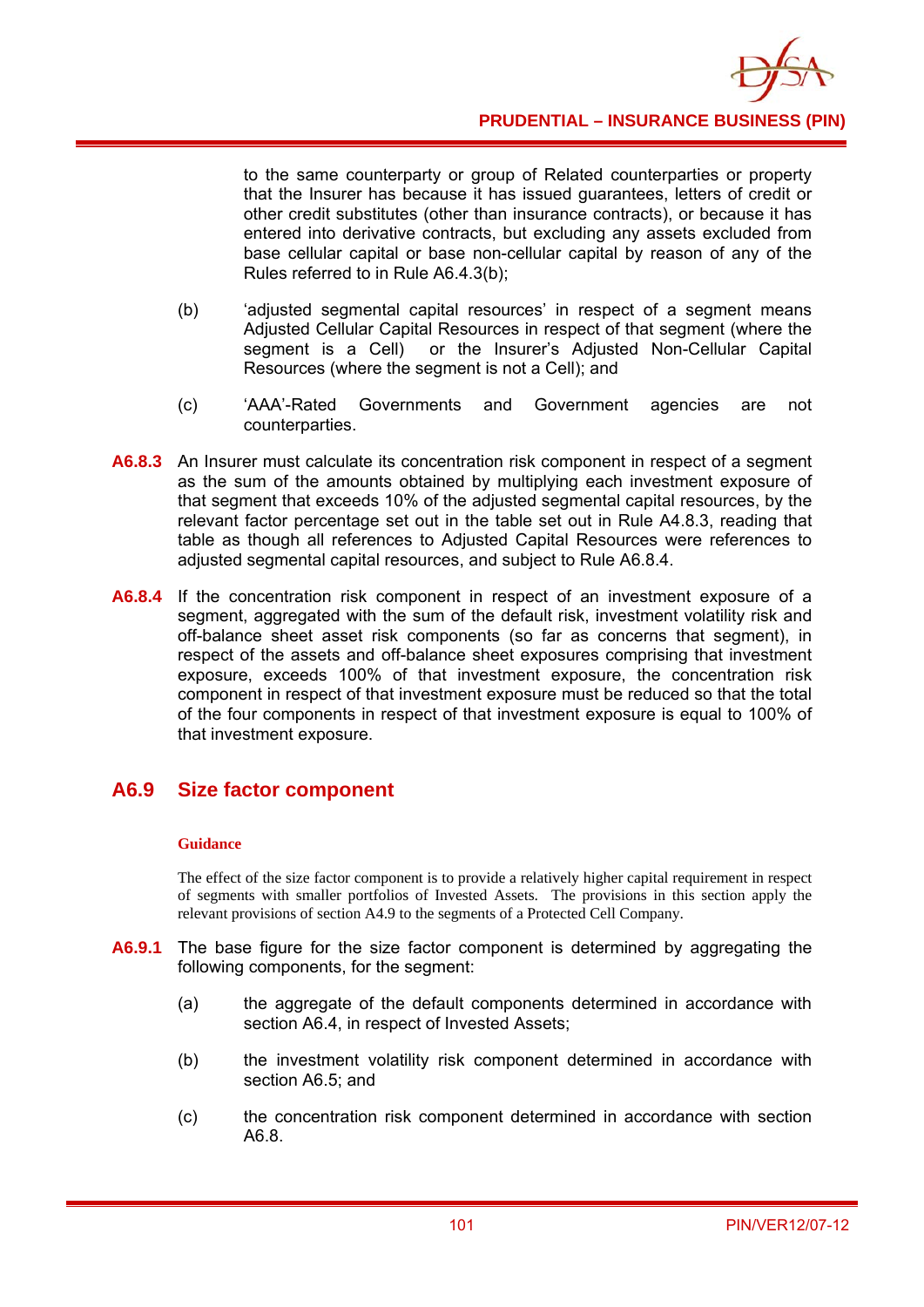

to the same counterparty or group of Related counterparties or property that the Insurer has because it has issued guarantees, letters of credit or other credit substitutes (other than insurance contracts), or because it has entered into derivative contracts, but excluding any assets excluded from base cellular capital or base non-cellular capital by reason of any of the Rules referred to in Rule A6.4.3(b);

- (b) 'adjusted segmental capital resources' in respect of a segment means Adjusted Cellular Capital Resources in respect of that segment (where the segment is a Cell) or the Insurer's Adjusted Non-Cellular Capital Resources (where the segment is not a Cell); and
- (c) 'AAA'-Rated Governments and Government agencies are not counterparties.
- **A6.8.3** An Insurer must calculate its concentration risk component in respect of a segment as the sum of the amounts obtained by multiplying each investment exposure of that segment that exceeds 10% of the adjusted segmental capital resources, by the relevant factor percentage set out in the table set out in Rule A4.8.3, reading that table as though all references to Adjusted Capital Resources were references to adjusted segmental capital resources, and subject to Rule A6.8.4.
- **A6.8.4** If the concentration risk component in respect of an investment exposure of a segment, aggregated with the sum of the default risk, investment volatility risk and off-balance sheet asset risk components (so far as concerns that segment), in respect of the assets and off-balance sheet exposures comprising that investment exposure, exceeds 100% of that investment exposure, the concentration risk component in respect of that investment exposure must be reduced so that the total of the four components in respect of that investment exposure is equal to 100% of that investment exposure.

## **A6.9 Size factor component**

#### **Guidance**

The effect of the size factor component is to provide a relatively higher capital requirement in respect of segments with smaller portfolios of Invested Assets. The provisions in this section apply the relevant provisions of section A4.9 to the segments of a Protected Cell Company.

- **A6.9.1** The base figure for the size factor component is determined by aggregating the following components, for the segment:
	- (a) the aggregate of the default components determined in accordance with section A6.4, in respect of Invested Assets;
	- (b) the investment volatility risk component determined in accordance with section A6.5; and
	- (c) the concentration risk component determined in accordance with section A6.8.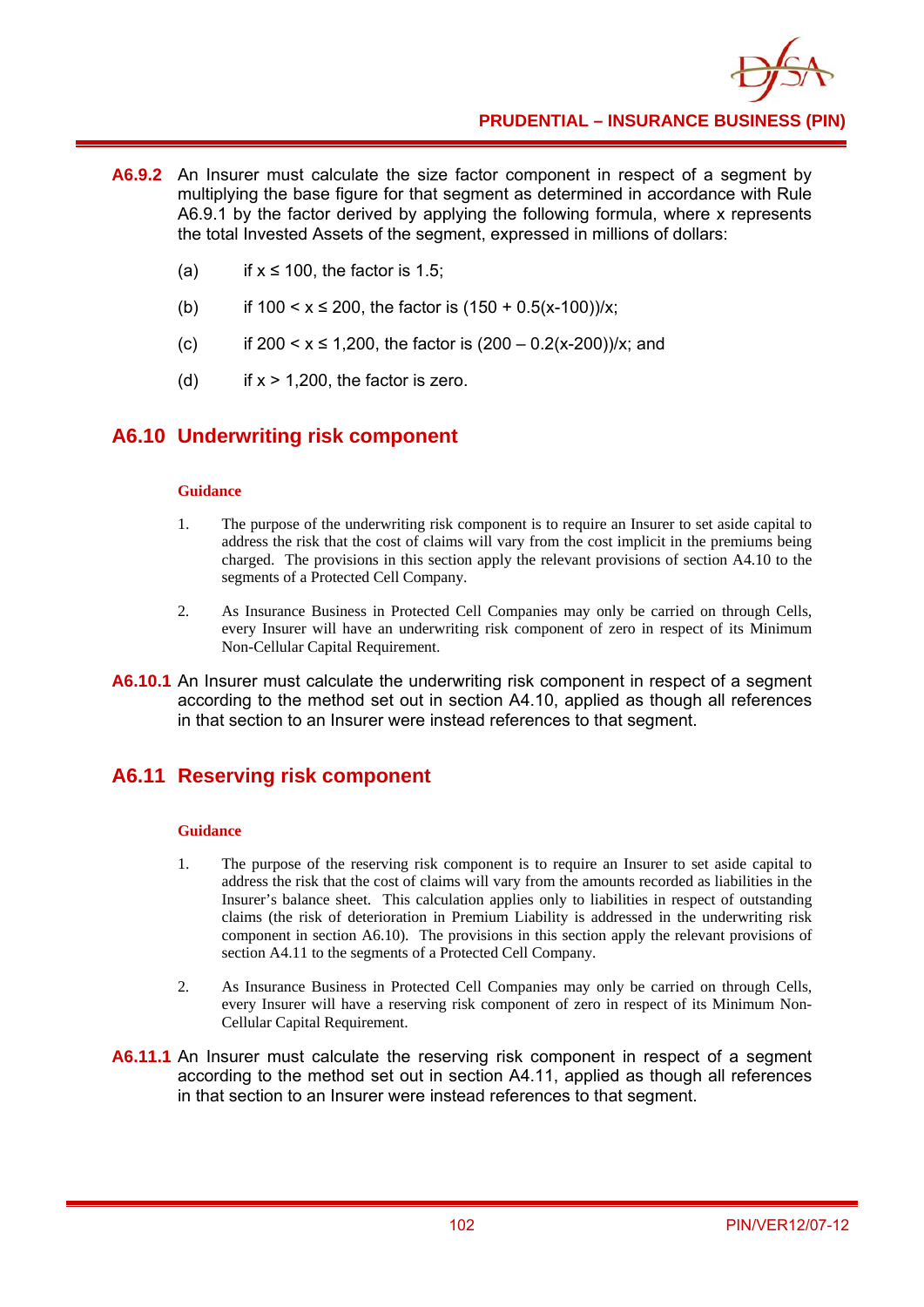- **A6.9.2** An Insurer must calculate the size factor component in respect of a segment by multiplying the base figure for that segment as determined in accordance with Rule A6.9.1 by the factor derived by applying the following formula, where x represents the total Invested Assets of the segment, expressed in millions of dollars:
	- (a) if  $x \le 100$ , the factor is 1.5;
	- (b) if  $100 < x \le 200$ , the factor is  $(150 + 0.5(x-100))/x$ ;
	- (c) if  $200 \le x \le 1,200$ , the factor is  $(200 0.2(x-200))/x$ ; and
	- (d) if  $x > 1,200$ , the factor is zero.

### **A6.10 Underwriting risk component**

#### **Guidance**

- 1. The purpose of the underwriting risk component is to require an Insurer to set aside capital to address the risk that the cost of claims will vary from the cost implicit in the premiums being charged. The provisions in this section apply the relevant provisions of section A4.10 to the segments of a Protected Cell Company.
- 2. As Insurance Business in Protected Cell Companies may only be carried on through Cells, every Insurer will have an underwriting risk component of zero in respect of its Minimum Non-Cellular Capital Requirement.
- **A6.10.1** An Insurer must calculate the underwriting risk component in respect of a segment according to the method set out in section A4.10, applied as though all references in that section to an Insurer were instead references to that segment.

### **A6.11 Reserving risk component**

- 1. The purpose of the reserving risk component is to require an Insurer to set aside capital to address the risk that the cost of claims will vary from the amounts recorded as liabilities in the Insurer's balance sheet. This calculation applies only to liabilities in respect of outstanding claims (the risk of deterioration in Premium Liability is addressed in the underwriting risk component in section A6.10). The provisions in this section apply the relevant provisions of section A4.11 to the segments of a Protected Cell Company.
- 2. As Insurance Business in Protected Cell Companies may only be carried on through Cells, every Insurer will have a reserving risk component of zero in respect of its Minimum Non-Cellular Capital Requirement.
- **A6.11.1** An Insurer must calculate the reserving risk component in respect of a segment according to the method set out in section A4.11, applied as though all references in that section to an Insurer were instead references to that segment.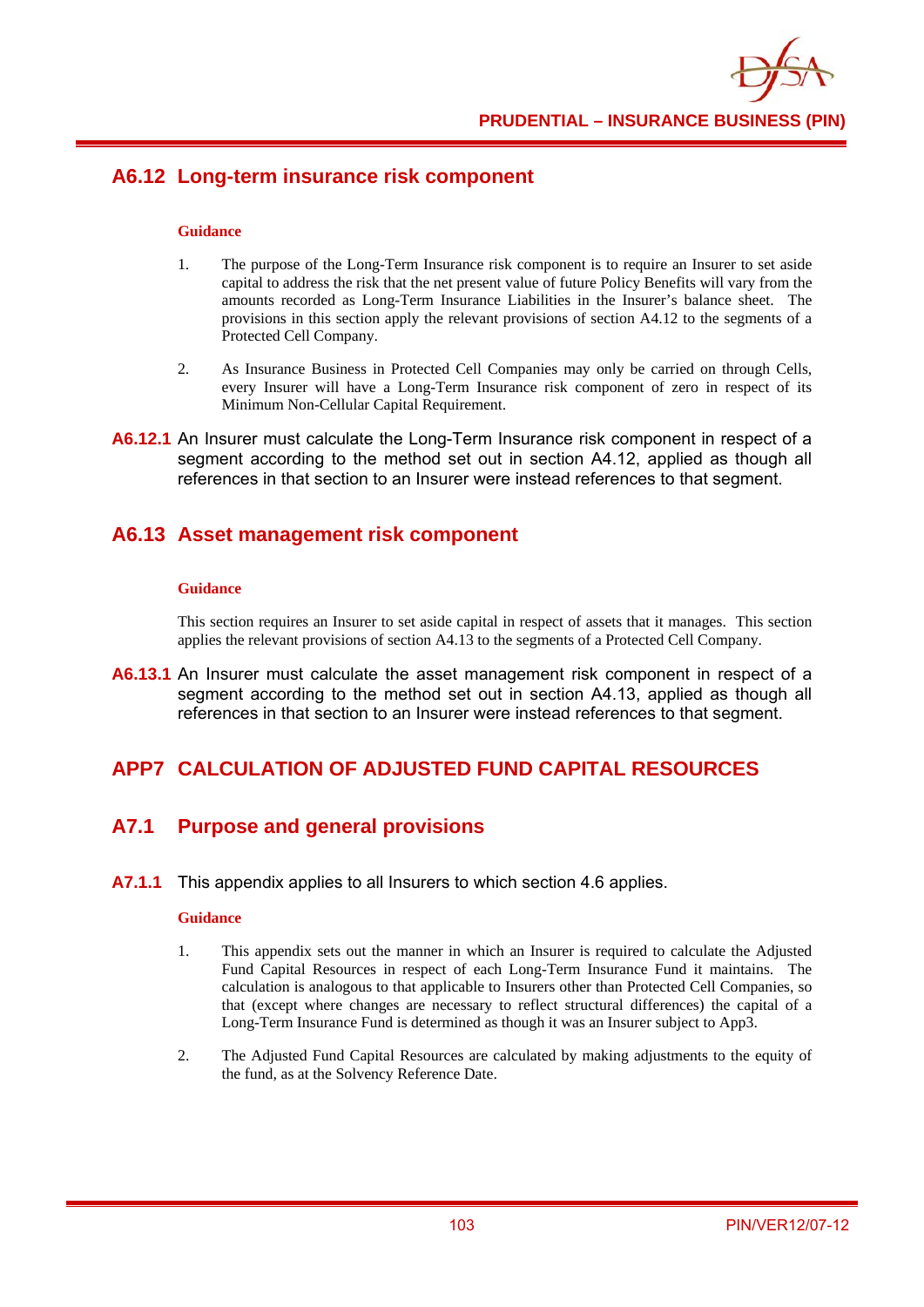

## **A6.12 Long-term insurance risk component**

#### **Guidance**

- 1. The purpose of the Long-Term Insurance risk component is to require an Insurer to set aside capital to address the risk that the net present value of future Policy Benefits will vary from the amounts recorded as Long-Term Insurance Liabilities in the Insurer's balance sheet. The provisions in this section apply the relevant provisions of section A4.12 to the segments of a Protected Cell Company.
- 2. As Insurance Business in Protected Cell Companies may only be carried on through Cells, every Insurer will have a Long-Term Insurance risk component of zero in respect of its Minimum Non-Cellular Capital Requirement.
- **A6.12.1** An Insurer must calculate the Long-Term Insurance risk component in respect of a segment according to the method set out in section A4.12, applied as though all references in that section to an Insurer were instead references to that segment.

### **A6.13 Asset management risk component**

#### **Guidance**

This section requires an Insurer to set aside capital in respect of assets that it manages. This section applies the relevant provisions of section A4.13 to the segments of a Protected Cell Company.

**A6.13.1** An Insurer must calculate the asset management risk component in respect of a segment according to the method set out in section A4.13, applied as though all references in that section to an Insurer were instead references to that segment.

## **APP7 CALCULATION OF ADJUSTED FUND CAPITAL RESOURCES**

## **A7.1 Purpose and general provisions**

**A7.1.1** This appendix applies to all Insurers to which section 4.6 applies.

#### **Guidance**

- 1. This appendix sets out the manner in which an Insurer is required to calculate the Adjusted Fund Capital Resources in respect of each Long-Term Insurance Fund it maintains. The calculation is analogous to that applicable to Insurers other than Protected Cell Companies, so that (except where changes are necessary to reflect structural differences) the capital of a Long-Term Insurance Fund is determined as though it was an Insurer subject to App3.
- 2. The Adjusted Fund Capital Resources are calculated by making adjustments to the equity of the fund, as at the Solvency Reference Date.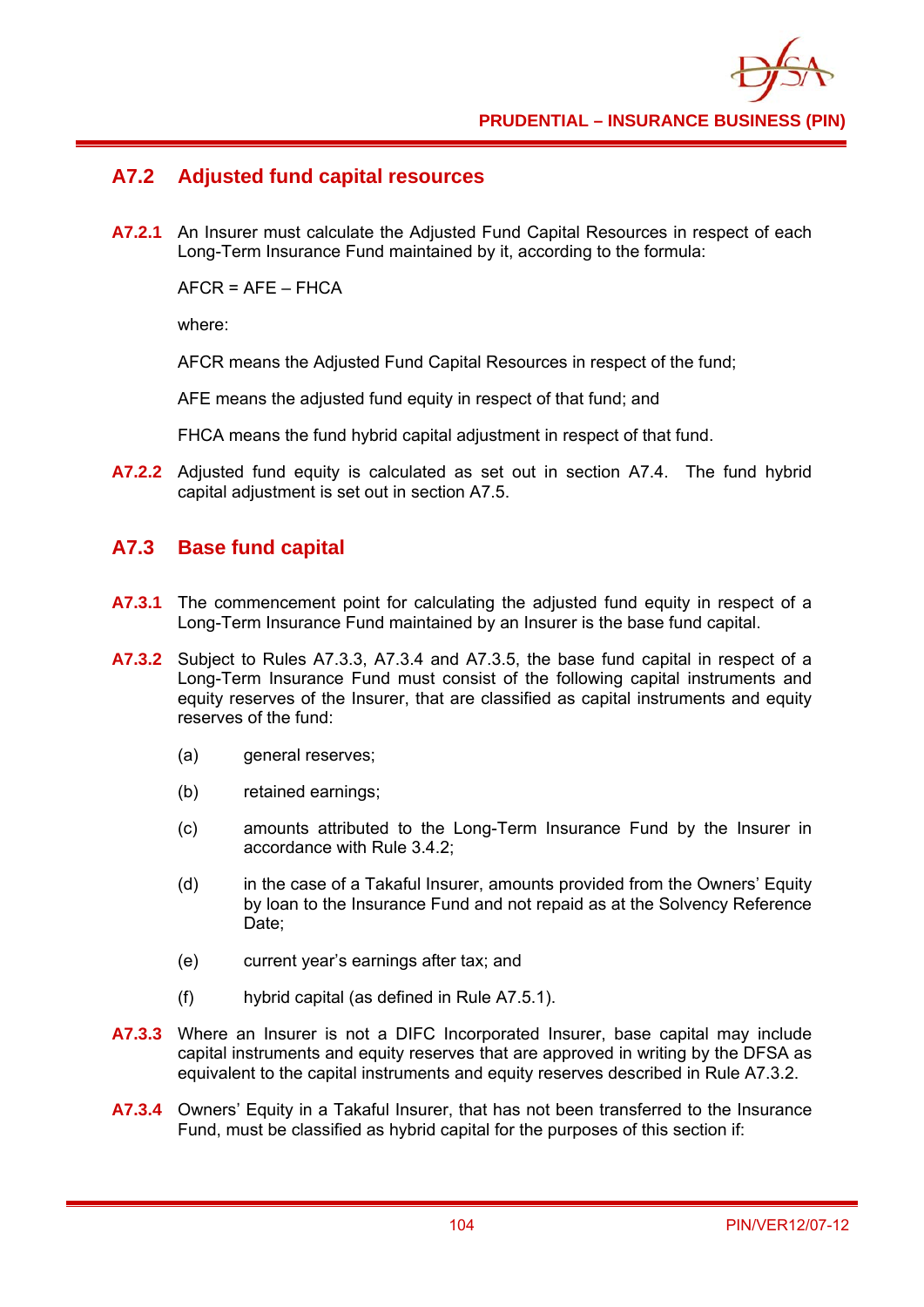

# **A7.2 Adjusted fund capital resources**

**A7.2.1** An Insurer must calculate the Adjusted Fund Capital Resources in respect of each Long-Term Insurance Fund maintained by it, according to the formula:

 $AFCR = AFF - FHCA$ 

where:

AFCR means the Adjusted Fund Capital Resources in respect of the fund;

AFE means the adjusted fund equity in respect of that fund; and

FHCA means the fund hybrid capital adjustment in respect of that fund.

**A7.2.2** Adjusted fund equity is calculated as set out in section A7.4. The fund hybrid capital adjustment is set out in section A7.5.

# **A7.3 Base fund capital**

- **A7.3.1** The commencement point for calculating the adjusted fund equity in respect of a Long-Term Insurance Fund maintained by an Insurer is the base fund capital.
- **A7.3.2** Subject to Rules A7.3.3, A7.3.4 and A7.3.5, the base fund capital in respect of a Long-Term Insurance Fund must consist of the following capital instruments and equity reserves of the Insurer, that are classified as capital instruments and equity reserves of the fund:
	- (a) general reserves;
	- (b) retained earnings;
	- (c) amounts attributed to the Long-Term Insurance Fund by the Insurer in accordance with Rule 3.4.2;
	- (d) in the case of a Takaful Insurer, amounts provided from the Owners' Equity by loan to the Insurance Fund and not repaid as at the Solvency Reference Date:
	- (e) current year's earnings after tax; and
	- (f) hybrid capital (as defined in Rule A7.5.1).
- **A7.3.3** Where an Insurer is not a DIFC Incorporated Insurer, base capital may include capital instruments and equity reserves that are approved in writing by the DFSA as equivalent to the capital instruments and equity reserves described in Rule A7.3.2.
- **A7.3.4** Owners' Equity in a Takaful Insurer, that has not been transferred to the Insurance Fund, must be classified as hybrid capital for the purposes of this section if: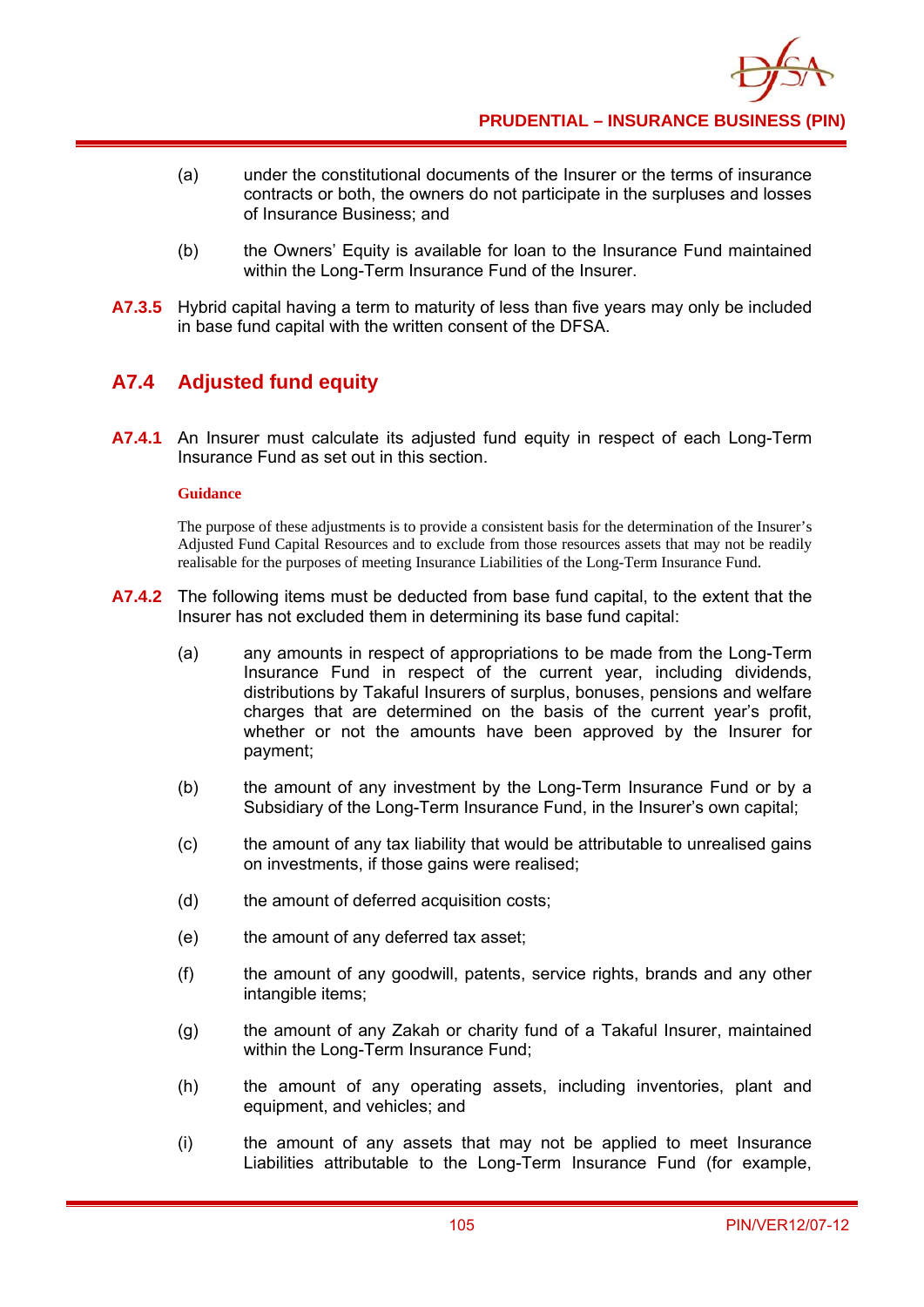- (a) under the constitutional documents of the Insurer or the terms of insurance contracts or both, the owners do not participate in the surpluses and losses of Insurance Business; and
- (b) the Owners' Equity is available for loan to the Insurance Fund maintained within the Long-Term Insurance Fund of the Insurer.
- **A7.3.5** Hybrid capital having a term to maturity of less than five years may only be included in base fund capital with the written consent of the DFSA.

# **A7.4 Adjusted fund equity**

**A7.4.1** An Insurer must calculate its adjusted fund equity in respect of each Long-Term Insurance Fund as set out in this section.

#### **Guidance**

The purpose of these adjustments is to provide a consistent basis for the determination of the Insurer's Adjusted Fund Capital Resources and to exclude from those resources assets that may not be readily realisable for the purposes of meeting Insurance Liabilities of the Long-Term Insurance Fund.

- **A7.4.2** The following items must be deducted from base fund capital, to the extent that the Insurer has not excluded them in determining its base fund capital:
	- (a) any amounts in respect of appropriations to be made from the Long-Term Insurance Fund in respect of the current year, including dividends, distributions by Takaful Insurers of surplus, bonuses, pensions and welfare charges that are determined on the basis of the current year's profit, whether or not the amounts have been approved by the Insurer for payment;
	- (b) the amount of any investment by the Long-Term Insurance Fund or by a Subsidiary of the Long-Term Insurance Fund, in the Insurer's own capital;
	- (c) the amount of any tax liability that would be attributable to unrealised gains on investments, if those gains were realised;
	- (d) the amount of deferred acquisition costs;
	- (e) the amount of any deferred tax asset;
	- (f) the amount of any goodwill, patents, service rights, brands and any other intangible items;
	- (g) the amount of any Zakah or charity fund of a Takaful Insurer, maintained within the Long-Term Insurance Fund;
	- (h) the amount of any operating assets, including inventories, plant and equipment, and vehicles; and
	- (i) the amount of any assets that may not be applied to meet Insurance Liabilities attributable to the Long-Term Insurance Fund (for example,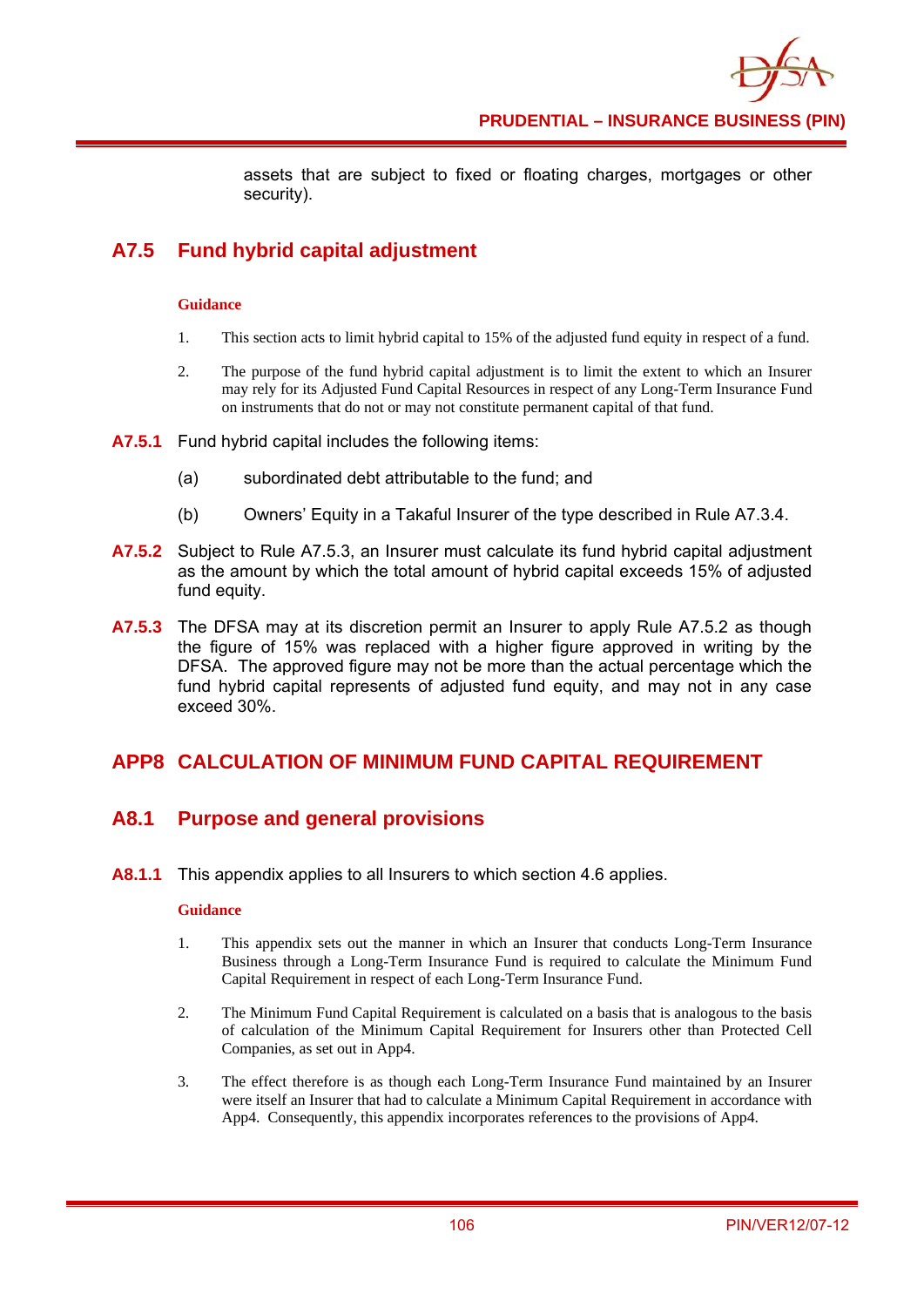

assets that are subject to fixed or floating charges, mortgages or other security).

# **A7.5 Fund hybrid capital adjustment**

#### **Guidance**

- 1. This section acts to limit hybrid capital to 15% of the adjusted fund equity in respect of a fund.
- 2. The purpose of the fund hybrid capital adjustment is to limit the extent to which an Insurer may rely for its Adjusted Fund Capital Resources in respect of any Long-Term Insurance Fund on instruments that do not or may not constitute permanent capital of that fund.
- **A7.5.1** Fund hybrid capital includes the following items:
	- (a) subordinated debt attributable to the fund; and
	- (b) Owners' Equity in a Takaful Insurer of the type described in Rule A7.3.4.
- **A7.5.2** Subject to Rule A7.5.3, an Insurer must calculate its fund hybrid capital adjustment as the amount by which the total amount of hybrid capital exceeds 15% of adjusted fund equity.
- **A7.5.3** The DFSA may at its discretion permit an Insurer to apply Rule A7.5.2 as though the figure of 15% was replaced with a higher figure approved in writing by the DFSA. The approved figure may not be more than the actual percentage which the fund hybrid capital represents of adjusted fund equity, and may not in any case exceed 30%.

## **APP8 CALCULATION OF MINIMUM FUND CAPITAL REQUIREMENT**

## **A8.1 Purpose and general provisions**

**A8.1.1** This appendix applies to all Insurers to which section 4.6 applies.

#### **Guidance**

- 1. This appendix sets out the manner in which an Insurer that conducts Long-Term Insurance Business through a Long-Term Insurance Fund is required to calculate the Minimum Fund Capital Requirement in respect of each Long-Term Insurance Fund.
- 2. The Minimum Fund Capital Requirement is calculated on a basis that is analogous to the basis of calculation of the Minimum Capital Requirement for Insurers other than Protected Cell Companies, as set out in App4.
- 3. The effect therefore is as though each Long-Term Insurance Fund maintained by an Insurer were itself an Insurer that had to calculate a Minimum Capital Requirement in accordance with App4. Consequently, this appendix incorporates references to the provisions of App4.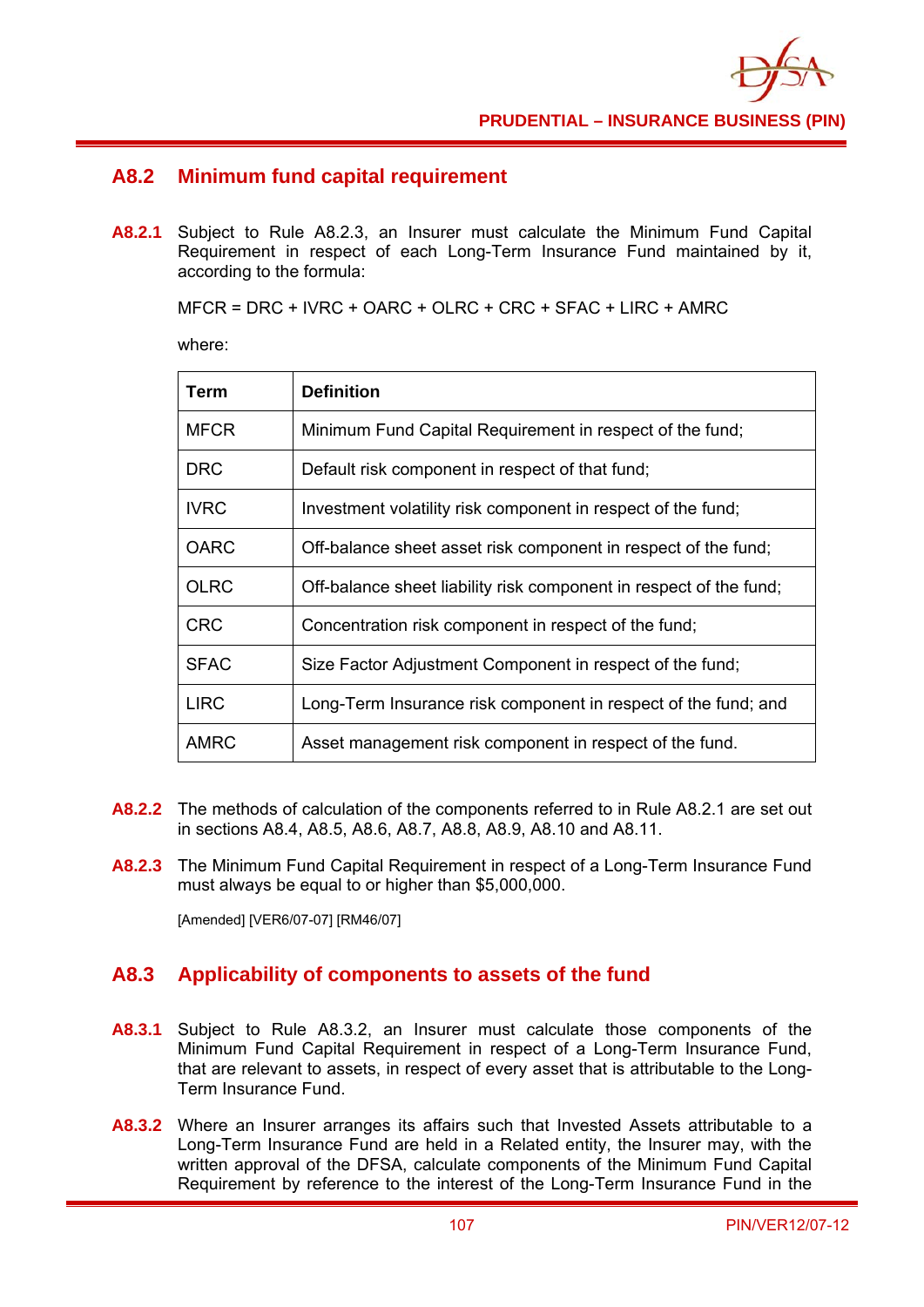

## **A8.2 Minimum fund capital requirement**

**A8.2.1** Subject to Rule A8.2.3, an Insurer must calculate the Minimum Fund Capital Requirement in respect of each Long-Term Insurance Fund maintained by it, according to the formula:

MFCR = DRC + IVRC + OARC + OLRC + CRC + SFAC + LIRC + AMRC

where:

| Term        | <b>Definition</b>                                                  |
|-------------|--------------------------------------------------------------------|
| <b>MFCR</b> | Minimum Fund Capital Requirement in respect of the fund;           |
| DRC.        | Default risk component in respect of that fund;                    |
| <b>IVRC</b> | Investment volatility risk component in respect of the fund;       |
| <b>OARC</b> | Off-balance sheet asset risk component in respect of the fund;     |
| <b>OLRC</b> | Off-balance sheet liability risk component in respect of the fund; |
| <b>CRC</b>  | Concentration risk component in respect of the fund;               |
| <b>SFAC</b> | Size Factor Adjustment Component in respect of the fund;           |
| <b>LIRC</b> | Long-Term Insurance risk component in respect of the fund; and     |
| <b>AMRC</b> | Asset management risk component in respect of the fund.            |

- **A8.2.2** The methods of calculation of the components referred to in Rule A8.2.1 are set out in sections A8.4, A8.5, A8.6, A8.7, A8.8, A8.9, A8.10 and A8.11.
- **A8.2.3** The Minimum Fund Capital Requirement in respect of a Long-Term Insurance Fund must always be equal to or higher than \$5,000,000.

[Amended] [VER6/07-07] [RM46/07]

## **A8.3 Applicability of components to assets of the fund**

- **A8.3.1** Subject to Rule A8.3.2, an Insurer must calculate those components of the Minimum Fund Capital Requirement in respect of a Long-Term Insurance Fund, that are relevant to assets, in respect of every asset that is attributable to the Long-Term Insurance Fund.
- **A8.3.2** Where an Insurer arranges its affairs such that Invested Assets attributable to a Long-Term Insurance Fund are held in a Related entity, the Insurer may, with the written approval of the DFSA, calculate components of the Minimum Fund Capital Requirement by reference to the interest of the Long-Term Insurance Fund in the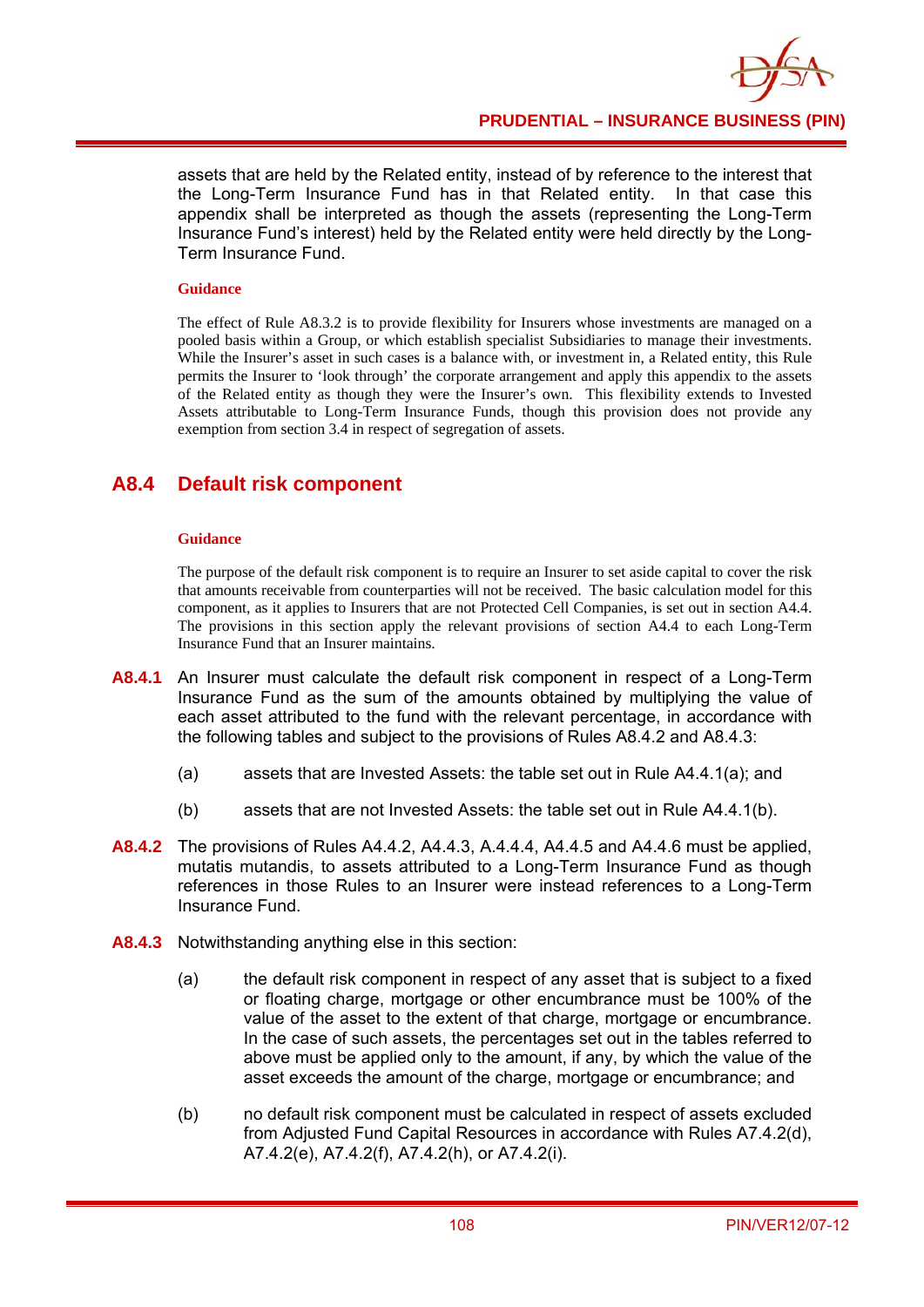assets that are held by the Related entity, instead of by reference to the interest that the Long-Term Insurance Fund has in that Related entity. In that case this appendix shall be interpreted as though the assets (representing the Long-Term Insurance Fund's interest) held by the Related entity were held directly by the Long-Term Insurance Fund.

#### **Guidance**

The effect of Rule A8.3.2 is to provide flexibility for Insurers whose investments are managed on a pooled basis within a Group, or which establish specialist Subsidiaries to manage their investments. While the Insurer's asset in such cases is a balance with, or investment in, a Related entity, this Rule permits the Insurer to 'look through' the corporate arrangement and apply this appendix to the assets of the Related entity as though they were the Insurer's own. This flexibility extends to Invested Assets attributable to Long-Term Insurance Funds, though this provision does not provide any exemption from section 3.4 in respect of segregation of assets.

# **A8.4 Default risk component**

#### **Guidance**

The purpose of the default risk component is to require an Insurer to set aside capital to cover the risk that amounts receivable from counterparties will not be received. The basic calculation model for this component, as it applies to Insurers that are not Protected Cell Companies, is set out in section A4.4. The provisions in this section apply the relevant provisions of section A4.4 to each Long-Term Insurance Fund that an Insurer maintains.

- **A8.4.1** An Insurer must calculate the default risk component in respect of a Long-Term Insurance Fund as the sum of the amounts obtained by multiplying the value of each asset attributed to the fund with the relevant percentage, in accordance with the following tables and subject to the provisions of Rules A8.4.2 and A8.4.3:
	- (a) assets that are Invested Assets: the table set out in Rule A4.4.1(a); and
	- (b) assets that are not Invested Assets: the table set out in Rule A4.4.1(b).
- **A8.4.2** The provisions of Rules A4.4.2, A4.4.3, A.4.4.4, A4.4.5 and A4.4.6 must be applied, mutatis mutandis, to assets attributed to a Long-Term Insurance Fund as though references in those Rules to an Insurer were instead references to a Long-Term Insurance Fund.
- **A8.4.3** Notwithstanding anything else in this section:
	- (a) the default risk component in respect of any asset that is subject to a fixed or floating charge, mortgage or other encumbrance must be 100% of the value of the asset to the extent of that charge, mortgage or encumbrance. In the case of such assets, the percentages set out in the tables referred to above must be applied only to the amount, if any, by which the value of the asset exceeds the amount of the charge, mortgage or encumbrance; and
	- (b) no default risk component must be calculated in respect of assets excluded from Adjusted Fund Capital Resources in accordance with Rules A7.4.2(d), A7.4.2(e), A7.4.2(f), A7.4.2(h), or A7.4.2(i).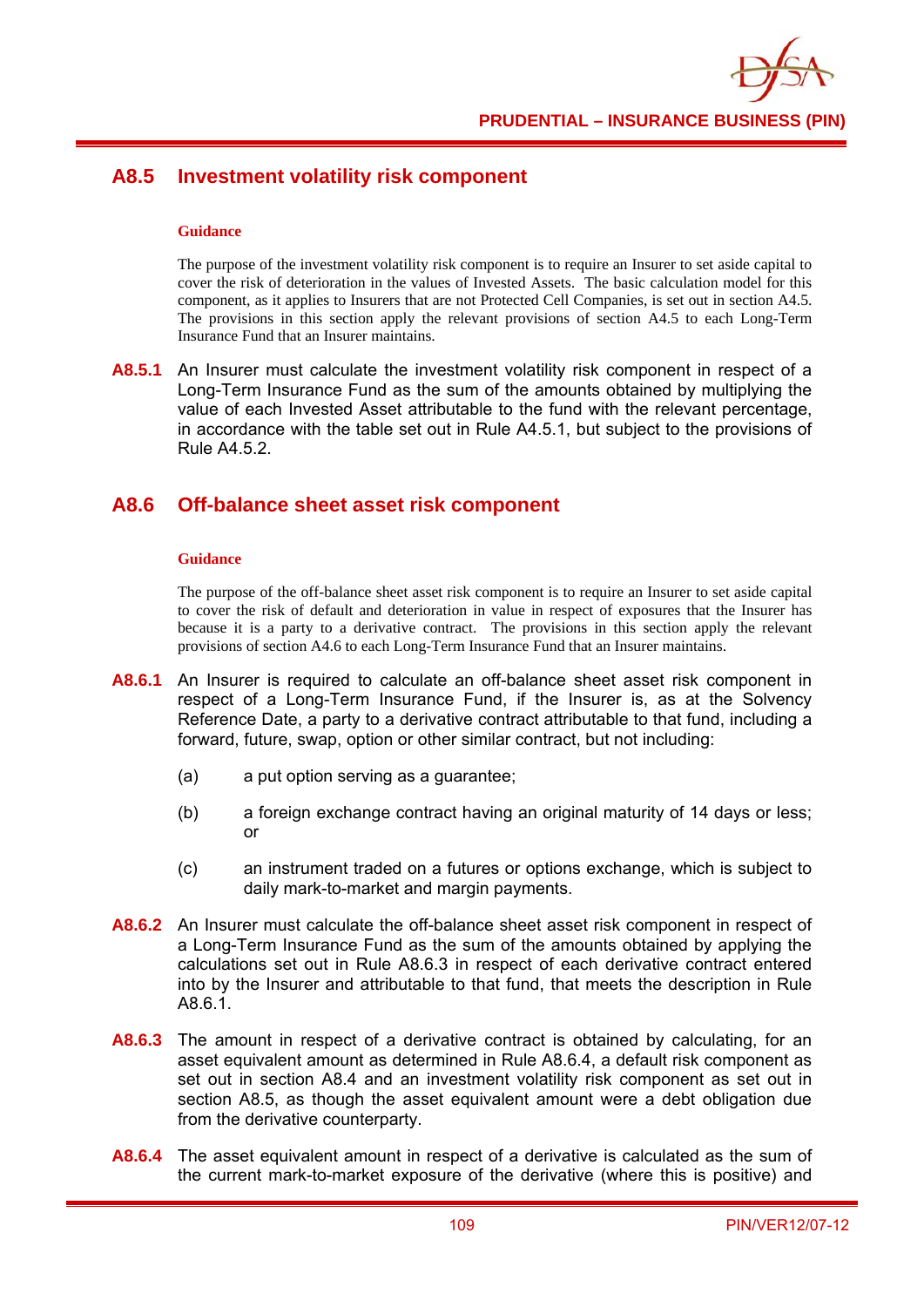

# **A8.5 Investment volatility risk component**

#### **Guidance**

The purpose of the investment volatility risk component is to require an Insurer to set aside capital to cover the risk of deterioration in the values of Invested Assets. The basic calculation model for this component, as it applies to Insurers that are not Protected Cell Companies, is set out in section A4.5. The provisions in this section apply the relevant provisions of section A4.5 to each Long-Term Insurance Fund that an Insurer maintains.

**A8.5.1** An Insurer must calculate the investment volatility risk component in respect of a Long-Term Insurance Fund as the sum of the amounts obtained by multiplying the value of each Invested Asset attributable to the fund with the relevant percentage, in accordance with the table set out in Rule A4.5.1, but subject to the provisions of Rule A4.5.2.

### **A8.6 Off-balance sheet asset risk component**

#### **Guidance**

The purpose of the off-balance sheet asset risk component is to require an Insurer to set aside capital to cover the risk of default and deterioration in value in respect of exposures that the Insurer has because it is a party to a derivative contract. The provisions in this section apply the relevant provisions of section A4.6 to each Long-Term Insurance Fund that an Insurer maintains.

- **A8.6.1** An Insurer is required to calculate an off-balance sheet asset risk component in respect of a Long-Term Insurance Fund, if the Insurer is, as at the Solvency Reference Date, a party to a derivative contract attributable to that fund, including a forward, future, swap, option or other similar contract, but not including:
	- (a) a put option serving as a guarantee;
	- (b) a foreign exchange contract having an original maturity of 14 days or less; or
	- (c) an instrument traded on a futures or options exchange, which is subject to daily mark-to-market and margin payments.
- **A8.6.2** An Insurer must calculate the off-balance sheet asset risk component in respect of a Long-Term Insurance Fund as the sum of the amounts obtained by applying the calculations set out in Rule A8.6.3 in respect of each derivative contract entered into by the Insurer and attributable to that fund, that meets the description in Rule A8.6.1.
- **A8.6.3** The amount in respect of a derivative contract is obtained by calculating, for an asset equivalent amount as determined in Rule A8.6.4, a default risk component as set out in section A8.4 and an investment volatility risk component as set out in section A8.5, as though the asset equivalent amount were a debt obligation due from the derivative counterparty.
- **A8.6.4** The asset equivalent amount in respect of a derivative is calculated as the sum of the current mark-to-market exposure of the derivative (where this is positive) and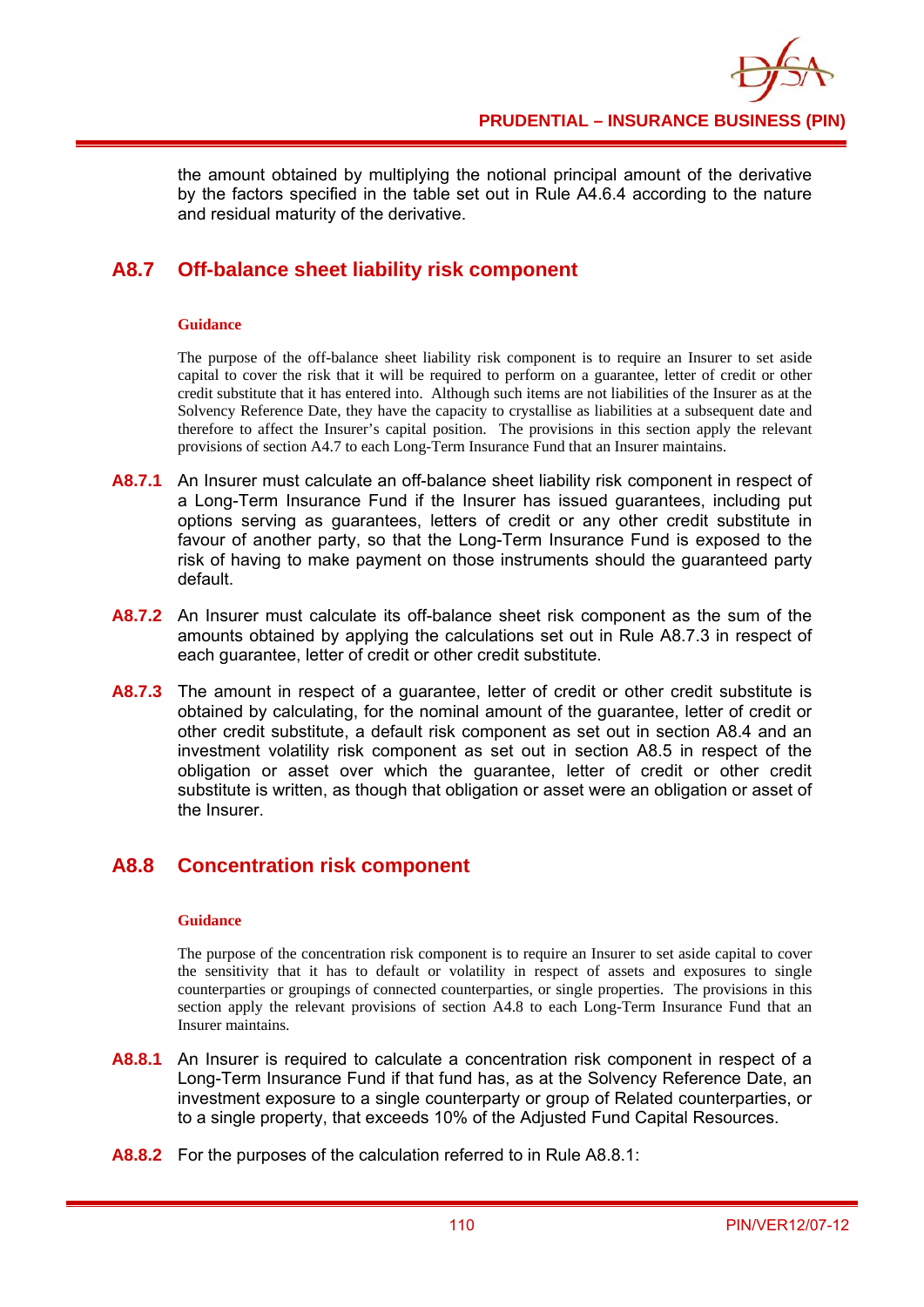the amount obtained by multiplying the notional principal amount of the derivative by the factors specified in the table set out in Rule A4.6.4 according to the nature and residual maturity of the derivative.

# **A8.7 Off-balance sheet liability risk component**

#### **Guidance**

The purpose of the off-balance sheet liability risk component is to require an Insurer to set aside capital to cover the risk that it will be required to perform on a guarantee, letter of credit or other credit substitute that it has entered into. Although such items are not liabilities of the Insurer as at the Solvency Reference Date, they have the capacity to crystallise as liabilities at a subsequent date and therefore to affect the Insurer's capital position. The provisions in this section apply the relevant provisions of section A4.7 to each Long-Term Insurance Fund that an Insurer maintains.

- **A8.7.1** An Insurer must calculate an off-balance sheet liability risk component in respect of a Long-Term Insurance Fund if the Insurer has issued guarantees, including put options serving as guarantees, letters of credit or any other credit substitute in favour of another party, so that the Long-Term Insurance Fund is exposed to the risk of having to make payment on those instruments should the guaranteed party default.
- **A8.7.2** An Insurer must calculate its off-balance sheet risk component as the sum of the amounts obtained by applying the calculations set out in Rule A8.7.3 in respect of each guarantee, letter of credit or other credit substitute.
- A8.7.3 The amount in respect of a guarantee, letter of credit or other credit substitute is obtained by calculating, for the nominal amount of the guarantee, letter of credit or other credit substitute, a default risk component as set out in section A8.4 and an investment volatility risk component as set out in section A8.5 in respect of the obligation or asset over which the guarantee, letter of credit or other credit substitute is written, as though that obligation or asset were an obligation or asset of the Insurer.

# **A8.8 Concentration risk component**

### **Guidance**

The purpose of the concentration risk component is to require an Insurer to set aside capital to cover the sensitivity that it has to default or volatility in respect of assets and exposures to single counterparties or groupings of connected counterparties, or single properties. The provisions in this section apply the relevant provisions of section A4.8 to each Long-Term Insurance Fund that an Insurer maintains.

- **A8.8.1** An Insurer is required to calculate a concentration risk component in respect of a Long-Term Insurance Fund if that fund has, as at the Solvency Reference Date, an investment exposure to a single counterparty or group of Related counterparties, or to a single property, that exceeds 10% of the Adjusted Fund Capital Resources.
- **A8.8.2** For the purposes of the calculation referred to in Rule A8.8.1: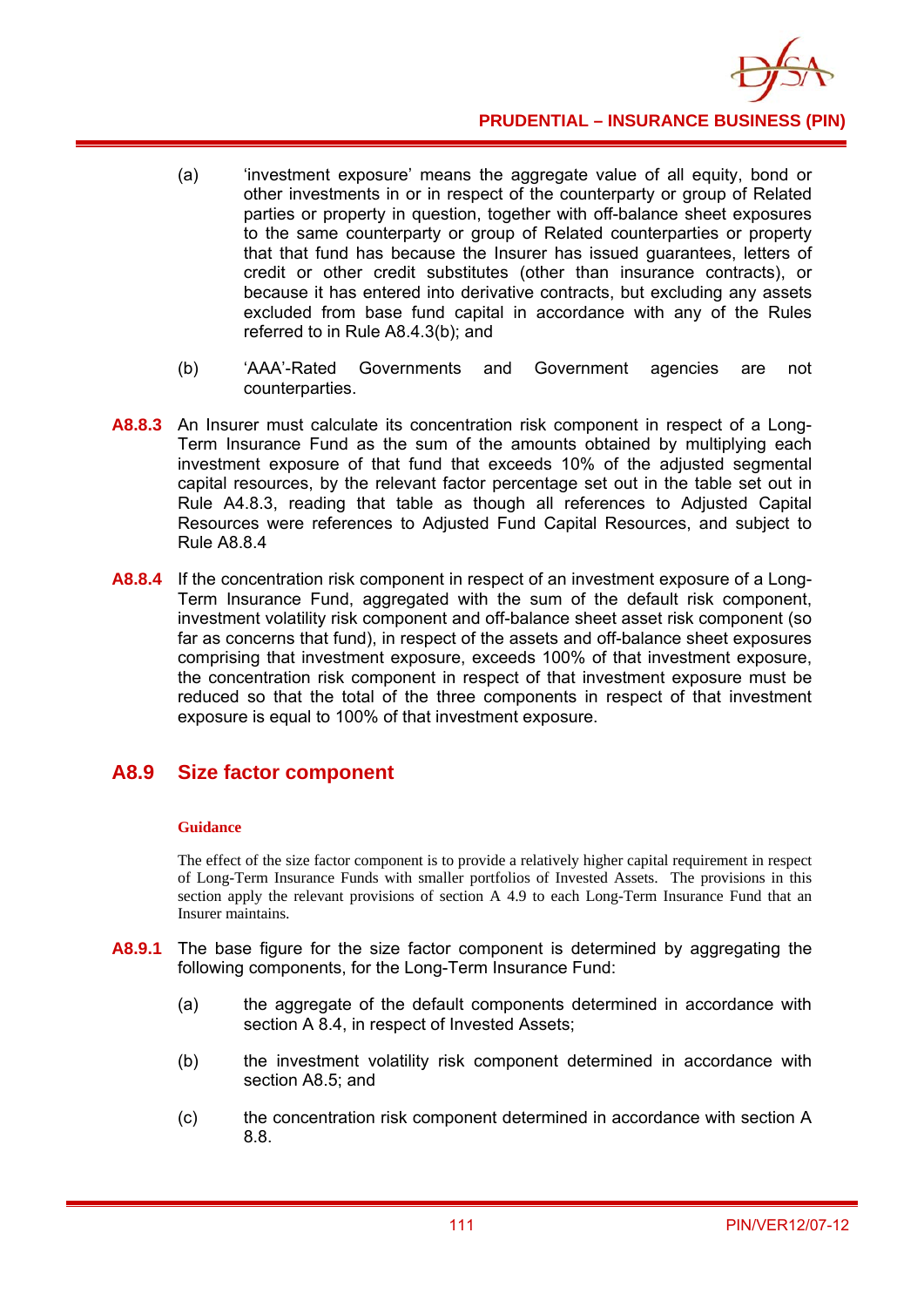

- (a) 'investment exposure' means the aggregate value of all equity, bond or other investments in or in respect of the counterparty or group of Related parties or property in question, together with off-balance sheet exposures to the same counterparty or group of Related counterparties or property that that fund has because the Insurer has issued guarantees, letters of credit or other credit substitutes (other than insurance contracts), or because it has entered into derivative contracts, but excluding any assets excluded from base fund capital in accordance with any of the Rules referred to in Rule A8.4.3(b); and
- (b) 'AAA'-Rated Governments and Government agencies are not counterparties.
- **A8.8.3** An Insurer must calculate its concentration risk component in respect of a Long-Term Insurance Fund as the sum of the amounts obtained by multiplying each investment exposure of that fund that exceeds 10% of the adjusted segmental capital resources, by the relevant factor percentage set out in the table set out in Rule A4.8.3, reading that table as though all references to Adjusted Capital Resources were references to Adjusted Fund Capital Resources, and subject to Rule A8.8.4
- **A8.8.4** If the concentration risk component in respect of an investment exposure of a Long-Term Insurance Fund, aggregated with the sum of the default risk component, investment volatility risk component and off-balance sheet asset risk component (so far as concerns that fund), in respect of the assets and off-balance sheet exposures comprising that investment exposure, exceeds 100% of that investment exposure, the concentration risk component in respect of that investment exposure must be reduced so that the total of the three components in respect of that investment exposure is equal to 100% of that investment exposure.

## **A8.9 Size factor component**

#### **Guidance**

The effect of the size factor component is to provide a relatively higher capital requirement in respect of Long-Term Insurance Funds with smaller portfolios of Invested Assets. The provisions in this section apply the relevant provisions of section A 4.9 to each Long-Term Insurance Fund that an Insurer maintains.

- **A8.9.1** The base figure for the size factor component is determined by aggregating the following components, for the Long-Term Insurance Fund:
	- (a) the aggregate of the default components determined in accordance with section A 8.4, in respect of Invested Assets;
	- (b) the investment volatility risk component determined in accordance with section A8.5; and
	- (c) the concentration risk component determined in accordance with section A 8.8.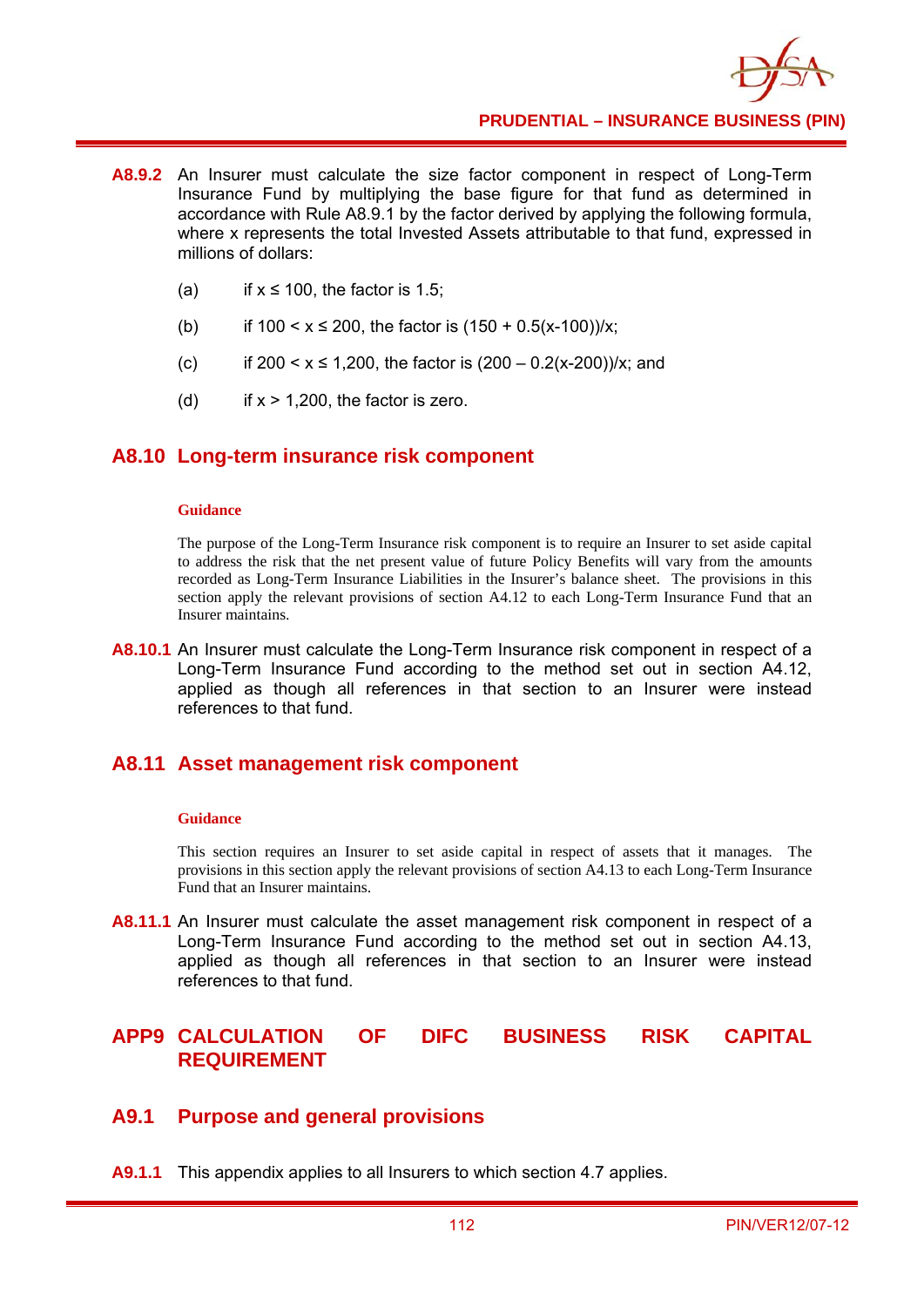- **A8.9.2** An Insurer must calculate the size factor component in respect of Long-Term Insurance Fund by multiplying the base figure for that fund as determined in accordance with Rule A8.9.1 by the factor derived by applying the following formula, where x represents the total Invested Assets attributable to that fund, expressed in millions of dollars:
	- (a) if  $x \le 100$ , the factor is 1.5;
	- (b) if  $100 < x \le 200$ , the factor is  $(150 + 0.5(x-100))/x$ ;
	- (c) if  $200 < x \le 1,200$ , the factor is  $(200 0.2(x-200))/x$ ; and
	- (d) if  $x > 1,200$ , the factor is zero.

### **A8.10 Long-term insurance risk component**

#### **Guidance**

The purpose of the Long-Term Insurance risk component is to require an Insurer to set aside capital to address the risk that the net present value of future Policy Benefits will vary from the amounts recorded as Long-Term Insurance Liabilities in the Insurer's balance sheet. The provisions in this section apply the relevant provisions of section A4.12 to each Long-Term Insurance Fund that an Insurer maintains.

**A8.10.1** An Insurer must calculate the Long-Term Insurance risk component in respect of a Long-Term Insurance Fund according to the method set out in section A4.12, applied as though all references in that section to an Insurer were instead references to that fund.

### **A8.11 Asset management risk component**

#### **Guidance**

This section requires an Insurer to set aside capital in respect of assets that it manages. The provisions in this section apply the relevant provisions of section A4.13 to each Long-Term Insurance Fund that an Insurer maintains.

**A8.11.1** An Insurer must calculate the asset management risk component in respect of a Long-Term Insurance Fund according to the method set out in section A4.13, applied as though all references in that section to an Insurer were instead references to that fund.

# **APP9 CALCULATION OF DIFC BUSINESS RISK CAPITAL REQUIREMENT**

### **A9.1 Purpose and general provisions**

**A9.1.1** This appendix applies to all Insurers to which section 4.7 applies.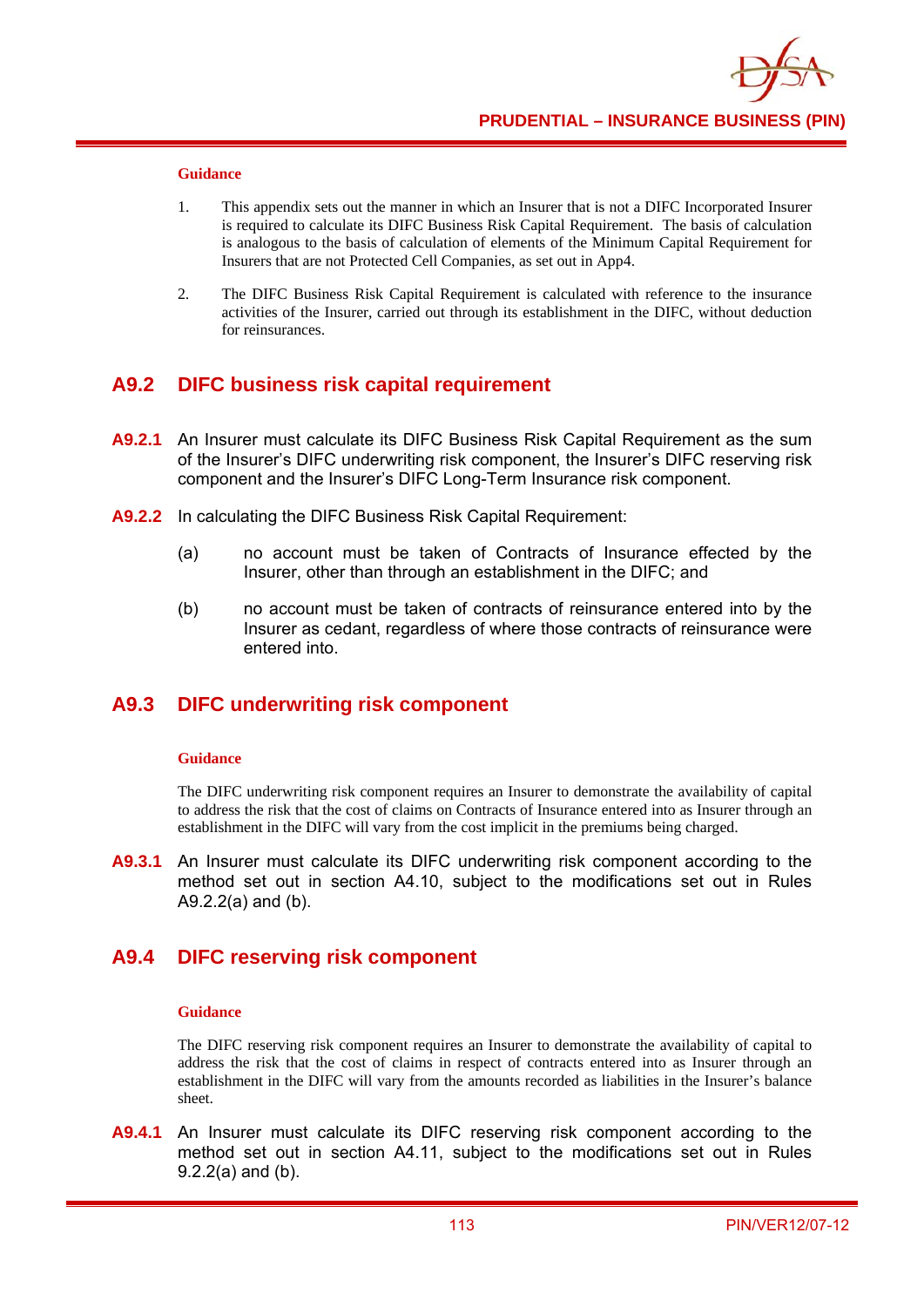#### **Guidance**

- 1. This appendix sets out the manner in which an Insurer that is not a DIFC Incorporated Insurer is required to calculate its DIFC Business Risk Capital Requirement. The basis of calculation is analogous to the basis of calculation of elements of the Minimum Capital Requirement for Insurers that are not Protected Cell Companies, as set out in App4.
- 2. The DIFC Business Risk Capital Requirement is calculated with reference to the insurance activities of the Insurer, carried out through its establishment in the DIFC, without deduction for reinsurances.

### **A9.2 DIFC business risk capital requirement**

- **A9.2.1** An Insurer must calculate its DIFC Business Risk Capital Requirement as the sum of the Insurer's DIFC underwriting risk component, the Insurer's DIFC reserving risk component and the Insurer's DIFC Long-Term Insurance risk component.
- **A9.2.2** In calculating the DIFC Business Risk Capital Requirement:
	- (a) no account must be taken of Contracts of Insurance effected by the Insurer, other than through an establishment in the DIFC; and
	- (b) no account must be taken of contracts of reinsurance entered into by the Insurer as cedant, regardless of where those contracts of reinsurance were entered into.

## **A9.3 DIFC underwriting risk component**

#### **Guidance**

The DIFC underwriting risk component requires an Insurer to demonstrate the availability of capital to address the risk that the cost of claims on Contracts of Insurance entered into as Insurer through an establishment in the DIFC will vary from the cost implicit in the premiums being charged.

**A9.3.1** An Insurer must calculate its DIFC underwriting risk component according to the method set out in section A4.10, subject to the modifications set out in Rules A9.2.2(a) and (b).

## **A9.4 DIFC reserving risk component**

#### **Guidance**

The DIFC reserving risk component requires an Insurer to demonstrate the availability of capital to address the risk that the cost of claims in respect of contracts entered into as Insurer through an establishment in the DIFC will vary from the amounts recorded as liabilities in the Insurer's balance sheet.

**A9.4.1** An Insurer must calculate its DIFC reserving risk component according to the method set out in section A4.11, subject to the modifications set out in Rules 9.2.2(a) and (b).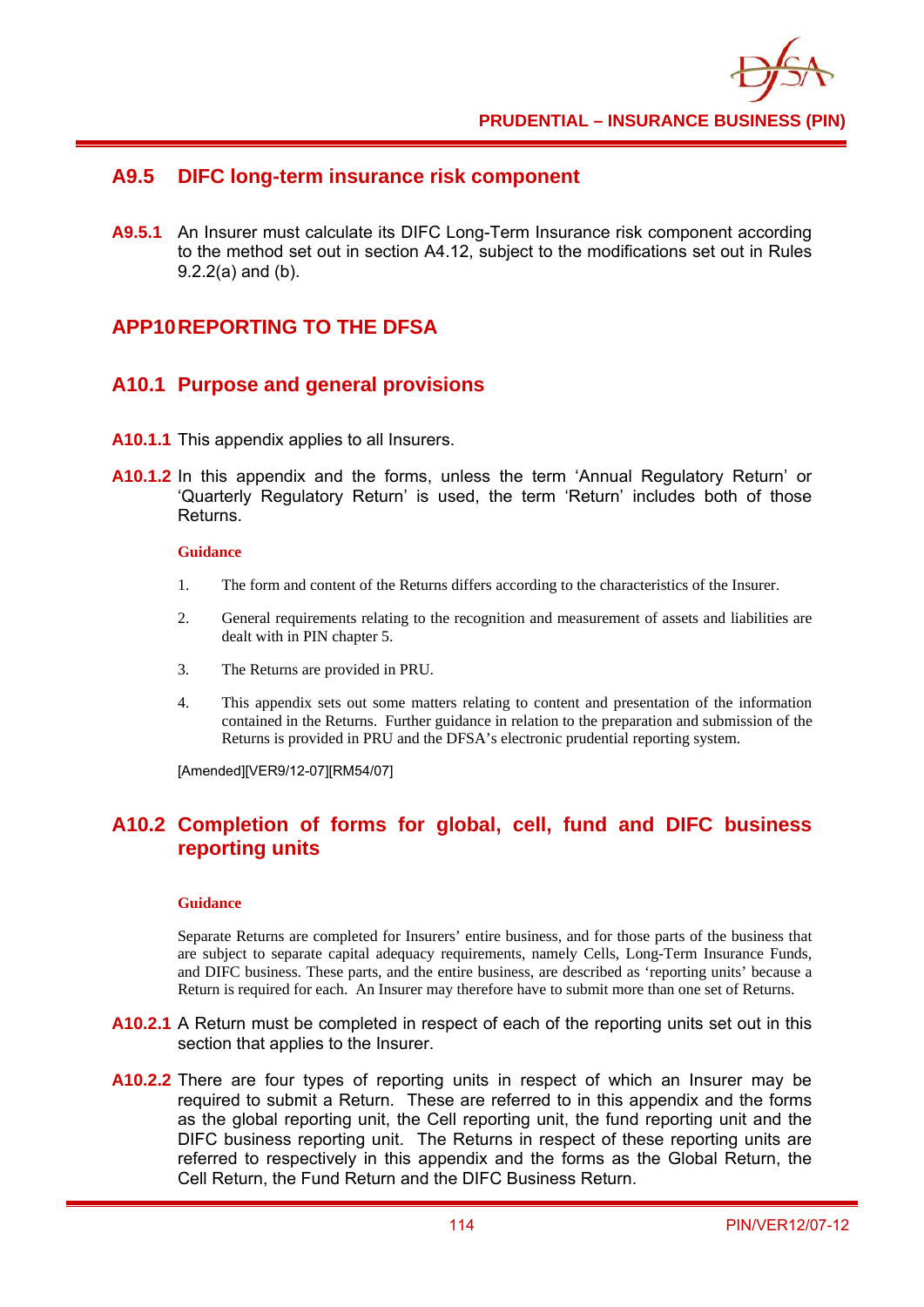## **A9.5 DIFC long-term insurance risk component**

**A9.5.1** An Insurer must calculate its DIFC Long-Term Insurance risk component according to the method set out in section A4.12, subject to the modifications set out in Rules 9.2.2(a) and (b).

## **APP10 REPORTING TO THE DFSA**

## **A10.1 Purpose and general provisions**

- **A10.1.1** This appendix applies to all Insurers.
- **A10.1.2** In this appendix and the forms, unless the term 'Annual Regulatory Return' or 'Quarterly Regulatory Return' is used, the term 'Return' includes both of those Returns.

#### **Guidance**

- 1. The form and content of the Returns differs according to the characteristics of the Insurer.
- 2. General requirements relating to the recognition and measurement of assets and liabilities are dealt with in PIN chapter 5.
- 3. The Returns are provided in PRU.
- 4. This appendix sets out some matters relating to content and presentation of the information contained in the Returns. Further guidance in relation to the preparation and submission of the Returns is provided in PRU and the DFSA's electronic prudential reporting system.

[Amended][VER9/12-07][RM54/07]

# **A10.2 Completion of forms for global, cell, fund and DIFC business reporting units**

#### **Guidance**

Separate Returns are completed for Insurers' entire business, and for those parts of the business that are subject to separate capital adequacy requirements, namely Cells, Long-Term Insurance Funds, and DIFC business. These parts, and the entire business, are described as 'reporting units' because a Return is required for each. An Insurer may therefore have to submit more than one set of Returns.

- **A10.2.1** A Return must be completed in respect of each of the reporting units set out in this section that applies to the Insurer.
- **A10.2.2** There are four types of reporting units in respect of which an Insurer may be required to submit a Return. These are referred to in this appendix and the forms as the global reporting unit, the Cell reporting unit, the fund reporting unit and the DIFC business reporting unit. The Returns in respect of these reporting units are referred to respectively in this appendix and the forms as the Global Return, the Cell Return, the Fund Return and the DIFC Business Return.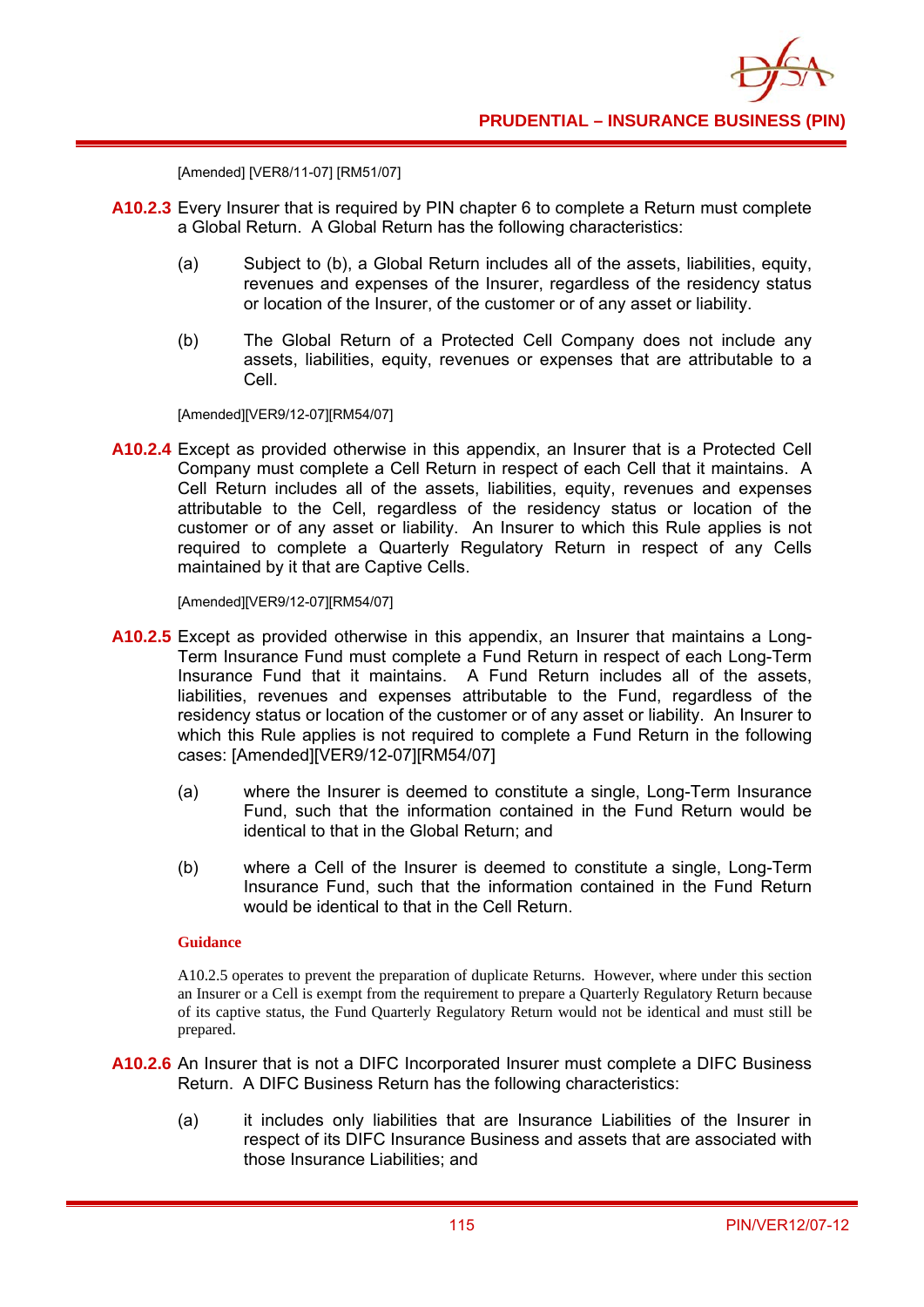```
[Amended] [VER8/11-07] [RM51/07]
```
- **A10.2.3** Every Insurer that is required by PIN chapter 6 to complete a Return must complete a Global Return. A Global Return has the following characteristics:
	- (a) Subject to (b), a Global Return includes all of the assets, liabilities, equity, revenues and expenses of the Insurer, regardless of the residency status or location of the Insurer, of the customer or of any asset or liability.
	- (b) The Global Return of a Protected Cell Company does not include any assets, liabilities, equity, revenues or expenses that are attributable to a Cell.

[Amended][VER9/12-07][RM54/07]

**A10.2.4** Except as provided otherwise in this appendix, an Insurer that is a Protected Cell Company must complete a Cell Return in respect of each Cell that it maintains. A Cell Return includes all of the assets, liabilities, equity, revenues and expenses attributable to the Cell, regardless of the residency status or location of the customer or of any asset or liability. An Insurer to which this Rule applies is not required to complete a Quarterly Regulatory Return in respect of any Cells maintained by it that are Captive Cells.

[Amended][VER9/12-07][RM54/07]

- **A10.2.5** Except as provided otherwise in this appendix, an Insurer that maintains a Long-Term Insurance Fund must complete a Fund Return in respect of each Long-Term Insurance Fund that it maintains. A Fund Return includes all of the assets, liabilities, revenues and expenses attributable to the Fund, regardless of the residency status or location of the customer or of any asset or liability. An Insurer to which this Rule applies is not required to complete a Fund Return in the following cases: [Amended][VER9/12-07][RM54/07]
	- (a) where the Insurer is deemed to constitute a single, Long-Term Insurance Fund, such that the information contained in the Fund Return would be identical to that in the Global Return; and
	- (b) where a Cell of the Insurer is deemed to constitute a single, Long-Term Insurance Fund, such that the information contained in the Fund Return would be identical to that in the Cell Return.

### **Guidance**

A10.2.5 operates to prevent the preparation of duplicate Returns. However, where under this section an Insurer or a Cell is exempt from the requirement to prepare a Quarterly Regulatory Return because of its captive status, the Fund Quarterly Regulatory Return would not be identical and must still be prepared.

- **A10.2.6** An Insurer that is not a DIFC Incorporated Insurer must complete a DIFC Business Return. A DIFC Business Return has the following characteristics:
	- (a) it includes only liabilities that are Insurance Liabilities of the Insurer in respect of its DIFC Insurance Business and assets that are associated with those Insurance Liabilities; and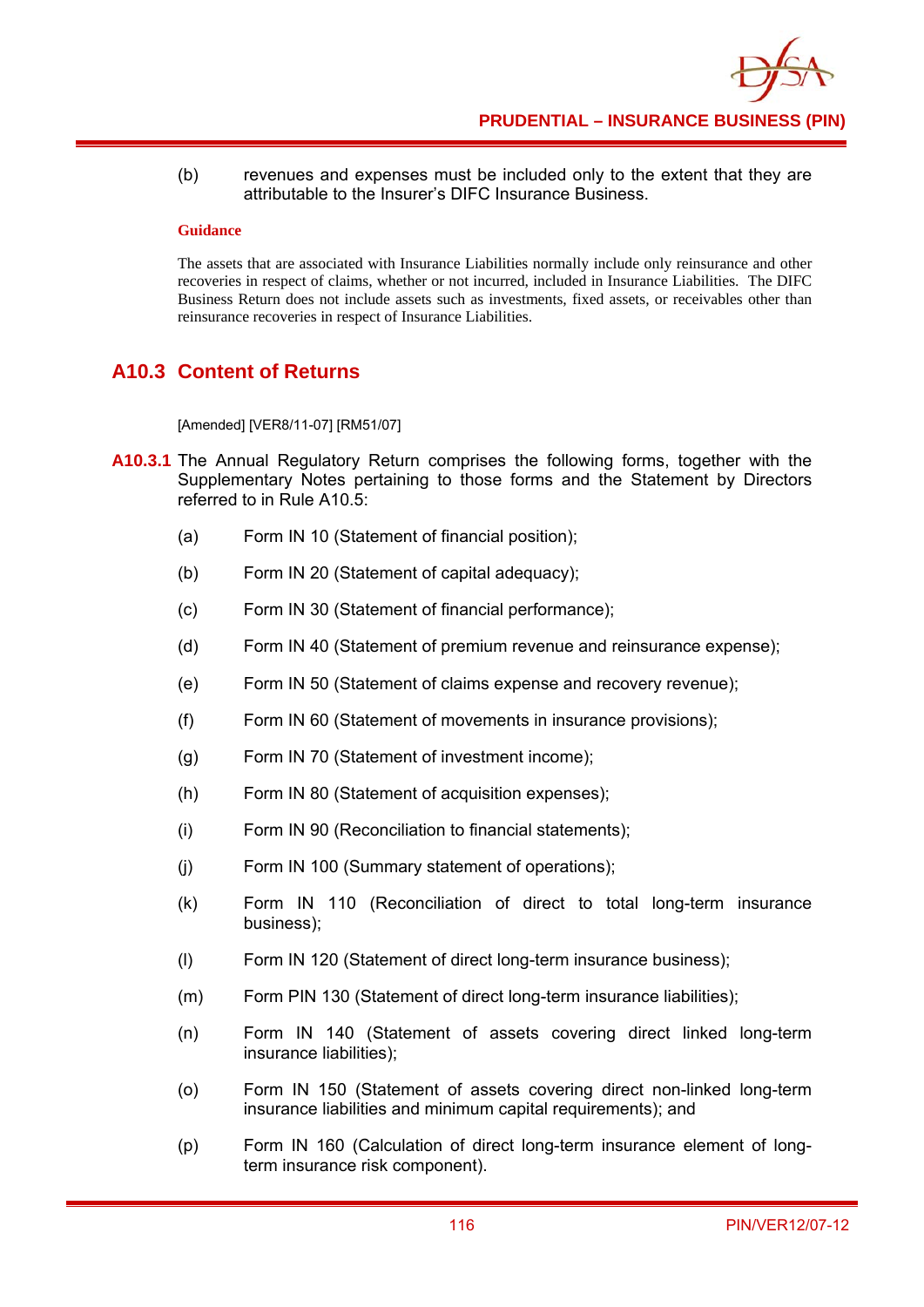(b) revenues and expenses must be included only to the extent that they are attributable to the Insurer's DIFC Insurance Business.

#### **Guidance**

The assets that are associated with Insurance Liabilities normally include only reinsurance and other recoveries in respect of claims, whether or not incurred, included in Insurance Liabilities. The DIFC Business Return does not include assets such as investments, fixed assets, or receivables other than reinsurance recoveries in respect of Insurance Liabilities.

# **A10.3 Content of Returns**

[Amended] [VER8/11-07] [RM51/07]

- **A10.3.1** The Annual Regulatory Return comprises the following forms, together with the Supplementary Notes pertaining to those forms and the Statement by Directors referred to in Rule A10.5:
	- (a) Form IN 10 (Statement of financial position);
	- (b) Form IN 20 (Statement of capital adequacy);
	- (c) Form IN 30 (Statement of financial performance);
	- (d) Form IN 40 (Statement of premium revenue and reinsurance expense);
	- (e) Form IN 50 (Statement of claims expense and recovery revenue);
	- (f) Form IN 60 (Statement of movements in insurance provisions);
	- (g) Form IN 70 (Statement of investment income);
	- (h) Form IN 80 (Statement of acquisition expenses);
	- (i) Form IN 90 (Reconciliation to financial statements);
	- (j) Form IN 100 (Summary statement of operations);
	- (k) Form IN 110 (Reconciliation of direct to total long-term insurance business);
	- (l) Form IN 120 (Statement of direct long-term insurance business);
	- (m) Form PIN 130 (Statement of direct long-term insurance liabilities);
	- (n) Form IN 140 (Statement of assets covering direct linked long-term insurance liabilities);
	- (o) Form IN 150 (Statement of assets covering direct non-linked long-term insurance liabilities and minimum capital requirements); and
	- (p) Form IN 160 (Calculation of direct long-term insurance element of longterm insurance risk component).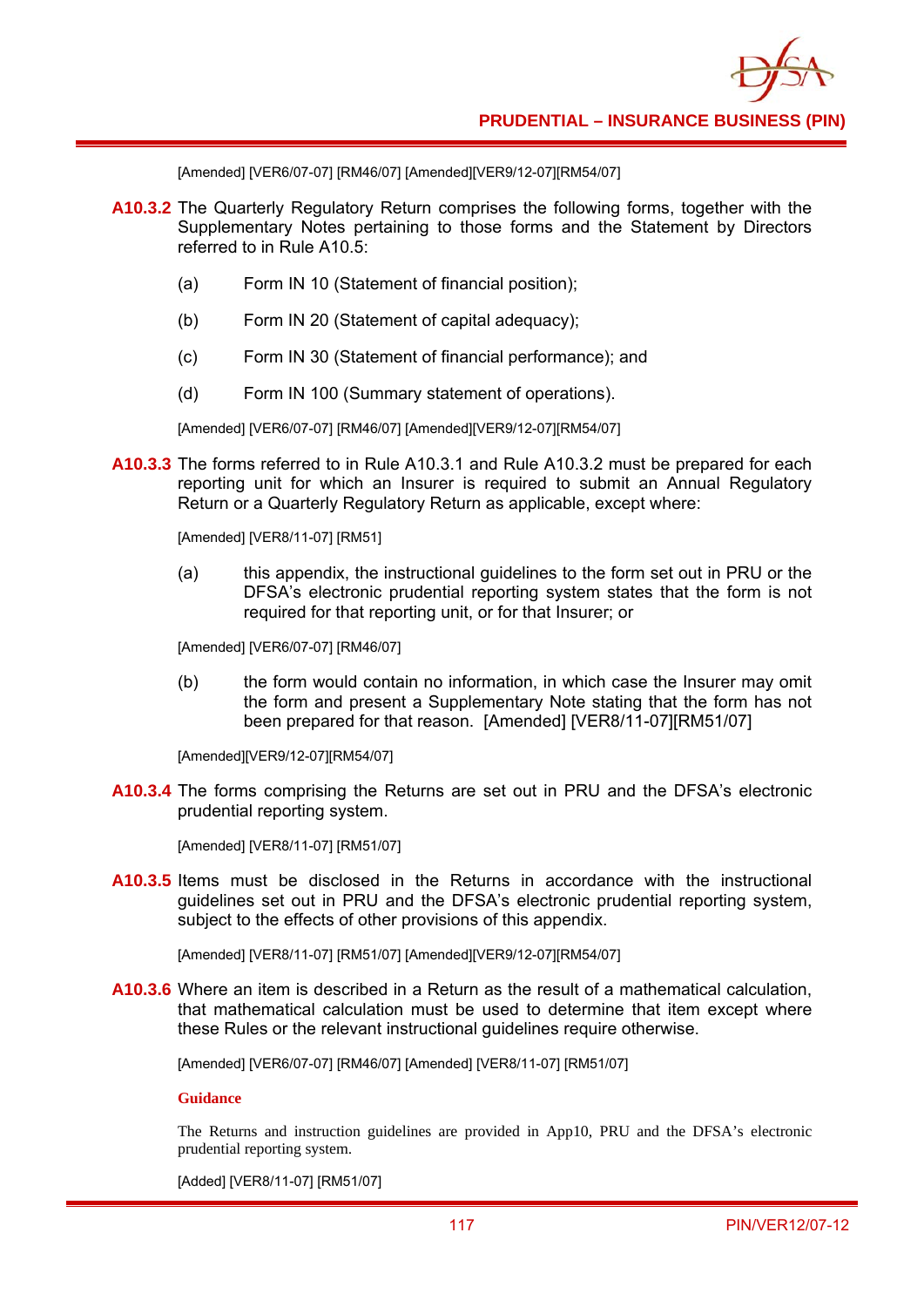[Amended] [VER6/07-07] [RM46/07] [Amended][VER9/12-07][RM54/07]

- **A10.3.2** The Quarterly Regulatory Return comprises the following forms, together with the Supplementary Notes pertaining to those forms and the Statement by Directors referred to in Rule A10.5:
	- (a) Form IN 10 (Statement of financial position);
	- (b) Form IN 20 (Statement of capital adequacy);
	- (c) Form IN 30 (Statement of financial performance); and
	- (d) Form IN 100 (Summary statement of operations).

[Amended] [VER6/07-07] [RM46/07] [Amended][VER9/12-07][RM54/07]

**A10.3.3** The forms referred to in Rule A10.3.1 and Rule A10.3.2 must be prepared for each reporting unit for which an Insurer is required to submit an Annual Regulatory Return or a Quarterly Regulatory Return as applicable, except where:

[Amended] [VER8/11-07] [RM51]

(a) this appendix, the instructional guidelines to the form set out in PRU or the DFSA's electronic prudential reporting system states that the form is not required for that reporting unit, or for that Insurer; or

[Amended] [VER6/07-07] [RM46/07]

(b) the form would contain no information, in which case the Insurer may omit the form and present a Supplementary Note stating that the form has not been prepared for that reason. [Amended] [VER8/11-07][RM51/07]

[Amended][VER9/12-07][RM54/07]

**A10.3.4** The forms comprising the Returns are set out in PRU and the DFSA's electronic prudential reporting system.

[Amended] [VER8/11-07] [RM51/07]

**A10.3.5** Items must be disclosed in the Returns in accordance with the instructional guidelines set out in PRU and the DFSA's electronic prudential reporting system, subject to the effects of other provisions of this appendix.

[Amended] [VER8/11-07] [RM51/07] [Amended][VER9/12-07][RM54/07]

**A10.3.6** Where an item is described in a Return as the result of a mathematical calculation, that mathematical calculation must be used to determine that item except where these Rules or the relevant instructional guidelines require otherwise.

[Amended] [VER6/07-07] [RM46/07] [Amended] [VER8/11-07] [RM51/07]

**Guidance** 

The Returns and instruction guidelines are provided in App10, PRU and the DFSA's electronic prudential reporting system.

[Added] [VER8/11-07] [RM51/07]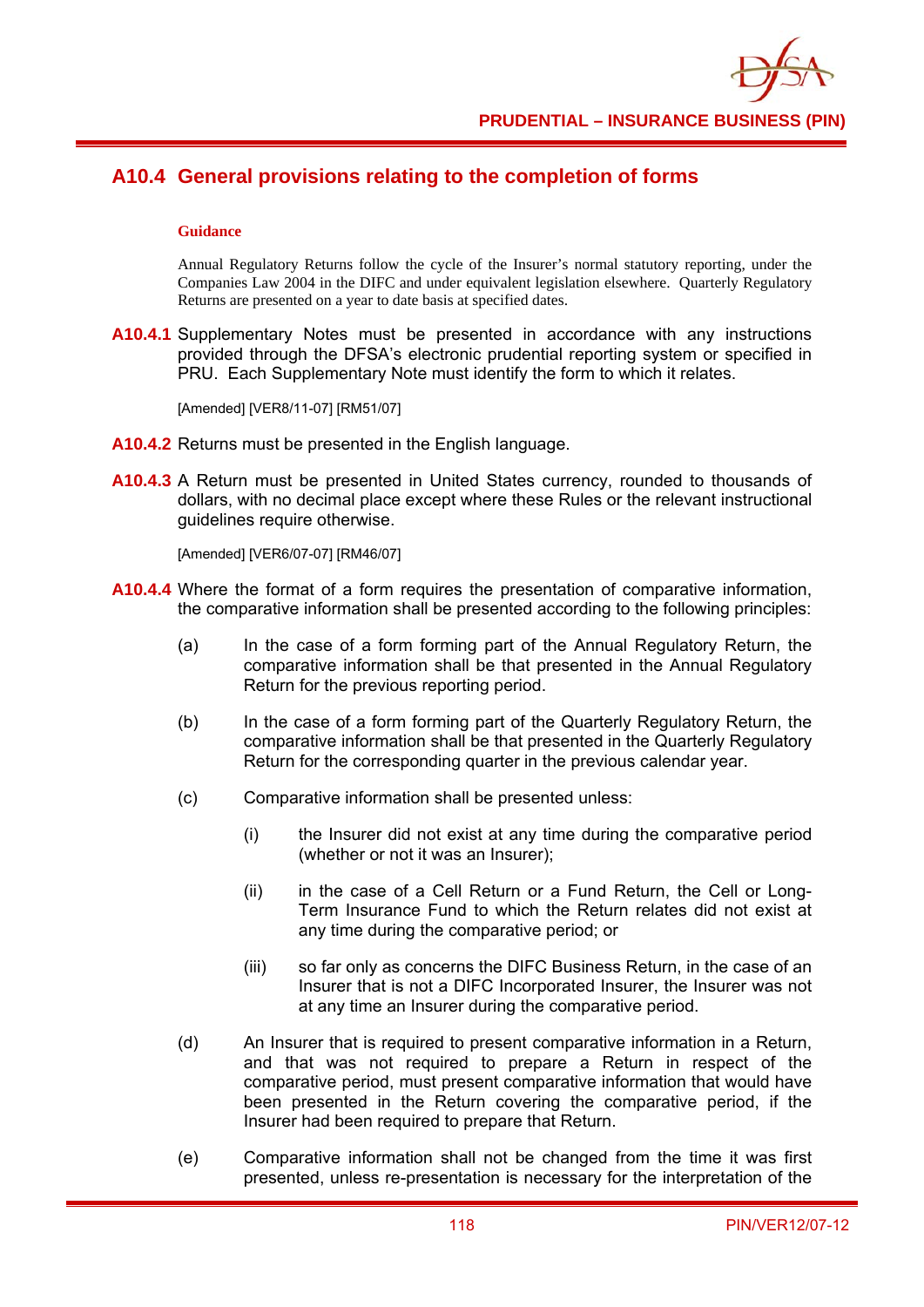

# **A10.4 General provisions relating to the completion of forms**

#### **Guidance**

Annual Regulatory Returns follow the cycle of the Insurer's normal statutory reporting, under the Companies Law 2004 in the DIFC and under equivalent legislation elsewhere. Quarterly Regulatory Returns are presented on a year to date basis at specified dates.

**A10.4.1** Supplementary Notes must be presented in accordance with any instructions provided through the DFSA's electronic prudential reporting system or specified in PRU. Each Supplementary Note must identify the form to which it relates.

[Amended] [VER8/11-07] [RM51/07]

- **A10.4.2** Returns must be presented in the English language.
- **A10.4.3** A Return must be presented in United States currency, rounded to thousands of dollars, with no decimal place except where these Rules or the relevant instructional guidelines require otherwise.

[Amended] [VER6/07-07] [RM46/07]

- **A10.4.4** Where the format of a form requires the presentation of comparative information, the comparative information shall be presented according to the following principles:
	- (a) In the case of a form forming part of the Annual Regulatory Return, the comparative information shall be that presented in the Annual Regulatory Return for the previous reporting period.
	- (b) In the case of a form forming part of the Quarterly Regulatory Return, the comparative information shall be that presented in the Quarterly Regulatory Return for the corresponding quarter in the previous calendar year.
	- (c) Comparative information shall be presented unless:
		- (i) the Insurer did not exist at any time during the comparative period (whether or not it was an Insurer);
		- (ii) in the case of a Cell Return or a Fund Return, the Cell or Long-Term Insurance Fund to which the Return relates did not exist at any time during the comparative period; or
		- (iii) so far only as concerns the DIFC Business Return, in the case of an Insurer that is not a DIFC Incorporated Insurer, the Insurer was not at any time an Insurer during the comparative period.
	- (d) An Insurer that is required to present comparative information in a Return, and that was not required to prepare a Return in respect of the comparative period, must present comparative information that would have been presented in the Return covering the comparative period, if the Insurer had been required to prepare that Return.
	- (e) Comparative information shall not be changed from the time it was first presented, unless re-presentation is necessary for the interpretation of the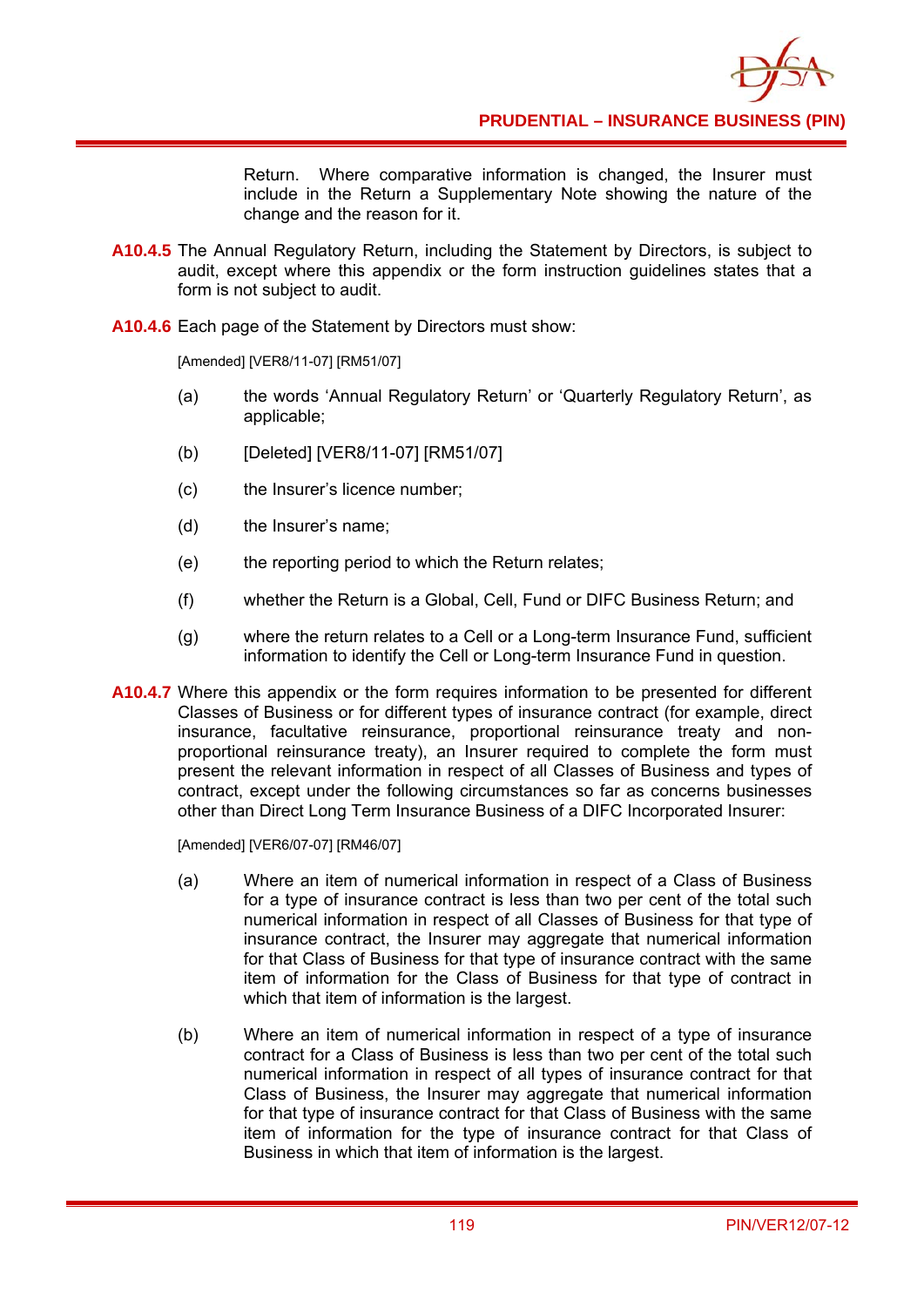

Return. Where comparative information is changed, the Insurer must include in the Return a Supplementary Note showing the nature of the change and the reason for it.

- **A10.4.5** The Annual Regulatory Return, including the Statement by Directors, is subject to audit, except where this appendix or the form instruction guidelines states that a form is not subject to audit.
- **A10.4.6** Each page of the Statement by Directors must show:

[Amended] [VER8/11-07] [RM51/07]

- (a) the words 'Annual Regulatory Return' or 'Quarterly Regulatory Return', as applicable;
- (b) [Deleted] [VER8/11-07] [RM51/07]
- (c) the Insurer's licence number;
- (d) the Insurer's name;
- (e) the reporting period to which the Return relates;
- (f) whether the Return is a Global, Cell, Fund or DIFC Business Return; and
- (g) where the return relates to a Cell or a Long-term Insurance Fund, sufficient information to identify the Cell or Long-term Insurance Fund in question.
- A10.4.7 Where this appendix or the form requires information to be presented for different Classes of Business or for different types of insurance contract (for example, direct insurance, facultative reinsurance, proportional reinsurance treaty and nonproportional reinsurance treaty), an Insurer required to complete the form must present the relevant information in respect of all Classes of Business and types of contract, except under the following circumstances so far as concerns businesses other than Direct Long Term Insurance Business of a DIFC Incorporated Insurer:

[Amended] [VER6/07-07] [RM46/07]

- (a) Where an item of numerical information in respect of a Class of Business for a type of insurance contract is less than two per cent of the total such numerical information in respect of all Classes of Business for that type of insurance contract, the Insurer may aggregate that numerical information for that Class of Business for that type of insurance contract with the same item of information for the Class of Business for that type of contract in which that item of information is the largest.
- (b) Where an item of numerical information in respect of a type of insurance contract for a Class of Business is less than two per cent of the total such numerical information in respect of all types of insurance contract for that Class of Business, the Insurer may aggregate that numerical information for that type of insurance contract for that Class of Business with the same item of information for the type of insurance contract for that Class of Business in which that item of information is the largest.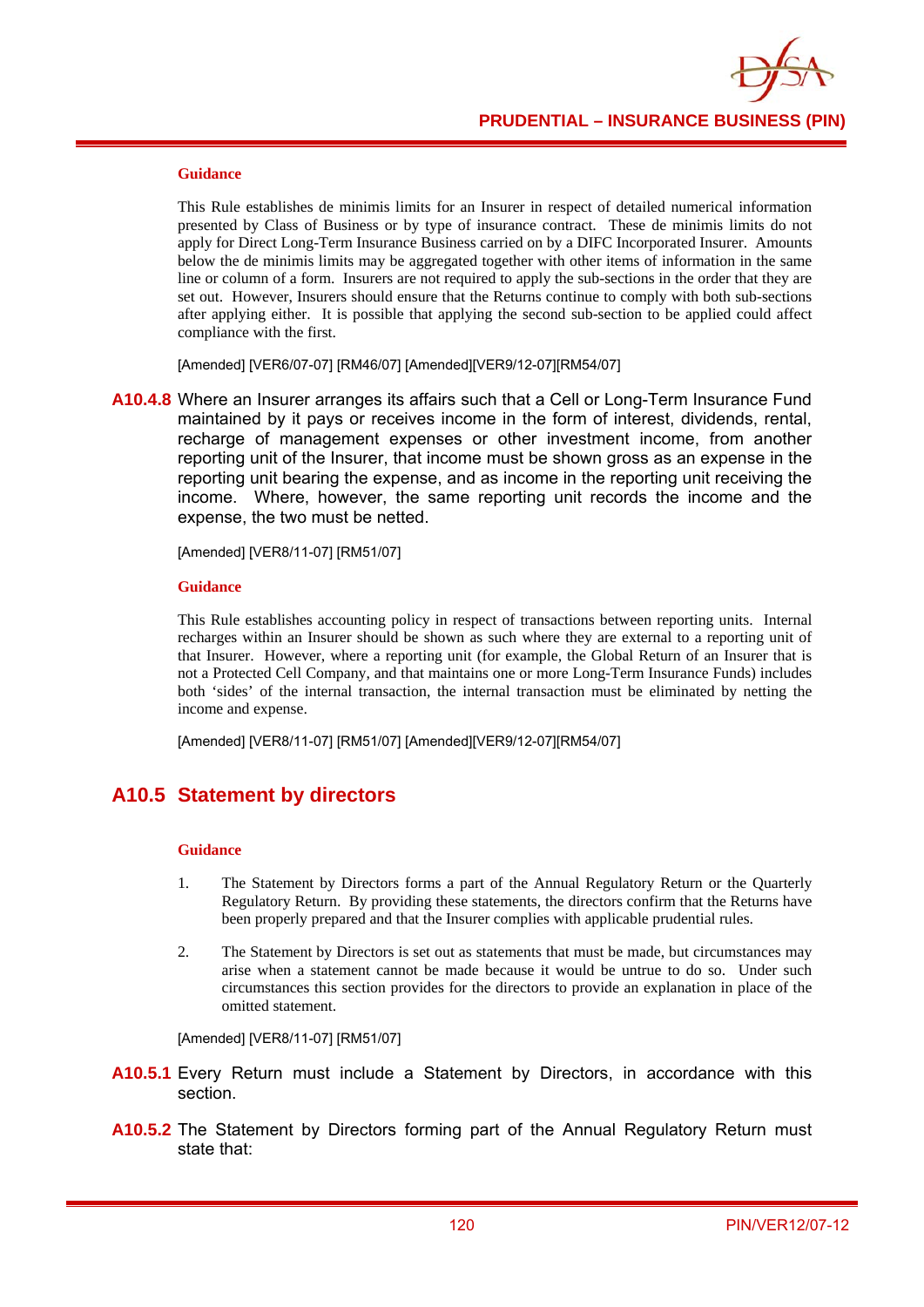

#### **Guidance**

This Rule establishes de minimis limits for an Insurer in respect of detailed numerical information presented by Class of Business or by type of insurance contract. These de minimis limits do not apply for Direct Long-Term Insurance Business carried on by a DIFC Incorporated Insurer. Amounts below the de minimis limits may be aggregated together with other items of information in the same line or column of a form. Insurers are not required to apply the sub-sections in the order that they are set out. However, Insurers should ensure that the Returns continue to comply with both sub-sections after applying either. It is possible that applying the second sub-section to be applied could affect compliance with the first.

[Amended] [VER6/07-07] [RM46/07] [Amended][VER9/12-07][RM54/07]

**A10.4.8** Where an Insurer arranges its affairs such that a Cell or Long-Term Insurance Fund maintained by it pays or receives income in the form of interest, dividends, rental, recharge of management expenses or other investment income, from another reporting unit of the Insurer, that income must be shown gross as an expense in the reporting unit bearing the expense, and as income in the reporting unit receiving the income. Where, however, the same reporting unit records the income and the expense, the two must be netted.

[Amended] [VER8/11-07] [RM51/07]

#### **Guidance**

This Rule establishes accounting policy in respect of transactions between reporting units. Internal recharges within an Insurer should be shown as such where they are external to a reporting unit of that Insurer. However, where a reporting unit (for example, the Global Return of an Insurer that is not a Protected Cell Company, and that maintains one or more Long-Term Insurance Funds) includes both 'sides' of the internal transaction, the internal transaction must be eliminated by netting the income and expense.

[Amended] [VER8/11-07] [RM51/07] [Amended][VER9/12-07][RM54/07]

### **A10.5 Statement by directors**

#### **Guidance**

- 1. The Statement by Directors forms a part of the Annual Regulatory Return or the Quarterly Regulatory Return. By providing these statements, the directors confirm that the Returns have been properly prepared and that the Insurer complies with applicable prudential rules.
- 2. The Statement by Directors is set out as statements that must be made, but circumstances may arise when a statement cannot be made because it would be untrue to do so. Under such circumstances this section provides for the directors to provide an explanation in place of the omitted statement.

[Amended] [VER8/11-07] [RM51/07]

- **A10.5.1** Every Return must include a Statement by Directors, in accordance with this section.
- **A10.5.2** The Statement by Directors forming part of the Annual Regulatory Return must state that: